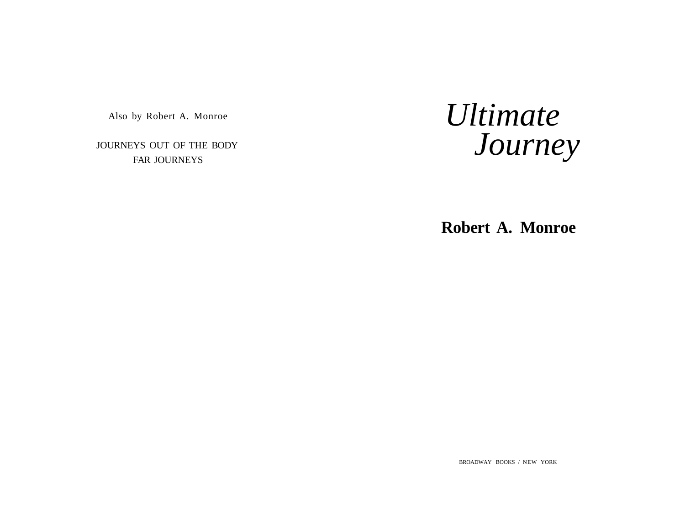Also by Robert A. Monroe

JOURNEYS OUT OF THE BODY FAR JOURNEYS

# *Ultimate Journey*

**Robert A. Monroe** 

BROADWAY BOOKS / NEW YORK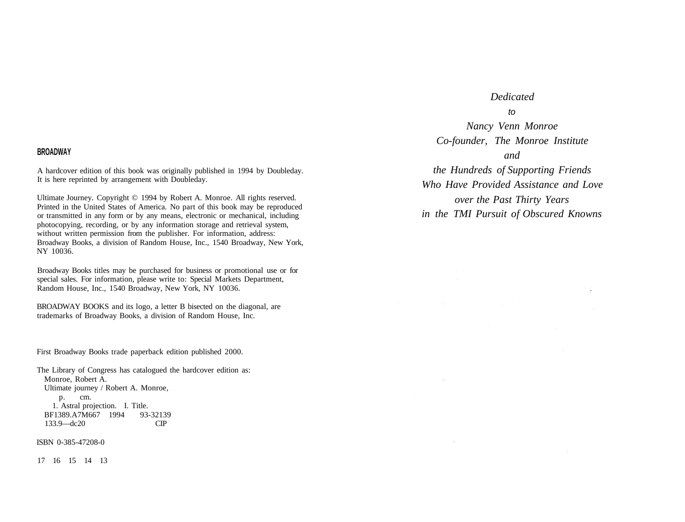#### **BROADWAY**

A hardcover edition of this book was originally published in 1994 by Doubleday. It is here reprinted by arrangement with Doubleday.

Ultimate Journey. Copyright © 1994 by Robert A. Monroe. All rights reserved. Printed in the United States of America. No part of this book may be reproduced or transmitted in any form or by any means, electronic or mechanical, including photocopying, recording, or by any information storage and retrieval system, without written permission from the publisher. For information, address: Broadway Books, a division of Random House, Inc., 1540 Broadway, New York, NY 10036.

Broadway Books titles may be purchased for business or promotional use or for special sales. For information, please write to: Special Markets Department, Random House, Inc., 1540 Broadway, New York, NY 10036.

BROADWAY BOOKS and its logo, a letter B bisected on the diagonal, are trademarks of Broadway Books, a division of Random House, Inc.

First Broadway Books trade paperback edition published 2000.

The Library of Congress has catalogued the hardcover edition as: Monroe, Robert A. Ultimate journey / Robert A. Monroe, p. cm. 1. Astral projection. I. Title. BF1389.A7M667 1994 93-32139 133.9—dc20 CIP

ISBN 0-385-47208-0

17 16 15 14 13

to *Nancy Venn Monroe Co-founder, The Monroe Institute and the Hundreds of Supporting Friends Who Have Provided Assistance and Love over the Past Thirty Years in the TMI Pursuit of Obscured Knowns* 

*Dedicated*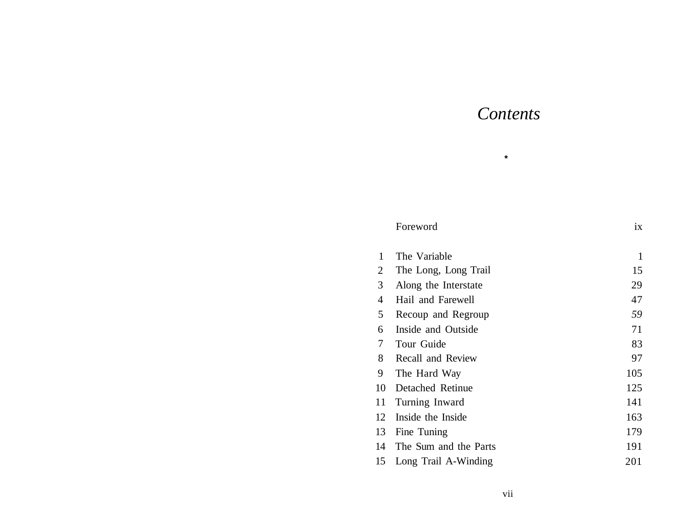### *Contents*

**\*** 

|    | Foreword              | ix  |
|----|-----------------------|-----|
|    |                       |     |
| 1  | The Variable          | 1   |
| 2  | The Long, Long Trail  | 15  |
| 3  | Along the Interstate  | 29  |
| 4  | Hail and Farewell     | 47  |
| 5  | Recoup and Regroup    | 59  |
| 6  | Inside and Outside    | 71  |
| 7  | Tour Guide            | 83  |
| 8  | Recall and Review     | 97  |
| 9  | The Hard Way          | 105 |
| 10 | Detached Retinue      | 125 |
| 11 | Turning Inward        | 141 |
| 12 | Inside the Inside     | 163 |
| 13 | Fine Tuning           | 179 |
| 14 | The Sum and the Parts | 191 |
| 15 | Long Trail A-Winding  | 201 |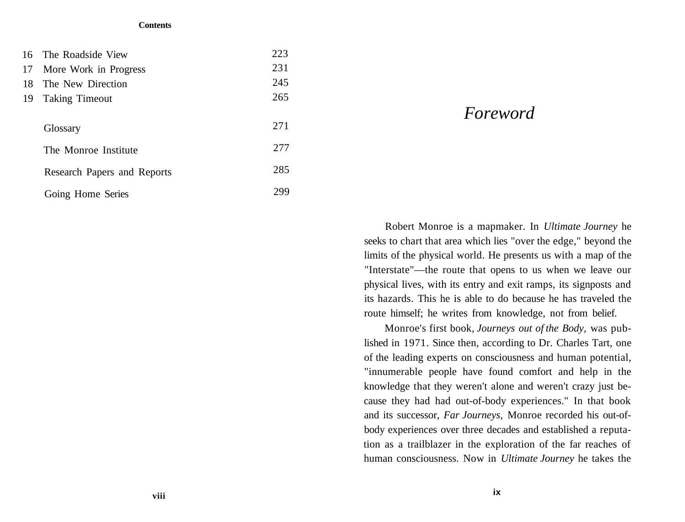#### **Contents**

|    | 16 The Roadside View        | 223 |
|----|-----------------------------|-----|
| 17 | More Work in Progress       | 231 |
| 18 | The New Direction           | 245 |
| 19 | <b>Taking Timeout</b>       | 265 |
|    |                             |     |
|    | Glossary                    | 271 |
|    | The Monroe Institute        | 277 |
|    | Research Papers and Reports | 285 |
|    | Going Home Series           | 790 |

### *Foreword*

Robert Monroe is a mapmaker. In *Ultimate Journey* he seeks to chart that area which lies "over the edge," beyond the limits of the physical world. He presents us with a map of the "Interstate"—the route that opens to us when we leave our physical lives, with its entry and exit ramps, its signposts and its hazards. This he is able to do because he has traveled the route himself; he writes from knowledge, not from belief.

Monroe's first book, *Journeys out of the Body,* was published in 1971. Since then, according to Dr. Charles Tart, one of the leading experts on consciousness and human potential, "innumerable people have found comfort and help in the knowledge that they weren't alone and weren't crazy just because they had had out-of-body experiences." In that book and its successor, *Far Journeys,* Monroe recorded his out-ofbody experiences over three decades and established a reputation as a trailblazer in the exploration of the far reaches of human consciousness. Now in *Ultimate Journey* he takes the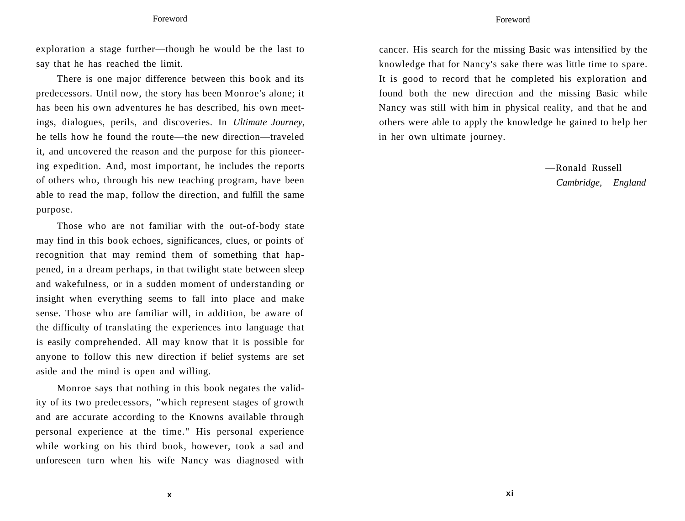#### Foreword

#### Foreword

exploration a stage further—though he would be the last to say that he has reached the limit.

There is one major difference between this book and its predecessors. Until now, the story has been Monroe's alone; it has been his own adventures he has described, his own meetings, dialogues, perils, and discoveries. In *Ultimate Journey,*  he tells how he found the route—the new direction—traveled it, and uncovered the reason and the purpose for this pioneering expedition. And, most important, he includes the reports of others who, through his new teaching program, have been able to read the map, follow the direction, and fulfill the same purpose.

Those who are not familiar with the out-of-body state may find in this book echoes, significances, clues, or points of recognition that may remind them of something that happened, in a dream perhaps, in that twilight state between sleep and wakefulness, or in a sudden moment of understanding or insight when everything seems to fall into place and make sense. Those who are familiar will, in addition, be aware of the difficulty of translating the experiences into language that is easily comprehended. All may know that it is possible for anyone to follow this new direction if belief systems are set aside and the mind is open and willing.

Monroe says that nothing in this book negates the validity of its two predecessors, "which represent stages of growth and are accurate according to the Knowns available through personal experience at the time." His personal experience while working on his third book, however, took a sad and unforeseen turn when his wife Nancy was diagnosed with

cancer. His search for the missing Basic was intensified by the knowledge that for Nancy's sake there was little time to spare. It is good to record that he completed his exploration and found both the new direction and the missing Basic while Nancy was still with him in physical reality, and that he and others were able to apply the knowledge he gained to help her in her own ultimate journey.

> —Ronald Russell *Cambridge, England*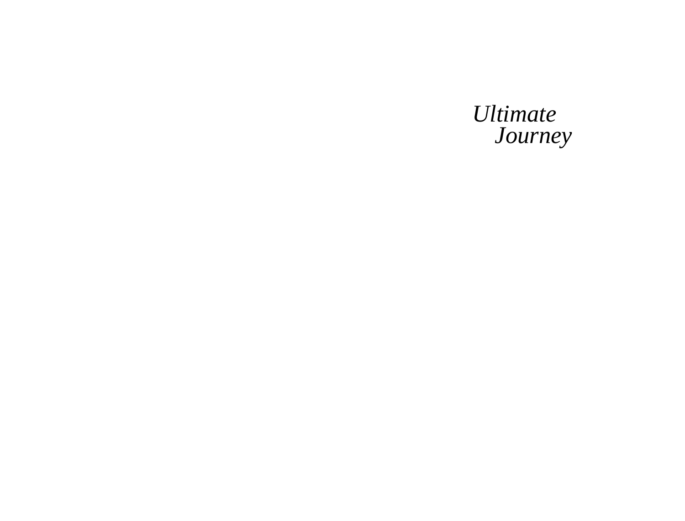# *Ultimate Journey*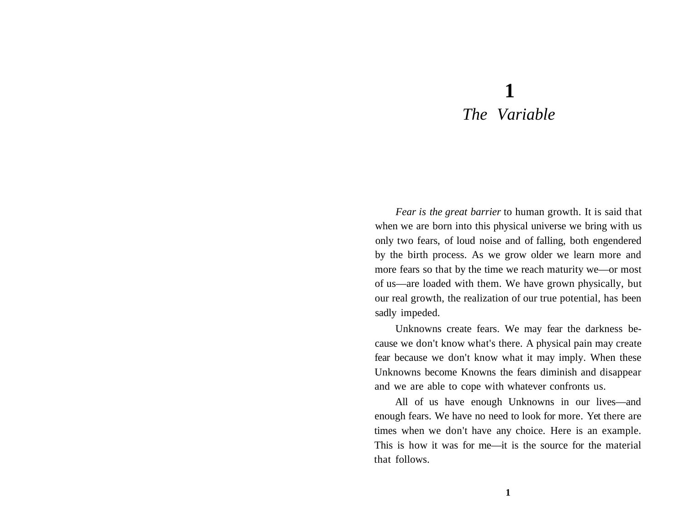### **1**

### *The Variable*

*Fear is the great barrier* to human growth. It is said that when we are born into this physical universe we bring with us only two fears, of loud noise and of falling, both engendered by the birth process. As we grow older we learn more and more fears so that by the time we reach maturity we—or most of us—are loaded with them. We have grown physically, but our real growth, the realization of our true potential, has been sadly impeded.

Unknowns create fears. We may fear the darkness because we don't know what's there. A physical pain may create fear because we don't know what it may imply. When these Unknowns become Knowns the fears diminish and disappear and we are able to cope with whatever confronts us.

All of us have enough Unknowns in our lives—and enough fears. We have no need to look for more. Yet there are times when we don't have any choice. Here is an example. This is how it was for me—it is the source for the material that follows.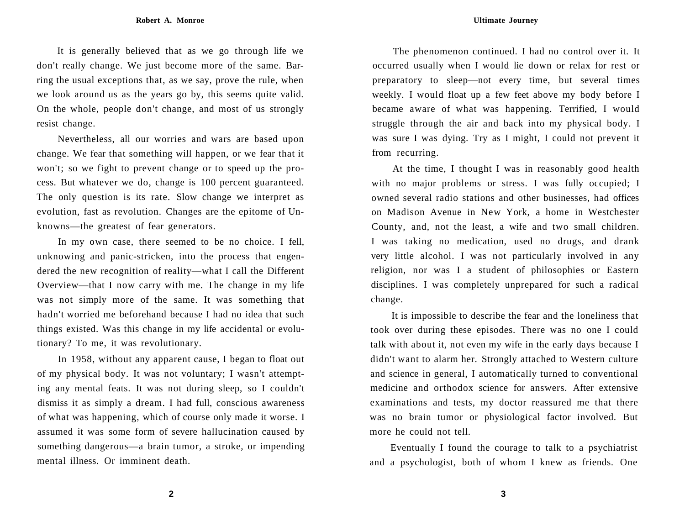It is generally believed that as we go through life we don't really change. We just become more of the same. Barring the usual exceptions that, as we say, prove the rule, when we look around us as the years go by, this seems quite valid. On the whole, people don't change, and most of us strongly resist change.

Nevertheless, all our worries and wars are based upon change. We fear that something will happen, or we fear that it won't; so we fight to prevent change or to speed up the process. But whatever we do, change is 100 percent guaranteed. The only question is its rate. Slow change we interpret as evolution, fast as revolution. Changes are the epitome of Unknowns—the greatest of fear generators.

In my own case, there seemed to be no choice. I fell, unknowing and panic-stricken, into the process that engendered the new recognition of reality—what I call the Different Overview—that I now carry with me. The change in my life was not simply more of the same. It was something that hadn't worried me beforehand because I had no idea that such things existed. Was this change in my life accidental or evolutionary? To me, it was revolutionary.

In 1958, without any apparent cause, I began to float out of my physical body. It was not voluntary; I wasn't attempting any mental feats. It was not during sleep, so I couldn't dismiss it as simply a dream. I had full, conscious awareness of what was happening, which of course only made it worse. I assumed it was some form of severe hallucination caused by something dangerous—a brain tumor, a stroke, or impending mental illness. Or imminent death.

The phenomenon continued. I had no control over it. It occurred usually when I would lie down or relax for rest or preparatory to sleep—not every time, but several times weekly. I would float up a few feet above my body before I became aware of what was happening. Terrified, I would struggle through the air and back into my physical body. I was sure I was dying. Try as I might, I could not prevent it from recurring.

At the time, I thought I was in reasonably good health with no major problems or stress. I was fully occupied; I owned several radio stations and other businesses, had offices on Madison Avenue in New York, a home in Westchester County, and, not the least, a wife and two small children. I was taking no medication, used no drugs, and drank very little alcohol. I was not particularly involved in any religion, nor was I a student of philosophies or Eastern disciplines. I was completely unprepared for such a radical change.

It is impossible to describe the fear and the loneliness that took over during these episodes. There was no one I could talk with about it, not even my wife in the early days because I didn't want to alarm her. Strongly attached to Western culture and science in general, I automatically turned to conventional medicine and orthodox science for answers. After extensive examinations and tests, my doctor reassured me that there was no brain tumor or physiological factor involved. But more he could not tell.

Eventually I found the courage to talk to a psychiatrist and a psychologist, both of whom I knew as friends. One

**2**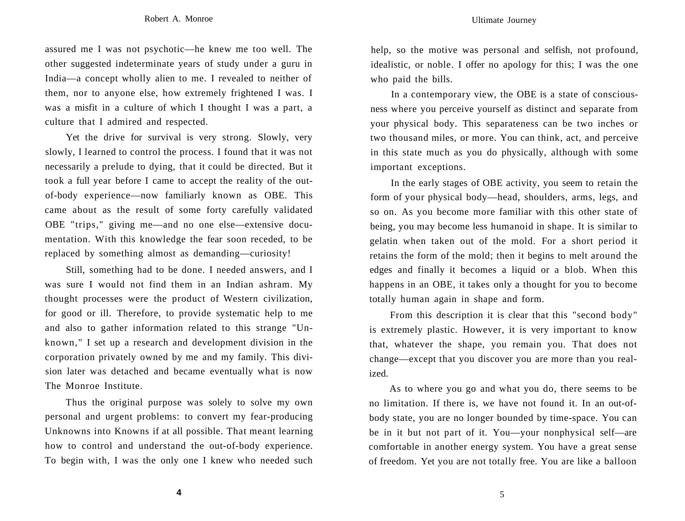assured me I was not psychotic—he knew me too well. The other suggested indeterminate years of study under a guru in India—a concept wholly alien to me. I revealed to neither of them, nor to anyone else, how extremely frightened I was. I was a misfit in a culture of which I thought I was a part, a culture that I admired and respected.

Yet the drive for survival is very strong. Slowly, very slowly, I learned to control the process. I found that it was not necessarily a prelude to dying, that it could be directed. But it took a full year before I came to accept the reality of the outof-body experience—now familiarly known as OBE. This came about as the result of some forty carefully validated OBE "trips," giving me—and no one else—extensive documentation. With this knowledge the fear soon receded, to be replaced by something almost as demanding—curiosity!

Still, something had to be done. I needed answers, and I was sure I would not find them in an Indian ashram. My thought processes were the product of Western civilization, for good or ill. Therefore, to provide systematic help to me and also to gather information related to this strange "Unknown," I set up a research and development division in the corporation privately owned by me and my family. This division later was detached and became eventually what is now The Monroe Institute.

Thus the original purpose was solely to solve my own personal and urgent problems: to convert my fear-producing Unknowns into Knowns if at all possible. That meant learning how to control and understand the out-of-body experience. To begin with, I was the only one I knew who needed such

help, so the motive was personal and selfish, not profound, idealistic, or noble. I offer no apology for this; I was the one who paid the bills.

In a contemporary view, the OBE is a state of consciousness where you perceive yourself as distinct and separate from your physical body. This separateness can be two inches or two thousand miles, or more. You can think, act, and perceive in this state much as you do physically, although with some important exceptions.

In the early stages of OBE activity, you seem to retain the form of your physical body—head, shoulders, arms, legs, and so on. As you become more familiar with this other state of being, you may become less humanoid in shape. It is similar to gelatin when taken out of the mold. For a short period it retains the form of the mold; then it begins to melt around the edges and finally it becomes a liquid or a blob. When this happens in an OBE, it takes only a thought for you to become totally human again in shape and form.

From this description it is clear that this "second body" is extremely plastic. However, it is very important to know that, whatever the shape, you remain you. That does not change—except that you discover you are more than you realized.

As to where you go and what you do, there seems to be no limitation. If there is, we have not found it. In an out-ofbody state, you are no longer bounded by time-space. You can be in it but not part of it. You—your nonphysical self—are comfortable in another energy system. You have a great sense of freedom. Yet you are not totally free. You are like a balloon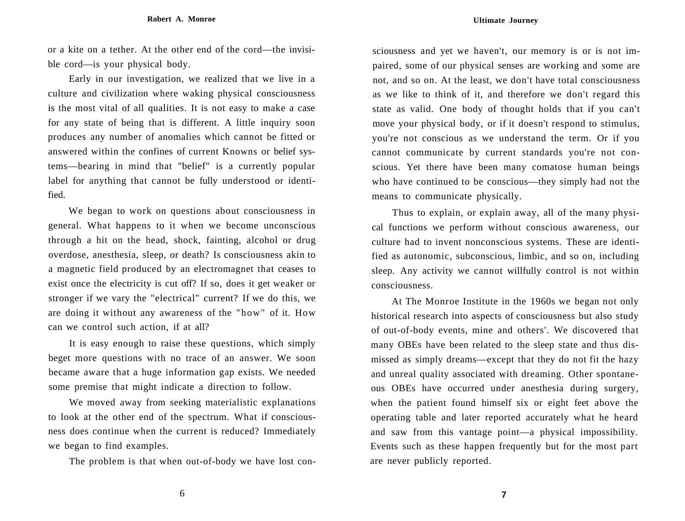#### **Robert A. Monroe**

#### **Ultimate Journey**

or a kite on a tether. At the other end of the cord—the invisible cord—is your physical body.

Early in our investigation, we realized that we live in a culture and civilization where waking physical consciousness is the most vital of all qualities. It is not easy to make a case for any state of being that is different. A little inquiry soon produces any number of anomalies which cannot be fitted or answered within the confines of current Knowns or belief systems—bearing in mind that "belief" is a currently popular label for anything that cannot be fully understood or identified.

We began to work on questions about consciousness in general. What happens to it when we become unconscious through a hit on the head, shock, fainting, alcohol or drug overdose, anesthesia, sleep, or death? Is consciousness akin to a magnetic field produced by an electromagnet that ceases to exist once the electricity is cut off? If so, does it get weaker or stronger if we vary the "electrical" current? If we do this, we are doing it without any awareness of the "how" of it. How can we control such action, if at all?

It is easy enough to raise these questions, which simply beget more questions with no trace of an answer. We soon became aware that a huge information gap exists. We needed some premise that might indicate a direction to follow.

We moved away from seeking materialistic explanations to look at the other end of the spectrum. What if consciousness does continue when the current is reduced? Immediately we began to find examples.

The problem is that when out-of-body we have lost con-

sciousness and yet we haven't, our memory is or is not impaired, some of our physical senses are working and some are not, and so on. At the least, we don't have total consciousness as we like to think of it, and therefore we don't regard this state as valid. One body of thought holds that if you can't move your physical body, or if it doesn't respond to stimulus, you're not conscious as we understand the term. Or if you cannot communicate by current standards you're not conscious. Yet there have been many comatose human beings who have continued to be conscious—they simply had not the means to communicate physically.

Thus to explain, or explain away, all of the many physical functions we perform without conscious awareness, our culture had to invent nonconscious systems. These are identified as autonomic, subconscious, limbic, and so on, including sleep. Any activity we cannot willfully control is not within consciousness.

At The Monroe Institute in the 1960s we began not only historical research into aspects of consciousness but also study of out-of-body events, mine and others'. We discovered that many OBEs have been related to the sleep state and thus dismissed as simply dreams—except that they do not fit the hazy and unreal quality associated with dreaming. Other spontaneous OBEs have occurred under anesthesia during surgery, when the patient found himself six or eight feet above the operating table and later reported accurately what he heard and saw from this vantage point—a physical impossibility. Events such as these happen frequently but for the most part are never publicly reported.

6

**7**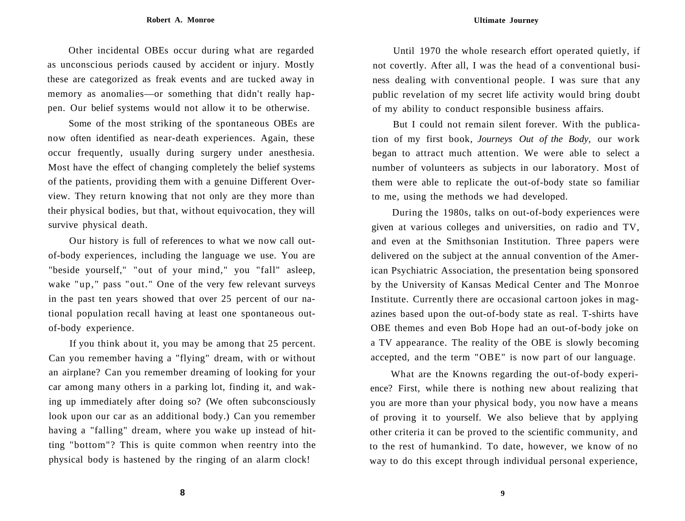#### **Robert A. Monroe**

#### **Ultimate Journey**

Other incidental OBEs occur during what are regarded as unconscious periods caused by accident or injury. Mostly these are categorized as freak events and are tucked away in memory as anomalies—or something that didn't really happen. Our belief systems would not allow it to be otherwise.

Some of the most striking of the spontaneous OBEs are now often identified as near-death experiences. Again, these occur frequently, usually during surgery under anesthesia. Most have the effect of changing completely the belief systems of the patients, providing them with a genuine Different Overview. They return knowing that not only are they more than their physical bodies, but that, without equivocation, they will survive physical death.

Our history is full of references to what we now call outof-body experiences, including the language we use. You are "beside yourself," "out of your mind," you "fall" asleep, wake "up," pass "out." One of the very few relevant surveys in the past ten years showed that over 25 percent of our national population recall having at least one spontaneous outof-body experience.

If you think about it, you may be among that 25 percent. Can you remember having a "flying" dream, with or without an airplane? Can you remember dreaming of looking for your car among many others in a parking lot, finding it, and waking up immediately after doing so? (We often subconsciously look upon our car as an additional body.) Can you remember having a "falling" dream, where you wake up instead of hitting "bottom"? This is quite common when reentry into the physical body is hastened by the ringing of an alarm clock!

Until 1970 the whole research effort operated quietly, if not covertly. After all, I was the head of a conventional business dealing with conventional people. I was sure that any public revelation of my secret life activity would bring doubt of my ability to conduct responsible business affairs.

But I could not remain silent forever. With the publication of my first book, *Journeys Out of the Body,* our work began to attract much attention. We were able to select a number of volunteers as subjects in our laboratory. Most of them were able to replicate the out-of-body state so familiar to me, using the methods we had developed.

During the 1980s, talks on out-of-body experiences were given at various colleges and universities, on radio and TV, and even at the Smithsonian Institution. Three papers were delivered on the subject at the annual convention of the American Psychiatric Association, the presentation being sponsored by the University of Kansas Medical Center and The Monroe Institute. Currently there are occasional cartoon jokes in magazines based upon the out-of-body state as real. T-shirts have OBE themes and even Bob Hope had an out-of-body joke on a TV appearance. The reality of the OBE is slowly becoming accepted, and the term "OBE" is now part of our language.

What are the Knowns regarding the out-of-body experience? First, while there is nothing new about realizing that you are more than your physical body, you now have a means of proving it to yourself. We also believe that by applying other criteria it can be proved to the scientific community, and to the rest of humankind. To date, however, we know of no way to do this except through individual personal experience,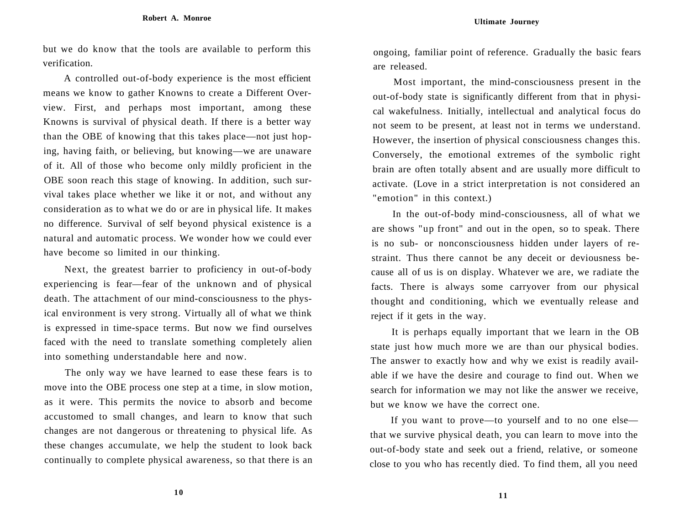but we do know that the tools are available to perform this verification.

A controlled out-of-body experience is the most efficient means we know to gather Knowns to create a Different Overview. First, and perhaps most important, among these Knowns is survival of physical death. If there is a better way than the OBE of knowing that this takes place—not just hoping, having faith, or believing, but knowing—we are unaware of it. All of those who become only mildly proficient in the OBE soon reach this stage of knowing. In addition, such survival takes place whether we like it or not, and without any consideration as to what we do or are in physical life. It makes no difference. Survival of self beyond physical existence is a natural and automatic process. We wonder how we could ever have become so limited in our thinking.

Next, the greatest barrier to proficiency in out-of-body experiencing is fear—fear of the unknown and of physical death. The attachment of our mind-consciousness to the physical environment is very strong. Virtually all of what we think is expressed in time-space terms. But now we find ourselves faced with the need to translate something completely alien into something understandable here and now.

The only way we have learned to ease these fears is to move into the OBE process one step at a time, in slow motion, as it were. This permits the novice to absorb and become accustomed to small changes, and learn to know that such changes are not dangerous or threatening to physical life. As these changes accumulate, we help the student to look back continually to complete physical awareness, so that there is an ongoing, familiar point of reference. Gradually the basic fears are released.

Most important, the mind-consciousness present in the out-of-body state is significantly different from that in physical wakefulness. Initially, intellectual and analytical focus do not seem to be present, at least not in terms we understand. However, the insertion of physical consciousness changes this. Conversely, the emotional extremes of the symbolic right brain are often totally absent and are usually more difficult to activate. (Love in a strict interpretation is not considered an "emotion" in this context.)

In the out-of-body mind-consciousness, all of what we are shows "up front" and out in the open, so to speak. There is no sub- or nonconsciousness hidden under layers of restraint. Thus there cannot be any deceit or deviousness because all of us is on display. Whatever we are, we radiate the facts. There is always some carryover from our physical thought and conditioning, which we eventually release and reject if it gets in the way.

It is perhaps equally important that we learn in the OB state just how much more we are than our physical bodies. The answer to exactly how and why we exist is readily available if we have the desire and courage to find out. When we search for information we may not like the answer we receive, but we know we have the correct one.

If you want to prove—to yourself and to no one else that we survive physical death, you can learn to move into the out-of-body state and seek out a friend, relative, or someone close to you who has recently died. To find them, all you need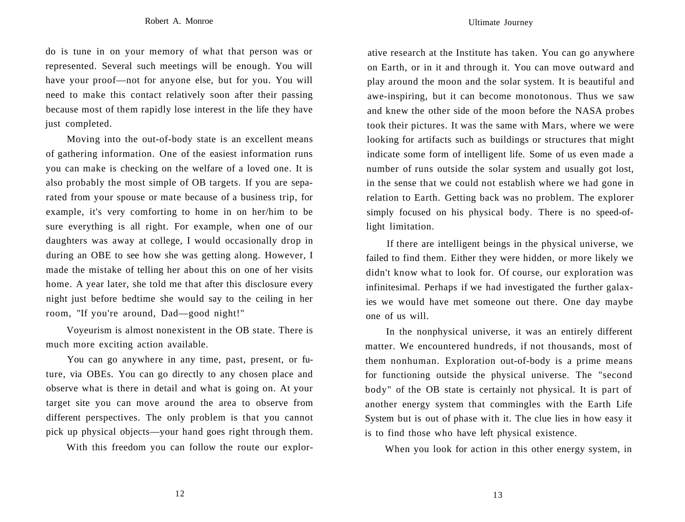Ultimate Journey

do is tune in on your memory of what that person was or represented. Several such meetings will be enough. You will have your proof—not for anyone else, but for you. You will need to make this contact relatively soon after their passing because most of them rapidly lose interest in the life they have just completed.

Moving into the out-of-body state is an excellent means of gathering information. One of the easiest information runs you can make is checking on the welfare of a loved one. It is also probably the most simple of OB targets. If you are separated from your spouse or mate because of a business trip, for example, it's very comforting to home in on her/him to be sure everything is all right. For example, when one of our daughters was away at college, I would occasionally drop in during an OBE to see how she was getting along. However, I made the mistake of telling her about this on one of her visits home. A year later, she told me that after this disclosure every night just before bedtime she would say to the ceiling in her room, "If you're around, Dad—good night!"

Voyeurism is almost nonexistent in the OB state. There is much more exciting action available.

You can go anywhere in any time, past, present, or future, via OBEs. You can go directly to any chosen place and observe what is there in detail and what is going on. At your target site you can move around the area to observe from different perspectives. The only problem is that you cannot pick up physical objects—your hand goes right through them.

With this freedom you can follow the route our explor-

ative research at the Institute has taken. You can go anywhere on Earth, or in it and through it. You can move outward and play around the moon and the solar system. It is beautiful and awe-inspiring, but it can become monotonous. Thus we saw and knew the other side of the moon before the NASA probes took their pictures. It was the same with Mars, where we were looking for artifacts such as buildings or structures that might indicate some form of intelligent life. Some of us even made a number of runs outside the solar system and usually got lost, in the sense that we could not establish where we had gone in relation to Earth. Getting back was no problem. The explorer simply focused on his physical body. There is no speed-oflight limitation.

If there are intelligent beings in the physical universe, we failed to find them. Either they were hidden, or more likely we didn't know what to look for. Of course, our exploration was infinitesimal. Perhaps if we had investigated the further galaxies we would have met someone out there. One day maybe one of us will.

In the nonphysical universe, it was an entirely different matter. We encountered hundreds, if not thousands, most of them nonhuman. Exploration out-of-body is a prime means for functioning outside the physical universe. The "second body" of the OB state is certainly not physical. It is part of another energy system that commingles with the Earth Life System but is out of phase with it. The clue lies in how easy it is to find those who have left physical existence.

When you look for action in this other energy system, in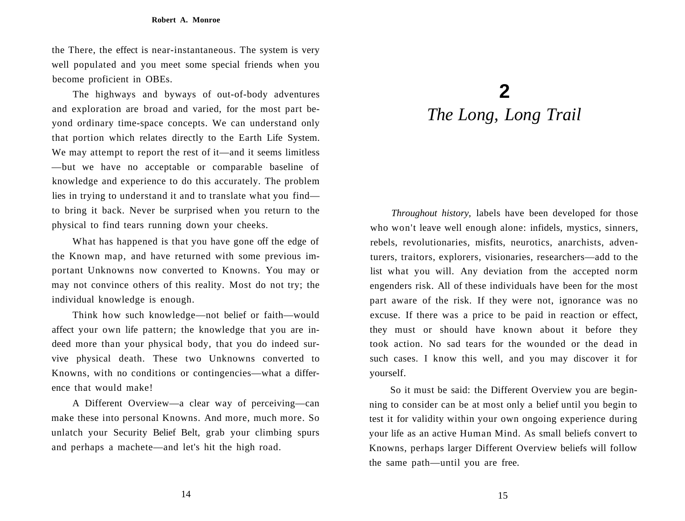#### **Robert A. Monroe**

the There, the effect is near-instantaneous. The system is very well populated and you meet some special friends when you become proficient in OBEs.

The highways and byways of out-of-body adventures and exploration are broad and varied, for the most part beyond ordinary time-space concepts. We can understand only that portion which relates directly to the Earth Life System. We may attempt to report the rest of it—and it seems limitless —but we have no acceptable or comparable baseline of knowledge and experience to do this accurately. The problem lies in trying to understand it and to translate what you find to bring it back. Never be surprised when you return to the physical to find tears running down your cheeks.

What has happened is that you have gone off the edge of the Known map, and have returned with some previous important Unknowns now converted to Knowns. You may or may not convince others of this reality. Most do not try; the individual knowledge is enough.

Think how such knowledge—not belief or faith—would affect your own life pattern; the knowledge that you are indeed more than your physical body, that you do indeed survive physical death. These two Unknowns converted to Knowns, with no conditions or contingencies—what a difference that would make!

A Different Overview—a clear way of perceiving—can make these into personal Knowns. And more, much more. So unlatch your Security Belief Belt, grab your climbing spurs and perhaps a machete—and let's hit the high road.

## **2**  *The Long, Long Trail*

*Throughout history,* labels have been developed for those who won't leave well enough alone: infidels, mystics, sinners, rebels, revolutionaries, misfits, neurotics, anarchists, adventurers, traitors, explorers, visionaries, researchers—add to the list what you will. Any deviation from the accepted norm engenders risk. All of these individuals have been for the most part aware of the risk. If they were not, ignorance was no excuse. If there was a price to be paid in reaction or effect, they must or should have known about it before they took action. No sad tears for the wounded or the dead in such cases. I know this well, and you may discover it for yourself.

So it must be said: the Different Overview you are beginning to consider can be at most only a belief until you begin to test it for validity within your own ongoing experience during your life as an active Human Mind. As small beliefs convert to Knowns, perhaps larger Different Overview beliefs will follow the same path—until you are free.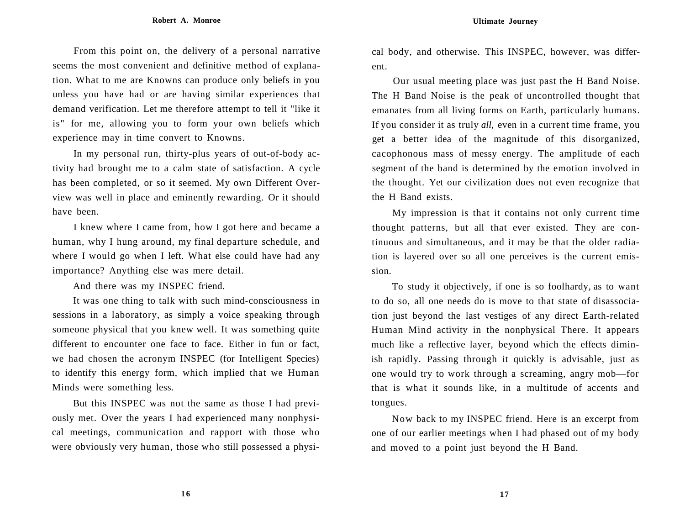**Ultimate Journey** 

From this point on, the delivery of a personal narrative seems the most convenient and definitive method of explanation. What to me are Knowns can produce only beliefs in you unless you have had or are having similar experiences that demand verification. Let me therefore attempt to tell it "like it is" for me, allowing you to form your own beliefs which experience may in time convert to Knowns.

**Robert A. Monroe** 

In my personal run, thirty-plus years of out-of-body activity had brought me to a calm state of satisfaction. A cycle has been completed, or so it seemed. My own Different Overview was well in place and eminently rewarding. Or it should have been.

I knew where I came from, how I got here and became a human, why I hung around, my final departure schedule, and where I would go when I left. What else could have had any importance? Anything else was mere detail.

And there was my INSPEC friend.

It was one thing to talk with such mind-consciousness in sessions in a laboratory, as simply a voice speaking through someone physical that you knew well. It was something quite different to encounter one face to face. Either in fun or fact, we had chosen the acronym INSPEC (for Intelligent Species) to identify this energy form, which implied that we Human Minds were something less.

But this INSPEC was not the same as those I had previously met. Over the years I had experienced many nonphysical meetings, communication and rapport with those who were obviously very human, those who still possessed a physical body, and otherwise. This INSPEC, however, was different.

Our usual meeting place was just past the H Band Noise. The H Band Noise is the peak of uncontrolled thought that emanates from all living forms on Earth, particularly humans. If you consider it as truly *all,* even in a current time frame, you get a better idea of the magnitude of this disorganized, cacophonous mass of messy energy. The amplitude of each segment of the band is determined by the emotion involved in the thought. Yet our civilization does not even recognize that the H Band exists.

My impression is that it contains not only current time thought patterns, but all that ever existed. They are continuous and simultaneous, and it may be that the older radiation is layered over so all one perceives is the current emission.

To study it objectively, if one is so foolhardy, as to want to do so, all one needs do is move to that state of disassociation just beyond the last vestiges of any direct Earth-related Human Mind activity in the nonphysical There. It appears much like a reflective layer, beyond which the effects diminish rapidly. Passing through it quickly is advisable, just as one would try to work through a screaming, angry mob—for that is what it sounds like, in a multitude of accents and tongues.

Now back to my INSPEC friend. Here is an excerpt from one of our earlier meetings when I had phased out of my body and moved to a point just beyond the H Band.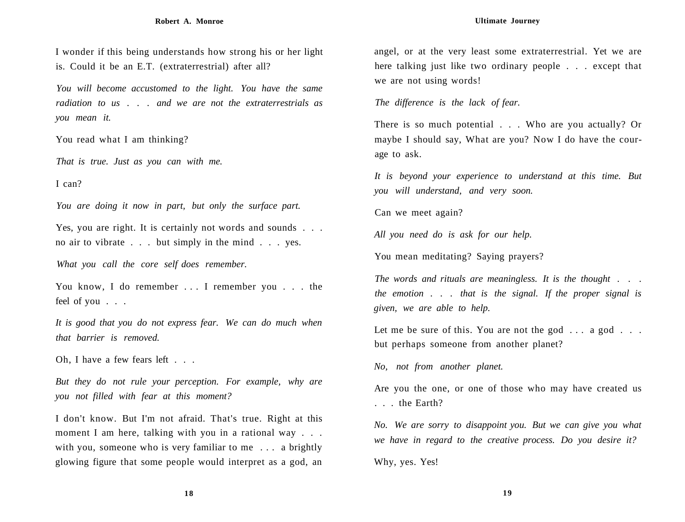I wonder if this being understands how strong his or her light is. Could it be an E.T. (extraterrestrial) after all?

*You will become accustomed to the light. You have the same radiation to us . . . and we are not the extraterrestrials as you mean it.* 

You read what I am thinking?

*That is true. Just as you can with me.* 

I can?

*You are doing it now in part, but only the surface part.* 

Yes, you are right. It is certainly not words and sounds . . . no air to vibrate . . . but simply in the mind . . . yes.

*What you call the core self does remember.* 

You know, I do remember .. . I remember you . . . the feel of you . . .

*It is good that you do not express fear. We can do much when that barrier is removed.* 

Oh, I have a few fears left . . .

*But they do not rule your perception. For example, why are you not filled with fear at this moment?* 

I don't know. But I'm not afraid. That's true. Right at this moment I am here, talking with you in a rational way . . . with you, someone who is very familiar to me ... a brightly glowing figure that some people would interpret as a god, an

angel, or at the very least some extraterrestrial. Yet we are here talking just like two ordinary people . . . except that we are not using words!

*The difference is the lack of fear.* 

There is so much potential . . . Who are you actually? Or maybe I should say, What are you? Now I do have the courage to ask.

*It is beyond your experience to understand at this time. But you will understand, and very soon.* 

Can we meet again?

*All you need do is ask for our help.* 

You mean meditating? Saying prayers?

*The words and rituals are meaningless. It is the thought . . . the emotion . . . that is the signal. If the proper signal is given, we are able to help.* 

Let me be sure of this. You are not the god  $\ldots$  a god  $\ldots$ . but perhaps someone from another planet?

*No, not from another planet.* 

Are you the one, or one of those who may have created us . . . the Earth?

*No. We are sorry to disappoint you. But we can give you what we have in regard to the creative process. Do you desire it?* 

Why, yes. Yes!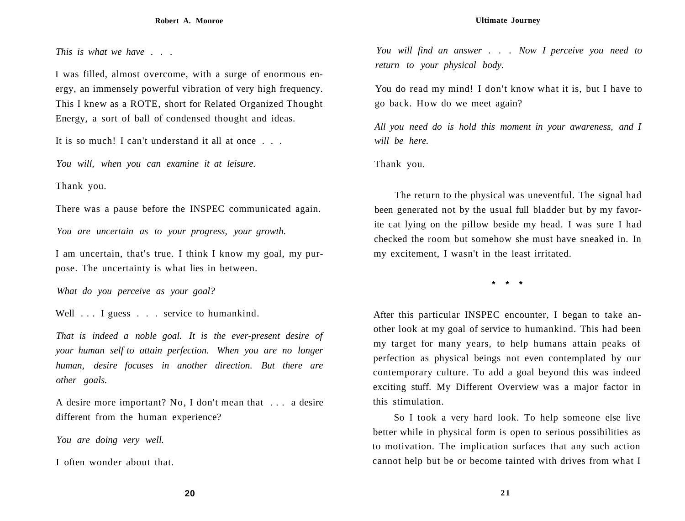**Robert A. Monroe** 

*This is what we have . . .* 

I was filled, almost overcome, with a surge of enormous energy, an immensely powerful vibration of very high frequency. This I knew as a ROTE, short for Related Organized Thought Energy, a sort of ball of condensed thought and ideas.

It is so much! I can't understand it all at once . . .

*You will, when you can examine it at leisure.* 

Thank you.

There was a pause before the INSPEC communicated again.

*You are uncertain as to your progress, your growth.* 

I am uncertain, that's true. I think I know my goal, my purpose. The uncertainty is what lies in between.

*What do you perceive as your goal?* 

Well . . . I guess . . . service to humankind.

*That is indeed a noble goal. It is the ever-present desire of your human self to attain perfection. When you are no longer human, desire focuses in another direction. But there are other goals.* 

A desire more important? No, I don't mean that .. . a desire different from the human experience?

*You are doing very well.* 

I often wonder about that.

*You will find an answer . . . Now I perceive you need to return to your physical body.* 

You do read my mind! I don't know what it is, but I have to go back. How do we meet again?

*All you need do is hold this moment in your awareness, and I will be here.* 

Thank you.

The return to the physical was uneventful. The signal had been generated not by the usual full bladder but by my favorite cat lying on the pillow beside my head. I was sure I had checked the room but somehow she must have sneaked in. In my excitement, I wasn't in the least irritated.

**\* \* \*** 

After this particular INSPEC encounter, I began to take another look at my goal of service to humankind. This had been my target for many years, to help humans attain peaks of perfection as physical beings not even contemplated by our contemporary culture. To add a goal beyond this was indeed exciting stuff. My Different Overview was a major factor in this stimulation.

So I took a very hard look. To help someone else live better while in physical form is open to serious possibilities as to motivation. The implication surfaces that any such action cannot help but be or become tainted with drives from what I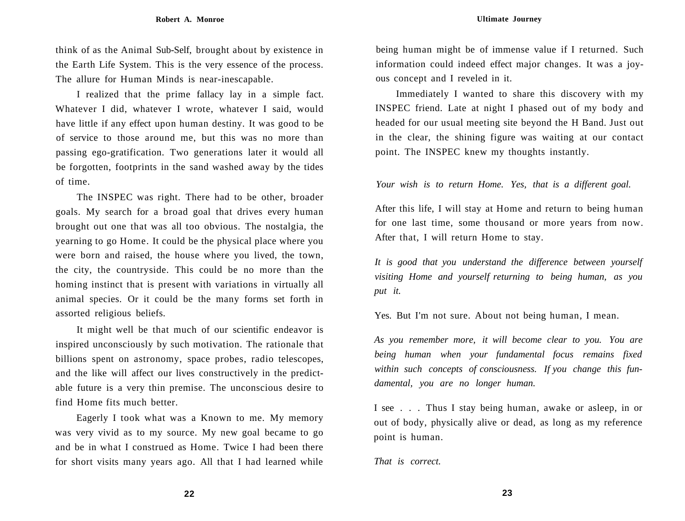#### **Ultimate Journey**

#### **Robert A. Monroe**

think of as the Animal Sub-Self, brought about by existence in the Earth Life System. This is the very essence of the process. The allure for Human Minds is near-inescapable.

I realized that the prime fallacy lay in a simple fact. Whatever I did, whatever I wrote, whatever I said, would have little if any effect upon human destiny. It was good to be of service to those around me, but this was no more than passing ego-gratification. Two generations later it would all be forgotten, footprints in the sand washed away by the tides of time.

The INSPEC was right. There had to be other, broader goals. My search for a broad goal that drives every human brought out one that was all too obvious. The nostalgia, the yearning to go Home. It could be the physical place where you were born and raised, the house where you lived, the town, the city, the countryside. This could be no more than the homing instinct that is present with variations in virtually all animal species. Or it could be the many forms set forth in assorted religious beliefs.

It might well be that much of our scientific endeavor is inspired unconsciously by such motivation. The rationale that billions spent on astronomy, space probes, radio telescopes, and the like will affect our lives constructively in the predictable future is a very thin premise. The unconscious desire to find Home fits much better.

Eagerly I took what was a Known to me. My memory was very vivid as to my source. My new goal became to go and be in what I construed as Home. Twice I had been there for short visits many years ago. All that I had learned while being human might be of immense value if I returned. Such information could indeed effect major changes. It was a joyous concept and I reveled in it.

Immediately I wanted to share this discovery with my INSPEC friend. Late at night I phased out of my body and headed for our usual meeting site beyond the H Band. Just out in the clear, the shining figure was waiting at our contact point. The INSPEC knew my thoughts instantly.

*Your wish is to return Home. Yes, that is a different goal.* 

After this life, I will stay at Home and return to being human for one last time, some thousand or more years from now. After that, I will return Home to stay.

*It is good that you understand the difference between yourself visiting Home and yourself returning to being human, as you put it.* 

Yes. But I'm not sure. About not being human, I mean.

*As you remember more, it will become clear to you. You are being human when your fundamental focus remains fixed within such concepts of consciousness. If you change this fundamental, you are no longer human.* 

I see . . . Thus I stay being human, awake or asleep, in or out of body, physically alive or dead, as long as my reference point is human.

*That is correct.*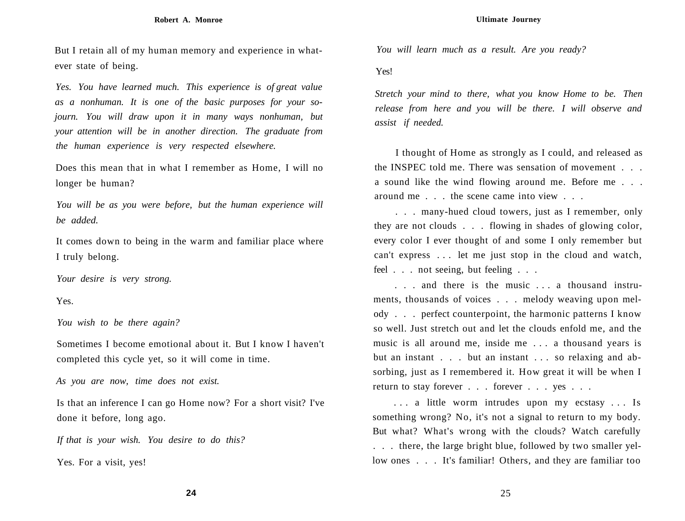But I retain all of my human memory and experience in whatever state of being.

*Yes. You have learned much. This experience is of great value as a nonhuman. It is one of the basic purposes for your sojourn. You will draw upon it in many ways nonhuman, but your attention will be in another direction. The graduate from the human experience is very respected elsewhere.* 

Does this mean that in what I remember as Home, I will no longer be human?

*You will be as you were before, but the human experience will be added.* 

It comes down to being in the warm and familiar place where I truly belong.

*Your desire is very strong.* 

Yes.

*You wish to be there again?* 

Sometimes I become emotional about it. But I know I haven't completed this cycle yet, so it will come in time.

*As you are now, time does not exist.* 

Is that an inference I can go Home now? For a short visit? I've done it before, long ago.

*If that is your wish. You desire to do this?* 

Yes. For a visit, yes!

*You will learn much as a result. Are you ready?* 

Yes!

*Stretch your mind to there, what you know Home to be. Then release from here and you will be there. I will observe and assist if needed.* 

I thought of Home as strongly as I could, and released as the INSPEC told me. There was sensation of movement . . . a sound like the wind flowing around me. Before me . . . around me . . . the scene came into view . . .

. . . many-hued cloud towers, just as I remember, only they are not clouds . . . flowing in shades of glowing color, every color I ever thought of and some I only remember but can't express .. . let me just stop in the cloud and watch, feel . . . not seeing, but feeling . . .

. . . and there is the music .. . a thousand instruments, thousands of voices . . . melody weaving upon melody . . . perfect counterpoint, the harmonic patterns I know so well. Just stretch out and let the clouds enfold me, and the music is all around me, inside me .. . a thousand years is but an instant . . . but an instant .. . so relaxing and absorbing, just as I remembered it. How great it will be when I return to stay forever . . . forever . . . yes . . .

... a little worm intrudes upon my ecstasy ... Is something wrong? No, it's not a signal to return to my body. But what? What's wrong with the clouds? Watch carefully . . . there, the large bright blue, followed by two smaller yellow ones . . . It's familiar! Others, and they are familiar too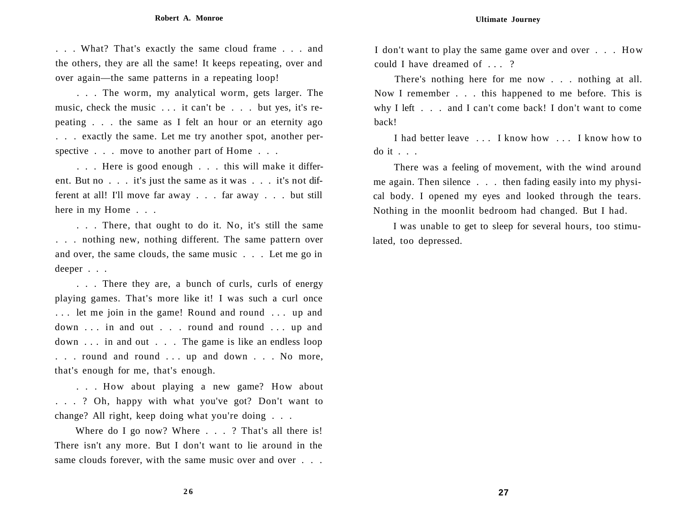. . . What? That's exactly the same cloud frame . . . and the others, they are all the same! It keeps repeating, over and over again—the same patterns in a repeating loop!

. . . The worm, my analytical worm, gets larger. The music, check the music .. . it can't be . . . but yes, it's repeating . . . the same as I felt an hour or an eternity ago . . . exactly the same. Let me try another spot, another perspective . . . move to another part of Home . . .

. . . Here is good enough . . . this will make it different. But no . . . it's just the same as it was . . . it's not different at all! I'll move far away . . . far away . . . but still here in my Home . . .

. . . There, that ought to do it. No, it's still the same . . . nothing new, nothing different. The same pattern over and over, the same clouds, the same music . . . Let me go in deeper . . .

. . . There they are, a bunch of curls, curls of energy playing games. That's more like it! I was such a curl once . . . let me join in the game! Round and round .. . up and down .. . in and out . . . round and round .. . up and down .. . in and out . . . The game is like an endless loop . . . round and round .. . up and down . . . No more, that's enough for me, that's enough.

. . . How about playing a new game? How about . . . ? Oh, happy with what you've got? Don't want to change? All right, keep doing what you're doing . . .

Where do I go now? Where . . . ? That's all there is! There isn't any more. But I don't want to lie around in the same clouds forever, with the same music over and over . . .

I don't want to play the same game over and over . . . How could I have dreamed of .. . ?

There's nothing here for me now . . . nothing at all. Now I remember . . . this happened to me before. This is why I left . . . and I can't come back! I don't want to come back!

I had better leave .. . I know how .. . I know how to do it . . .

There was a feeling of movement, with the wind around me again. Then silence . . . then fading easily into my physical body. I opened my eyes and looked through the tears. Nothing in the moonlit bedroom had changed. But I had.

I was unable to get to sleep for several hours, too stimulated, too depressed.

**2 6**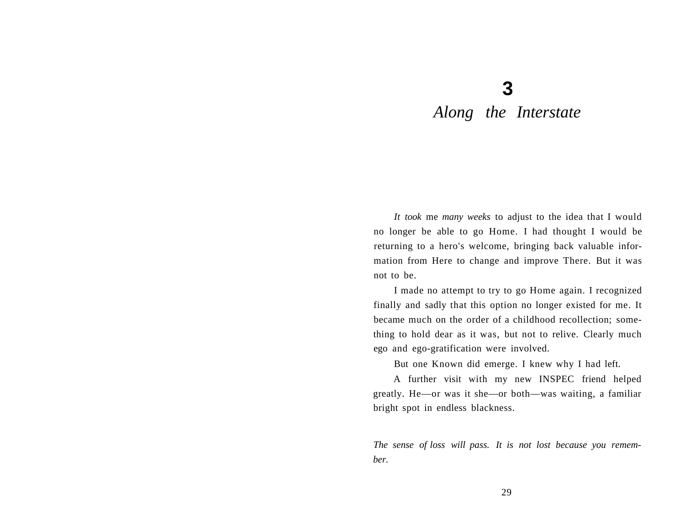### **3**  *Along the Interstate*

*It took* me *many weeks* to adjust to the idea that I would no longer be able to go Home. I had thought I would be returning to a hero's welcome, bringing back valuable information from Here to change and improve There. But it was not to be.

I made no attempt to try to go Home again. I recognized finally and sadly that this option no longer existed for me. It became much on the order of a childhood recollection; something to hold dear as it was, but not to relive. Clearly much ego and ego-gratification were involved.

But one Known did emerge. I knew why I had left.

A further visit with my new INSPEC friend helped greatly. He—or was it she—or both—was waiting, a familiar bright spot in endless blackness.

*The sense of loss will pass. It is not lost because you remember.*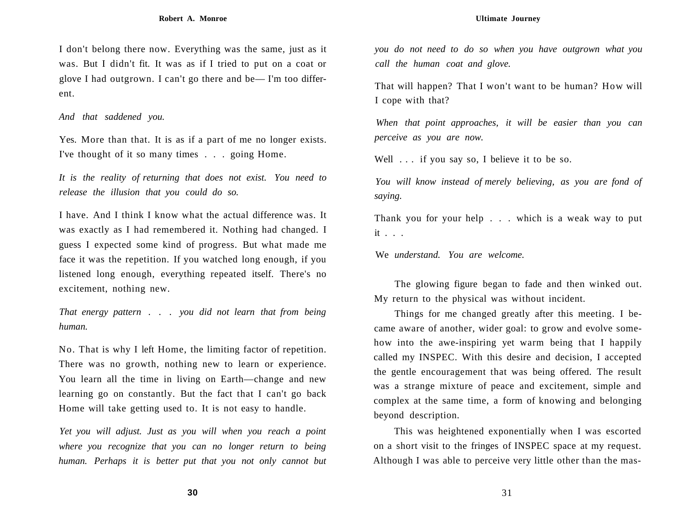**Ultimate Journey** 

I don't belong there now. Everything was the same, just as it was. But I didn't fit. It was as if I tried to put on a coat or glove I had outgrown. I can't go there and be— I'm too different.

*And that saddened you.* 

Yes. More than that. It is as if a part of me no longer exists. I've thought of it so many times . . . going Home.

*It is the reality of returning that does not exist. You need to release the illusion that you could do so.* 

I have. And I think I know what the actual difference was. It was exactly as I had remembered it. Nothing had changed. I guess I expected some kind of progress. But what made me face it was the repetition. If you watched long enough, if you listened long enough, everything repeated itself. There's no excitement, nothing new.

*That energy pattern . . . you did not learn that from being human.* 

No. That is why I left Home, the limiting factor of repetition. There was no growth, nothing new to learn or experience. You learn all the time in living on Earth—change and new learning go on constantly. But the fact that I can't go back Home will take getting used to. It is not easy to handle.

*Yet you will adjust. Just as you will when you reach a point where you recognize that you can no longer return to being human. Perhaps it is better put that you not only cannot but*  *you do not need to do so when you have outgrown what you call the human coat and glove.* 

That will happen? That I won't want to be human? How will I cope with that?

*When that point approaches, it will be easier than you can perceive as you are now.* 

Well ... if you say so, I believe it to be so.

*You will know instead of merely believing, as you are fond of saying.* 

Thank you for your help . . . which is a weak way to put it . . .

We *understand. You are welcome.* 

The glowing figure began to fade and then winked out. My return to the physical was without incident.

Things for me changed greatly after this meeting. I became aware of another, wider goal: to grow and evolve somehow into the awe-inspiring yet warm being that I happily called my INSPEC. With this desire and decision, I accepted the gentle encouragement that was being offered. The result was a strange mixture of peace and excitement, simple and complex at the same time, a form of knowing and belonging beyond description.

This was heightened exponentially when I was escorted on a short visit to the fringes of INSPEC space at my request. Although I was able to perceive very little other than the mas-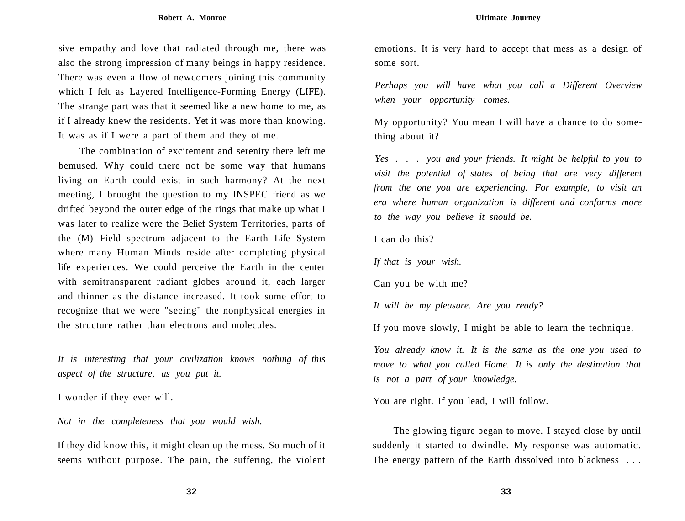**Ultimate Journey** 

sive empathy and love that radiated through me, there was also the strong impression of many beings in happy residence. There was even a flow of newcomers joining this community which I felt as Layered Intelligence-Forming Energy (LIFE). The strange part was that it seemed like a new home to me, as if I already knew the residents. Yet it was more than knowing. It was as if I were a part of them and they of me.

The combination of excitement and serenity there left me bemused. Why could there not be some way that humans living on Earth could exist in such harmony? At the next meeting, I brought the question to my INSPEC friend as we drifted beyond the outer edge of the rings that make up what I was later to realize were the Belief System Territories, parts of the (M) Field spectrum adjacent to the Earth Life System where many Human Minds reside after completing physical life experiences. We could perceive the Earth in the center with semitransparent radiant globes around it, each larger and thinner as the distance increased. It took some effort to recognize that we were "seeing" the nonphysical energies in the structure rather than electrons and molecules.

*It is interesting that your civilization knows nothing of this aspect of the structure, as you put it.* 

I wonder if they ever will.

*Not in the completeness that you would wish.* 

If they did know this, it might clean up the mess. So much of it seems without purpose. The pain, the suffering, the violent

emotions. It is very hard to accept that mess as a design of some sort.

*Perhaps you will have what you call a Different Overview when your opportunity comes.* 

My opportunity? You mean I will have a chance to do something about it?

*Yes . . . you and your friends. It might be helpful to you to visit the potential of states of being that are very different from the one you are experiencing. For example, to visit an era where human organization is different and conforms more to the way you believe it should be.* 

I can do this?

*If that is your wish.* 

Can you be with me?

*It will be my pleasure. Are you ready?* 

If you move slowly, I might be able to learn the technique.

*You already know it. It is the same as the one you used to move to what you called Home. It is only the destination that is not a part of your knowledge.* 

You are right. If you lead, I will follow.

The glowing figure began to move. I stayed close by until suddenly it started to dwindle. My response was automatic. The energy pattern of the Earth dissolved into blackness ...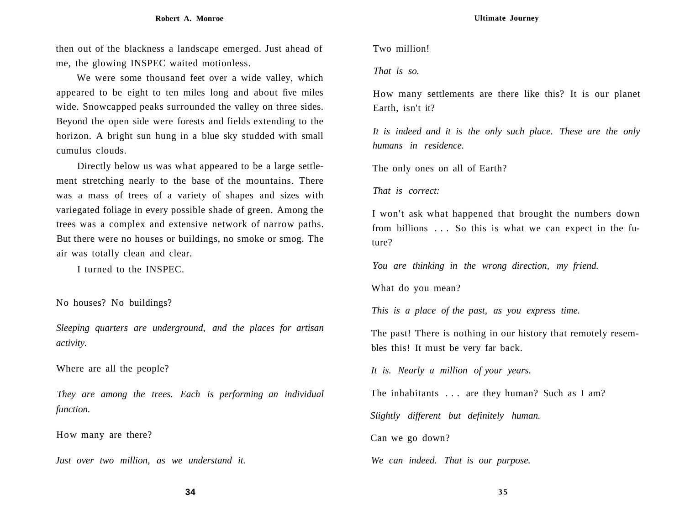then out of the blackness a landscape emerged. Just ahead of me, the glowing INSPEC waited motionless.

We were some thousand feet over a wide valley, which appeared to be eight to ten miles long and about five miles wide. Snowcapped peaks surrounded the valley on three sides. Beyond the open side were forests and fields extending to the horizon. A bright sun hung in a blue sky studded with small cumulus clouds.

Directly below us was what appeared to be a large settlement stretching nearly to the base of the mountains. There was a mass of trees of a variety of shapes and sizes with variegated foliage in every possible shade of green. Among the trees was a complex and extensive network of narrow paths. But there were no houses or buildings, no smoke or smog. The air was totally clean and clear.

I turned to the INSPEC.

No houses? No buildings?

*Sleeping quarters are underground, and the places for artisan activity.* 

Where are all the people?

*They are among the trees. Each is performing an individual function.* 

How many are there?

*Just over two million, as we understand it.* 

Two million!

*That is so.* 

How many settlements are there like this? It is our planet Earth, isn't it?

*It is indeed and it is the only such place. These are the only humans in residence.* 

The only ones on all of Earth?

*That is correct:* 

I won't ask what happened that brought the numbers down from billions .. . So this is what we can expect in the future?

*You are thinking in the wrong direction, my friend.* 

What do you mean?

*This is a place of the past, as you express time.* 

The past! There is nothing in our history that remotely resembles this! It must be very far back.

*It is. Nearly a million of your years.* 

The inhabitants ... are they human? Such as I am?

*Slightly different but definitely human.* 

Can we go down?

*We can indeed. That is our purpose.*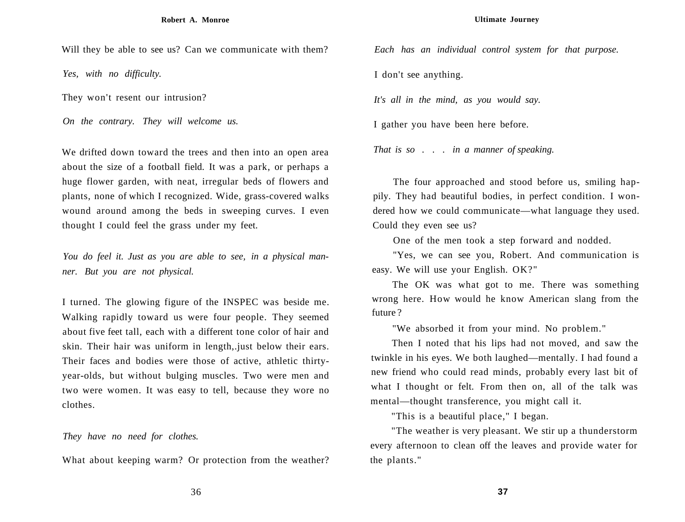Will they be able to see us? Can we communicate with them?

*Yes, with no difficulty.* 

They won't resent our intrusion?

*On the contrary. They will welcome us.* 

We drifted down toward the trees and then into an open area about the size of a football field. It was a park, or perhaps a huge flower garden, with neat, irregular beds of flowers and plants, none of which I recognized. Wide, grass-covered walks wound around among the beds in sweeping curves. I even thought I could feel the grass under my feet.

*You do feel it. Just as you are able to see, in a physical manner. But you are not physical.* 

I turned. The glowing figure of the INSPEC was beside me. Walking rapidly toward us were four people. They seemed about five feet tall, each with a different tone color of hair and skin. Their hair was uniform in length,.just below their ears. Their faces and bodies were those of active, athletic thirtyyear-olds, but without bulging muscles. Two were men and two were women. It was easy to tell, because they wore no clothes.

#### *They have no need for clothes.*

What about keeping warm? Or protection from the weather?

*Each has an individual control system for that purpose.* 

I don't see anything.

*It's all in the mind, as you would say.* 

I gather you have been here before.

*That is so . . . in a manner of speaking.* 

The four approached and stood before us, smiling happily. They had beautiful bodies, in perfect condition. I wondered how we could communicate—what language they used. Could they even see us?

One of the men took a step forward and nodded.

"Yes, we can see you, Robert. And communication is easy. We will use your English. OK?"

The OK was what got to me. There was something wrong here. How would he know American slang from the future ?

"We absorbed it from your mind. No problem."

Then I noted that his lips had not moved, and saw the twinkle in his eyes. We both laughed—mentally. I had found a new friend who could read minds, probably every last bit of what I thought or felt. From then on, all of the talk was mental—thought transference, you might call it.

"This is a beautiful place," I began.

"The weather is very pleasant. We stir up a thunderstorm every afternoon to clean off the leaves and provide water for the plants."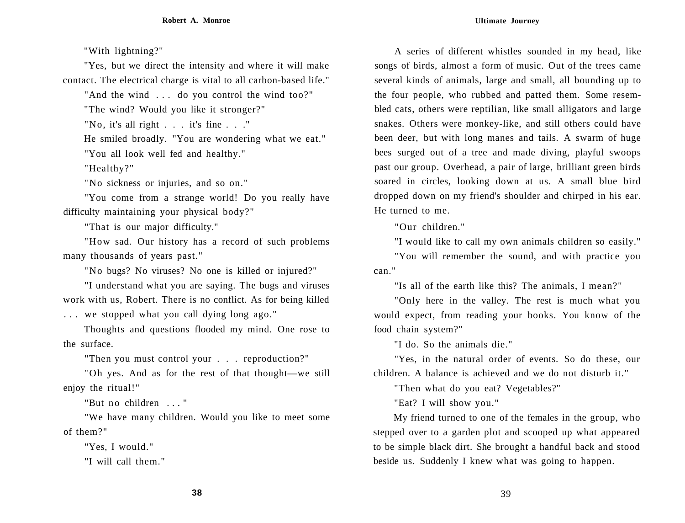"With lightning?"

"Yes, but we direct the intensity and where it will make contact. The electrical charge is vital to all carbon-based life."

"And the wind ... do you control the wind too?"

"The wind? Would you like it stronger?"

"No, it's all right . . . it's fine . . ."

He smiled broadly. "You are wondering what we eat."

"You all look well fed and healthy."

"Healthy?"

"No sickness or injuries, and so on."

"You come from a strange world! Do you really have difficulty maintaining your physical body?"

"That is our major difficulty."

"How sad. Our history has a record of such problems many thousands of years past."

"No bugs? No viruses? No one is killed or injured?"

"I understand what you are saying. The bugs and viruses work with us, Robert. There is no conflict. As for being killed

. . . we stopped what you call dying long ago."

Thoughts and questions flooded my mind. One rose to the surface.

"Then you must control your . . . reproduction?"

"Oh yes. And as for the rest of that thought—we still enjoy the ritual!"

"But no children ... "

"We have many children. Would you like to meet some of them?"

"Yes, I would."

"I will call them."

A series of different whistles sounded in my head, like songs of birds, almost a form of music. Out of the trees came several kinds of animals, large and small, all bounding up to the four people, who rubbed and patted them. Some resembled cats, others were reptilian, like small alligators and large snakes. Others were monkey-like, and still others could have been deer, but with long manes and tails. A swarm of huge bees surged out of a tree and made diving, playful swoops past our group. Overhead, a pair of large, brilliant green birds soared in circles, looking down at us. A small blue bird dropped down on my friend's shoulder and chirped in his ear. He turned to me.

"Our children."

"I would like to call my own animals children so easily."

"You will remember the sound, and with practice you can."

"Is all of the earth like this? The animals, I mean?"

"Only here in the valley. The rest is much what you would expect, from reading your books. You know of the food chain system?"

"I do. So the animals die."

"Yes, in the natural order of events. So do these, our children. A balance is achieved and we do not disturb it."

"Then what do you eat? Vegetables?"

"Eat? I will show you."

My friend turned to one of the females in the group, who stepped over to a garden plot and scooped up what appeared to be simple black dirt. She brought a handful back and stood beside us. Suddenly I knew what was going to happen.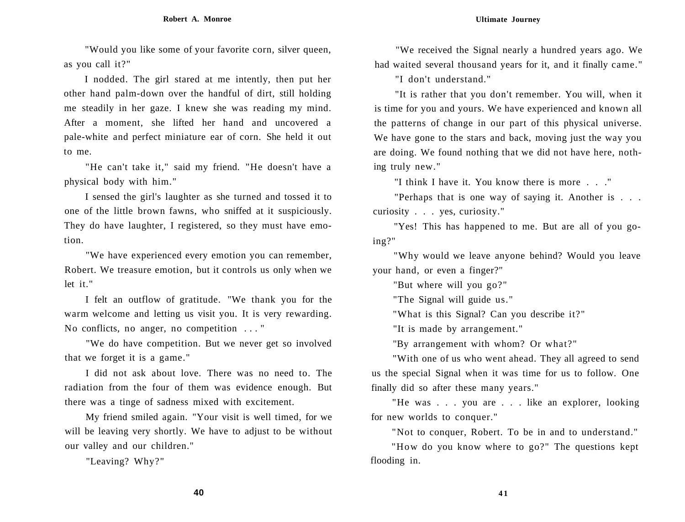"Would you like some of your favorite corn, silver queen, as you call it?"

I nodded. The girl stared at me intently, then put her other hand palm-down over the handful of dirt, still holding me steadily in her gaze. I knew she was reading my mind. After a moment, she lifted her hand and uncovered a pale-white and perfect miniature ear of corn. She held it out to me.

"He can't take it," said my friend. "He doesn't have a physical body with him."

I sensed the girl's laughter as she turned and tossed it to one of the little brown fawns, who sniffed at it suspiciously. They do have laughter, I registered, so they must have emotion.

"We have experienced every emotion you can remember, Robert. We treasure emotion, but it controls us only when we let it."

I felt an outflow of gratitude. "We thank you for the warm welcome and letting us visit you. It is very rewarding. No conflicts, no anger, no competition ... "

"We do have competition. But we never get so involved that we forget it is a game."

I did not ask about love. There was no need to. The radiation from the four of them was evidence enough. But there was a tinge of sadness mixed with excitement.

My friend smiled again. "Your visit is well timed, for we will be leaving very shortly. We have to adjust to be without our valley and our children."

"Leaving? Why?"

"We received the Signal nearly a hundred years ago. We had waited several thousand years for it, and it finally came."

"I don't understand."

"It is rather that you don't remember. You will, when it is time for you and yours. We have experienced and known all the patterns of change in our part of this physical universe. We have gone to the stars and back, moving just the way you are doing. We found nothing that we did not have here, nothing truly new."

"I think I have it. You know there is more . . ."

"Perhaps that is one way of saying it. Another is . . . curiosity . . . yes, curiosity."

"Yes! This has happened to me. But are all of you going?"

"Why would we leave anyone behind? Would you leave your hand, or even a finger?"

"But where will you go?"

"The Signal will guide us."

"What is this Signal? Can you describe it?"

"It is made by arrangement."

"By arrangement with whom? Or what?"

"With one of us who went ahead. They all agreed to send us the special Signal when it was time for us to follow. One finally did so after these many years."

"He was . . . you are . . . like an explorer, looking for new worlds to conquer."

"Not to conquer, Robert. To be in and to understand."

"How do you know where to go?" The questions kept flooding in.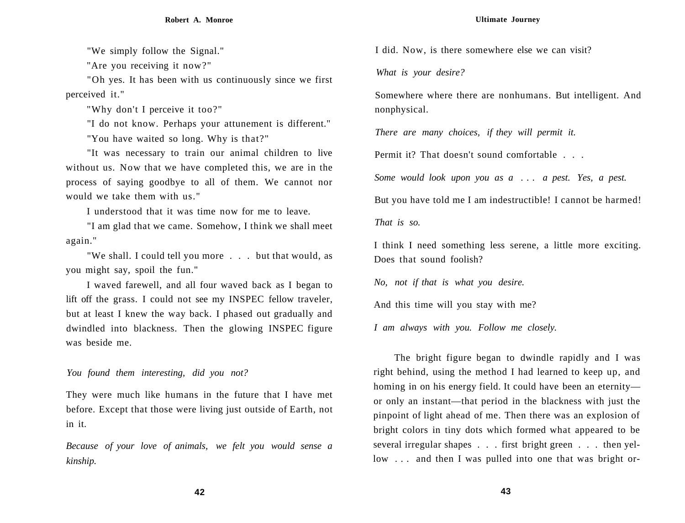"We simply follow the Signal."

"Are you receiving it now?"

"Oh yes. It has been with us continuously since we first perceived it."

"Why don't I perceive it too?"

"I do not know. Perhaps your attunement is different."

"You have waited so long. Why is that?"

"It was necessary to train our animal children to live without us. Now that we have completed this, we are in the process of saying goodbye to all of them. We cannot nor would we take them with us."

I understood that it was time now for me to leave.

"I am glad that we came. Somehow, I think we shall meet again."

"We shall. I could tell you more . . . but that would, as you might say, spoil the fun."

I waved farewell, and all four waved back as I began to lift off the grass. I could not see my INSPEC fellow traveler, but at least I knew the way back. I phased out gradually and dwindled into blackness. Then the glowing INSPEC figure was beside me.

*You found them interesting, did you not?* 

They were much like humans in the future that I have met before. Except that those were living just outside of Earth, not in it.

*Because of your love of animals, we felt you would sense a kinship.* 

I did. Now, is there somewhere else we can visit?

*What is your desire?* 

Somewhere where there are nonhumans. But intelligent. And nonphysical.

*There are many choices, if they will permit it.* 

Permit it? That doesn't sound comfortable . . .

*Some would look upon you as a* .. . *a pest. Yes, a pest.* 

But you have told me I am indestructible! I cannot be harmed!

*That is so.* 

I think I need something less serene, a little more exciting. Does that sound foolish?

*No, not if that is what you desire.* 

And this time will you stay with me?

*I am always with you. Follow me closely.* 

The bright figure began to dwindle rapidly and I was right behind, using the method I had learned to keep up, and homing in on his energy field. It could have been an eternity or only an instant—that period in the blackness with just the pinpoint of light ahead of me. Then there was an explosion of bright colors in tiny dots which formed what appeared to be several irregular shapes . . . first bright green . . . then yellow ... and then I was pulled into one that was bright or-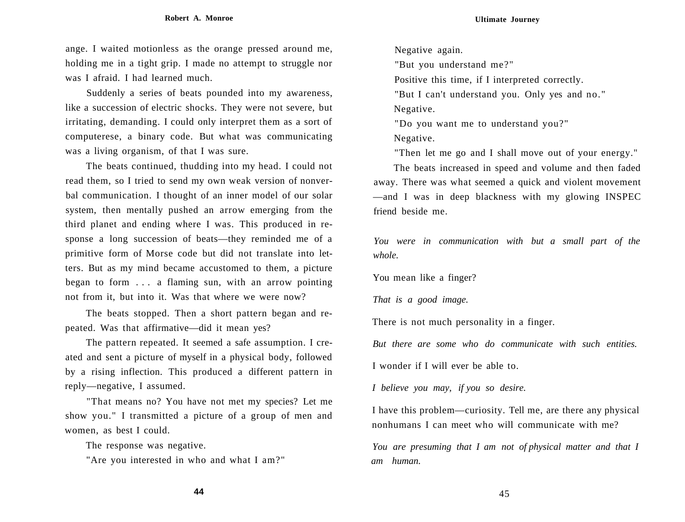ange. I waited motionless as the orange pressed around me, holding me in a tight grip. I made no attempt to struggle nor was I afraid. I had learned much.

Suddenly a series of beats pounded into my awareness, like a succession of electric shocks. They were not severe, but irritating, demanding. I could only interpret them as a sort of computerese, a binary code. But what was communicating was a living organism, of that I was sure.

The beats continued, thudding into my head. I could not read them, so I tried to send my own weak version of nonverbal communication. I thought of an inner model of our solar system, then mentally pushed an arrow emerging from the third planet and ending where I was. This produced in response a long succession of beats—they reminded me of a primitive form of Morse code but did not translate into letters. But as my mind became accustomed to them, a picture began to form .. . a flaming sun, with an arrow pointing not from it, but into it. Was that where we were now?

The beats stopped. Then a short pattern began and repeated. Was that affirmative—did it mean yes?

The pattern repeated. It seemed a safe assumption. I created and sent a picture of myself in a physical body, followed by a rising inflection. This produced a different pattern in reply—negative, I assumed.

"That means no? You have not met my species? Let me show you." I transmitted a picture of a group of men and women, as best I could.

The response was negative.

"Are you interested in who and what I am?"

Negative again.

"But you understand me?"

Positive this time, if I interpreted correctly.

"But I can't understand you. Only yes and no."

Negative.

"Do you want me to understand you?"

Negative.

"Then let me go and I shall move out of your energy."

The beats increased in speed and volume and then faded away. There was what seemed a quick and violent movement —and I was in deep blackness with my glowing INSPEC friend beside me.

*You were in communication with but a small part of the whole.* 

You mean like a finger?

*That is a good image.* 

There is not much personality in a finger.

*But there are some who do communicate with such entities.* 

I wonder if I will ever be able to.

*I believe you may, if you so desire.* 

I have this problem—curiosity. Tell me, are there any physical nonhumans I can meet who will communicate with me?

*You are presuming that I am not of physical matter and that I am human.*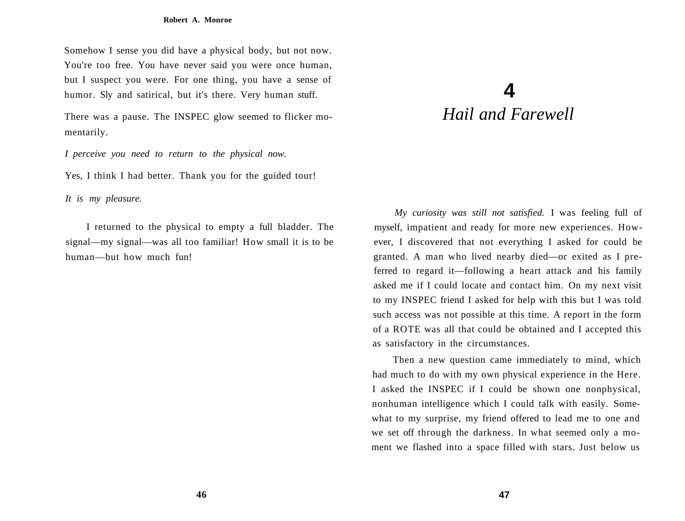#### **Robert A. Monroe**

Somehow I sense you did have a physical body, but not now. You're too free. You have never said you were once human, but I suspect you were. For one thing, you have a sense of humor. Sly and satirical, but it's there. Very human stuff.

There was a pause. The INSPEC glow seemed to flicker momentarily.

*I perceive you need to return to the physical now.* 

Yes, I think I had better. Thank you for the guided tour!

*It is my pleasure.* 

I returned to the physical to empty a full bladder. The signal—my signal—was all too familiar! How small it is to be human—but how much fun!

### **4**  *Hail and Farewell*

*My curiosity was still not satisfied.* I was feeling full of myself, impatient and ready for more new experiences. However, I discovered that not everything I asked for could be granted. A man who lived nearby died—or exited as I preferred to regard it—following a heart attack and his family asked me if I could locate and contact him. On my next visit to my INSPEC friend I asked for help with this but I was told such access was not possible at this time. A report in the form of a ROTE was all that could be obtained and I accepted this as satisfactory in the circumstances.

Then a new question came immediately to mind, which had much to do with my own physical experience in the Here. I asked the INSPEC if I could be shown one nonphysical, nonhuman intelligence which I could talk with easily. Somewhat to my surprise, my friend offered to lead me to one and we set off through the darkness. In what seemed only a moment we flashed into a space filled with stars. Just below us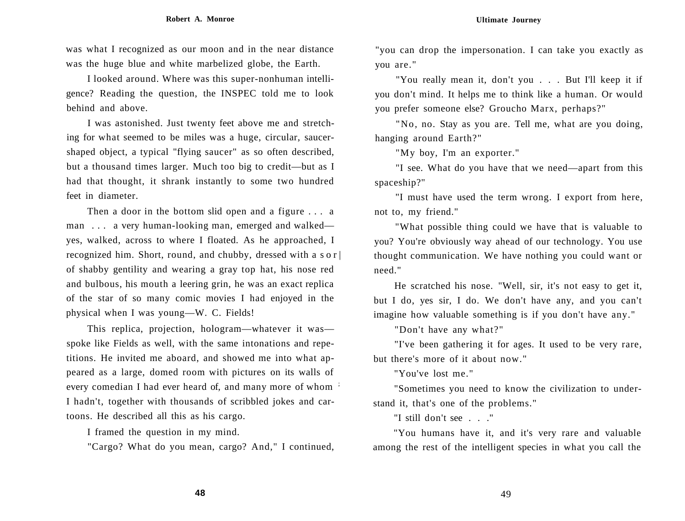was what I recognized as our moon and in the near distance was the huge blue and white marbelized globe, the Earth.

I looked around. Where was this super-nonhuman intelligence? Reading the question, the INSPEC told me to look behind and above.

I was astonished. Just twenty feet above me and stretching for what seemed to be miles was a huge, circular, saucershaped object, a typical "flying saucer" as so often described, but a thousand times larger. Much too big to credit—but as I had that thought, it shrank instantly to some two hundred feet in diameter.

Then a door in the bottom slid open and a figure .. . a man ... a very human-looking man, emerged and walked yes, walked, across to where I floated. As he approached, I recognized him. Short, round, and chubby, dressed with a sor | of shabby gentility and wearing a gray top hat, his nose red and bulbous, his mouth a leering grin, he was an exact replica of the star of so many comic movies I had enjoyed in the physical when I was young—W. C. Fields!

This replica, projection, hologram—whatever it was spoke like Fields as well, with the same intonations and repetitions. He invited me aboard, and showed me into what appeared as a large, domed room with pictures on its walls of every comedian I had ever heard of, and many more of whom  $\frac{1}{2}$ I hadn't, together with thousands of scribbled jokes and cartoons. He described all this as his cargo.

I framed the question in my mind.

"Cargo? What do you mean, cargo? And," I continued,

"you can drop the impersonation. I can take you exactly as you are."

"You really mean it, don't you . . . But I'll keep it if you don't mind. It helps me to think like a human. Or would you prefer someone else? Groucho Marx, perhaps?"

"No, no. Stay as you are. Tell me, what are you doing, hanging around Earth?"

"My boy, I'm an exporter."

"I see. What do you have that we need—apart from this spaceship?"

"I must have used the term wrong. I export from here, not to, my friend."

"What possible thing could we have that is valuable to you? You're obviously way ahead of our technology. You use thought communication. We have nothing you could want or need."

He scratched his nose. "Well, sir, it's not easy to get it, but I do, yes sir, I do. We don't have any, and you can't imagine how valuable something is if you don't have any."

"Don't have any what?"

"I've been gathering it for ages. It used to be very rare, but there's more of it about now."

"You've lost me."

"Sometimes you need to know the civilization to understand it, that's one of the problems."

"I still don't see . . ."

"You humans have it, and it's very rare and valuable among the rest of the intelligent species in what you call the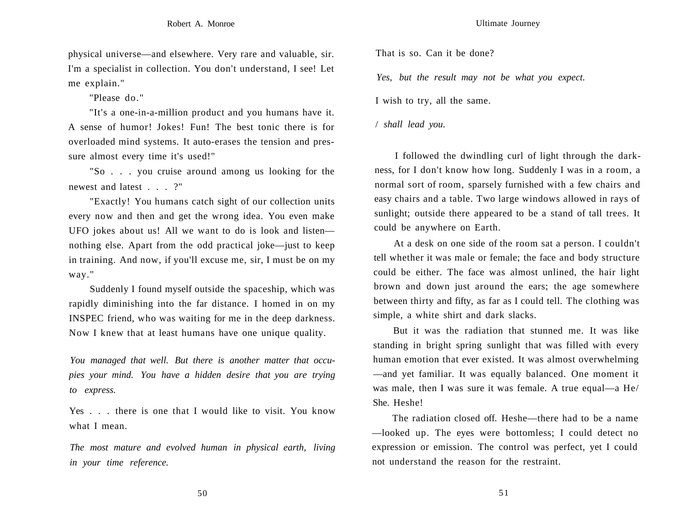physical universe—and elsewhere. Very rare and valuable, sir. I'm a specialist in collection. You don't understand, I see! Let me explain."

"Please do."

"It's a one-in-a-million product and you humans have it. A sense of humor! Jokes! Fun! The best tonic there is for overloaded mind systems. It auto-erases the tension and pressure almost every time it's used!"

"So . . . you cruise around among us looking for the newest and latest . . . ?"

"Exactly! You humans catch sight of our collection units every now and then and get the wrong idea. You even make UFO jokes about us! All we want to do is look and listen nothing else. Apart from the odd practical joke—just to keep in training. And now, if you'll excuse me, sir, I must be on my way."

Suddenly I found myself outside the spaceship, which was rapidly diminishing into the far distance. I homed in on my INSPEC friend, who was waiting for me in the deep darkness. Now I knew that at least humans have one unique quality.

*You managed that well. But there is another matter that occupies your mind. You have a hidden desire that you are trying to express.* 

Yes . . . there is one that I would like to visit. You know what I mean.

*The most mature and evolved human in physical earth, living in your time reference.* 

That is so. Can it be done?

*Yes, but the result may not be what you expect.* 

I wish to try, all the same.

/ *shall lead you.* 

I followed the dwindling curl of light through the darkness, for I don't know how long. Suddenly I was in a room, a normal sort of room, sparsely furnished with a few chairs and easy chairs and a table. Two large windows allowed in rays of sunlight; outside there appeared to be a stand of tall trees. It could be anywhere on Earth.

At a desk on one side of the room sat a person. I couldn't tell whether it was male or female; the face and body structure could be either. The face was almost unlined, the hair light brown and down just around the ears; the age somewhere between thirty and fifty, as far as I could tell. The clothing was simple, a white shirt and dark slacks.

But it was the radiation that stunned me. It was like standing in bright spring sunlight that was filled with every human emotion that ever existed. It was almost overwhelming —and yet familiar. It was equally balanced. One moment it was male, then I was sure it was female. A true equal—a He/ She. Heshe!

The radiation closed off. Heshe—there had to be a name —looked up. The eyes were bottomless; I could detect no expression or emission. The control was perfect, yet I could not understand the reason for the restraint.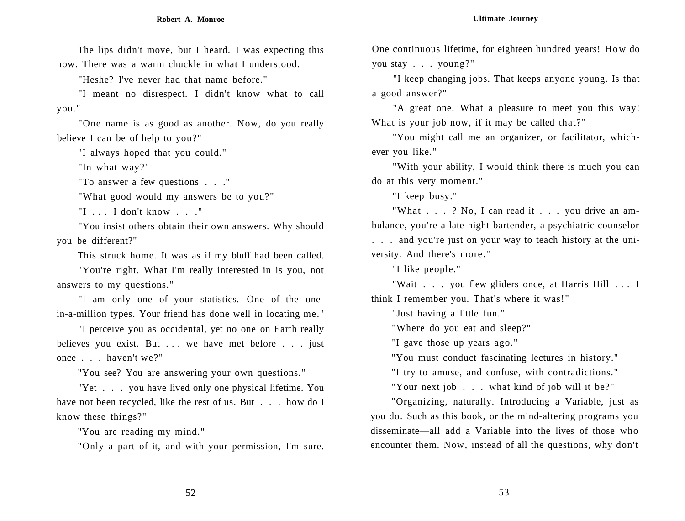The lips didn't move, but I heard. I was expecting this now. There was a warm chuckle in what I understood.

"Heshe? I've never had that name before."

"I meant no disrespect. I didn't know what to call you."

"One name is as good as another. Now, do you really believe I can be of help to you?"

"I always hoped that you could."

"In what way?"

"To answer a few questions . . ."

"What good would my answers be to you?"

"I .. . I don't know . . ."

"You insist others obtain their own answers. Why should you be different?"

This struck home. It was as if my bluff had been called.

"You're right. What I'm really interested in is you, not answers to my questions."

"I am only one of your statistics. One of the onein-a-million types. Your friend has done well in locating me."

"I perceive you as occidental, yet no one on Earth really believes you exist. But .. . we have met before . . . just once . . . haven't we?"

"You see? You are answering your own questions."

"Yet . . . you have lived only one physical lifetime. You have not been recycled, like the rest of us. But . . . how do I know these things?"

"You are reading my mind."

"Only a part of it, and with your permission, I'm sure.

One continuous lifetime, for eighteen hundred years! How do you stay . . . young?"

"I keep changing jobs. That keeps anyone young. Is that a good answer?"

"A great one. What a pleasure to meet you this way! What is your job now, if it may be called that?"

"You might call me an organizer, or facilitator, whichever you like."

"With your ability, I would think there is much you can do at this very moment."

"I keep busy."

"What . . . ? No, I can read it . . . you drive an ambulance, you're a late-night bartender, a psychiatric counselor . . . and you're just on your way to teach history at the university. And there's more."

"I like people."

"Wait . . . you flew gliders once, at Harris Hill .. . I think I remember you. That's where it was!"

"Just having a little fun."

"Where do you eat and sleep?"

"I gave those up years ago."

"You must conduct fascinating lectures in history."

"I try to amuse, and confuse, with contradictions."

"Your next job . . . what kind of job will it be?"

"Organizing, naturally. Introducing a Variable, just as you do. Such as this book, or the mind-altering programs you disseminate—all add a Variable into the lives of those who encounter them. Now, instead of all the questions, why don't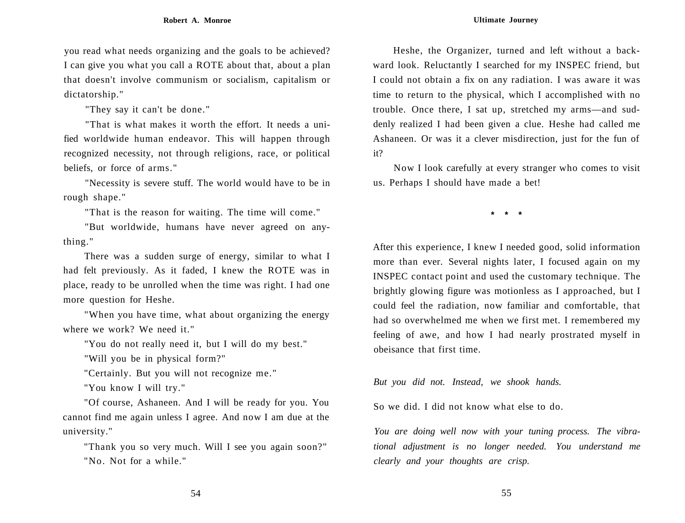you read what needs organizing and the goals to be achieved? I can give you what you call a ROTE about that, about a plan that doesn't involve communism or socialism, capitalism or dictatorship."

"They say it can't be done."

"That is what makes it worth the effort. It needs a unified worldwide human endeavor. This will happen through recognized necessity, not through religions, race, or political beliefs, or force of arms."

"Necessity is severe stuff. The world would have to be in rough shape."

"That is the reason for waiting. The time will come."

"But worldwide, humans have never agreed on anything."

There was a sudden surge of energy, similar to what I had felt previously. As it faded, I knew the ROTE was in place, ready to be unrolled when the time was right. I had one more question for Heshe.

"When you have time, what about organizing the energy where we work? We need it."

"You do not really need it, but I will do my best."

"Will you be in physical form?"

"Certainly. But you will not recognize me."

"You know I will try."

"Of course, Ashaneen. And I will be ready for you. You cannot find me again unless I agree. And now I am due at the university."

"Thank you so very much. Will I see you again soon?" "No. Not for a while."

Heshe, the Organizer, turned and left without a backward look. Reluctantly I searched for my INSPEC friend, but I could not obtain a fix on any radiation. I was aware it was time to return to the physical, which I accomplished with no trouble. Once there, I sat up, stretched my arms—and suddenly realized I had been given a clue. Heshe had called me Ashaneen. Or was it a clever misdirection, just for the fun of it?

Now I look carefully at every stranger who comes to visit us. Perhaps I should have made a bet!

**\* \* \*** 

After this experience, I knew I needed good, solid information more than ever. Several nights later, I focused again on my INSPEC contact point and used the customary technique. The brightly glowing figure was motionless as I approached, but I could feel the radiation, now familiar and comfortable, that had so overwhelmed me when we first met. I remembered my feeling of awe, and how I had nearly prostrated myself in obeisance that first time.

*But you did not. Instead, we shook hands.* 

So we did. I did not know what else to do.

*You are doing well now with your tuning process. The vibrational adjustment is no longer needed. You understand me clearly and your thoughts are crisp.*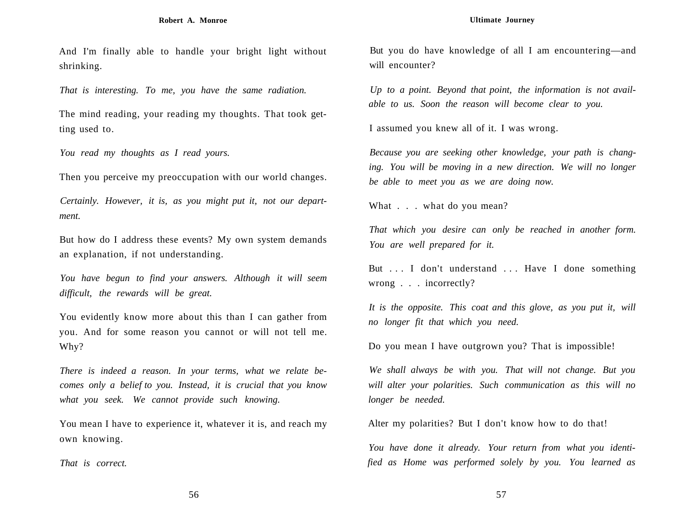And I'm finally able to handle your bright light without shrinking.

*That is interesting. To me, you have the same radiation.* 

The mind reading, your reading my thoughts. That took getting used to.

*You read my thoughts as I read yours.* 

Then you perceive my preoccupation with our world changes.

*Certainly. However, it is, as you might put it, not our department.* 

But how do I address these events? My own system demands an explanation, if not understanding.

*You have begun to find your answers. Although it will seem difficult, the rewards will be great.* 

You evidently know more about this than I can gather from you. And for some reason you cannot or will not tell me. Why?

*There is indeed a reason. In your terms, what we relate becomes only a belief to you. Instead, it is crucial that you know what you seek. We cannot provide such knowing.* 

You mean I have to experience it, whatever it is, and reach my own knowing.

*That is correct.* 

But you do have knowledge of all I am encountering—and will encounter?

*Up to a point. Beyond that point, the information is not available to us. Soon the reason will become clear to you.* 

I assumed you knew all of it. I was wrong.

*Because you are seeking other knowledge, your path is changing. You will be moving in a new direction. We will no longer be able to meet you as we are doing now.* 

What . . . what do you mean?

*That which you desire can only be reached in another form. You are well prepared for it.* 

But .. . I don't understand .. . Have I done something wrong . . . incorrectly?

*It is the opposite. This coat and this glove, as you put it, will no longer fit that which you need.* 

Do you mean I have outgrown you? That is impossible!

*We shall always be with you. That will not change. But you will alter your polarities. Such communication as this will no longer be needed.* 

Alter my polarities? But I don't know how to do that!

*You have done it already. Your return from what you identified as Home was performed solely by you. You learned as*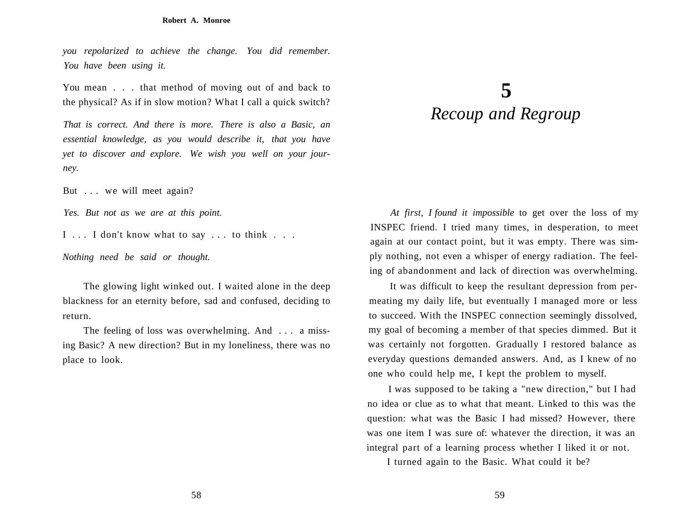**Robert A. Monroe** 

*you repolarized to achieve the change. You did remember. You have been using it.* 

You mean . . . that method of moving out of and back to the physical? As if in slow motion? What I call a quick switch?

*That is correct. And there is more. There is also a Basic, an essential knowledge, as you would describe it, that you have yet to discover and explore. We wish you well on your journey.* 

But . . . we will meet again?

*Yes. But not as we are at this point.* 

I .. . I don't know what to say .. . to think . . .

*Nothing need be said or thought.* 

The glowing light winked out. I waited alone in the deep blackness for an eternity before, sad and confused, deciding to return.

The feeling of loss was overwhelming. And .. . a missing Basic? A new direction? But in my loneliness, there was no place to look.

## **5**  *Recoup and Regroup*

*At first, I found it impossible* to get over the loss of my INSPEC friend. I tried many times, in desperation, to meet again at our contact point, but it was empty. There was simply nothing, not even a whisper of energy radiation. The feeling of abandonment and lack of direction was overwhelming.

It was difficult to keep the resultant depression from permeating my daily life, but eventually I managed more or less to succeed. With the INSPEC connection seemingly dissolved, my goal of becoming a member of that species dimmed. But it was certainly not forgotten. Gradually I restored balance as everyday questions demanded answers. And, as I knew of no one who could help me, I kept the problem to myself.

I was supposed to be taking a "new direction," but I had no idea or clue as to what that meant. Linked to this was the question: what was the Basic I had missed? However, there was one item I was sure of: whatever the direction, it was an integral part of a learning process whether I liked it or not.

I turned again to the Basic. What could it be?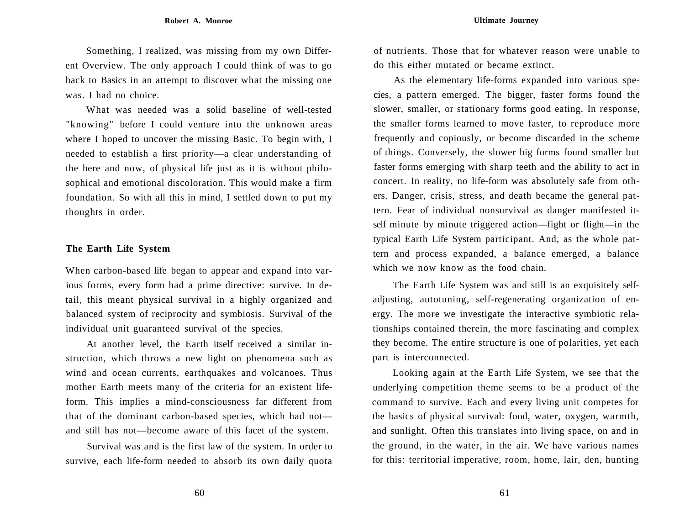Something, I realized, was missing from my own Different Overview. The only approach I could think of was to go back to Basics in an attempt to discover what the missing one was. I had no choice.

What was needed was a solid baseline of well-tested "knowing" before I could venture into the unknown areas where I hoped to uncover the missing Basic. To begin with, I needed to establish a first priority—a clear understanding of the here and now, of physical life just as it is without philosophical and emotional discoloration. This would make a firm foundation. So with all this in mind, I settled down to put my thoughts in order.

## **The Earth Life System**

When carbon-based life began to appear and expand into various forms, every form had a prime directive: survive. In detail, this meant physical survival in a highly organized and balanced system of reciprocity and symbiosis. Survival of the individual unit guaranteed survival of the species.

At another level, the Earth itself received a similar instruction, which throws a new light on phenomena such as wind and ocean currents, earthquakes and volcanoes. Thus mother Earth meets many of the criteria for an existent lifeform. This implies a mind-consciousness far different from that of the dominant carbon-based species, which had not and still has not—become aware of this facet of the system.

Survival was and is the first law of the system. In order to survive, each life-form needed to absorb its own daily quota of nutrients. Those that for whatever reason were unable to do this either mutated or became extinct.

As the elementary life-forms expanded into various species, a pattern emerged. The bigger, faster forms found the slower, smaller, or stationary forms good eating. In response, the smaller forms learned to move faster, to reproduce more frequently and copiously, or become discarded in the scheme of things. Conversely, the slower big forms found smaller but faster forms emerging with sharp teeth and the ability to act in concert. In reality, no life-form was absolutely safe from others. Danger, crisis, stress, and death became the general pattern. Fear of individual nonsurvival as danger manifested itself minute by minute triggered action—fight or flight—in the typical Earth Life System participant. And, as the whole pattern and process expanded, a balance emerged, a balance which we now know as the food chain.

The Earth Life System was and still is an exquisitely selfadjusting, autotuning, self-regenerating organization of energy. The more we investigate the interactive symbiotic relationships contained therein, the more fascinating and complex they become. The entire structure is one of polarities, yet each part is interconnected.

Looking again at the Earth Life System, we see that the underlying competition theme seems to be a product of the command to survive. Each and every living unit competes for the basics of physical survival: food, water, oxygen, warmth, and sunlight. Often this translates into living space, on and in the ground, in the water, in the air. We have various names for this: territorial imperative, room, home, lair, den, hunting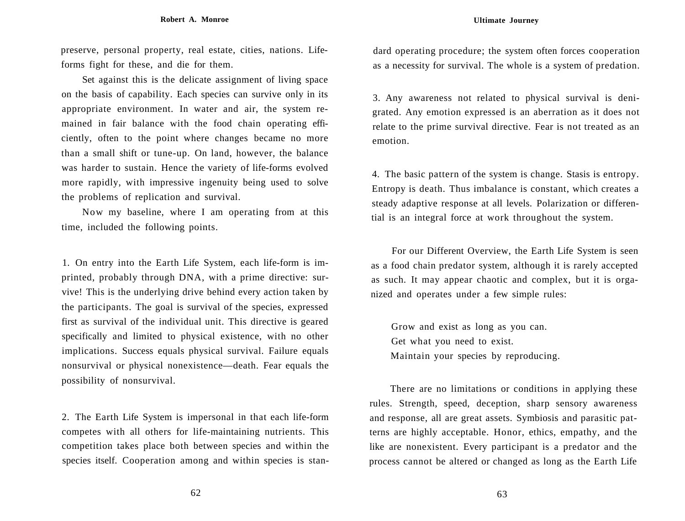preserve, personal property, real estate, cities, nations. Lifeforms fight for these, and die for them.

Set against this is the delicate assignment of living space on the basis of capability. Each species can survive only in its appropriate environment. In water and air, the system remained in fair balance with the food chain operating efficiently, often to the point where changes became no more than a small shift or tune-up. On land, however, the balance was harder to sustain. Hence the variety of life-forms evolved more rapidly, with impressive ingenuity being used to solve the problems of replication and survival.

Now my baseline, where I am operating from at this time, included the following points.

1. On entry into the Earth Life System, each life-form is imprinted, probably through DNA, with a prime directive: survive! This is the underlying drive behind every action taken by the participants. The goal is survival of the species, expressed first as survival of the individual unit. This directive is geared specifically and limited to physical existence, with no other implications. Success equals physical survival. Failure equals nonsurvival or physical nonexistence—death. Fear equals the possibility of nonsurvival.

2. The Earth Life System is impersonal in that each life-form competes with all others for life-maintaining nutrients. This competition takes place both between species and within the species itself. Cooperation among and within species is stan-

dard operating procedure; the system often forces cooperation as a necessity for survival. The whole is a system of predation.

3. Any awareness not related to physical survival is denigrated. Any emotion expressed is an aberration as it does not relate to the prime survival directive. Fear is not treated as an emotion.

4. The basic pattern of the system is change. Stasis is entropy. Entropy is death. Thus imbalance is constant, which creates a steady adaptive response at all levels. Polarization or differential is an integral force at work throughout the system.

For our Different Overview, the Earth Life System is seen as a food chain predator system, although it is rarely accepted as such. It may appear chaotic and complex, but it is organized and operates under a few simple rules:

Grow and exist as long as you can. Get what you need to exist. Maintain your species by reproducing.

There are no limitations or conditions in applying these rules. Strength, speed, deception, sharp sensory awareness and response, all are great assets. Symbiosis and parasitic patterns are highly acceptable. Honor, ethics, empathy, and the like are nonexistent. Every participant is a predator and the process cannot be altered or changed as long as the Earth Life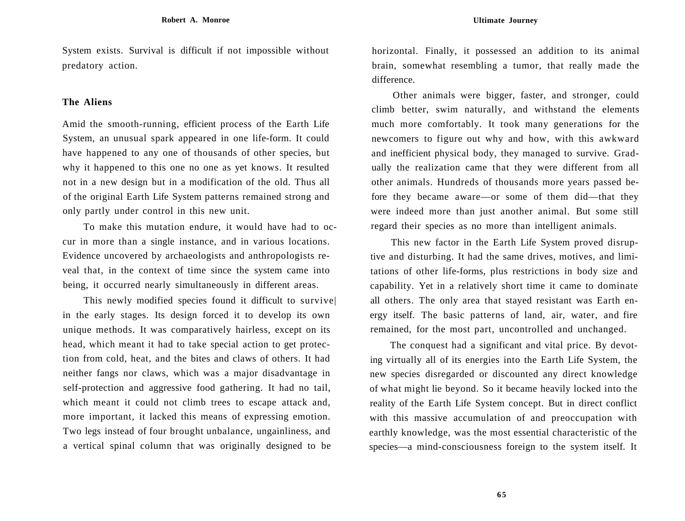System exists. Survival is difficult if not impossible without predatory action.

## **The Aliens**

Amid the smooth-running, efficient process of the Earth Life System, an unusual spark appeared in one life-form. It could have happened to any one of thousands of other species, but why it happened to this one no one as yet knows. It resulted not in a new design but in a modification of the old. Thus all of the original Earth Life System patterns remained strong and only partly under control in this new unit.

To make this mutation endure, it would have had to occur in more than a single instance, and in various locations. Evidence uncovered by archaeologists and anthropologists reveal that, in the context of time since the system came into being, it occurred nearly simultaneously in different areas.

This newly modified species found it difficult to survive| in the early stages. Its design forced it to develop its own unique methods. It was comparatively hairless, except on its head, which meant it had to take special action to get protection from cold, heat, and the bites and claws of others. It had neither fangs nor claws, which was a major disadvantage in self-protection and aggressive food gathering. It had no tail, which meant it could not climb trees to escape attack and, more important, it lacked this means of expressing emotion. Two legs instead of four brought unbalance, ungainliness, and a vertical spinal column that was originally designed to be

horizontal. Finally, it possessed an addition to its animal brain, somewhat resembling a tumor, that really made the difference.

Other animals were bigger, faster, and stronger, could climb better, swim naturally, and withstand the elements much more comfortably. It took many generations for the newcomers to figure out why and how, with this awkward and inefficient physical body, they managed to survive. Gradually the realization came that they were different from all other animals. Hundreds of thousands more years passed before they became aware—or some of them did—that they were indeed more than just another animal. But some still regard their species as no more than intelligent animals.

This new factor in the Earth Life System proved disruptive and disturbing. It had the same drives, motives, and limitations of other life-forms, plus restrictions in body size and capability. Yet in a relatively short time it came to dominate all others. The only area that stayed resistant was Earth energy itself. The basic patterns of land, air, water, and fire remained, for the most part, uncontrolled and unchanged.

The conquest had a significant and vital price. By devoting virtually all of its energies into the Earth Life System, the new species disregarded or discounted any direct knowledge of what might lie beyond. So it became heavily locked into the reality of the Earth Life System concept. But in direct conflict with this massive accumulation of and preoccupation with earthly knowledge, was the most essential characteristic of the species—a mind-consciousness foreign to the system itself. It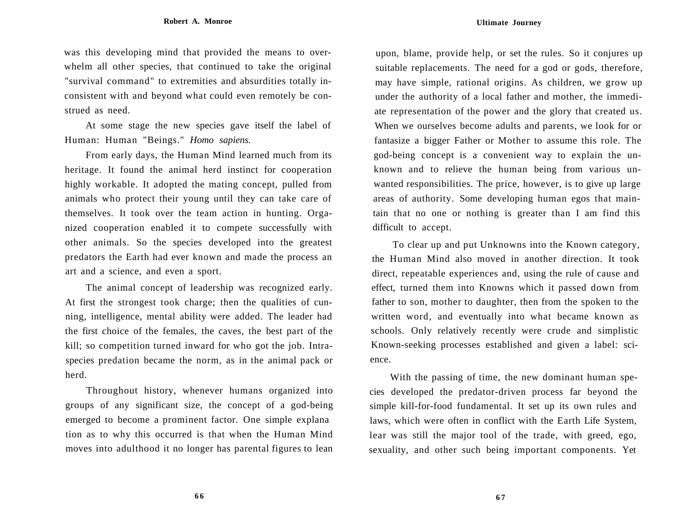was this developing mind that provided the means to overwhelm all other species, that continued to take the original "survival command" to extremities and absurdities totally inconsistent with and beyond what could even remotely be construed as need.

At some stage the new species gave itself the label of Human: Human "Beings." *Homo sapiens.* 

From early days, the Human Mind learned much from its heritage. It found the animal herd instinct for cooperation highly workable. It adopted the mating concept, pulled from animals who protect their young until they can take care of themselves. It took over the team action in hunting. Organized cooperation enabled it to compete successfully with other animals. So the species developed into the greatest predators the Earth had ever known and made the process an art and a science, and even a sport.

The animal concept of leadership was recognized early. At first the strongest took charge; then the qualities of cunning, intelligence, mental ability were added. The leader had the first choice of the females, the caves, the best part of the kill; so competition turned inward for who got the job. Intraspecies predation became the norm, as in the animal pack or herd.

Throughout history, whenever humans organized into groups of any significant size, the concept of a god-being emerged to become a prominent factor. One simple explana tion as to why this occurred is that when the Human Mind moves into adulthood it no longer has parental figures to lean

upon, blame, provide help, or set the rules. So it conjures up suitable replacements. The need for a god or gods, therefore, may have simple, rational origins. As children, we grow up under the authority of a local father and mother, the immediate representation of the power and the glory that created us. When we ourselves become adults and parents, we look for or fantasize a bigger Father or Mother to assume this role. The god-being concept is a convenient way to explain the unknown and to relieve the human being from various unwanted responsibilities. The price, however, is to give up large areas of authority. Some developing human egos that maintain that no one or nothing is greater than I am find this difficult to accept.

To clear up and put Unknowns into the Known category, the Human Mind also moved in another direction. It took direct, repeatable experiences and, using the rule of cause and effect, turned them into Knowns which it passed down from father to son, mother to daughter, then from the spoken to the written word, and eventually into what became known as schools. Only relatively recently were crude and simplistic Known-seeking processes established and given a label: science.

With the passing of time, the new dominant human species developed the predator-driven process far beyond the simple kill-for-food fundamental. It set up its own rules and laws, which were often in conflict with the Earth Life System, lear was still the major tool of the trade, with greed, ego, sexuality, and other such being important components. Yet

**6 6**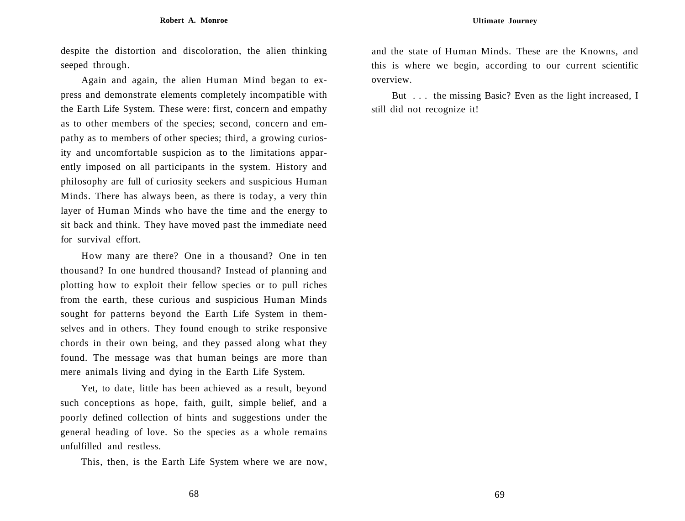despite the distortion and discoloration, the alien thinking seeped through.

Again and again, the alien Human Mind began to express and demonstrate elements completely incompatible with the Earth Life System. These were: first, concern and empathy as to other members of the species; second, concern and empathy as to members of other species; third, a growing curiosity and uncomfortable suspicion as to the limitations apparently imposed on all participants in the system. History and philosophy are full of curiosity seekers and suspicious Human Minds. There has always been, as there is today, a very thin layer of Human Minds who have the time and the energy to sit back and think. They have moved past the immediate need for survival effort.

How many are there? One in a thousand? One in ten thousand? In one hundred thousand? Instead of planning and plotting how to exploit their fellow species or to pull riches from the earth, these curious and suspicious Human Minds sought for patterns beyond the Earth Life System in themselves and in others. They found enough to strike responsive chords in their own being, and they passed along what they found. The message was that human beings are more than mere animals living and dying in the Earth Life System.

Yet, to date, little has been achieved as a result, beyond such conceptions as hope, faith, guilt, simple belief, and a poorly defined collection of hints and suggestions under the general heading of love. So the species as a whole remains unfulfilled and restless.

This, then, is the Earth Life System where we are now,

and the state of Human Minds. These are the Knowns, and this is where we begin, according to our current scientific overview.

But ... the missing Basic? Even as the light increased, I still did not recognize it!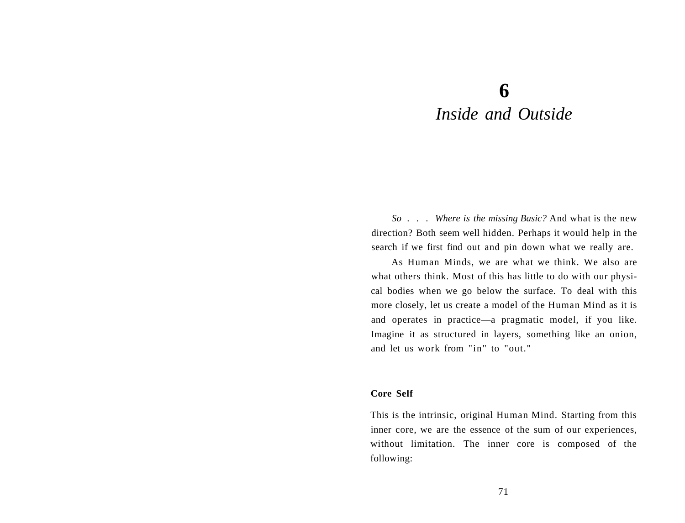# **6**  *Inside and Outside*

*So . . . Where is the missing Basic?* And what is the new direction? Both seem well hidden. Perhaps it would help in the search if we first find out and pin down what we really are.

As Human Minds, we are what we think. We also are what others think. Most of this has little to do with our physical bodies when we go below the surface. To deal with this more closely, let us create a model of the Human Mind as it is and operates in practice—a pragmatic model, if you like. Imagine it as structured in layers, something like an onion, and let us work from "in" to "out."

## **Core Self**

This is the intrinsic, original Human Mind. Starting from this inner core, we are the essence of the sum of our experiences, without limitation. The inner core is composed of the following: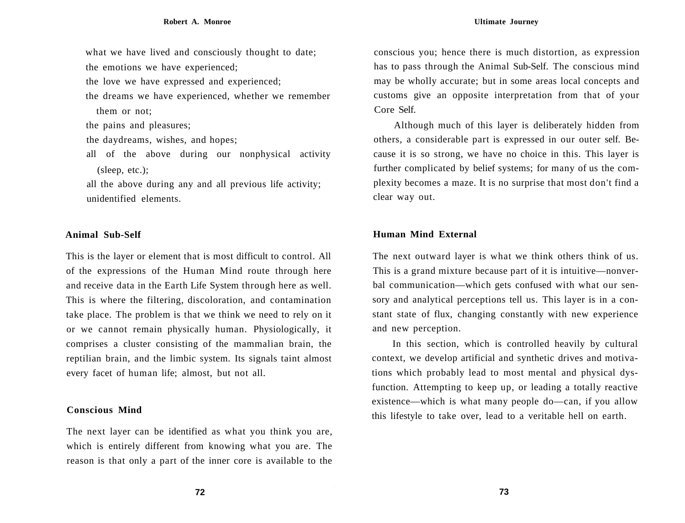what we have lived and consciously thought to date; the emotions we have experienced;

the love we have expressed and experienced;

the dreams we have experienced, whether we remember them or not;

the pains and pleasures;

the daydreams, wishes, and hopes;

all of the above during our nonphysical activity (sleep, etc.);

all the above during any and all previous life activity; unidentified elements.

### **Animal Sub-Self**

This is the layer or element that is most difficult to control. All of the expressions of the Human Mind route through here and receive data in the Earth Life System through here as well. This is where the filtering, discoloration, and contamination take place. The problem is that we think we need to rely on it or we cannot remain physically human. Physiologically, it comprises a cluster consisting of the mammalian brain, the reptilian brain, and the limbic system. Its signals taint almost every facet of human life; almost, but not all.

## **Conscious Mind**

The next layer can be identified as what you think you are, which is entirely different from knowing what you are. The reason is that only a part of the inner core is available to the

conscious you; hence there is much distortion, as expression has to pass through the Animal Sub-Self. The conscious mind may be wholly accurate; but in some areas local concepts and customs give an opposite interpretation from that of your Core Self.

Although much of this layer is deliberately hidden from others, a considerable part is expressed in our outer self. Because it is so strong, we have no choice in this. This layer is further complicated by belief systems; for many of us the complexity becomes a maze. It is no surprise that most don't find a clear way out.

## **Human Mind External**

The next outward layer is what we think others think of us. This is a grand mixture because part of it is intuitive—nonverbal communication—which gets confused with what our sensory and analytical perceptions tell us. This layer is in a constant state of flux, changing constantly with new experience and new perception.

In this section, which is controlled heavily by cultural context, we develop artificial and synthetic drives and motivations which probably lead to most mental and physical dysfunction. Attempting to keep up, or leading a totally reactive existence—which is what many people do—can, if you allow this lifestyle to take over, lead to a veritable hell on earth.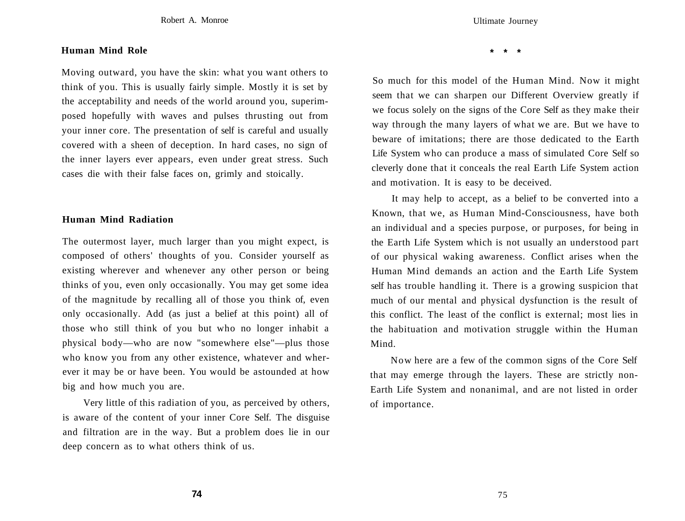**\* \* \*** 

Moving outward, you have the skin: what you want others to think of you. This is usually fairly simple. Mostly it is set by the acceptability and needs of the world around you, superimposed hopefully with waves and pulses thrusting out from your inner core. The presentation of self is careful and usually covered with a sheen of deception. In hard cases, no sign of the inner layers ever appears, even under great stress. Such cases die with their false faces on, grimly and stoically.

## **Human Mind Radiation**

**Human Mind Role** 

The outermost layer, much larger than you might expect, is composed of others' thoughts of you. Consider yourself as existing wherever and whenever any other person or being thinks of you, even only occasionally. You may get some idea of the magnitude by recalling all of those you think of, even only occasionally. Add (as just a belief at this point) all of those who still think of you but who no longer inhabit a physical body—who are now "somewhere else"—plus those who know you from any other existence, whatever and wherever it may be or have been. You would be astounded at how big and how much you are.

Very little of this radiation of you, as perceived by others, is aware of the content of your inner Core Self. The disguise and filtration are in the way. But a problem does lie in our deep concern as to what others think of us.

So much for this model of the Human Mind. Now it might seem that we can sharpen our Different Overview greatly if we focus solely on the signs of the Core Self as they make their way through the many layers of what we are. But we have to beware of imitations; there are those dedicated to the Earth Life System who can produce a mass of simulated Core Self so cleverly done that it conceals the real Earth Life System action and motivation. It is easy to be deceived.

It may help to accept, as a belief to be converted into a Known, that we, as Human Mind-Consciousness, have both an individual and a species purpose, or purposes, for being in the Earth Life System which is not usually an understood part of our physical waking awareness. Conflict arises when the Human Mind demands an action and the Earth Life System self has trouble handling it. There is a growing suspicion that much of our mental and physical dysfunction is the result of this conflict. The least of the conflict is external; most lies in the habituation and motivation struggle within the Human Mind.

Now here are a few of the common signs of the Core Self that may emerge through the layers. These are strictly non-Earth Life System and nonanimal, and are not listed in order of importance.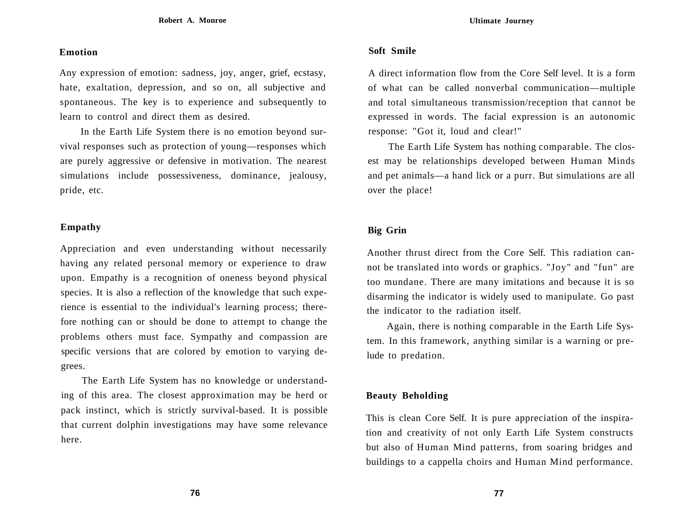## **Emotion**

Any expression of emotion: sadness, joy, anger, grief, ecstasy, hate, exaltation, depression, and so on, all subjective and spontaneous. The key is to experience and subsequently to learn to control and direct them as desired.

In the Earth Life System there is no emotion beyond survival responses such as protection of young—responses which are purely aggressive or defensive in motivation. The nearest simulations include possessiveness, dominance, jealousy, pride, etc.

## **Empathy**

Appreciation and even understanding without necessarily having any related personal memory or experience to draw upon. Empathy is a recognition of oneness beyond physical species. It is also a reflection of the knowledge that such experience is essential to the individual's learning process; therefore nothing can or should be done to attempt to change the problems others must face. Sympathy and compassion are specific versions that are colored by emotion to varying degrees.

The Earth Life System has no knowledge or understanding of this area. The closest approximation may be herd or pack instinct, which is strictly survival-based. It is possible that current dolphin investigations may have some relevance here.

## **Soft Smile**

A direct information flow from the Core Self level. It is a form of what can be called nonverbal communication—multiple and total simultaneous transmission/reception that cannot be expressed in words. The facial expression is an autonomic response: "Got it, loud and clear!"

The Earth Life System has nothing comparable. The closest may be relationships developed between Human Minds and pet animals—a hand lick or a purr. But simulations are all over the place!

## **Big Grin**

Another thrust direct from the Core Self. This radiation cannot be translated into words or graphics. "Joy" and "fun" are too mundane. There are many imitations and because it is so disarming the indicator is widely used to manipulate. Go past the indicator to the radiation itself.

Again, there is nothing comparable in the Earth Life System. In this framework, anything similar is a warning or prelude to predation.

## **Beauty Beholding**

This is clean Core Self. It is pure appreciation of the inspiration and creativity of not only Earth Life System constructs but also of Human Mind patterns, from soaring bridges and buildings to a cappella choirs and Human Mind performance.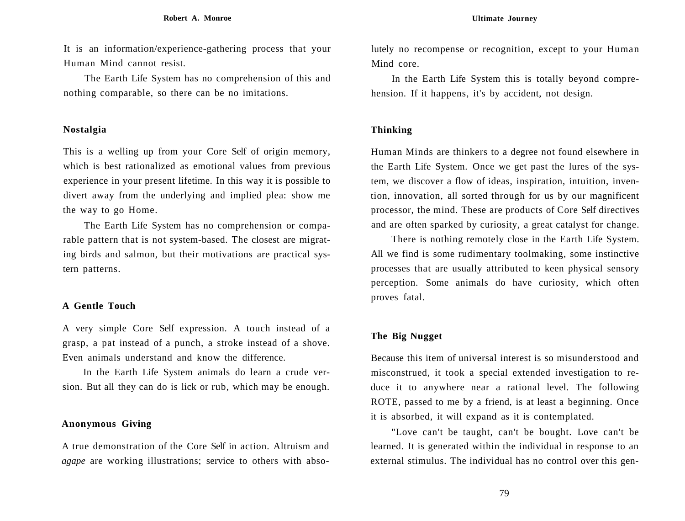It is an information/experience-gathering process that your Human Mind cannot resist.

The Earth Life System has no comprehension of this and nothing comparable, so there can be no imitations.

## **Nostalgia**

This is a welling up from your Core Self of origin memory, which is best rationalized as emotional values from previous experience in your present lifetime. In this way it is possible to divert away from the underlying and implied plea: show me the way to go Home.

The Earth Life System has no comprehension or comparable pattern that is not system-based. The closest are migrating birds and salmon, but their motivations are practical systern patterns.

## **A Gentle Touch**

A very simple Core Self expression. A touch instead of a grasp, a pat instead of a punch, a stroke instead of a shove. Even animals understand and know the difference.

In the Earth Life System animals do learn a crude version. But all they can do is lick or rub, which may be enough.

## **Anonymous Giving**

A true demonstration of the Core Self in action. Altruism and *agape* are working illustrations; service to others with absolutely no recompense or recognition, except to your Human Mind core.

In the Earth Life System this is totally beyond comprehension. If it happens, it's by accident, not design.

## **Thinking**

Human Minds are thinkers to a degree not found elsewhere in the Earth Life System. Once we get past the lures of the system, we discover a flow of ideas, inspiration, intuition, invention, innovation, all sorted through for us by our magnificent processor, the mind. These are products of Core Self directives and are often sparked by curiosity, a great catalyst for change.

There is nothing remotely close in the Earth Life System. All we find is some rudimentary toolmaking, some instinctive processes that are usually attributed to keen physical sensory perception. Some animals do have curiosity, which often proves fatal.

## **The Big Nugget**

Because this item of universal interest is so misunderstood and misconstrued, it took a special extended investigation to reduce it to anywhere near a rational level. The following ROTE, passed to me by a friend, is at least a beginning. Once it is absorbed, it will expand as it is contemplated.

"Love can't be taught, can't be bought. Love can't be learned. It is generated within the individual in response to an external stimulus. The individual has no control over this gen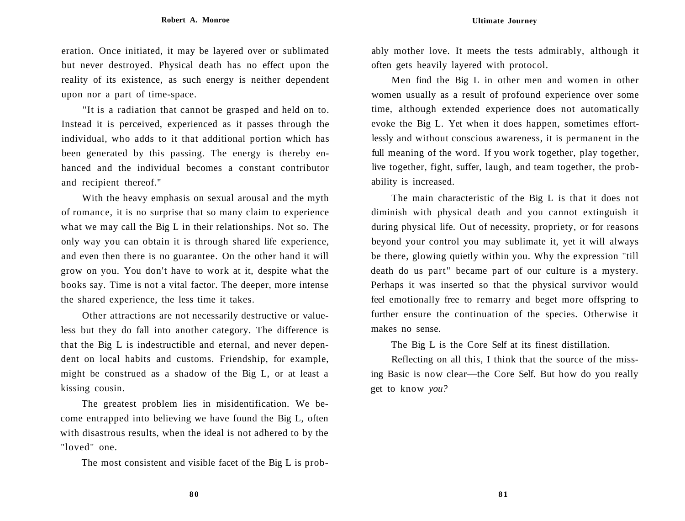eration. Once initiated, it may be layered over or sublimated but never destroyed. Physical death has no effect upon the reality of its existence, as such energy is neither dependent upon nor a part of time-space.

"It is a radiation that cannot be grasped and held on to. Instead it is perceived, experienced as it passes through the individual, who adds to it that additional portion which has been generated by this passing. The energy is thereby enhanced and the individual becomes a constant contributor and recipient thereof."

With the heavy emphasis on sexual arousal and the myth of romance, it is no surprise that so many claim to experience what we may call the Big L in their relationships. Not so. The only way you can obtain it is through shared life experience, and even then there is no guarantee. On the other hand it will grow on you. You don't have to work at it, despite what the books say. Time is not a vital factor. The deeper, more intense the shared experience, the less time it takes.

Other attractions are not necessarily destructive or valueless but they do fall into another category. The difference is that the Big L is indestructible and eternal, and never dependent on local habits and customs. Friendship, for example, might be construed as a shadow of the Big L, or at least a kissing cousin.

The greatest problem lies in misidentification. We become entrapped into believing we have found the Big L, often with disastrous results, when the ideal is not adhered to by the "loved" one.

The most consistent and visible facet of the Big L is prob-

ably mother love. It meets the tests admirably, although it often gets heavily layered with protocol.

Men find the Big L in other men and women in other women usually as a result of profound experience over some time, although extended experience does not automatically evoke the Big L. Yet when it does happen, sometimes effortlessly and without conscious awareness, it is permanent in the full meaning of the word. If you work together, play together, live together, fight, suffer, laugh, and team together, the probability is increased.

The main characteristic of the Big L is that it does not diminish with physical death and you cannot extinguish it during physical life. Out of necessity, propriety, or for reasons beyond your control you may sublimate it, yet it will always be there, glowing quietly within you. Why the expression "till death do us part" became part of our culture is a mystery. Perhaps it was inserted so that the physical survivor would feel emotionally free to remarry and beget more offspring to further ensure the continuation of the species. Otherwise it makes no sense.

The Big L is the Core Self at its finest distillation.

Reflecting on all this, I think that the source of the missing Basic is now clear—the Core Self. But how do you really get to know *you?*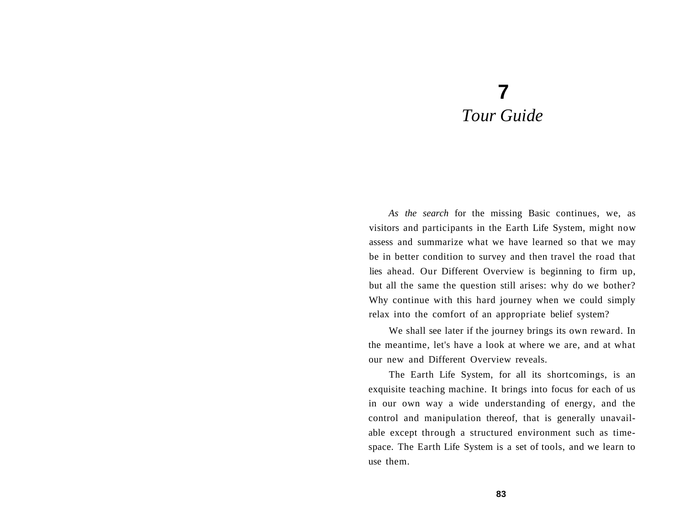# **7**  *Tour Guide*

*As the search* for the missing Basic continues, we, as visitors and participants in the Earth Life System, might now assess and summarize what we have learned so that we may be in better condition to survey and then travel the road that lies ahead. Our Different Overview is beginning to firm up, but all the same the question still arises: why do we bother? Why continue with this hard journey when we could simply relax into the comfort of an appropriate belief system?

We shall see later if the journey brings its own reward. In the meantime, let's have a look at where we are, and at what our new and Different Overview reveals.

The Earth Life System, for all its shortcomings, is an exquisite teaching machine. It brings into focus for each of us in our own way a wide understanding of energy, and the control and manipulation thereof, that is generally unavailable except through a structured environment such as timespace. The Earth Life System is a set of tools, and we learn to use them.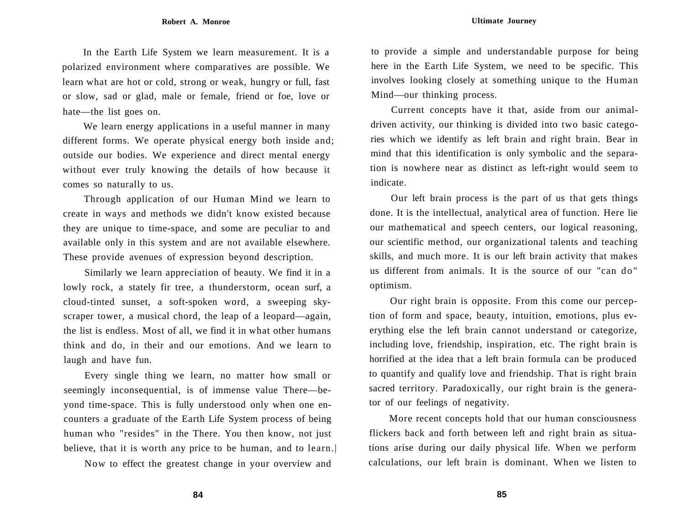#### **Ultimate Journey**

In the Earth Life System we learn measurement. It is a polarized environment where comparatives are possible. We learn what are hot or cold, strong or weak, hungry or full, fast or slow, sad or glad, male or female, friend or foe, love or hate—the list goes on.

We learn energy applications in a useful manner in many different forms. We operate physical energy both inside and; outside our bodies. We experience and direct mental energy without ever truly knowing the details of how because it comes so naturally to us.

Through application of our Human Mind we learn to create in ways and methods we didn't know existed because they are unique to time-space, and some are peculiar to and available only in this system and are not available elsewhere. These provide avenues of expression beyond description.

Similarly we learn appreciation of beauty. We find it in a lowly rock, a stately fir tree, a thunderstorm, ocean surf, a cloud-tinted sunset, a soft-spoken word, a sweeping skyscraper tower, a musical chord, the leap of a leopard—again, the list is endless. Most of all, we find it in what other humans think and do, in their and our emotions. And we learn to laugh and have fun.

Every single thing we learn, no matter how small or seemingly inconsequential, is of immense value There—beyond time-space. This is fully understood only when one encounters a graduate of the Earth Life System process of being human who "resides" in the There. You then know, not just believe, that it is worth any price to be human, and to learn.

Now to effect the greatest change in your overview and

to provide a simple and understandable purpose for being here in the Earth Life System, we need to be specific. This involves looking closely at something unique to the Human Mind—our thinking process.

Current concepts have it that, aside from our animaldriven activity, our thinking is divided into two basic categories which we identify as left brain and right brain. Bear in mind that this identification is only symbolic and the separation is nowhere near as distinct as left-right would seem to indicate.

Our left brain process is the part of us that gets things done. It is the intellectual, analytical area of function. Here lie our mathematical and speech centers, our logical reasoning, our scientific method, our organizational talents and teaching skills, and much more. It is our left brain activity that makes us different from animals. It is the source of our "can do" optimism.

Our right brain is opposite. From this come our perception of form and space, beauty, intuition, emotions, plus everything else the left brain cannot understand or categorize, including love, friendship, inspiration, etc. The right brain is horrified at the idea that a left brain formula can be produced to quantify and qualify love and friendship. That is right brain sacred territory. Paradoxically, our right brain is the generator of our feelings of negativity.

More recent concepts hold that our human consciousness flickers back and forth between left and right brain as situations arise during our daily physical life. When we perform calculations, our left brain is dominant. When we listen to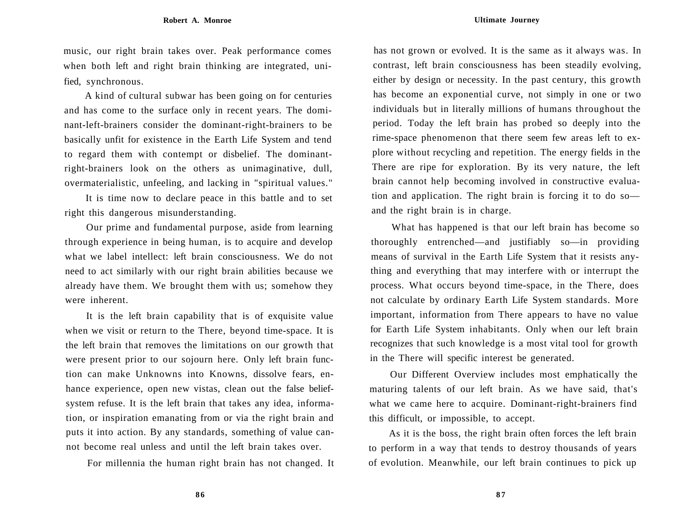music, our right brain takes over. Peak performance comes when both left and right brain thinking are integrated, unified, synchronous.

A kind of cultural subwar has been going on for centuries and has come to the surface only in recent years. The dominant-left-brainers consider the dominant-right-brainers to be basically unfit for existence in the Earth Life System and tend to regard them with contempt or disbelief. The dominantright-brainers look on the others as unimaginative, dull, overmaterialistic, unfeeling, and lacking in "spiritual values."

It is time now to declare peace in this battle and to set right this dangerous misunderstanding.

Our prime and fundamental purpose, aside from learning through experience in being human, is to acquire and develop what we label intellect: left brain consciousness. We do not need to act similarly with our right brain abilities because we already have them. We brought them with us; somehow they were inherent.

It is the left brain capability that is of exquisite value when we visit or return to the There, beyond time-space. It is the left brain that removes the limitations on our growth that were present prior to our sojourn here. Only left brain function can make Unknowns into Knowns, dissolve fears, enhance experience, open new vistas, clean out the false beliefsystem refuse. It is the left brain that takes any idea, information, or inspiration emanating from or via the right brain and puts it into action. By any standards, something of value cannot become real unless and until the left brain takes over.

For millennia the human right brain has not changed. It

has not grown or evolved. It is the same as it always was. In contrast, left brain consciousness has been steadily evolving, either by design or necessity. In the past century, this growth has become an exponential curve, not simply in one or two individuals but in literally millions of humans throughout the period. Today the left brain has probed so deeply into the rime-space phenomenon that there seem few areas left to explore without recycling and repetition. The energy fields in the There are ripe for exploration. By its very nature, the left brain cannot help becoming involved in constructive evaluation and application. The right brain is forcing it to do so and the right brain is in charge.

What has happened is that our left brain has become so thoroughly entrenched—and justifiably so—in providing means of survival in the Earth Life System that it resists anything and everything that may interfere with or interrupt the process. What occurs beyond time-space, in the There, does not calculate by ordinary Earth Life System standards. More important, information from There appears to have no value for Earth Life System inhabitants. Only when our left brain recognizes that such knowledge is a most vital tool for growth in the There will specific interest be generated.

Our Different Overview includes most emphatically the maturing talents of our left brain. As we have said, that's what we came here to acquire. Dominant-right-brainers find this difficult, or impossible, to accept.

As it is the boss, the right brain often forces the left brain to perform in a way that tends to destroy thousands of years of evolution. Meanwhile, our left brain continues to pick up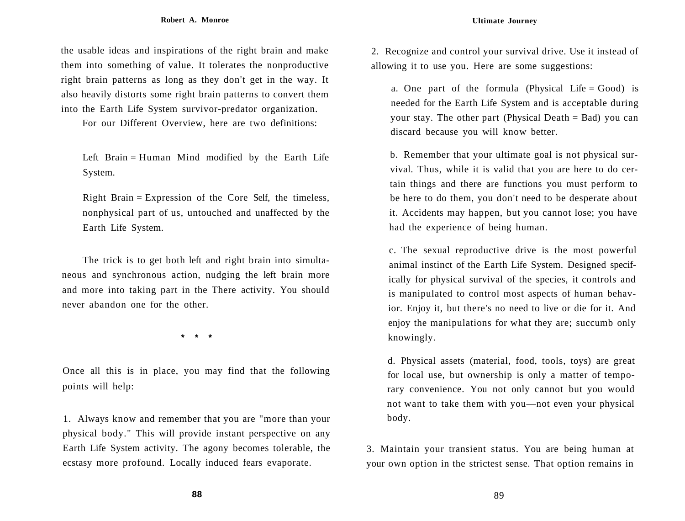### **Robert A. Monroe**

**Ultimate Journey** 

the usable ideas and inspirations of the right brain and make them into something of value. It tolerates the nonproductive right brain patterns as long as they don't get in the way. It also heavily distorts some right brain patterns to convert them into the Earth Life System survivor-predator organization.

For our Different Overview, here are two definitions:

Left Brain  $=$  Human Mind modified by the Earth Life System.

Right Brain = Expression of the Core Self, the timeless, nonphysical part of us, untouched and unaffected by the Earth Life System.

The trick is to get both left and right brain into simultaneous and synchronous action, nudging the left brain more and more into taking part in the There activity. You should never abandon one for the other.

**\* \* \*** 

Once all this is in place, you may find that the following points will help:

1. Always know and remember that you are "more than your physical body." This will provide instant perspective on any Earth Life System activity. The agony becomes tolerable, the ecstasy more profound. Locally induced fears evaporate.

2. Recognize and control your survival drive. Use it instead of allowing it to use you. Here are some suggestions:

a. One part of the formula (Physical Life =  $Good$ ) is needed for the Earth Life System and is acceptable during your stay. The other part (Physical Death = Bad) you can discard because you will know better.

b. Remember that your ultimate goal is not physical survival. Thus, while it is valid that you are here to do certain things and there are functions you must perform to be here to do them, you don't need to be desperate about it. Accidents may happen, but you cannot lose; you have had the experience of being human.

c. The sexual reproductive drive is the most powerful animal instinct of the Earth Life System. Designed specifically for physical survival of the species, it controls and is manipulated to control most aspects of human behavior. Enjoy it, but there's no need to live or die for it. And enjoy the manipulations for what they are; succumb only knowingly.

d. Physical assets (material, food, tools, toys) are great for local use, but ownership is only a matter of temporary convenience. You not only cannot but you would not want to take them with you—not even your physical body.

3. Maintain your transient status. You are being human at your own option in the strictest sense. That option remains in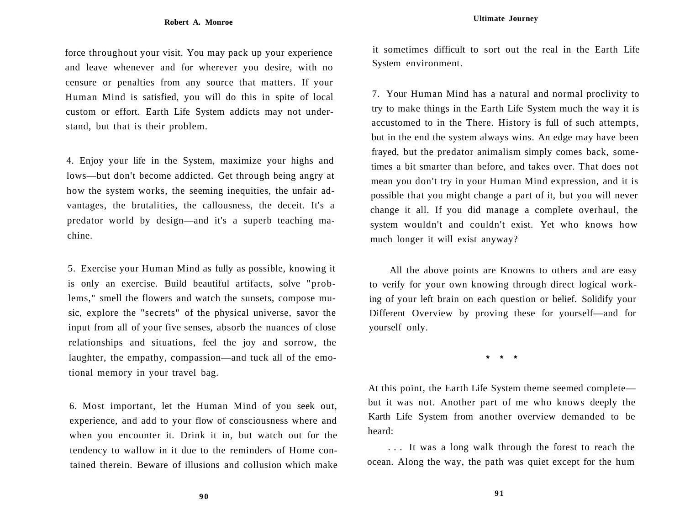force throughout your visit. You may pack up your experience and leave whenever and for wherever you desire, with no censure or penalties from any source that matters. If your Human Mind is satisfied, you will do this in spite of local custom or effort. Earth Life System addicts may not understand, but that is their problem.

4. Enjoy your life in the System, maximize your highs and lows—but don't become addicted. Get through being angry at how the system works, the seeming inequities, the unfair advantages, the brutalities, the callousness, the deceit. It's a predator world by design—and it's a superb teaching machine.

5. Exercise your Human Mind as fully as possible, knowing it is only an exercise. Build beautiful artifacts, solve "problems," smell the flowers and watch the sunsets, compose music, explore the "secrets" of the physical universe, savor the input from all of your five senses, absorb the nuances of close relationships and situations, feel the joy and sorrow, the laughter, the empathy, compassion—and tuck all of the emotional memory in your travel bag.

6. Most important, let the Human Mind of you seek out, experience, and add to your flow of consciousness where and when you encounter it. Drink it in, but watch out for the tendency to wallow in it due to the reminders of Home contained therein. Beware of illusions and collusion which make it sometimes difficult to sort out the real in the Earth Life System environment.

7. Your Human Mind has a natural and normal proclivity to try to make things in the Earth Life System much the way it is accustomed to in the There. History is full of such attempts, but in the end the system always wins. An edge may have been frayed, but the predator animalism simply comes back, sometimes a bit smarter than before, and takes over. That does not mean you don't try in your Human Mind expression, and it is possible that you might change a part of it, but you will never change it all. If you did manage a complete overhaul, the system wouldn't and couldn't exist. Yet who knows how much longer it will exist anyway?

All the above points are Knowns to others and are easy to verify for your own knowing through direct logical working of your left brain on each question or belief. Solidify your Different Overview by proving these for yourself—and for yourself only.

**\* \* \*** 

At this point, the Earth Life System theme seemed complete but it was not. Another part of me who knows deeply the Karth Life System from another overview demanded to be heard:

. . . It was a long walk through the forest to reach the ocean. Along the way, the path was quiet except for the hum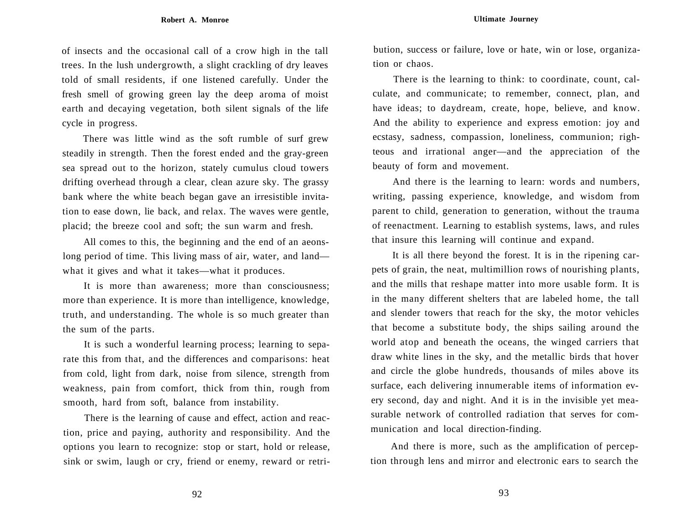of insects and the occasional call of a crow high in the tall trees. In the lush undergrowth, a slight crackling of dry leaves told of small residents, if one listened carefully. Under the fresh smell of growing green lay the deep aroma of moist earth and decaying vegetation, both silent signals of the life cycle in progress.

There was little wind as the soft rumble of surf grew steadily in strength. Then the forest ended and the gray-green sea spread out to the horizon, stately cumulus cloud towers drifting overhead through a clear, clean azure sky. The grassy bank where the white beach began gave an irresistible invitation to ease down, lie back, and relax. The waves were gentle, placid; the breeze cool and soft; the sun warm and fresh.

All comes to this, the beginning and the end of an aeonslong period of time. This living mass of air, water, and land what it gives and what it takes—what it produces.

It is more than awareness; more than consciousness; more than experience. It is more than intelligence, knowledge, truth, and understanding. The whole is so much greater than the sum of the parts.

It is such a wonderful learning process; learning to separate this from that, and the differences and comparisons: heat from cold, light from dark, noise from silence, strength from weakness, pain from comfort, thick from thin, rough from smooth, hard from soft, balance from instability.

There is the learning of cause and effect, action and reaction, price and paying, authority and responsibility. And the options you learn to recognize: stop or start, hold or release, sink or swim, laugh or cry, friend or enemy, reward or retribution, success or failure, love or hate, win or lose, organization or chaos.

There is the learning to think: to coordinate, count, calculate, and communicate; to remember, connect, plan, and have ideas; to daydream, create, hope, believe, and know. And the ability to experience and express emotion: joy and ecstasy, sadness, compassion, loneliness, communion; righteous and irrational anger—and the appreciation of the beauty of form and movement.

And there is the learning to learn: words and numbers, writing, passing experience, knowledge, and wisdom from parent to child, generation to generation, without the trauma of reenactment. Learning to establish systems, laws, and rules that insure this learning will continue and expand.

It is all there beyond the forest. It is in the ripening carpets of grain, the neat, multimillion rows of nourishing plants, and the mills that reshape matter into more usable form. It is in the many different shelters that are labeled home, the tall and slender towers that reach for the sky, the motor vehicles that become a substitute body, the ships sailing around the world atop and beneath the oceans, the winged carriers that draw white lines in the sky, and the metallic birds that hover and circle the globe hundreds, thousands of miles above its surface, each delivering innumerable items of information every second, day and night. And it is in the invisible yet measurable network of controlled radiation that serves for communication and local direction-finding.

And there is more, such as the amplification of perception through lens and mirror and electronic ears to search the

92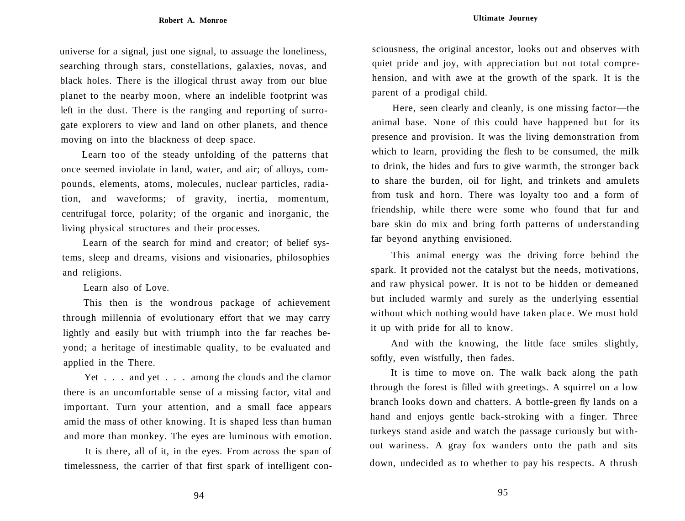#### **Ultimate Journey**

#### **Robert A. Monroe**

universe for a signal, just one signal, to assuage the loneliness, searching through stars, constellations, galaxies, novas, and black holes. There is the illogical thrust away from our blue planet to the nearby moon, where an indelible footprint was left in the dust. There is the ranging and reporting of surrogate explorers to view and land on other planets, and thence moving on into the blackness of deep space.

Learn too of the steady unfolding of the patterns that once seemed inviolate in land, water, and air; of alloys, compounds, elements, atoms, molecules, nuclear particles, radiation, and waveforms; of gravity, inertia, momentum, centrifugal force, polarity; of the organic and inorganic, the living physical structures and their processes.

Learn of the search for mind and creator; of belief systems, sleep and dreams, visions and visionaries, philosophies and religions.

Learn also of Love.

This then is the wondrous package of achievement through millennia of evolutionary effort that we may carry lightly and easily but with triumph into the far reaches beyond; a heritage of inestimable quality, to be evaluated and applied in the There.

Yet . . . and yet . . . among the clouds and the clamor there is an uncomfortable sense of a missing factor, vital and important. Turn your attention, and a small face appears amid the mass of other knowing. It is shaped less than human and more than monkey. The eyes are luminous with emotion.

It is there, all of it, in the eyes. From across the span of timelessness, the carrier of that first spark of intelligent consciousness, the original ancestor, looks out and observes with quiet pride and joy, with appreciation but not total comprehension, and with awe at the growth of the spark. It is the parent of a prodigal child.

Here, seen clearly and cleanly, is one missing factor—the animal base. None of this could have happened but for its presence and provision. It was the living demonstration from which to learn, providing the flesh to be consumed, the milk to drink, the hides and furs to give warmth, the stronger back to share the burden, oil for light, and trinkets and amulets from tusk and horn. There was loyalty too and a form of friendship, while there were some who found that fur and bare skin do mix and bring forth patterns of understanding far beyond anything envisioned.

This animal energy was the driving force behind the spark. It provided not the catalyst but the needs, motivations, and raw physical power. It is not to be hidden or demeaned but included warmly and surely as the underlying essential without which nothing would have taken place. We must hold it up with pride for all to know.

And with the knowing, the little face smiles slightly, softly, even wistfully, then fades.

It is time to move on. The walk back along the path through the forest is filled with greetings. A squirrel on a low branch looks down and chatters. A bottle-green fly lands on a hand and enjoys gentle back-stroking with a finger. Three turkeys stand aside and watch the passage curiously but without wariness. A gray fox wanders onto the path and sits down, undecided as to whether to pay his respects. A thrush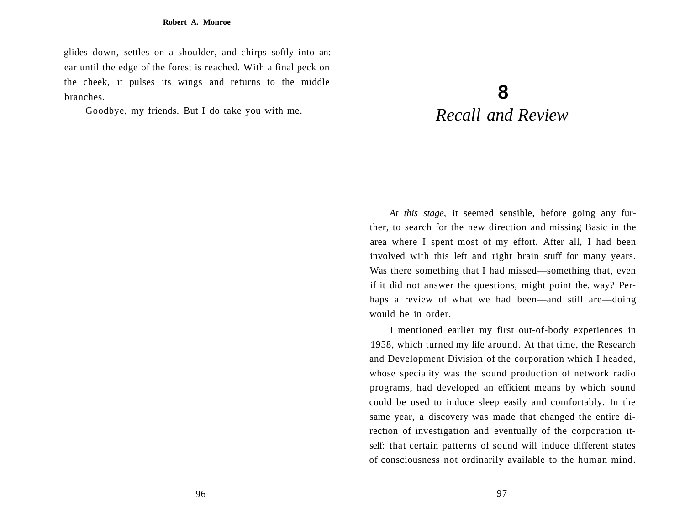glides down, settles on a shoulder, and chirps softly into an: ear until the edge of the forest is reached. With a final peck on the cheek, it pulses its wings and returns to the middle branches.

Goodbye, my friends. But I do take you with me.

# **8**  *Recall and Review*

*At this stage,* it seemed sensible, before going any further, to search for the new direction and missing Basic in the area where I spent most of my effort. After all, I had been involved with this left and right brain stuff for many years. Was there something that I had missed—something that, even if it did not answer the questions, might point the. way? Perhaps a review of what we had been—and still are—doing would be in order.

I mentioned earlier my first out-of-body experiences in 1958, which turned my life around. At that time, the Research and Development Division of the corporation which I headed, whose speciality was the sound production of network radio programs, had developed an efficient means by which sound could be used to induce sleep easily and comfortably. In the same year, a discovery was made that changed the entire direction of investigation and eventually of the corporation itself: that certain patterns of sound will induce different states of consciousness not ordinarily available to the human mind.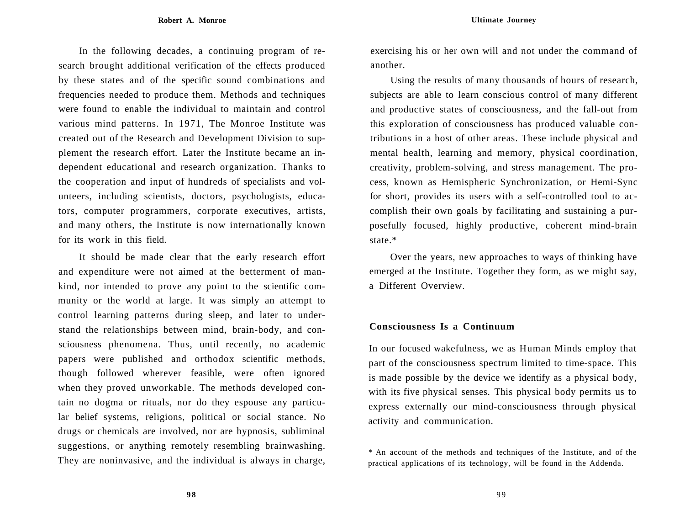In the following decades, a continuing program of research brought additional verification of the effects produced by these states and of the specific sound combinations and frequencies needed to produce them. Methods and techniques were found to enable the individual to maintain and control various mind patterns. In 1971, The Monroe Institute was created out of the Research and Development Division to supplement the research effort. Later the Institute became an independent educational and research organization. Thanks to the cooperation and input of hundreds of specialists and volunteers, including scientists, doctors, psychologists, educators, computer programmers, corporate executives, artists, and many others, the Institute is now internationally known for its work in this field.

It should be made clear that the early research effort and expenditure were not aimed at the betterment of mankind, nor intended to prove any point to the scientific community or the world at large. It was simply an attempt to control learning patterns during sleep, and later to understand the relationships between mind, brain-body, and consciousness phenomena. Thus, until recently, no academic papers were published and orthodox scientific methods, though followed wherever feasible, were often ignored when they proved unworkable. The methods developed contain no dogma or rituals, nor do they espouse any particular belief systems, religions, political or social stance. No drugs or chemicals are involved, nor are hypnosis, subliminal suggestions, or anything remotely resembling brainwashing. They are noninvasive, and the individual is always in charge,

exercising his or her own will and not under the command of another.

Using the results of many thousands of hours of research, subjects are able to learn conscious control of many different and productive states of consciousness, and the fall-out from this exploration of consciousness has produced valuable contributions in a host of other areas. These include physical and mental health, learning and memory, physical coordination, creativity, problem-solving, and stress management. The process, known as Hemispheric Synchronization, or Hemi-Sync for short, provides its users with a self-controlled tool to accomplish their own goals by facilitating and sustaining a purposefully focused, highly productive, coherent mind-brain state.\*

Over the years, new approaches to ways of thinking have emerged at the Institute. Together they form, as we might say, a Different Overview.

## **Consciousness Is a Continuum**

In our focused wakefulness, we as Human Minds employ that part of the consciousness spectrum limited to time-space. This is made possible by the device we identify as a physical body, with its five physical senses. This physical body permits us to express externally our mind-consciousness through physical activity and communication.

<sup>\*</sup> An account of the methods and techniques of the Institute, and of the practical applications of its technology, will be found in the Addenda.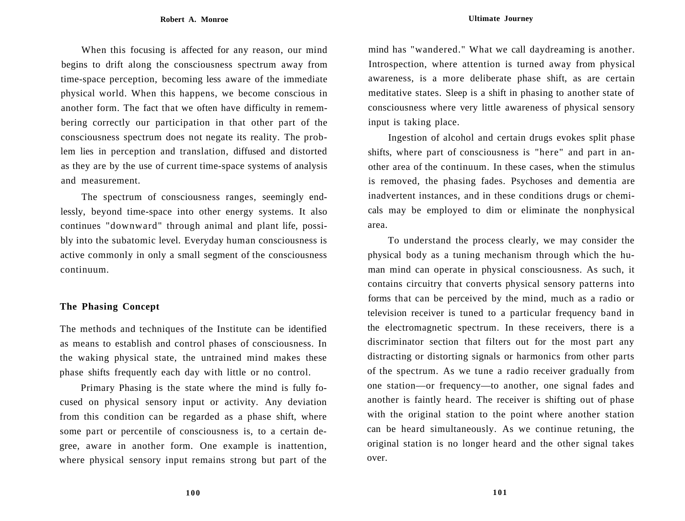When this focusing is affected for any reason, our mind begins to drift along the consciousness spectrum away from time-space perception, becoming less aware of the immediate physical world. When this happens, we become conscious in another form. The fact that we often have difficulty in remembering correctly our participation in that other part of the consciousness spectrum does not negate its reality. The problem lies in perception and translation, diffused and distorted as they are by the use of current time-space systems of analysis and measurement.

The spectrum of consciousness ranges, seemingly endlessly, beyond time-space into other energy systems. It also continues "downward" through animal and plant life, possibly into the subatomic level. Everyday human consciousness is active commonly in only a small segment of the consciousness continuum.

## **The Phasing Concept**

The methods and techniques of the Institute can be identified as means to establish and control phases of consciousness. In the waking physical state, the untrained mind makes these phase shifts frequently each day with little or no control.

Primary Phasing is the state where the mind is fully focused on physical sensory input or activity. Any deviation from this condition can be regarded as a phase shift, where some part or percentile of consciousness is, to a certain degree, aware in another form. One example is inattention, where physical sensory input remains strong but part of the

mind has "wandered." What we call daydreaming is another. Introspection, where attention is turned away from physical awareness, is a more deliberate phase shift, as are certain meditative states. Sleep is a shift in phasing to another state of consciousness where very little awareness of physical sensory input is taking place.

Ingestion of alcohol and certain drugs evokes split phase shifts, where part of consciousness is "here" and part in another area of the continuum. In these cases, when the stimulus is removed, the phasing fades. Psychoses and dementia are inadvertent instances, and in these conditions drugs or chemicals may be employed to dim or eliminate the nonphysical area.

To understand the process clearly, we may consider the physical body as a tuning mechanism through which the human mind can operate in physical consciousness. As such, it contains circuitry that converts physical sensory patterns into forms that can be perceived by the mind, much as a radio or television receiver is tuned to a particular frequency band in the electromagnetic spectrum. In these receivers, there is a discriminator section that filters out for the most part any distracting or distorting signals or harmonics from other parts of the spectrum. As we tune a radio receiver gradually from one station—or frequency—to another, one signal fades and another is faintly heard. The receiver is shifting out of phase with the original station to the point where another station can be heard simultaneously. As we continue retuning, the original station is no longer heard and the other signal takes over.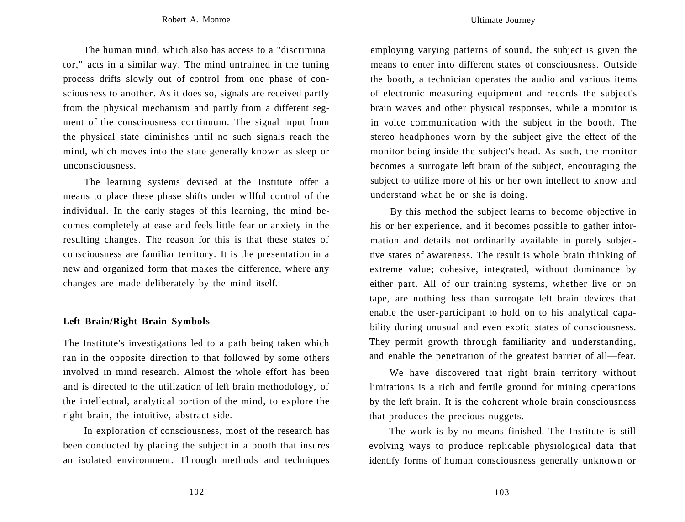The human mind, which also has access to a "discrimina tor," acts in a similar way. The mind untrained in the tuning process drifts slowly out of control from one phase of consciousness to another. As it does so, signals are received partly from the physical mechanism and partly from a different segment of the consciousness continuum. The signal input from the physical state diminishes until no such signals reach the mind, which moves into the state generally known as sleep or unconsciousness.

The learning systems devised at the Institute offer a means to place these phase shifts under willful control of the individual. In the early stages of this learning, the mind becomes completely at ease and feels little fear or anxiety in the resulting changes. The reason for this is that these states of consciousness are familiar territory. It is the presentation in a new and organized form that makes the difference, where any changes are made deliberately by the mind itself.

## **Left Brain/Right Brain Symbols**

The Institute's investigations led to a path being taken which ran in the opposite direction to that followed by some others involved in mind research. Almost the whole effort has been and is directed to the utilization of left brain methodology, of the intellectual, analytical portion of the mind, to explore the right brain, the intuitive, abstract side.

In exploration of consciousness, most of the research has been conducted by placing the subject in a booth that insures an isolated environment. Through methods and techniques

employing varying patterns of sound, the subject is given the means to enter into different states of consciousness. Outside the booth, a technician operates the audio and various items of electronic measuring equipment and records the subject's brain waves and other physical responses, while a monitor is in voice communication with the subject in the booth. The stereo headphones worn by the subject give the effect of the monitor being inside the subject's head. As such, the monitor becomes a surrogate left brain of the subject, encouraging the subject to utilize more of his or her own intellect to know and understand what he or she is doing.

By this method the subject learns to become objective in his or her experience, and it becomes possible to gather information and details not ordinarily available in purely subjective states of awareness. The result is whole brain thinking of extreme value; cohesive, integrated, without dominance by either part. All of our training systems, whether live or on tape, are nothing less than surrogate left brain devices that enable the user-participant to hold on to his analytical capability during unusual and even exotic states of consciousness. They permit growth through familiarity and understanding, and enable the penetration of the greatest barrier of all—fear.

We have discovered that right brain territory without limitations is a rich and fertile ground for mining operations by the left brain. It is the coherent whole brain consciousness that produces the precious nuggets.

The work is by no means finished. The Institute is still evolving ways to produce replicable physiological data that identify forms of human consciousness generally unknown or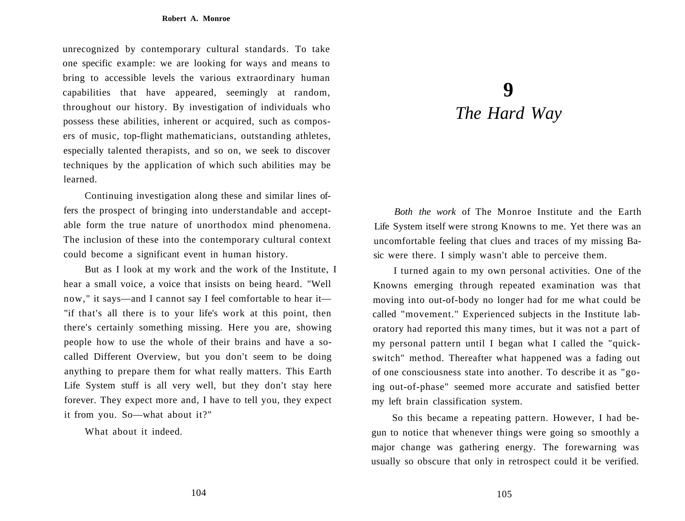### **Robert A. Monroe**

unrecognized by contemporary cultural standards. To take one specific example: we are looking for ways and means to bring to accessible levels the various extraordinary human capabilities that have appeared, seemingly at random, throughout our history. By investigation of individuals who possess these abilities, inherent or acquired, such as composers of music, top-flight mathematicians, outstanding athletes, especially talented therapists, and so on, we seek to discover techniques by the application of which such abilities may be learned.

Continuing investigation along these and similar lines offers the prospect of bringing into understandable and acceptable form the true nature of unorthodox mind phenomena. The inclusion of these into the contemporary cultural context could become a significant event in human history.

But as I look at my work and the work of the Institute, I hear a small voice, a voice that insists on being heard. "Well now," it says—and I cannot say I feel comfortable to hear it— "if that's all there is to your life's work at this point, then there's certainly something missing. Here you are, showing people how to use the whole of their brains and have a socalled Different Overview, but you don't seem to be doing anything to prepare them for what really matters. This Earth Life System stuff is all very well, but they don't stay here forever. They expect more and, I have to tell you, they expect it from you. So—what about it?"

What about it indeed.

# **9**  *The Hard Way*

*Both the work* of The Monroe Institute and the Earth Life System itself were strong Knowns to me. Yet there was an uncomfortable feeling that clues and traces of my missing Basic were there. I simply wasn't able to perceive them.

I turned again to my own personal activities. One of the Knowns emerging through repeated examination was that moving into out-of-body no longer had for me what could be called "movement." Experienced subjects in the Institute laboratory had reported this many times, but it was not a part of my personal pattern until I began what I called the "quickswitch" method. Thereafter what happened was a fading out of one consciousness state into another. To describe it as "going out-of-phase" seemed more accurate and satisfied better my left brain classification system.

So this became a repeating pattern. However, I had begun to notice that whenever things were going so smoothly a major change was gathering energy. The forewarning was usually so obscure that only in retrospect could it be verified.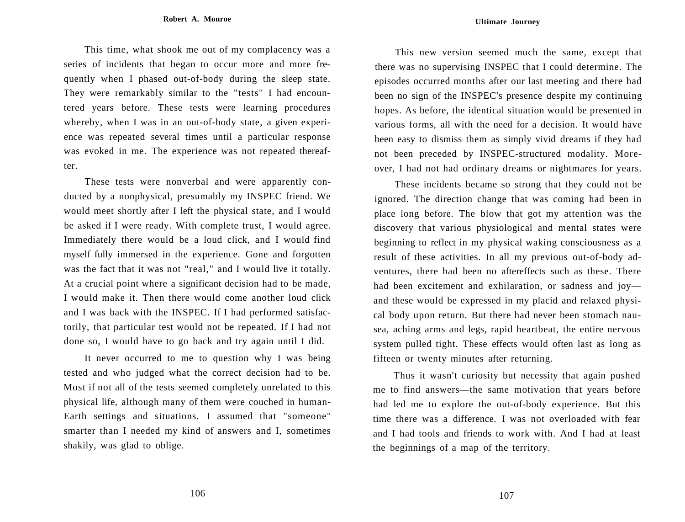This time, what shook me out of my complacency was a series of incidents that began to occur more and more frequently when I phased out-of-body during the sleep state. They were remarkably similar to the "tests" I had encountered years before. These tests were learning procedures whereby, when I was in an out-of-body state, a given experience was repeated several times until a particular response was evoked in me. The experience was not repeated thereafter.

These tests were nonverbal and were apparently conducted by a nonphysical, presumably my INSPEC friend. We would meet shortly after I left the physical state, and I would be asked if I were ready. With complete trust, I would agree. Immediately there would be a loud click, and I would find myself fully immersed in the experience. Gone and forgotten was the fact that it was not "real," and I would live it totally. At a crucial point where a significant decision had to be made, I would make it. Then there would come another loud click and I was back with the INSPEC. If I had performed satisfactorily, that particular test would not be repeated. If I had not done so, I would have to go back and try again until I did.

It never occurred to me to question why I was being tested and who judged what the correct decision had to be. Most if not all of the tests seemed completely unrelated to this physical life, although many of them were couched in human-Earth settings and situations. I assumed that "someone" smarter than I needed my kind of answers and I, sometimes shakily, was glad to oblige.

This new version seemed much the same, except that there was no supervising INSPEC that I could determine. The episodes occurred months after our last meeting and there had been no sign of the INSPEC's presence despite my continuing hopes. As before, the identical situation would be presented in various forms, all with the need for a decision. It would have been easy to dismiss them as simply vivid dreams if they had not been preceded by INSPEC-structured modality. Moreover, I had not had ordinary dreams or nightmares for years.

These incidents became so strong that they could not be ignored. The direction change that was coming had been in place long before. The blow that got my attention was the discovery that various physiological and mental states were beginning to reflect in my physical waking consciousness as a result of these activities. In all my previous out-of-body adventures, there had been no aftereffects such as these. There had been excitement and exhilaration, or sadness and joy and these would be expressed in my placid and relaxed physical body upon return. But there had never been stomach nausea, aching arms and legs, rapid heartbeat, the entire nervous system pulled tight. These effects would often last as long as fifteen or twenty minutes after returning.

Thus it wasn't curiosity but necessity that again pushed me to find answers—the same motivation that years before had led me to explore the out-of-body experience. But this time there was a difference. I was not overloaded with fear and I had tools and friends to work with. And I had at least the beginnings of a map of the territory.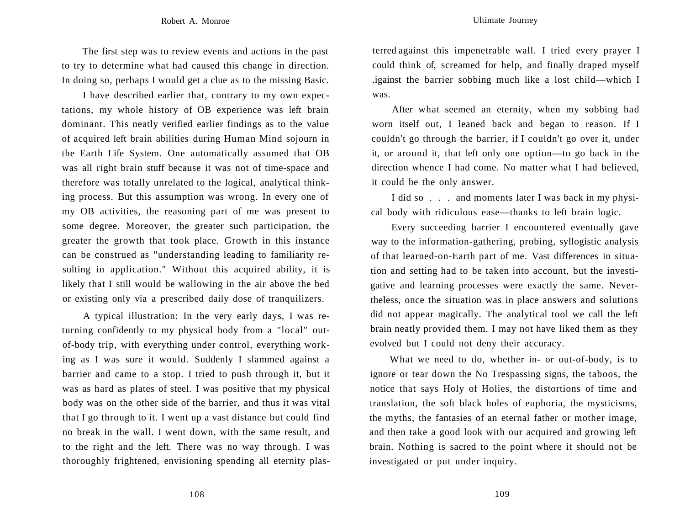Ultimate Journey

The first step was to review events and actions in the past to try to determine what had caused this change in direction. In doing so, perhaps I would get a clue as to the missing Basic.

I have described earlier that, contrary to my own expectations, my whole history of OB experience was left brain dominant. This neatly verified earlier findings as to the value of acquired left brain abilities during Human Mind sojourn in the Earth Life System. One automatically assumed that OB was all right brain stuff because it was not of time-space and therefore was totally unrelated to the logical, analytical thinking process. But this assumption was wrong. In every one of my OB activities, the reasoning part of me was present to some degree. Moreover, the greater such participation, the greater the growth that took place. Growth in this instance can be construed as "understanding leading to familiarity resulting in application." Without this acquired ability, it is likely that I still would be wallowing in the air above the bed or existing only via a prescribed daily dose of tranquilizers.

A typical illustration: In the very early days, I was returning confidently to my physical body from a "local" outof-body trip, with everything under control, everything working as I was sure it would. Suddenly I slammed against a barrier and came to a stop. I tried to push through it, but it was as hard as plates of steel. I was positive that my physical body was on the other side of the barrier, and thus it was vital that I go through to it. I went up a vast distance but could find no break in the wall. I went down, with the same result, and to the right and the left. There was no way through. I was thoroughly frightened, envisioning spending all eternity plasterred against this impenetrable wall. I tried every prayer I could think of, screamed for help, and finally draped myself .igainst the barrier sobbing much like a lost child—which I was.

After what seemed an eternity, when my sobbing had worn itself out, I leaned back and began to reason. If I couldn't go through the barrier, if I couldn't go over it, under it, or around it, that left only one option—to go back in the direction whence I had come. No matter what I had believed, it could be the only answer.

I did so . . . and moments later I was back in my physical body with ridiculous ease—thanks to left brain logic.

Every succeeding barrier I encountered eventually gave way to the information-gathering, probing, syllogistic analysis of that learned-on-Earth part of me. Vast differences in situation and setting had to be taken into account, but the investigative and learning processes were exactly the same. Nevertheless, once the situation was in place answers and solutions did not appear magically. The analytical tool we call the left brain neatly provided them. I may not have liked them as they evolved but I could not deny their accuracy.

What we need to do, whether in- or out-of-body, is to ignore or tear down the No Trespassing signs, the taboos, the notice that says Holy of Holies, the distortions of time and translation, the soft black holes of euphoria, the mysticisms, the myths, the fantasies of an eternal father or mother image, and then take a good look with our acquired and growing left brain. Nothing is sacred to the point where it should not be investigated or put under inquiry.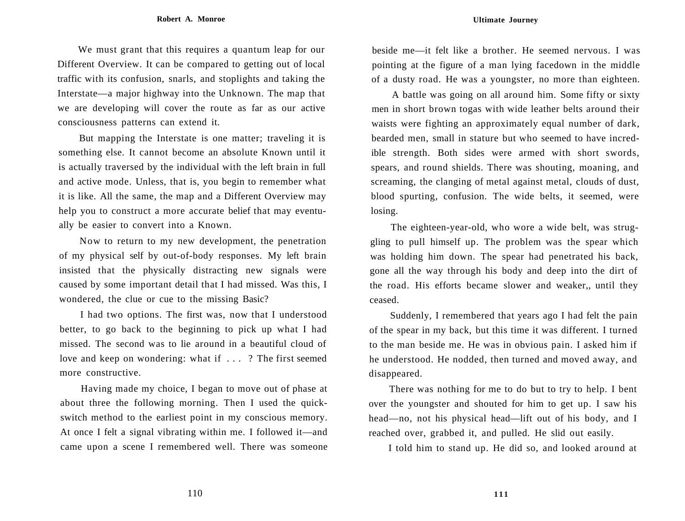#### **Robert A. Monroe**

#### **Ultimate Journey**

We must grant that this requires a quantum leap for our Different Overview. It can be compared to getting out of local traffic with its confusion, snarls, and stoplights and taking the Interstate—a major highway into the Unknown. The map that we are developing will cover the route as far as our active consciousness patterns can extend it.

But mapping the Interstate is one matter; traveling it is something else. It cannot become an absolute Known until it is actually traversed by the individual with the left brain in full and active mode. Unless, that is, you begin to remember what it is like. All the same, the map and a Different Overview may help you to construct a more accurate belief that may eventually be easier to convert into a Known.

Now to return to my new development, the penetration of my physical self by out-of-body responses. My left brain insisted that the physically distracting new signals were caused by some important detail that I had missed. Was this, I wondered, the clue or cue to the missing Basic?

I had two options. The first was, now that I understood better, to go back to the beginning to pick up what I had missed. The second was to lie around in a beautiful cloud of love and keep on wondering: what if ... ? The first seemed more constructive.

Having made my choice, I began to move out of phase at about three the following morning. Then I used the quickswitch method to the earliest point in my conscious memory. At once I felt a signal vibrating within me. I followed it—and came upon a scene I remembered well. There was someone beside me—it felt like a brother. He seemed nervous. I was pointing at the figure of a man lying facedown in the middle of a dusty road. He was a youngster, no more than eighteen.

A battle was going on all around him. Some fifty or sixty men in short brown togas with wide leather belts around their waists were fighting an approximately equal number of dark, bearded men, small in stature but who seemed to have incredible strength. Both sides were armed with short swords, spears, and round shields. There was shouting, moaning, and screaming, the clanging of metal against metal, clouds of dust, blood spurting, confusion. The wide belts, it seemed, were losing.

The eighteen-year-old, who wore a wide belt, was struggling to pull himself up. The problem was the spear which was holding him down. The spear had penetrated his back, gone all the way through his body and deep into the dirt of the road. His efforts became slower and weaker,, until they ceased.

Suddenly, I remembered that years ago I had felt the pain of the spear in my back, but this time it was different. I turned to the man beside me. He was in obvious pain. I asked him if he understood. He nodded, then turned and moved away, and disappeared.

There was nothing for me to do but to try to help. I bent over the youngster and shouted for him to get up. I saw his head—no, not his physical head—lift out of his body, and I reached over, grabbed it, and pulled. He slid out easily.

I told him to stand up. He did so, and looked around at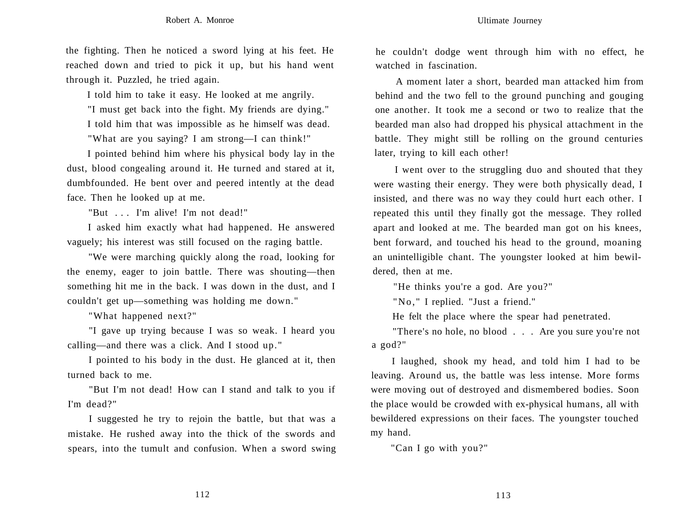the fighting. Then he noticed a sword lying at his feet. He reached down and tried to pick it up, but his hand went through it. Puzzled, he tried again.

I told him to take it easy. He looked at me angrily.

"I must get back into the fight. My friends are dying." I told him that was impossible as he himself was dead.

"What are you saying? I am strong—I can think!"

I pointed behind him where his physical body lay in the dust, blood congealing around it. He turned and stared at it, dumbfounded. He bent over and peered intently at the dead face. Then he looked up at me.

"But ... I'm alive! I'm not dead!"

I asked him exactly what had happened. He answered vaguely; his interest was still focused on the raging battle.

"We were marching quickly along the road, looking for the enemy, eager to join battle. There was shouting—then something hit me in the back. I was down in the dust, and I couldn't get up—something was holding me down."

"What happened next?"

"I gave up trying because I was so weak. I heard you calling—and there was a click. And I stood up."

I pointed to his body in the dust. He glanced at it, then turned back to me.

"But I'm not dead! How can I stand and talk to you if I'm dead?"

I suggested he try to rejoin the battle, but that was a mistake. He rushed away into the thick of the swords and spears, into the tumult and confusion. When a sword swing he couldn't dodge went through him with no effect, he watched in fascination.

A moment later a short, bearded man attacked him from behind and the two fell to the ground punching and gouging one another. It took me a second or two to realize that the bearded man also had dropped his physical attachment in the battle. They might still be rolling on the ground centuries later, trying to kill each other!

I went over to the struggling duo and shouted that they were wasting their energy. They were both physically dead, I insisted, and there was no way they could hurt each other. I repeated this until they finally got the message. They rolled apart and looked at me. The bearded man got on his knees, bent forward, and touched his head to the ground, moaning an unintelligible chant. The youngster looked at him bewildered, then at me.

"He thinks you're a god. Are you?"

"No," I replied. "Just a friend."

He felt the place where the spear had penetrated.

"There's no hole, no blood . . . Are you sure you're not a god?"

I laughed, shook my head, and told him I had to be leaving. Around us, the battle was less intense. More forms were moving out of destroyed and dismembered bodies. Soon the place would be crowded with ex-physical humans, all with bewildered expressions on their faces. The youngster touched my hand.

"Can I go with you?"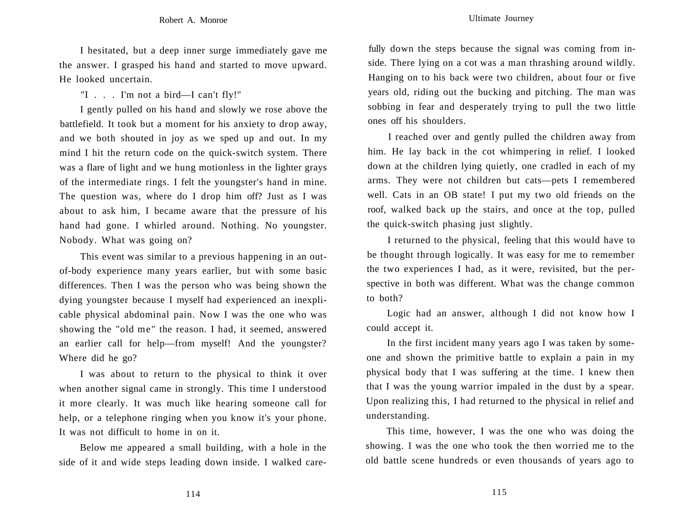### Robert A. Monroe

## Ultimate Journey

I hesitated, but a deep inner surge immediately gave me the answer. I grasped his hand and started to move upward. He looked uncertain.

"I . . . I'm not a bird—I can't fly!"

I gently pulled on his hand and slowly we rose above the battlefield. It took but a moment for his anxiety to drop away, and we both shouted in joy as we sped up and out. In my mind I hit the return code on the quick-switch system. There was a flare of light and we hung motionless in the lighter grays of the intermediate rings. I felt the youngster's hand in mine. The question was, where do I drop him off? Just as I was about to ask him, I became aware that the pressure of his hand had gone. I whirled around. Nothing. No youngster. Nobody. What was going on?

This event was similar to a previous happening in an outof-body experience many years earlier, but with some basic differences. Then I was the person who was being shown the dying youngster because I myself had experienced an inexplicable physical abdominal pain. Now I was the one who was showing the "old me" the reason. I had, it seemed, answered an earlier call for help—from myself! And the youngster? Where did he go?

I was about to return to the physical to think it over when another signal came in strongly. This time I understood it more clearly. It was much like hearing someone call for help, or a telephone ringing when you know it's your phone. It was not difficult to home in on it.

Below me appeared a small building, with a hole in the side of it and wide steps leading down inside. I walked care-

fully down the steps because the signal was coming from inside. There lying on a cot was a man thrashing around wildly. Hanging on to his back were two children, about four or five years old, riding out the bucking and pitching. The man was sobbing in fear and desperately trying to pull the two little ones off his shoulders.

I reached over and gently pulled the children away from him. He lay back in the cot whimpering in relief. I looked down at the children lying quietly, one cradled in each of my arms. They were not children but cats—pets I remembered well. Cats in an OB state! I put my two old friends on the roof, walked back up the stairs, and once at the top, pulled the quick-switch phasing just slightly.

I returned to the physical, feeling that this would have to be thought through logically. It was easy for me to remember the two experiences I had, as it were, revisited, but the perspective in both was different. What was the change common to both?

Logic had an answer, although I did not know how I could accept it.

In the first incident many years ago I was taken by someone and shown the primitive battle to explain a pain in my physical body that I was suffering at the time. I knew then that I was the young warrior impaled in the dust by a spear. Upon realizing this, I had returned to the physical in relief and understanding.

This time, however, I was the one who was doing the showing. I was the one who took the then worried me to the old battle scene hundreds or even thousands of years ago to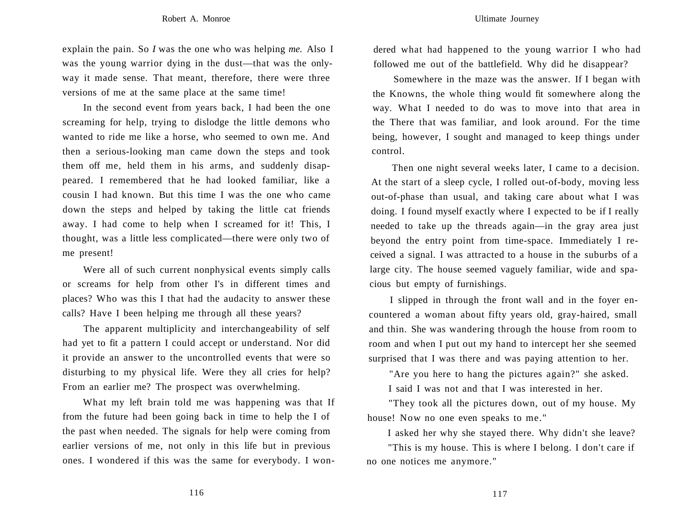Ultimate Journey

explain the pain. So *I* was the one who was helping *me.* Also I was the young warrior dying in the dust—that was the onlyway it made sense. That meant, therefore, there were three versions of me at the same place at the same time!

In the second event from years back, I had been the one screaming for help, trying to dislodge the little demons who wanted to ride me like a horse, who seemed to own me. And then a serious-looking man came down the steps and took them off me, held them in his arms, and suddenly disappeared. I remembered that he had looked familiar, like a cousin I had known. But this time I was the one who came down the steps and helped by taking the little cat friends away. I had come to help when I screamed for it! This, I thought, was a little less complicated—there were only two of me present!

Were all of such current nonphysical events simply calls or screams for help from other I's in different times and places? Who was this I that had the audacity to answer these calls? Have I been helping me through all these years?

The apparent multiplicity and interchangeability of self had yet to fit a pattern I could accept or understand. Nor did it provide an answer to the uncontrolled events that were so disturbing to my physical life. Were they all cries for help? From an earlier me? The prospect was overwhelming.

What my left brain told me was happening was that If from the future had been going back in time to help the I of the past when needed. The signals for help were coming from earlier versions of me, not only in this life but in previous ones. I wondered if this was the same for everybody. I wondered what had happened to the young warrior I who had followed me out of the battlefield. Why did he disappear?

Somewhere in the maze was the answer. If I began with the Knowns, the whole thing would fit somewhere along the way. What I needed to do was to move into that area in the There that was familiar, and look around. For the time being, however, I sought and managed to keep things under control.

Then one night several weeks later, I came to a decision. At the start of a sleep cycle, I rolled out-of-body, moving less out-of-phase than usual, and taking care about what I was doing. I found myself exactly where I expected to be if I really needed to take up the threads again—in the gray area just beyond the entry point from time-space. Immediately I received a signal. I was attracted to a house in the suburbs of a large city. The house seemed vaguely familiar, wide and spacious but empty of furnishings.

I slipped in through the front wall and in the foyer encountered a woman about fifty years old, gray-haired, small and thin. She was wandering through the house from room to room and when I put out my hand to intercept her she seemed surprised that I was there and was paying attention to her.

"Are you here to hang the pictures again?" she asked.

I said I was not and that I was interested in her.

"They took all the pictures down, out of my house. My house! Now no one even speaks to me."

I asked her why she stayed there. Why didn't she leave?

"This is my house. This is where I belong. I don't care if no one notices me anymore."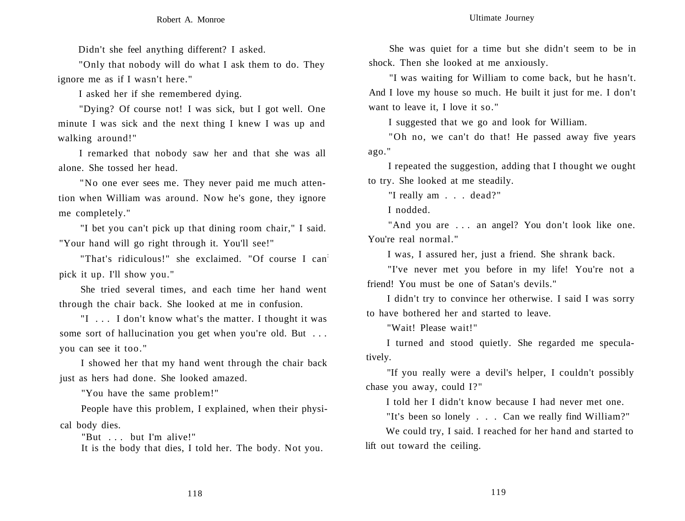Didn't she feel anything different? I asked.

"Only that nobody will do what I ask them to do. They ignore me as if I wasn't here."

I asked her if she remembered dying.

"Dying? Of course not! I was sick, but I got well. One minute I was sick and the next thing I knew I was up and walking around!"

I remarked that nobody saw her and that she was all alone. She tossed her head.

"No one ever sees me. They never paid me much attention when William was around. Now he's gone, they ignore me completely."

"I bet you can't pick up that dining room chair," I said. "Your hand will go right through it. You'll see!"

"That's ridiculous!" she exclaimed. "Of course I can: pick it up. I'll show you."

She tried several times, and each time her hand went through the chair back. She looked at me in confusion.

"I .. . I don't know what's the matter. I thought it was some sort of hallucination you get when you're old. But ... you can see it too."

I showed her that my hand went through the chair back just as hers had done. She looked amazed.

"You have the same problem!"

People have this problem, I explained, when their physical body dies.

"But .. . but I'm alive!" It is the body that dies, I told her. The body. Not you.

She was quiet for a time but she didn't seem to be in shock. Then she looked at me anxiously.

"I was waiting for William to come back, but he hasn't. And I love my house so much. He built it just for me. I don't want to leave it, I love it so."

I suggested that we go and look for William.

"Oh no, we can't do that! He passed away five years ago."

I repeated the suggestion, adding that I thought we ought to try. She looked at me steadily.

"I really am . . . dead?"

I nodded.

"And you are ... an angel? You don't look like one. You're real normal."

I was, I assured her, just a friend. She shrank back.

"I've never met you before in my life! You're not a friend! You must be one of Satan's devils."

I didn't try to convince her otherwise. I said I was sorry to have bothered her and started to leave.

"Wait! Please wait!"

I turned and stood quietly. She regarded me speculatively.

"If you really were a devil's helper, I couldn't possibly chase you away, could I?"

I told her I didn't know because I had never met one.

"It's been so lonely . . . Can we really find William?"

We could try, I said. I reached for her hand and started to lift out toward the ceiling.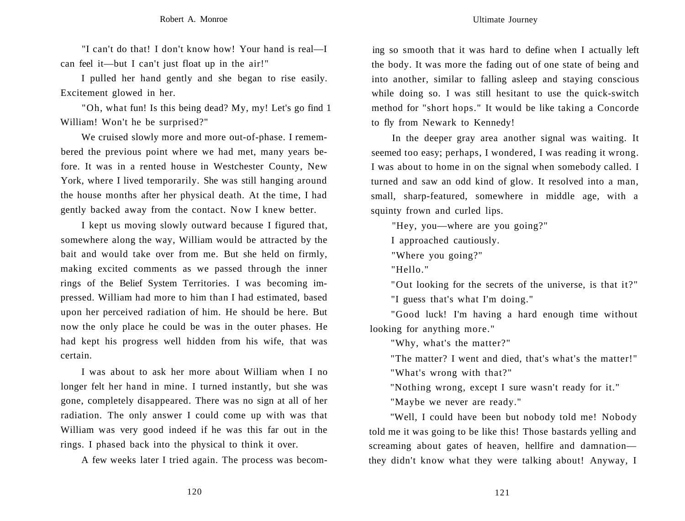"I can't do that! I don't know how! Your hand is real—I can feel it—but I can't just float up in the air!"

I pulled her hand gently and she began to rise easily. Excitement glowed in her.

"Oh, what fun! Is this being dead? My, my! Let's go find 1 William! Won't he be surprised?"

We cruised slowly more and more out-of-phase. I remembered the previous point where we had met, many years before. It was in a rented house in Westchester County, New York, where I lived temporarily. She was still hanging around the house months after her physical death. At the time, I had gently backed away from the contact. Now I knew better.

I kept us moving slowly outward because I figured that, somewhere along the way, William would be attracted by the bait and would take over from me. But she held on firmly, making excited comments as we passed through the inner rings of the Belief System Territories. I was becoming impressed. William had more to him than I had estimated, based upon her perceived radiation of him. He should be here. But now the only place he could be was in the outer phases. He had kept his progress well hidden from his wife, that was certain.

I was about to ask her more about William when I no longer felt her hand in mine. I turned instantly, but she was gone, completely disappeared. There was no sign at all of her radiation. The only answer I could come up with was that William was very good indeed if he was this far out in the rings. I phased back into the physical to think it over.

A few weeks later I tried again. The process was becom-

ing so smooth that it was hard to define when I actually left the body. It was more the fading out of one state of being and into another, similar to falling asleep and staying conscious while doing so. I was still hesitant to use the quick-switch method for "short hops." It would be like taking a Concorde to fly from Newark to Kennedy!

In the deeper gray area another signal was waiting. It seemed too easy; perhaps, I wondered, I was reading it wrong. I was about to home in on the signal when somebody called. I turned and saw an odd kind of glow. It resolved into a man, small, sharp-featured, somewhere in middle age, with a squinty frown and curled lips.

"Hey, you—where are you going?"

I approached cautiously.

"Where you going?"

"Hello."

"Out looking for the secrets of the universe, is that it?" "I guess that's what I'm doing."

"Good luck! I'm having a hard enough time without looking for anything more."

"Why, what's the matter?"

"The matter? I went and died, that's what's the matter!" "What's wrong with that?"

"Nothing wrong, except I sure wasn't ready for it."

"Maybe we never are ready."

"Well, I could have been but nobody told me! Nobody told me it was going to be like this! Those bastards yelling and screaming about gates of heaven, hellfire and damnation they didn't know what they were talking about! Anyway, I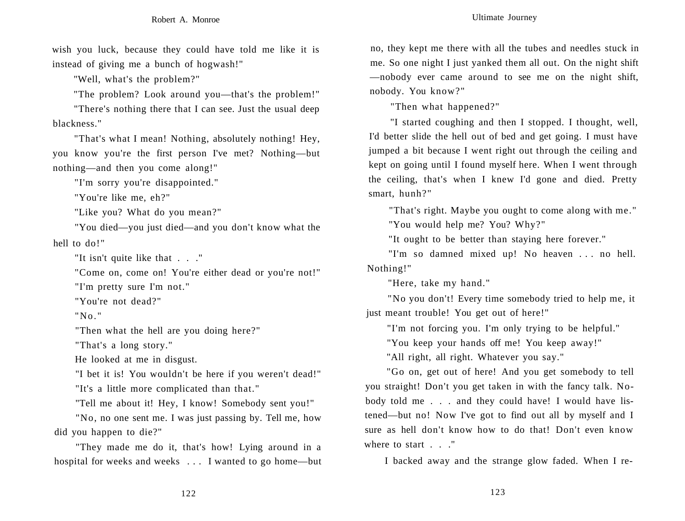wish you luck, because they could have told me like it is instead of giving me a bunch of hogwash!"

"Well, what's the problem?"

"The problem? Look around you—that's the problem!"

"There's nothing there that I can see. Just the usual deep blackness."

"That's what I mean! Nothing, absolutely nothing! Hey, you know you're the first person I've met? Nothing—but nothing—and then you come along!"

"I'm sorry you're disappointed."

"You're like me, eh?"

"Like you? What do you mean?"

"You died—you just died—and you don't know what the hell to do!"

"It isn't quite like that . . ."

"Come on, come on! You're either dead or you're not!" "I'm pretty sure I'm not."

"You're not dead?"

"No. "

"Then what the hell are you doing here?"

"That's a long story."

He looked at me in disgust.

"I bet it is! You wouldn't be here if you weren't dead!" "It's a little more complicated than that."

"Tell me about it! Hey, I know! Somebody sent you!"

"No, no one sent me. I was just passing by. Tell me, how did you happen to die?"

"They made me do it, that's how! Lying around in a hospital for weeks and weeks .. . I wanted to go home—but no, they kept me there with all the tubes and needles stuck in me. So one night I just yanked them all out. On the night shift —nobody ever came around to see me on the night shift, nobody. You know?"

"Then what happened?"

"I started coughing and then I stopped. I thought, well, I'd better slide the hell out of bed and get going. I must have jumped a bit because I went right out through the ceiling and kept on going until I found myself here. When I went through the ceiling, that's when I knew I'd gone and died. Pretty smart, hunh?"

"That's right. Maybe you ought to come along with me." "You would help me? You? Why?"

"It ought to be better than staying here forever."

"I'm so damned mixed up! No heaven .. . no hell. Nothing!"

"Here, take my hand."

"No you don't! Every time somebody tried to help me, it just meant trouble! You get out of here!"

"I'm not forcing you. I'm only trying to be helpful."

"You keep your hands off me! You keep away!"

"All right, all right. Whatever you say."

"Go on, get out of here! And you get somebody to tell you straight! Don't you get taken in with the fancy talk. Nobody told me . . . and they could have! I would have listened—but no! Now I've got to find out all by myself and I sure as hell don't know how to do that! Don't even know where to start . . . "

I backed away and the strange glow faded. When I re-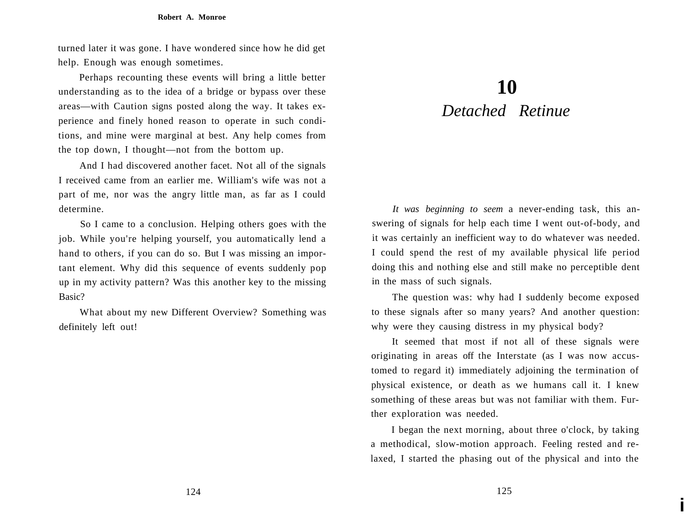### **Robert A. Monroe**

turned later it was gone. I have wondered since how he did get help. Enough was enough sometimes.

Perhaps recounting these events will bring a little better understanding as to the idea of a bridge or bypass over these areas—with Caution signs posted along the way. It takes experience and finely honed reason to operate in such conditions, and mine were marginal at best. Any help comes from the top down, I thought—not from the bottom up.

And I had discovered another facet. Not all of the signals I received came from an earlier me. William's wife was not a part of me, nor was the angry little man, as far as I could determine.

So I came to a conclusion. Helping others goes with the job. While you're helping yourself, you automatically lend a hand to others, if you can do so. But I was missing an important element. Why did this sequence of events suddenly pop up in my activity pattern? Was this another key to the missing Basic?

What about my new Different Overview? Something was definitely left out!

# **10**  *Detached Retinue*

*It was beginning to seem* a never-ending task, this answering of signals for help each time I went out-of-body, and it was certainly an inefficient way to do whatever was needed. I could spend the rest of my available physical life period doing this and nothing else and still make no perceptible dent in the mass of such signals.

The question was: why had I suddenly become exposed to these signals after so many years? And another question: why were they causing distress in my physical body?

It seemed that most if not all of these signals were originating in areas off the Interstate (as I was now accustomed to regard it) immediately adjoining the termination of physical existence, or death as we humans call it. I knew something of these areas but was not familiar with them. Further exploration was needed.

I began the next morning, about three o'clock, by taking a methodical, slow-motion approach. Feeling rested and relaxed, I started the phasing out of the physical and into the

**i**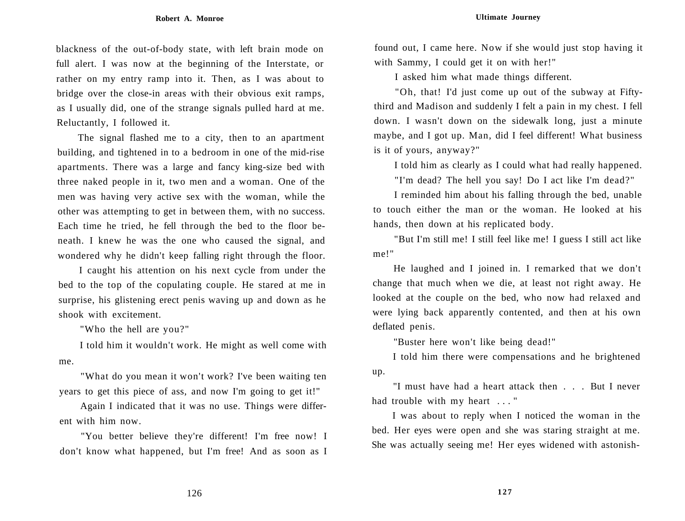blackness of the out-of-body state, with left brain mode on full alert. I was now at the beginning of the Interstate, or rather on my entry ramp into it. Then, as I was about to bridge over the close-in areas with their obvious exit ramps, as I usually did, one of the strange signals pulled hard at me. Reluctantly, I followed it.

The signal flashed me to a city, then to an apartment building, and tightened in to a bedroom in one of the mid-rise apartments. There was a large and fancy king-size bed with three naked people in it, two men and a woman. One of the men was having very active sex with the woman, while the other was attempting to get in between them, with no success. Each time he tried, he fell through the bed to the floor beneath. I knew he was the one who caused the signal, and wondered why he didn't keep falling right through the floor.

I caught his attention on his next cycle from under the bed to the top of the copulating couple. He stared at me in surprise, his glistening erect penis waving up and down as he shook with excitement.

"Who the hell are you?"

I told him it wouldn't work. He might as well come with me.

"What do you mean it won't work? I've been waiting ten years to get this piece of ass, and now I'm going to get it!"

Again I indicated that it was no use. Things were different with him now.

"You better believe they're different! I'm free now! I don't know what happened, but I'm free! And as soon as I found out, I came here. Now if she would just stop having it with Sammy, I could get it on with her!"

I asked him what made things different.

"Oh, that! I'd just come up out of the subway at Fiftythird and Madison and suddenly I felt a pain in my chest. I fell down. I wasn't down on the sidewalk long, just a minute maybe, and I got up. Man, did I feel different! What business is it of yours, anyway?"

I told him as clearly as I could what had really happened.

"I'm dead? The hell you say! Do I act like I'm dead?"

I reminded him about his falling through the bed, unable to touch either the man or the woman. He looked at his hands, then down at his replicated body.

"But I'm still me! I still feel like me! I guess I still act like me!"

He laughed and I joined in. I remarked that we don't change that much when we die, at least not right away. He looked at the couple on the bed, who now had relaxed and were lying back apparently contented, and then at his own deflated penis.

"Buster here won't like being dead!"

I told him there were compensations and he brightened up.

"I must have had a heart attack then . . . But I never had trouble with my heart ... "

I was about to reply when I noticed the woman in the bed. Her eyes were open and she was staring straight at me. She was actually seeing me! Her eyes widened with astonish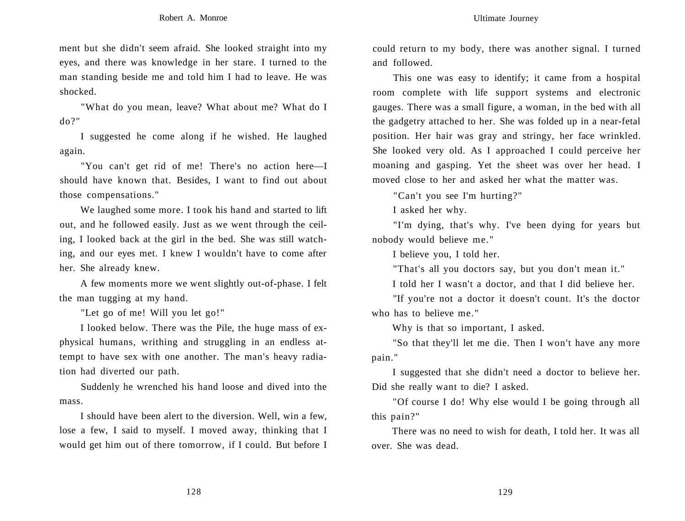ment but she didn't seem afraid. She looked straight into my eyes, and there was knowledge in her stare. I turned to the man standing beside me and told him I had to leave. He was shocked.

"What do you mean, leave? What about me? What do I do?"

I suggested he come along if he wished. He laughed again.

"You can't get rid of me! There's no action here—I should have known that. Besides, I want to find out about those compensations."

We laughed some more. I took his hand and started to lift out, and he followed easily. Just as we went through the ceiling, I looked back at the girl in the bed. She was still watching, and our eyes met. I knew I wouldn't have to come after her. She already knew.

A few moments more we went slightly out-of-phase. I felt the man tugging at my hand.

"Let go of me! Will you let go!"

I looked below. There was the Pile, the huge mass of exphysical humans, writhing and struggling in an endless attempt to have sex with one another. The man's heavy radiation had diverted our path.

Suddenly he wrenched his hand loose and dived into the mass.

I should have been alert to the diversion. Well, win a few, lose a few, I said to myself. I moved away, thinking that I would get him out of there tomorrow, if I could. But before I could return to my body, there was another signal. I turned and followed.

This one was easy to identify; it came from a hospital room complete with life support systems and electronic gauges. There was a small figure, a woman, in the bed with all the gadgetry attached to her. She was folded up in a near-fetal position. Her hair was gray and stringy, her face wrinkled. She looked very old. As I approached I could perceive her moaning and gasping. Yet the sheet was over her head. I moved close to her and asked her what the matter was.

"Can't you see I'm hurting?"

I asked her why.

"I'm dying, that's why. I've been dying for years but nobody would believe me."

I believe you, I told her.

"That's all you doctors say, but you don't mean it."

I told her I wasn't a doctor, and that I did believe her.

"If you're not a doctor it doesn't count. It's the doctor who has to believe me."

Why is that so important, I asked.

"So that they'll let me die. Then I won't have any more pain."

I suggested that she didn't need a doctor to believe her. Did she really want to die? I asked.

"Of course I do! Why else would I be going through all this pain?"

There was no need to wish for death, I told her. It was all over. She was dead.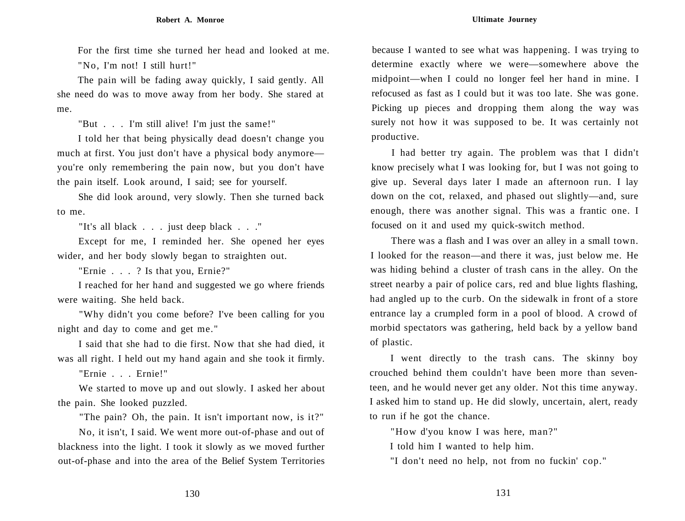For the first time she turned her head and looked at me. "No, I'm not! I still hurt!"

The pain will be fading away quickly, I said gently. All she need do was to move away from her body. She stared at me.

"But . . . I'm still alive! I'm just the same!"

I told her that being physically dead doesn't change you much at first. You just don't have a physical body anymore you're only remembering the pain now, but you don't have the pain itself. Look around, I said; see for yourself.

She did look around, very slowly. Then she turned back to me.

"It's all black . . . just deep black . . ."

Except for me, I reminded her. She opened her eyes wider, and her body slowly began to straighten out.

"Ernie . . . ? Is that you, Ernie?"

I reached for her hand and suggested we go where friends were waiting. She held back.

"Why didn't you come before? I've been calling for you night and day to come and get me."

I said that she had to die first. Now that she had died, it was all right. I held out my hand again and she took it firmly.

"Ernie . . . Ernie!"

We started to move up and out slowly. I asked her about the pain. She looked puzzled.

"The pain? Oh, the pain. It isn't important now, is it?"

No, it isn't, I said. We went more out-of-phase and out of blackness into the light. I took it slowly as we moved further out-of-phase and into the area of the Belief System Territories

because I wanted to see what was happening. I was trying to determine exactly where we were—somewhere above the midpoint—when I could no longer feel her hand in mine. I refocused as fast as I could but it was too late. She was gone. Picking up pieces and dropping them along the way was surely not how it was supposed to be. It was certainly not productive.

I had better try again. The problem was that I didn't know precisely what I was looking for, but I was not going to give up. Several days later I made an afternoon run. I lay down on the cot, relaxed, and phased out slightly—and, sure enough, there was another signal. This was a frantic one. I focused on it and used my quick-switch method.

There was a flash and I was over an alley in a small town. I looked for the reason—and there it was, just below me. He was hiding behind a cluster of trash cans in the alley. On the street nearby a pair of police cars, red and blue lights flashing, had angled up to the curb. On the sidewalk in front of a store entrance lay a crumpled form in a pool of blood. A crowd of morbid spectators was gathering, held back by a yellow band of plastic.

I went directly to the trash cans. The skinny boy crouched behind them couldn't have been more than seventeen, and he would never get any older. Not this time anyway. I asked him to stand up. He did slowly, uncertain, alert, ready to run if he got the chance.

"How d'you know I was here, man?"

I told him I wanted to help him.

"I don't need no help, not from no fuckin' cop."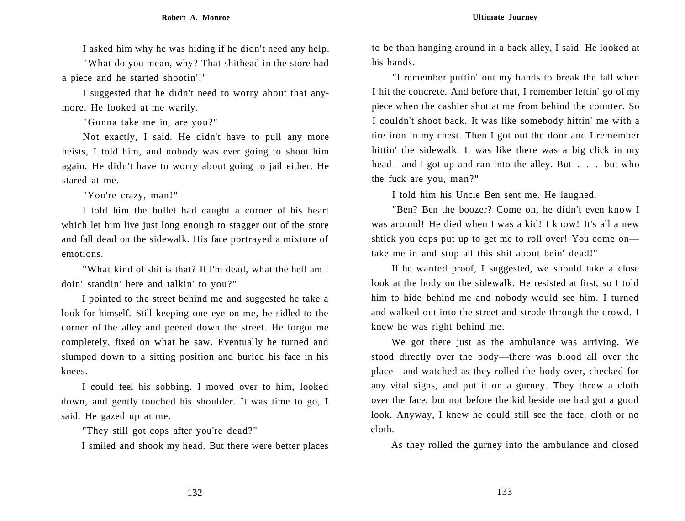#### **Ultimate Journey**

I asked him why he was hiding if he didn't need any help.

"What do you mean, why? That shithead in the store had a piece and he started shootin'!"

I suggested that he didn't need to worry about that anymore. He looked at me warily.

"Gonna take me in, are you?"

Not exactly, I said. He didn't have to pull any more heists, I told him, and nobody was ever going to shoot him again. He didn't have to worry about going to jail either. He stared at me.

"You're crazy, man!"

I told him the bullet had caught a corner of his heart which let him live just long enough to stagger out of the store and fall dead on the sidewalk. His face portrayed a mixture of emotions.

"What kind of shit is that? If I'm dead, what the hell am I doin' standin' here and talkin' to you?"

I pointed to the street behind me and suggested he take a look for himself. Still keeping one eye on me, he sidled to the corner of the alley and peered down the street. He forgot me completely, fixed on what he saw. Eventually he turned and slumped down to a sitting position and buried his face in his knees.

I could feel his sobbing. I moved over to him, looked down, and gently touched his shoulder. It was time to go, I said. He gazed up at me.

"They still got cops after you're dead?"

I smiled and shook my head. But there were better places

to be than hanging around in a back alley, I said. He looked at his hands.

"I remember puttin' out my hands to break the fall when I hit the concrete. And before that, I remember lettin' go of my piece when the cashier shot at me from behind the counter. So I couldn't shoot back. It was like somebody hittin' me with a tire iron in my chest. Then I got out the door and I remember hittin' the sidewalk. It was like there was a big click in my head—and I got up and ran into the alley. But . . . but who the fuck are you, man?"

I told him his Uncle Ben sent me. He laughed.

"Ben? Ben the boozer? Come on, he didn't even know I was around! He died when I was a kid! I know! It's all a new shtick you cops put up to get me to roll over! You come on take me in and stop all this shit about bein' dead!"

If he wanted proof, I suggested, we should take a close look at the body on the sidewalk. He resisted at first, so I told him to hide behind me and nobody would see him. I turned and walked out into the street and strode through the crowd. I knew he was right behind me.

We got there just as the ambulance was arriving. We stood directly over the body—there was blood all over the place—and watched as they rolled the body over, checked for any vital signs, and put it on a gurney. They threw a cloth over the face, but not before the kid beside me had got a good look. Anyway, I knew he could still see the face, cloth or no cloth.

As they rolled the gurney into the ambulance and closed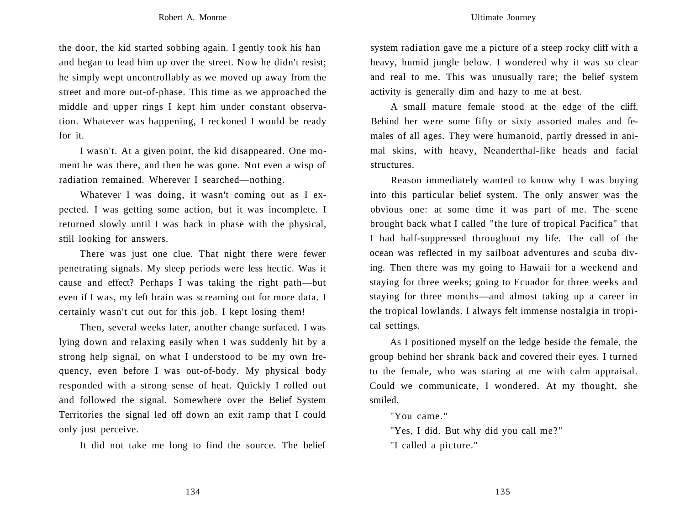the door, the kid started sobbing again. I gently took his han and began to lead him up over the street. Now he didn't resist; he simply wept uncontrollably as we moved up away from the street and more out-of-phase. This time as we approached the middle and upper rings I kept him under constant observation. Whatever was happening, I reckoned I would be ready for it.

I wasn't. At a given point, the kid disappeared. One moment he was there, and then he was gone. Not even a wisp of radiation remained. Wherever I searched—nothing.

Whatever I was doing, it wasn't coming out as I expected. I was getting some action, but it was incomplete. I returned slowly until I was back in phase with the physical, still looking for answers.

There was just one clue. That night there were fewer penetrating signals. My sleep periods were less hectic. Was it cause and effect? Perhaps I was taking the right path—but even if I was, my left brain was screaming out for more data. I certainly wasn't cut out for this job. I kept losing them!

Then, several weeks later, another change surfaced. I was lying down and relaxing easily when I was suddenly hit by a strong help signal, on what I understood to be my own frequency, even before I was out-of-body. My physical body responded with a strong sense of heat. Quickly I rolled out and followed the signal. Somewhere over the Belief System Territories the signal led off down an exit ramp that I could only just perceive.

It did not take me long to find the source. The belief

system radiation gave me a picture of a steep rocky cliff with a heavy, humid jungle below. I wondered why it was so clear and real to me. This was unusually rare; the belief system activity is generally dim and hazy to me at best.

A small mature female stood at the edge of the cliff. Behind her were some fifty or sixty assorted males and females of all ages. They were humanoid, partly dressed in animal skins, with heavy, Neanderthal-like heads and facial structures.

Reason immediately wanted to know why I was buying into this particular belief system. The only answer was the obvious one: at some time it was part of me. The scene brought back what I called "the lure of tropical Pacifica" that I had half-suppressed throughout my life. The call of the ocean was reflected in my sailboat adventures and scuba diving. Then there was my going to Hawaii for a weekend and staying for three weeks; going to Ecuador for three weeks and staying for three months—and almost taking up a career in the tropical lowlands. I always felt immense nostalgia in tropical settings.

As I positioned myself on the ledge beside the female, the group behind her shrank back and covered their eyes. I turned to the female, who was staring at me with calm appraisal. Could we communicate, I wondered. At my thought, she smiled.

"You came."

"Yes, I did. But why did you call me?"

"I called a picture."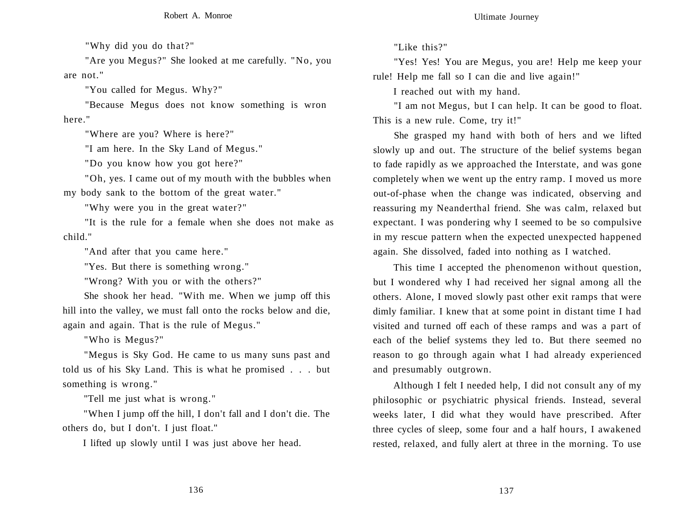"Why did you do that?"

"Are you Megus?" She looked at me carefully. "No, you are not."

"You called for Megus. Why?"

"Because Megus does not know something is wron here."

"Where are you? Where is here?"

"I am here. In the Sky Land of Megus."

"Do you know how you got here?"

"Oh, yes. I came out of my mouth with the bubbles when my body sank to the bottom of the great water."

"Why were you in the great water?"

"It is the rule for a female when she does not make as child."

"And after that you came here."

"Yes. But there is something wrong."

"Wrong? With you or with the others?"

She shook her head. "With me. When we jump off this hill into the valley, we must fall onto the rocks below and die, again and again. That is the rule of Megus."

"Who is Megus?"

"Megus is Sky God. He came to us many suns past and told us of his Sky Land. This is what he promised . . . but something is wrong."

"Tell me just what is wrong."

"When I jump off the hill, I don't fall and I don't die. The others do, but I don't. I just float."

I lifted up slowly until I was just above her head.

"Like this?"

"Yes! Yes! You are Megus, you are! Help me keep your rule! Help me fall so I can die and live again!"

I reached out with my hand.

"I am not Megus, but I can help. It can be good to float. This is a new rule. Come, try it!"

She grasped my hand with both of hers and we lifted slowly up and out. The structure of the belief systems began to fade rapidly as we approached the Interstate, and was gone completely when we went up the entry ramp. I moved us more out-of-phase when the change was indicated, observing and reassuring my Neanderthal friend. She was calm, relaxed but expectant. I was pondering why I seemed to be so compulsive in my rescue pattern when the expected unexpected happened again. She dissolved, faded into nothing as I watched.

This time I accepted the phenomenon without question, but I wondered why I had received her signal among all the others. Alone, I moved slowly past other exit ramps that were dimly familiar. I knew that at some point in distant time I had visited and turned off each of these ramps and was a part of each of the belief systems they led to. But there seemed no reason to go through again what I had already experienced and presumably outgrown.

Although I felt I needed help, I did not consult any of my philosophic or psychiatric physical friends. Instead, several weeks later, I did what they would have prescribed. After three cycles of sleep, some four and a half hours, I awakened rested, relaxed, and fully alert at three in the morning. To use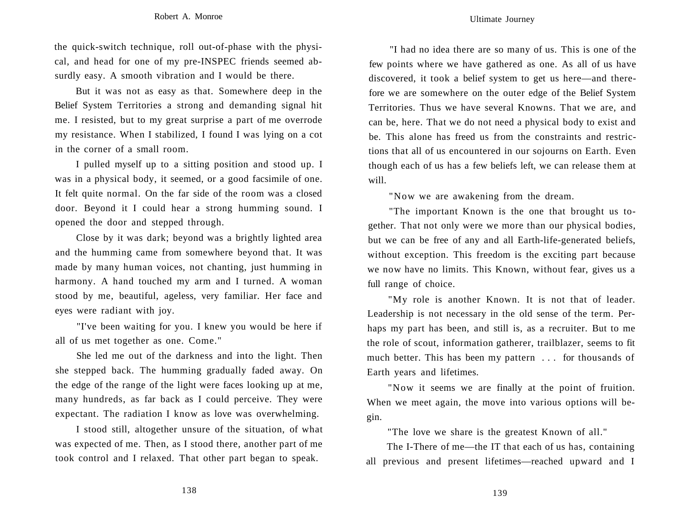Ultimate Journey

the quick-switch technique, roll out-of-phase with the physical, and head for one of my pre-INSPEC friends seemed absurdly easy. A smooth vibration and I would be there.

But it was not as easy as that. Somewhere deep in the Belief System Territories a strong and demanding signal hit me. I resisted, but to my great surprise a part of me overrode my resistance. When I stabilized, I found I was lying on a cot in the corner of a small room.

I pulled myself up to a sitting position and stood up. I was in a physical body, it seemed, or a good facsimile of one. It felt quite normal. On the far side of the room was a closed door. Beyond it I could hear a strong humming sound. I opened the door and stepped through.

Close by it was dark; beyond was a brightly lighted area and the humming came from somewhere beyond that. It was made by many human voices, not chanting, just humming in harmony. A hand touched my arm and I turned. A woman stood by me, beautiful, ageless, very familiar. Her face and eyes were radiant with joy.

"I've been waiting for you. I knew you would be here if all of us met together as one. Come."

She led me out of the darkness and into the light. Then she stepped back. The humming gradually faded away. On the edge of the range of the light were faces looking up at me, many hundreds, as far back as I could perceive. They were expectant. The radiation I know as love was overwhelming.

I stood still, altogether unsure of the situation, of what was expected of me. Then, as I stood there, another part of me took control and I relaxed. That other part began to speak.

"I had no idea there are so many of us. This is one of the few points where we have gathered as one. As all of us have discovered, it took a belief system to get us here—and therefore we are somewhere on the outer edge of the Belief System Territories. Thus we have several Knowns. That we are, and can be, here. That we do not need a physical body to exist and be. This alone has freed us from the constraints and restrictions that all of us encountered in our sojourns on Earth. Even though each of us has a few beliefs left, we can release them at will.

"Now we are awakening from the dream.

"The important Known is the one that brought us together. That not only were we more than our physical bodies, but we can be free of any and all Earth-life-generated beliefs, without exception. This freedom is the exciting part because we now have no limits. This Known, without fear, gives us a full range of choice.

"My role is another Known. It is not that of leader. Leadership is not necessary in the old sense of the term. Perhaps my part has been, and still is, as a recruiter. But to me the role of scout, information gatherer, trailblazer, seems to fit much better. This has been my pattern .. . for thousands of Earth years and lifetimes.

"Now it seems we are finally at the point of fruition. When we meet again, the move into various options will begin.

"The love we share is the greatest Known of all."

The I-There of me—the IT that each of us has, containing all previous and present lifetimes—reached upward and I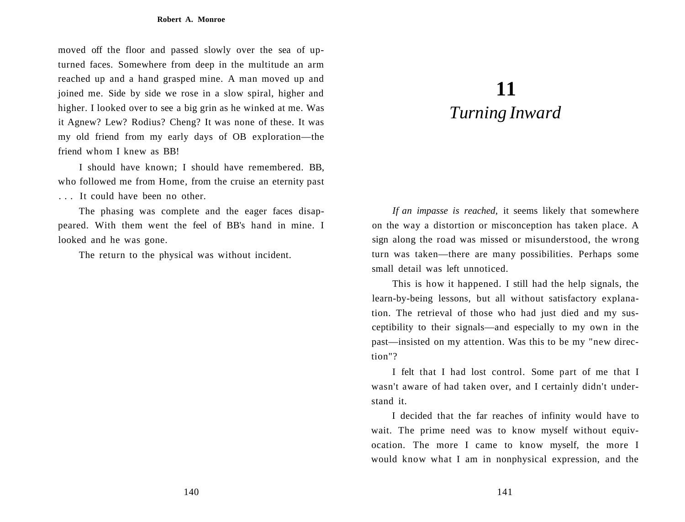#### **Robert A. Monroe**

moved off the floor and passed slowly over the sea of upturned faces. Somewhere from deep in the multitude an arm reached up and a hand grasped mine. A man moved up and joined me. Side by side we rose in a slow spiral, higher and higher. I looked over to see a big grin as he winked at me. Was it Agnew? Lew? Rodius? Cheng? It was none of these. It was my old friend from my early days of OB exploration—the friend whom I knew as BB!

I should have known; I should have remembered. BB, who followed me from Home, from the cruise an eternity past . . . It could have been no other.

The phasing was complete and the eager faces disappeared. With them went the feel of BB's hand in mine. I looked and he was gone.

The return to the physical was without incident.

# **11**  *Turning Inward*

*If an impasse is reached,* it seems likely that somewhere on the way a distortion or misconception has taken place. A sign along the road was missed or misunderstood, the wrong turn was taken—there are many possibilities. Perhaps some small detail was left unnoticed.

This is how it happened. I still had the help signals, the learn-by-being lessons, but all without satisfactory explanation. The retrieval of those who had just died and my susceptibility to their signals—and especially to my own in the past—insisted on my attention. Was this to be my "new direction"?

I felt that I had lost control. Some part of me that I wasn't aware of had taken over, and I certainly didn't understand it.

I decided that the far reaches of infinity would have to wait. The prime need was to know myself without equivocation. The more I came to know myself, the more I would know what I am in nonphysical expression, and the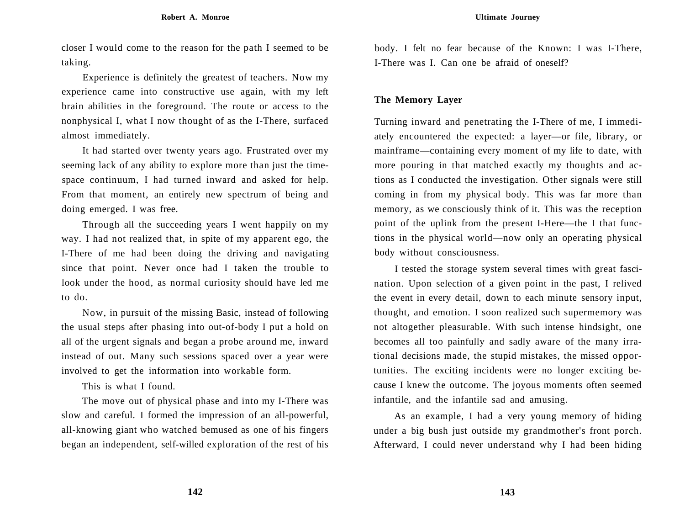**Ultimate Journey** 

closer I would come to the reason for the path I seemed to be taking.

Experience is definitely the greatest of teachers. Now my experience came into constructive use again, with my left brain abilities in the foreground. The route or access to the nonphysical I, what I now thought of as the I-There, surfaced almost immediately.

It had started over twenty years ago. Frustrated over my seeming lack of any ability to explore more than just the timespace continuum, I had turned inward and asked for help. From that moment, an entirely new spectrum of being and doing emerged. I was free.

Through all the succeeding years I went happily on my way. I had not realized that, in spite of my apparent ego, the I-There of me had been doing the driving and navigating since that point. Never once had I taken the trouble to look under the hood, as normal curiosity should have led me to do.

Now, in pursuit of the missing Basic, instead of following the usual steps after phasing into out-of-body I put a hold on all of the urgent signals and began a probe around me, inward instead of out. Many such sessions spaced over a year were involved to get the information into workable form.

This is what I found.

The move out of physical phase and into my I-There was slow and careful. I formed the impression of an all-powerful, all-knowing giant who watched bemused as one of his fingers began an independent, self-willed exploration of the rest of his body. I felt no fear because of the Known: I was I-There, I-There was I. Can one be afraid of oneself?

## **The Memory Layer**

Turning inward and penetrating the I-There of me, I immediately encountered the expected: a layer—or file, library, or mainframe—containing every moment of my life to date, with more pouring in that matched exactly my thoughts and actions as I conducted the investigation. Other signals were still coming in from my physical body. This was far more than memory, as we consciously think of it. This was the reception point of the uplink from the present I-Here—the I that functions in the physical world—now only an operating physical body without consciousness.

I tested the storage system several times with great fascination. Upon selection of a given point in the past, I relived the event in every detail, down to each minute sensory input, thought, and emotion. I soon realized such supermemory was not altogether pleasurable. With such intense hindsight, one becomes all too painfully and sadly aware of the many irrational decisions made, the stupid mistakes, the missed opportunities. The exciting incidents were no longer exciting because I knew the outcome. The joyous moments often seemed infantile, and the infantile sad and amusing.

As an example, I had a very young memory of hiding under a big bush just outside my grandmother's front porch. Afterward, I could never understand why I had been hiding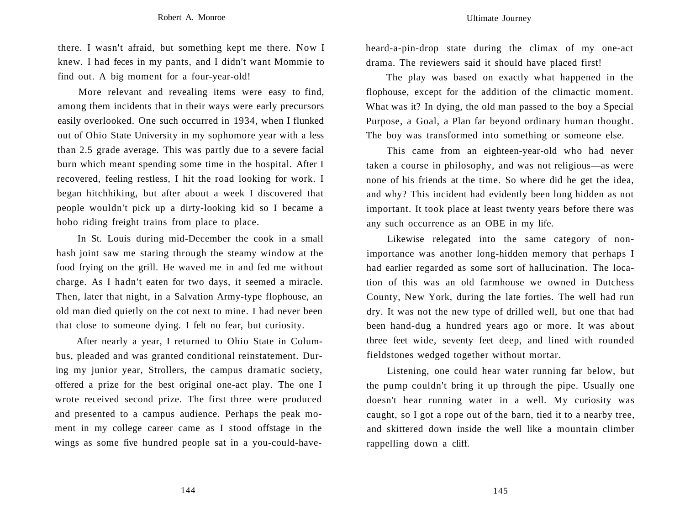there. I wasn't afraid, but something kept me there. Now I knew. I had feces in my pants, and I didn't want Mommie to find out. A big moment for a four-year-old!

More relevant and revealing items were easy to find, among them incidents that in their ways were early precursors easily overlooked. One such occurred in 1934, when I flunked out of Ohio State University in my sophomore year with a less than 2.5 grade average. This was partly due to a severe facial burn which meant spending some time in the hospital. After I recovered, feeling restless, I hit the road looking for work. I began hitchhiking, but after about a week I discovered that people wouldn't pick up a dirty-looking kid so I became a hobo riding freight trains from place to place.

In St. Louis during mid-December the cook in a small hash joint saw me staring through the steamy window at the food frying on the grill. He waved me in and fed me without charge. As I hadn't eaten for two days, it seemed a miracle. Then, later that night, in a Salvation Army-type flophouse, an old man died quietly on the cot next to mine. I had never been that close to someone dying. I felt no fear, but curiosity.

After nearly a year, I returned to Ohio State in Columbus, pleaded and was granted conditional reinstatement. During my junior year, Strollers, the campus dramatic society, offered a prize for the best original one-act play. The one I wrote received second prize. The first three were produced and presented to a campus audience. Perhaps the peak moment in my college career came as I stood offstage in the wings as some five hundred people sat in a you-could-haveheard-a-pin-drop state during the climax of my one-act drama. The reviewers said it should have placed first!

The play was based on exactly what happened in the flophouse, except for the addition of the climactic moment. What was it? In dying, the old man passed to the boy a Special Purpose, a Goal, a Plan far beyond ordinary human thought. The boy was transformed into something or someone else.

This came from an eighteen-year-old who had never taken a course in philosophy, and was not religious—as were none of his friends at the time. So where did he get the idea, and why? This incident had evidently been long hidden as not important. It took place at least twenty years before there was any such occurrence as an OBE in my life.

Likewise relegated into the same category of nonimportance was another long-hidden memory that perhaps I had earlier regarded as some sort of hallucination. The location of this was an old farmhouse we owned in Dutchess County, New York, during the late forties. The well had run dry. It was not the new type of drilled well, but one that had been hand-dug a hundred years ago or more. It was about three feet wide, seventy feet deep, and lined with rounded fieldstones wedged together without mortar.

Listening, one could hear water running far below, but the pump couldn't bring it up through the pipe. Usually one doesn't hear running water in a well. My curiosity was caught, so I got a rope out of the barn, tied it to a nearby tree, and skittered down inside the well like a mountain climber rappelling down a cliff.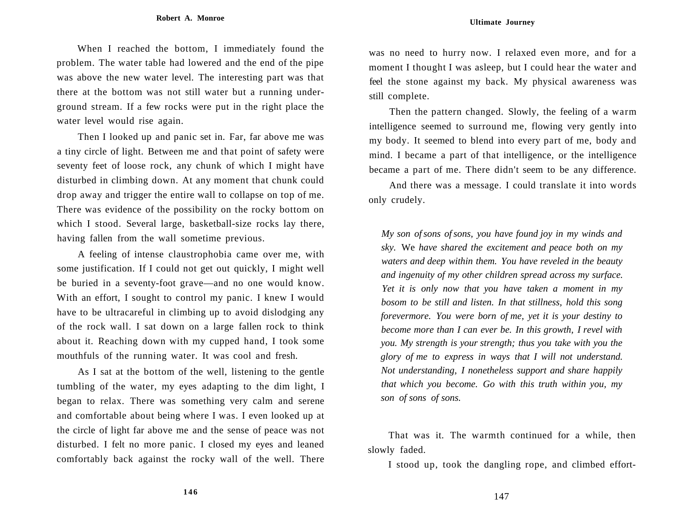When I reached the bottom, I immediately found the problem. The water table had lowered and the end of the pipe was above the new water level. The interesting part was that there at the bottom was not still water but a running underground stream. If a few rocks were put in the right place the water level would rise again.

Then I looked up and panic set in. Far, far above me was a tiny circle of light. Between me and that point of safety were seventy feet of loose rock, any chunk of which I might have disturbed in climbing down. At any moment that chunk could drop away and trigger the entire wall to collapse on top of me. There was evidence of the possibility on the rocky bottom on which I stood. Several large, basketball-size rocks lay there, having fallen from the wall sometime previous.

A feeling of intense claustrophobia came over me, with some justification. If I could not get out quickly, I might well be buried in a seventy-foot grave—and no one would know. With an effort, I sought to control my panic. I knew I would have to be ultracareful in climbing up to avoid dislodging any of the rock wall. I sat down on a large fallen rock to think about it. Reaching down with my cupped hand, I took some mouthfuls of the running water. It was cool and fresh.

As I sat at the bottom of the well, listening to the gentle tumbling of the water, my eyes adapting to the dim light, I began to relax. There was something very calm and serene and comfortable about being where I was. I even looked up at the circle of light far above me and the sense of peace was not disturbed. I felt no more panic. I closed my eyes and leaned comfortably back against the rocky wall of the well. There was no need to hurry now. I relaxed even more, and for a moment I thought I was asleep, but I could hear the water and feel the stone against my back. My physical awareness was still complete.

Then the pattern changed. Slowly, the feeling of a warm intelligence seemed to surround me, flowing very gently into my body. It seemed to blend into every part of me, body and mind. I became a part of that intelligence, or the intelligence became a part of me. There didn't seem to be any difference.

And there was a message. I could translate it into words only crudely.

*My son of sons of sons, you have found joy in my winds and sky.* We *have shared the excitement and peace both on my waters and deep within them. You have reveled in the beauty and ingenuity of my other children spread across my surface. Yet it is only now that you have taken a moment in my bosom to be still and listen. In that stillness, hold this song forevermore. You were born of me, yet it is your destiny to become more than I can ever be. In this growth, I revel with you. My strength is your strength; thus you take with you the glory of me to express in ways that I will not understand. Not understanding, I nonetheless support and share happily that which you become. Go with this truth within you, my son of sons of sons.* 

That was it. The warmth continued for a while, then slowly faded.

I stood up, took the dangling rope, and climbed effort-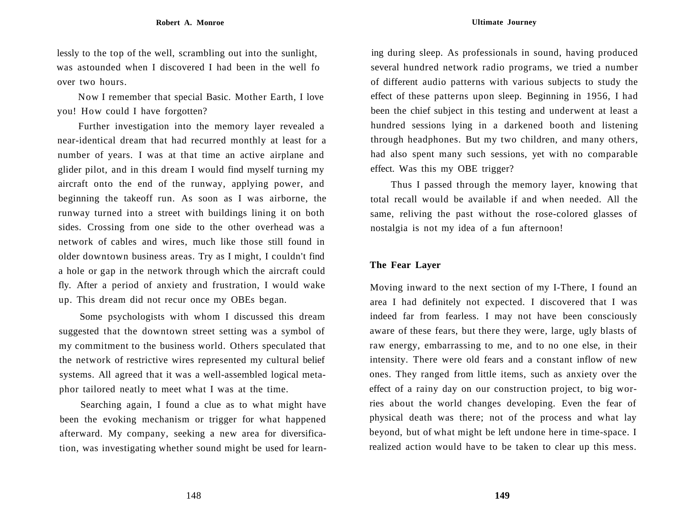lessly to the top of the well, scrambling out into the sunlight, was astounded when I discovered I had been in the well fo over two hours.

Now I remember that special Basic. Mother Earth, I love you! How could I have forgotten?

Further investigation into the memory layer revealed a near-identical dream that had recurred monthly at least for a number of years. I was at that time an active airplane and glider pilot, and in this dream I would find myself turning my aircraft onto the end of the runway, applying power, and beginning the takeoff run. As soon as I was airborne, the runway turned into a street with buildings lining it on both sides. Crossing from one side to the other overhead was a network of cables and wires, much like those still found in older downtown business areas. Try as I might, I couldn't find a hole or gap in the network through which the aircraft could fly. After a period of anxiety and frustration, I would wake up. This dream did not recur once my OBEs began.

Some psychologists with whom I discussed this dream suggested that the downtown street setting was a symbol of my commitment to the business world. Others speculated that the network of restrictive wires represented my cultural belief systems. All agreed that it was a well-assembled logical metaphor tailored neatly to meet what I was at the time.

Searching again, I found a clue as to what might have been the evoking mechanism or trigger for what happened afterward. My company, seeking a new area for diversification, was investigating whether sound might be used for learn-

ing during sleep. As professionals in sound, having produced several hundred network radio programs, we tried a number of different audio patterns with various subjects to study the effect of these patterns upon sleep. Beginning in 1956, I had been the chief subject in this testing and underwent at least a hundred sessions lying in a darkened booth and listening through headphones. But my two children, and many others, had also spent many such sessions, yet with no comparable effect. Was this my OBE trigger?

Thus I passed through the memory layer, knowing that total recall would be available if and when needed. All the same, reliving the past without the rose-colored glasses of nostalgia is not my idea of a fun afternoon!

### **The Fear Layer**

Moving inward to the next section of my I-There, I found an area I had definitely not expected. I discovered that I was indeed far from fearless. I may not have been consciously aware of these fears, but there they were, large, ugly blasts of raw energy, embarrassing to me, and to no one else, in their intensity. There were old fears and a constant inflow of new ones. They ranged from little items, such as anxiety over the effect of a rainy day on our construction project, to big worries about the world changes developing. Even the fear of physical death was there; not of the process and what lay beyond, but of what might be left undone here in time-space. I realized action would have to be taken to clear up this mess.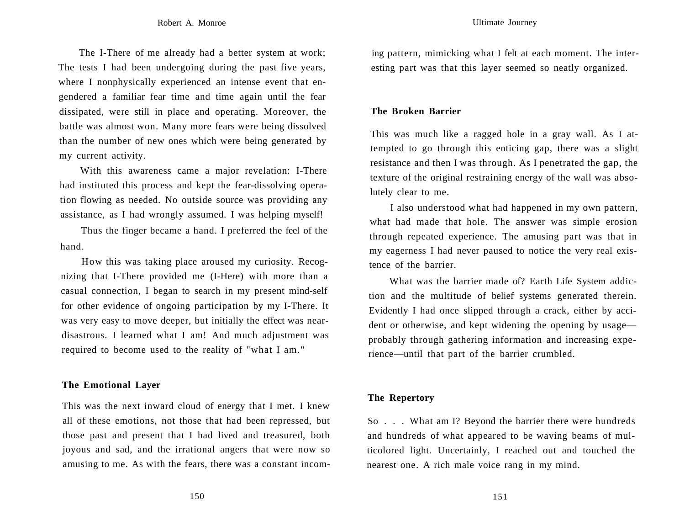The I-There of me already had a better system at work; The tests I had been undergoing during the past five years, where I nonphysically experienced an intense event that engendered a familiar fear time and time again until the fear dissipated, were still in place and operating. Moreover, the battle was almost won. Many more fears were being dissolved than the number of new ones which were being generated by my current activity.

With this awareness came a major revelation: I-There had instituted this process and kept the fear-dissolving operation flowing as needed. No outside source was providing any assistance, as I had wrongly assumed. I was helping myself!

Thus the finger became a hand. I preferred the feel of the hand.

How this was taking place aroused my curiosity. Recognizing that I-There provided me (I-Here) with more than a casual connection, I began to search in my present mind-self for other evidence of ongoing participation by my I-There. It was very easy to move deeper, but initially the effect was neardisastrous. I learned what I am! And much adjustment was required to become used to the reality of "what I am."

#### **The Emotional Layer**

This was the next inward cloud of energy that I met. I knew all of these emotions, not those that had been repressed, but those past and present that I had lived and treasured, both joyous and sad, and the irrational angers that were now so amusing to me. As with the fears, there was a constant incom-

ing pattern, mimicking what I felt at each moment. The interesting part was that this layer seemed so neatly organized.

#### **The Broken Barrier**

This was much like a ragged hole in a gray wall. As I attempted to go through this enticing gap, there was a slight resistance and then I was through. As I penetrated the gap, the texture of the original restraining energy of the wall was absolutely clear to me.

I also understood what had happened in my own pattern, what had made that hole. The answer was simple erosion through repeated experience. The amusing part was that in my eagerness I had never paused to notice the very real existence of the barrier.

What was the barrier made of? Earth Life System addiction and the multitude of belief systems generated therein. Evidently I had once slipped through a crack, either by accident or otherwise, and kept widening the opening by usage probably through gathering information and increasing experience—until that part of the barrier crumbled.

#### **The Repertory**

So . . . What am I? Beyond the barrier there were hundreds and hundreds of what appeared to be waving beams of multicolored light. Uncertainly, I reached out and touched the nearest one. A rich male voice rang in my mind.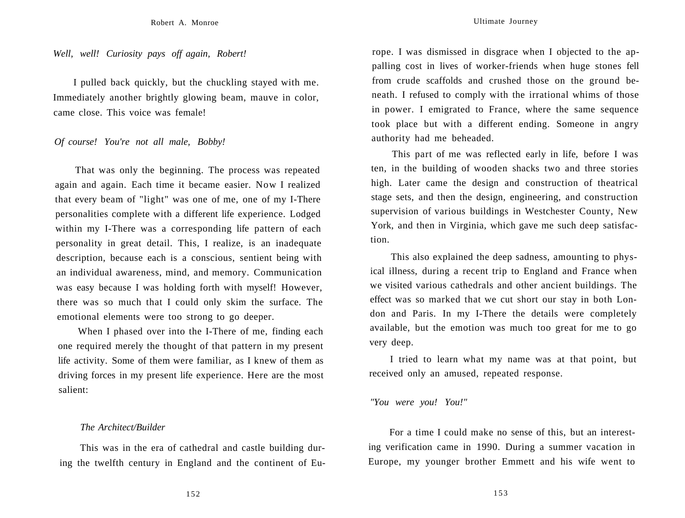Robert A. Monroe

#### *Well, well! Curiosity pays off again, Robert!*

I pulled back quickly, but the chuckling stayed with me. Immediately another brightly glowing beam, mauve in color, came close. This voice was female!

### *Of course! You're not all male, Bobby!*

That was only the beginning. The process was repeated again and again. Each time it became easier. Now I realized that every beam of "light" was one of me, one of my I-There personalities complete with a different life experience. Lodged within my I-There was a corresponding life pattern of each personality in great detail. This, I realize, is an inadequate description, because each is a conscious, sentient being with an individual awareness, mind, and memory. Communication was easy because I was holding forth with myself! However, there was so much that I could only skim the surface. The emotional elements were too strong to go deeper.

When I phased over into the I-There of me, finding each one required merely the thought of that pattern in my present life activity. Some of them were familiar, as I knew of them as driving forces in my present life experience. Here are the most salient:

#### *The Architect/Builder*

This was in the era of cathedral and castle building during the twelfth century in England and the continent of Eu-

rope. I was dismissed in disgrace when I objected to the appalling cost in lives of worker-friends when huge stones fell from crude scaffolds and crushed those on the ground beneath. I refused to comply with the irrational whims of those in power. I emigrated to France, where the same sequence took place but with a different ending. Someone in angry authority had me beheaded.

This part of me was reflected early in life, before I was ten, in the building of wooden shacks two and three stories high. Later came the design and construction of theatrical stage sets, and then the design, engineering, and construction supervision of various buildings in Westchester County, New York, and then in Virginia, which gave me such deep satisfaction.

This also explained the deep sadness, amounting to physical illness, during a recent trip to England and France when we visited various cathedrals and other ancient buildings. The effect was so marked that we cut short our stay in both London and Paris. In my I-There the details were completely available, but the emotion was much too great for me to go very deep.

I tried to learn what my name was at that point, but received only an amused, repeated response.

#### *"You were you! You!"*

For a time I could make no sense of this, but an interesting verification came in 1990. During a summer vacation in Europe, my younger brother Emmett and his wife went to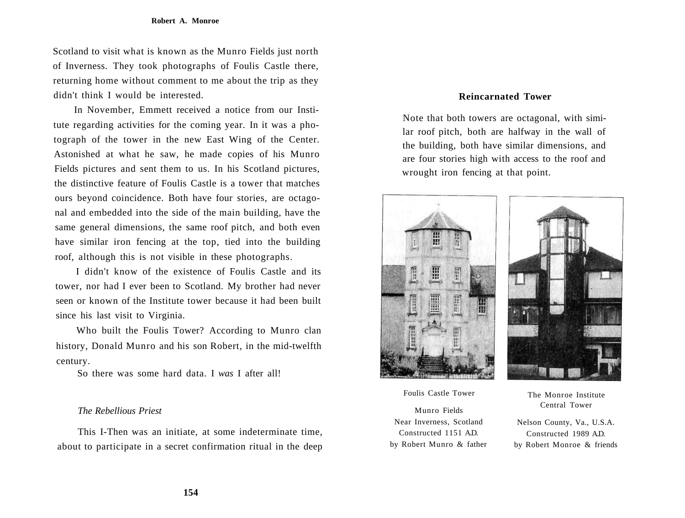#### **Robert A. Monroe**

Scotland to visit what is known as the Munro Fields just north of Inverness. They took photographs of Foulis Castle there, returning home without comment to me about the trip as they didn't think I would be interested.

In November, Emmett received a notice from our Institute regarding activities for the coming year. In it was a photograph of the tower in the new East Wing of the Center. Astonished at what he saw, he made copies of his Munro Fields pictures and sent them to us. In his Scotland pictures, the distinctive feature of Foulis Castle is a tower that matches ours beyond coincidence. Both have four stories, are octagonal and embedded into the side of the main building, have the same general dimensions, the same roof pitch, and both even have similar iron fencing at the top, tied into the building roof, although this is not visible in these photographs.

I didn't know of the existence of Foulis Castle and its tower, nor had I ever been to Scotland. My brother had never seen or known of the Institute tower because it had been built since his last visit to Virginia.

Who built the Foulis Tower? According to Munro clan history, Donald Munro and his son Robert, in the mid-twelfth century.

So there was some hard data. I *was* I after all!

### *The Rebellious Priest*

This I-Then was an initiate, at some indeterminate time, about to participate in a secret confirmation ritual in the deep

#### **Reincarnated Tower**

Note that both towers are octagonal, with similar roof pitch, both are halfway in the wall of the building, both have similar dimensions, and are four stories high with access to the roof and wrought iron fencing at that point.





Foulis Castle Tower

Munro Fields Near Inverness, Scotland Constructed 1151 A.D. by Robert Munro & father The Monroe Institute Central Tower

Nelson County, Va., U.S.A. Constructed 1989 A.D. by Robert Monroe & friends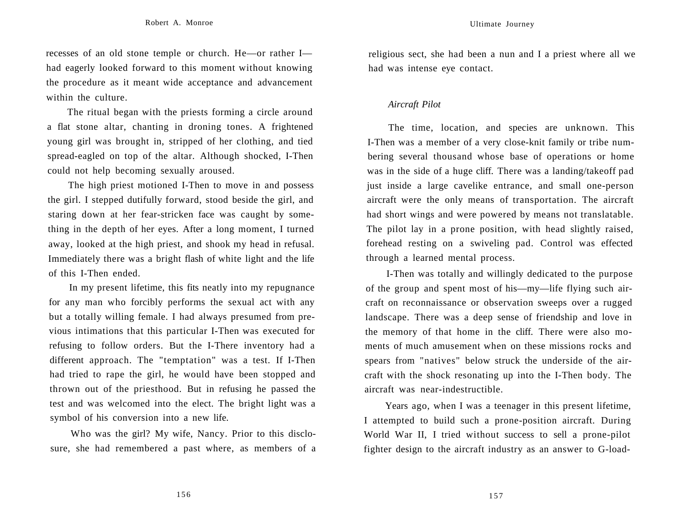recesses of an old stone temple or church. He—or rather I had eagerly looked forward to this moment without knowing the procedure as it meant wide acceptance and advancement within the culture.

The ritual began with the priests forming a circle around a flat stone altar, chanting in droning tones. A frightened young girl was brought in, stripped of her clothing, and tied spread-eagled on top of the altar. Although shocked, I-Then could not help becoming sexually aroused.

The high priest motioned I-Then to move in and possess the girl. I stepped dutifully forward, stood beside the girl, and staring down at her fear-stricken face was caught by something in the depth of her eyes. After a long moment, I turned away, looked at the high priest, and shook my head in refusal. Immediately there was a bright flash of white light and the life of this I-Then ended.

In my present lifetime, this fits neatly into my repugnance for any man who forcibly performs the sexual act with any but a totally willing female. I had always presumed from previous intimations that this particular I-Then was executed for refusing to follow orders. But the I-There inventory had a different approach. The "temptation" was a test. If I-Then had tried to rape the girl, he would have been stopped and thrown out of the priesthood. But in refusing he passed the test and was welcomed into the elect. The bright light was a symbol of his conversion into a new life.

Who was the girl? My wife, Nancy. Prior to this disclosure, she had remembered a past where, as members of a religious sect, she had been a nun and I a priest where all we had was intense eye contact.

#### *Aircraft Pilot*

The time, location, and species are unknown. This I-Then was a member of a very close-knit family or tribe numbering several thousand whose base of operations or home was in the side of a huge cliff. There was a landing/takeoff pad just inside a large cavelike entrance, and small one-person aircraft were the only means of transportation. The aircraft had short wings and were powered by means not translatable. The pilot lay in a prone position, with head slightly raised, forehead resting on a swiveling pad. Control was effected through a learned mental process.

I-Then was totally and willingly dedicated to the purpose of the group and spent most of his—my—life flying such aircraft on reconnaissance or observation sweeps over a rugged landscape. There was a deep sense of friendship and love in the memory of that home in the cliff. There were also moments of much amusement when on these missions rocks and spears from "natives" below struck the underside of the aircraft with the shock resonating up into the I-Then body. The aircraft was near-indestructible.

Years ago, when I was a teenager in this present lifetime, I attempted to build such a prone-position aircraft. During World War II, I tried without success to sell a prone-pilot fighter design to the aircraft industry as an answer to G-load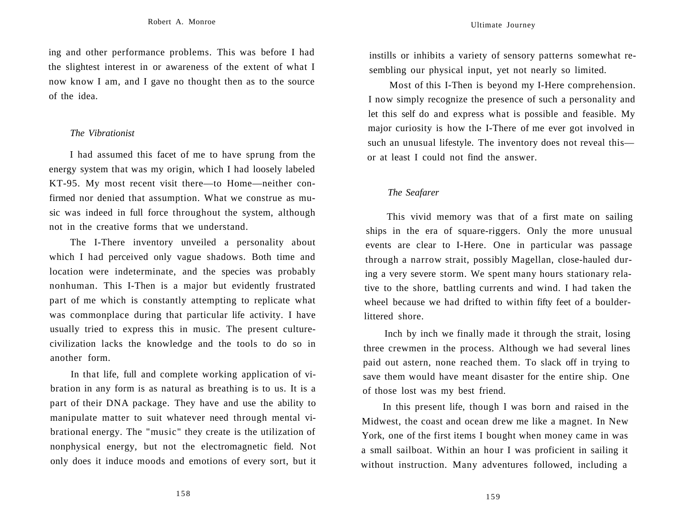ing and other performance problems. This was before I had the slightest interest in or awareness of the extent of what I now know I am, and I gave no thought then as to the source of the idea.

#### *The Vibrationist*

I had assumed this facet of me to have sprung from the energy system that was my origin, which I had loosely labeled KT-95. My most recent visit there—to Home—neither confirmed nor denied that assumption. What we construe as music was indeed in full force throughout the system, although not in the creative forms that we understand.

The I-There inventory unveiled a personality about which I had perceived only vague shadows. Both time and location were indeterminate, and the species was probably nonhuman. This I-Then is a major but evidently frustrated part of me which is constantly attempting to replicate what was commonplace during that particular life activity. I have usually tried to express this in music. The present culturecivilization lacks the knowledge and the tools to do so in another form.

In that life, full and complete working application of vibration in any form is as natural as breathing is to us. It is a part of their DNA package. They have and use the ability to manipulate matter to suit whatever need through mental vibrational energy. The "music" they create is the utilization of nonphysical energy, but not the electromagnetic field. Not only does it induce moods and emotions of every sort, but it instills or inhibits a variety of sensory patterns somewhat resembling our physical input, yet not nearly so limited.

Most of this I-Then is beyond my I-Here comprehension. I now simply recognize the presence of such a personality and let this self do and express what is possible and feasible. My major curiosity is how the I-There of me ever got involved in such an unusual lifestyle. The inventory does not reveal this or at least I could not find the answer.

### *The Seafarer*

This vivid memory was that of a first mate on sailing ships in the era of square-riggers. Only the more unusual events are clear to I-Here. One in particular was passage through a narrow strait, possibly Magellan, close-hauled during a very severe storm. We spent many hours stationary relative to the shore, battling currents and wind. I had taken the wheel because we had drifted to within fifty feet of a boulderlittered shore.

Inch by inch we finally made it through the strait, losing three crewmen in the process. Although we had several lines paid out astern, none reached them. To slack off in trying to save them would have meant disaster for the entire ship. One of those lost was my best friend.

In this present life, though I was born and raised in the Midwest, the coast and ocean drew me like a magnet. In New York, one of the first items I bought when money came in was a small sailboat. Within an hour I was proficient in sailing it without instruction. Many adventures followed, including a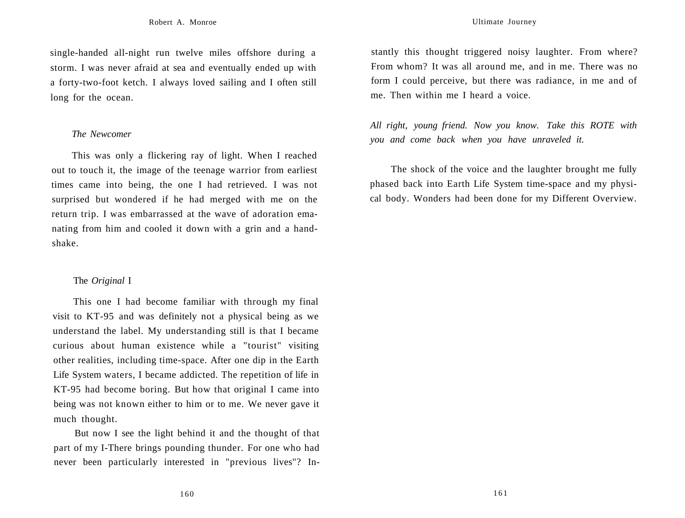Ultimate Journey

single-handed all-night run twelve miles offshore during a storm. I was never afraid at sea and eventually ended up with a forty-two-foot ketch. I always loved sailing and I often still long for the ocean.

#### *The Newcomer*

This was only a flickering ray of light. When I reached out to touch it, the image of the teenage warrior from earliest times came into being, the one I had retrieved. I was not surprised but wondered if he had merged with me on the return trip. I was embarrassed at the wave of adoration emanating from him and cooled it down with a grin and a handshake.

#### The *Original* I

This one I had become familiar with through my final visit to KT-95 and was definitely not a physical being as we understand the label. My understanding still is that I became curious about human existence while a "tourist" visiting other realities, including time-space. After one dip in the Earth Life System waters, I became addicted. The repetition of life in KT-95 had become boring. But how that original I came into being was not known either to him or to me. We never gave it much thought.

But now I see the light behind it and the thought of that part of my I-There brings pounding thunder. For one who had never been particularly interested in "previous lives"? Instantly this thought triggered noisy laughter. From where? From whom? It was all around me, and in me. There was no form I could perceive, but there was radiance, in me and of me. Then within me I heard a voice.

*All right, young friend. Now you know. Take this ROTE with you and come back when you have unraveled it.* 

The shock of the voice and the laughter brought me fully phased back into Earth Life System time-space and my physical body. Wonders had been done for my Different Overview.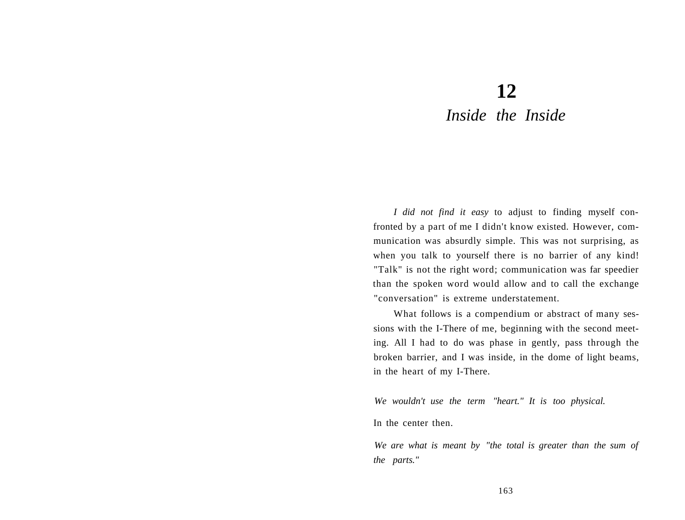## **12**  *Inside the Inside*

*I did not find it easy* to adjust to finding myself confronted by a part of me I didn't know existed. However, communication was absurdly simple. This was not surprising, as when you talk to yourself there is no barrier of any kind! "Talk" is not the right word; communication was far speedier than the spoken word would allow and to call the exchange "conversation" is extreme understatement.

What follows is a compendium or abstract of many sessions with the I-There of me, beginning with the second meeting. All I had to do was phase in gently, pass through the broken barrier, and I was inside, in the dome of light beams, in the heart of my I-There.

*We wouldn't use the term "heart." It is too physical.* 

In the center then.

*We are what is meant by "the total is greater than the sum of the parts."*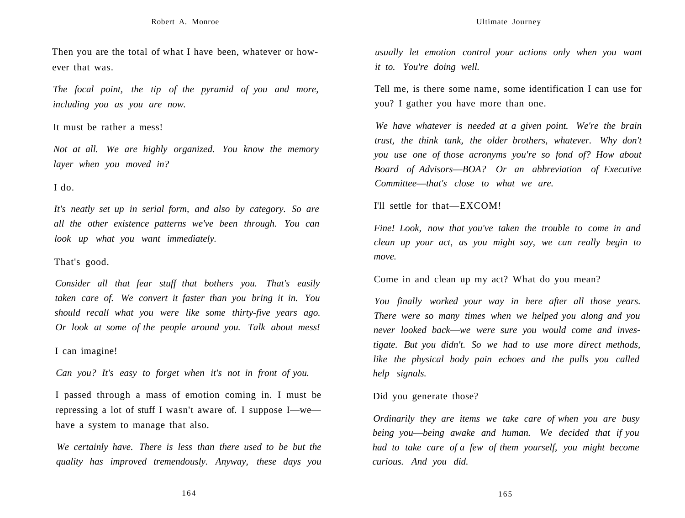Then you are the total of what I have been, whatever or however that was.

*The focal point, the tip of the pyramid of you and more, including you as you are now.* 

It must be rather a mess!

*Not at all. We are highly organized. You know the memory layer when you moved in?* 

I do.

*It's neatly set up in serial form, and also by category. So are all the other existence patterns we've been through. You can look up what you want immediately.* 

That's good.

*Consider all that fear stuff that bothers you. That's easily taken care of. We convert it faster than you bring it in. You should recall what you were like some thirty-five years ago. Or look at some of the people around you. Talk about mess!* 

I can imagine!

*Can you? It's easy to forget when it's not in front of you.* 

I passed through a mass of emotion coming in. I must be repressing a lot of stuff I wasn't aware of. I suppose I—we have a system to manage that also.

*We certainly have. There is less than there used to be but the quality has improved tremendously. Anyway, these days you*  *usually let emotion control your actions only when you want it to. You're doing well.* 

Tell me, is there some name, some identification I can use for you? I gather you have more than one.

*We have whatever is needed at a given point. We're the brain trust, the think tank, the older brothers, whatever. Why don't you use one of those acronyms you're so fond of? How about Board of Advisors*—*BOA? Or an abbreviation of Executive Committee*—*that's close to what we are.* 

I'll settle for that—EXCOM!

*Fine! Look, now that you've taken the trouble to come in and clean up your act, as you might say, we can really begin to move.* 

Come in and clean up my act? What do you mean?

*You finally worked your way in here after all those years. There were so many times when we helped you along and you never looked back*—*we were sure you would come and investigate. But you didn't. So we had to use more direct methods, like the physical body pain echoes and the pulls you called help signals.* 

Did you generate those?

*Ordinarily they are items we take care of when you are busy being you*—*being awake and human. We decided that if you had to take care of a few of them yourself, you might become curious. And you did.*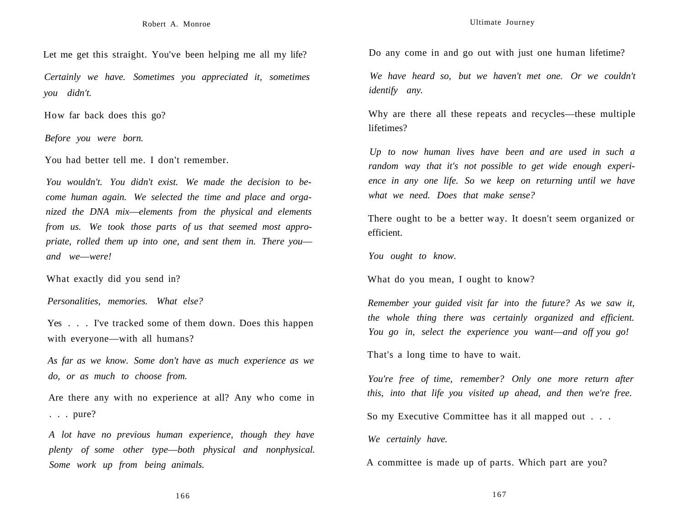Let me get this straight. You've been helping me all my life?

*Certainly we have. Sometimes you appreciated it, sometimes you didn't.* 

How far back does this go?

*Before you were born.* 

You had better tell me. I don't remember.

*You wouldn't. You didn't exist. We made the decision to become human again. We selected the time and place and organized the DNA mix*—*elements from the physical and elements from us. We took those parts of us that seemed most appropriate, rolled them up into one, and sent them in. There you and we*—*were!* 

What exactly did you send in?

*Personalities, memories. What else?* 

Yes . . . I've tracked some of them down. Does this happen with everyone—with all humans?

*As far as we know. Some don't have as much experience as we do, or as much to choose from.* 

Are there any with no experience at all? Any who come in . . . pure?

*A lot have no previous human experience, though they have plenty of some other type*—*both physical and nonphysical. Some work up from being animals.* 

Do any come in and go out with just one human lifetime?

*We have heard so, but we haven't met one. Or we couldn't identify any.* 

Why are there all these repeats and recycles—these multiple lifetimes?

*Up to now human lives have been and are used in such a random way that it's not possible to get wide enough experience in any one life. So we keep on returning until we have what we need. Does that make sense?* 

There ought to be a better way. It doesn't seem organized or efficient.

*You ought to know.* 

What do you mean, I ought to know?

*Remember your guided visit far into the future? As we saw it, the whole thing there was certainly organized and efficient. You go in, select the experience you want*—*and off you go!* 

That's a long time to have to wait.

*You're free of time, remember? Only one more return after this, into that life you visited up ahead, and then we're free.* 

So my Executive Committee has it all mapped out . . .

*We certainly have.* 

A committee is made up of parts. Which part are you?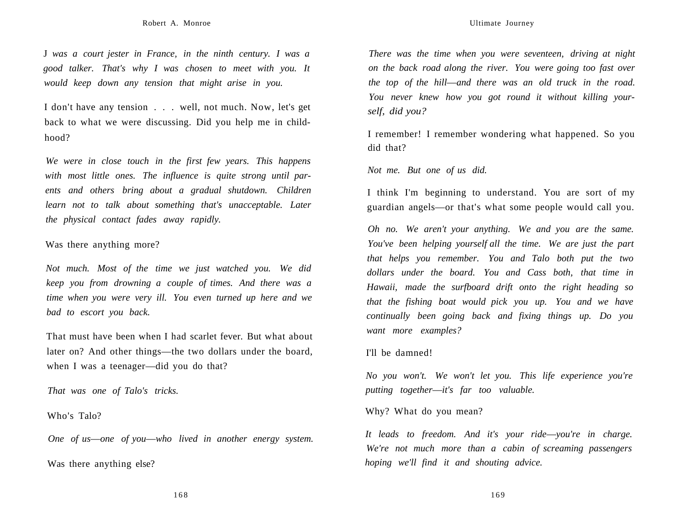J *was a court jester in France, in the ninth century. I was a good talker. That's why I was chosen to meet with you. It would keep down any tension that might arise in you.* 

I don't have any tension . . . well, not much. Now, let's get back to what we were discussing. Did you help me in childhood?

*We were in close touch in the first few years. This happens with most little ones. The influence is quite strong until parents and others bring about a gradual shutdown. Children learn not to talk about something that's unacceptable. Later the physical contact fades away rapidly.* 

#### Was there anything more?

*Not much. Most of the time we just watched you. We did keep you from drowning a couple of times. And there was a time when you were very ill. You even turned up here and we bad to escort you back.* 

That must have been when I had scarlet fever. But what about later on? And other things—the two dollars under the board, when I was a teenager—did you do that?

*That was one of Talo's tricks.* 

Who's Talo?

*One of us*—*one of you*—*who lived in another energy system.* 

Was there anything else?

*There was the time when you were seventeen, driving at night on the back road along the river. You were going too fast over the top of the hill*—*and there was an old truck in the road. You never knew how you got round it without killing yourself, did you?* 

I remember! I remember wondering what happened. So you did that?

*Not me. But one of us did.* 

I think I'm beginning to understand. You are sort of my guardian angels—or that's what some people would call you.

*Oh no. We aren't your anything. We and you are the same. You've been helping yourself all the time. We are just the part that helps you remember. You and Talo both put the two dollars under the board. You and Cass both, that time in Hawaii, made the surfboard drift onto the right heading so that the fishing boat would pick you up. You and we have continually been going back and fixing things up. Do you want more examples?* 

### I'll be damned!

*No you won't. We won't let you. This life experience you're putting together*—*it's far too valuable.* 

Why? What do you mean?

*It leads to freedom. And it's your ride*—*you're in charge. We're not much more than a cabin of screaming passengers hoping we'll find it and shouting advice.*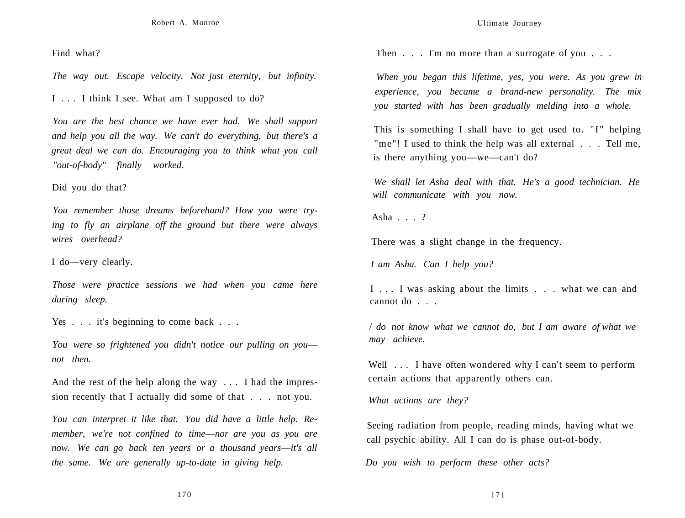Find what?

*The way out. Escape velocity. Not just eternity, but infinity.* 

I .. . I think I see. What am I supposed to do?

*You are the best chance we have ever had. We shall support and help you all the way. We can't do everything, but there's a great deal we can do. Encouraging you to think what you call "out-of-body" finally worked.* 

Did you do that?

*You remember those dreams beforehand? How you were trying to fly an airplane off the ground but there were always wires overhead?* 

I do—very clearly.

*Those were practice sessions we had when you came here during sleep.* 

Yes . . . it's beginning to come back . . .

*You were so frightened you didn't notice our pulling on you not then.* 

And the rest of the help along the way .. . I had the impression recently that I actually did some of that . . . not you.

*You can interpret it like that. You did have a little help. Remember, we're not confined to time*—*nor are you as you are now. We can go back ten years or a thousand years*—*it's all the same. We are generally up-to-date in giving help.* 

Ultimate Journey

Then . . . I'm no more than a surrogate of you . . .

*When you began this lifetime, yes, you were. As you grew in experience, you became a brand-new personality. The mix you started with has been gradually melding into a whole.* 

This is something I shall have to get used to. "I" helping "me"! I used to think the help was all external . . . Tell me, is there anything you—we—can't do?

*We shall let Asha deal with that. He's a good technician. He will communicate with you now.* 

Asha . . . ?

There was a slight change in the frequency.

*I am Asha. Can I help you?* 

I .. . I was asking about the limits . . . what we can and cannot do . . .

/ *do not know what we cannot do, but I am aware of what we may achieve.* 

Well ... I have often wondered why I can't seem to perform certain actions that apparently others can.

*What actions are they?* 

Seeing radiation from people, reading minds, having what we call psychic ability. All I can do is phase out-of-body.

*Do you wish to perform these other acts?*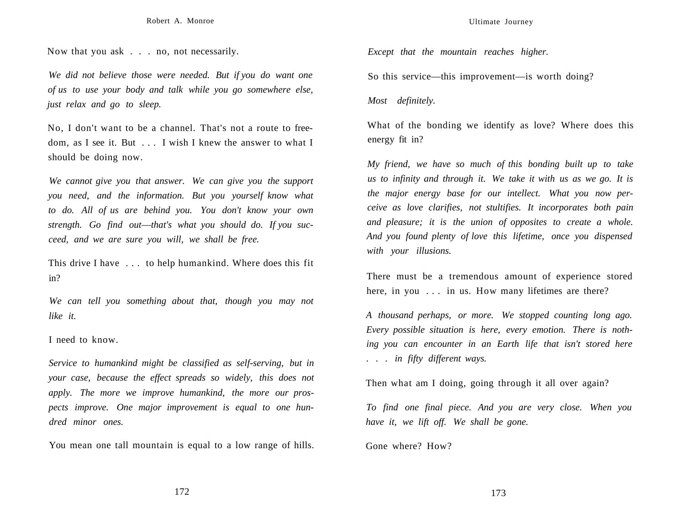Now that you ask . . . no, not necessarily.

*We did not believe those were needed. But if you do want one of us to use your body and talk while you go somewhere else, just relax and go to sleep.* 

No, I don't want to be a channel. That's not a route to freedom, as I see it. But .. . I wish I knew the answer to what I should be doing now.

*We cannot give you that answer. We can give you the support you need, and the information. But you yourself know what to do. All of us are behind you. You don't know your own strength. Go find out*—*that's what you should do. If you succeed, and we are sure you will, we shall be free.* 

This drive I have ... to help humankind. Where does this fit in?

*We can tell you something about that, though you may not like it.* 

I need to know.

*Service to humankind might be classified as self-serving, but in your case, because the effect spreads so widely, this does not apply. The more we improve humankind, the more our prospects improve. One major improvement is equal to one hundred minor ones.* 

You mean one tall mountain is equal to a low range of hills.

*Except that the mountain reaches higher.* 

So this service—this improvement—is worth doing?

*Most definitely.* 

What of the bonding we identify as love? Where does this energy fit in?

*My friend, we have so much of this bonding built up to take us to infinity and through it. We take it with us as we go. It is the major energy base for our intellect. What you now perceive as love clarifies, not stultifies. It incorporates both pain and pleasure; it is the union of opposites to create a whole. And you found plenty of love this lifetime, once you dispensed with your illusions.* 

There must be a tremendous amount of experience stored here, in you ... in us. How many lifetimes are there?

*A thousand perhaps, or more. We stopped counting long ago. Every possible situation is here, every emotion. There is nothing you can encounter in an Earth life that isn't stored here . . . in fifty different ways.* 

Then what am I doing, going through it all over again?

*To find one final piece. And you are very close. When you have it, we lift off. We shall be gone.* 

Gone where? How?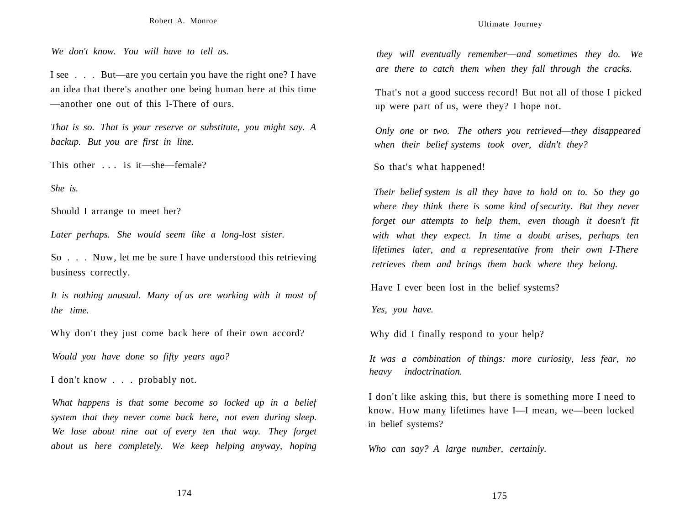Robert A. Monroe

*We don't know. You will have to tell us.* 

I see . . . But—are you certain you have the right one? I have an idea that there's another one being human here at this time —another one out of this I-There of ours.

*That is so. That is your reserve or substitute, you might say. A backup. But you are first in line.* 

This other ... is it—she—female?

*She is.* 

Should I arrange to meet her?

*Later perhaps. She would seem like a long-lost sister.* 

So . . . Now, let me be sure I have understood this retrieving business correctly.

*It is nothing unusual. Many of us are working with it most of the time.* 

Why don't they just come back here of their own accord?

*Would you have done so fifty years ago?* 

I don't know . . . probably not.

*What happens is that some become so locked up in a belief system that they never come back here, not even during sleep. We lose about nine out of every ten that way. They forget about us here completely. We keep helping anyway, hoping*  *they will eventually remember*—*and sometimes they do. We are there to catch them when they fall through the cracks.* 

That's not a good success record! But not all of those I picked up were part of us, were they? I hope not.

*Only one or two. The others you retrieved*—*they disappeared when their belief systems took over, didn't they?* 

So that's what happened!

*Their belief system is all they have to hold on to. So they go where they think there is some kind of security. But they never forget our attempts to help them, even though it doesn't fit with what they expect. In time a doubt arises, perhaps ten lifetimes later, and a representative from their own I-There retrieves them and brings them back where they belong.* 

Have I ever been lost in the belief systems?

*Yes, you have.* 

Why did I finally respond to your help?

*It was a combination of things: more curiosity, less fear, no heavy indoctrination.* 

I don't like asking this, but there is something more I need to know. How many lifetimes have I—I mean, we—been locked in belief systems?

*Who can say? A large number, certainly.*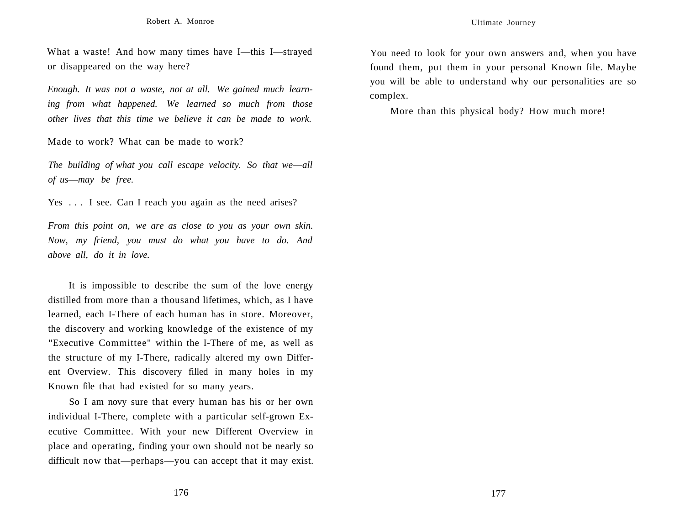What a waste! And how many times have I—this I—strayed or disappeared on the way here?

*Enough. It was not a waste, not at all. We gained much learning from what happened. We learned so much from those other lives that this time we believe it can be made to work.* 

Made to work? What can be made to work?

*The building of what you call escape velocity. So that we—all of us*—*may be free.* 

Yes . . . I see. Can I reach you again as the need arises?

*From this point on, we are as close to you as your own skin. Now, my friend, you must do what you have to do. And above all, do it in love.* 

It is impossible to describe the sum of the love energy distilled from more than a thousand lifetimes, which, as I have learned, each I-There of each human has in store. Moreover, the discovery and working knowledge of the existence of my "Executive Committee" within the I-There of me, as well as the structure of my I-There, radically altered my own Different Overview. This discovery filled in many holes in my Known file that had existed for so many years.

So I am novy sure that every human has his or her own individual I-There, complete with a particular self-grown Executive Committee. With your new Different Overview in place and operating, finding your own should not be nearly so difficult now that—perhaps—you can accept that it may exist.

You need to look for your own answers and, when you have found them, put them in your personal Known file. Maybe you will be able to understand why our personalities are so complex.

More than this physical body? How much more!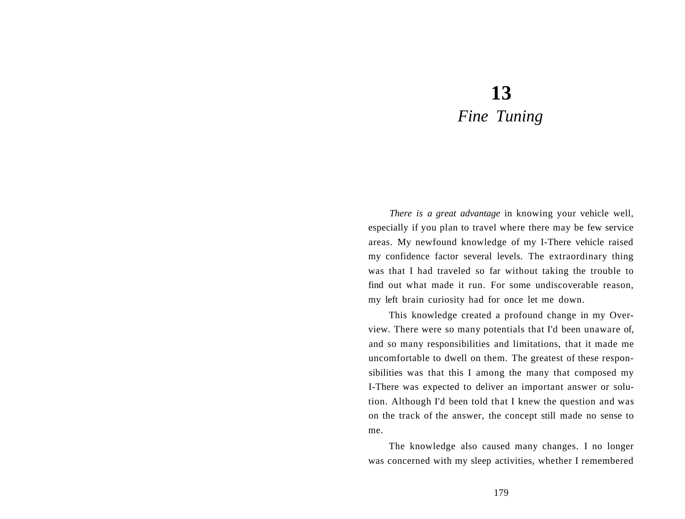# **13**  *Fine Tuning*

*There is a great advantage* in knowing your vehicle well, especially if you plan to travel where there may be few service areas. My newfound knowledge of my I-There vehicle raised my confidence factor several levels. The extraordinary thing was that I had traveled so far without taking the trouble to find out what made it run. For some undiscoverable reason, my left brain curiosity had for once let me down.

This knowledge created a profound change in my Overview. There were so many potentials that I'd been unaware of, and so many responsibilities and limitations, that it made me uncomfortable to dwell on them. The greatest of these responsibilities was that this I among the many that composed my I-There was expected to deliver an important answer or solution. Although I'd been told that I knew the question and was on the track of the answer, the concept still made no sense to me.

The knowledge also caused many changes. I no longer was concerned with my sleep activities, whether I remembered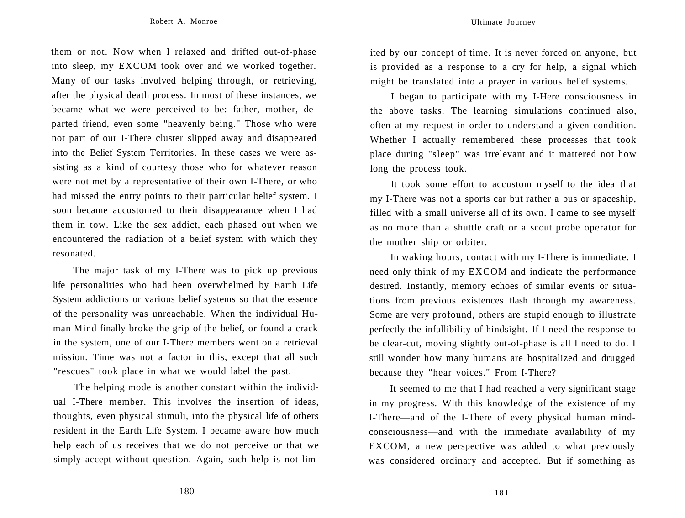them or not. Now when I relaxed and drifted out-of-phase into sleep, my EXCOM took over and we worked together. Many of our tasks involved helping through, or retrieving, after the physical death process. In most of these instances, we became what we were perceived to be: father, mother, departed friend, even some "heavenly being." Those who were not part of our I-There cluster slipped away and disappeared into the Belief System Territories. In these cases we were assisting as a kind of courtesy those who for whatever reason were not met by a representative of their own I-There, or who had missed the entry points to their particular belief system. I soon became accustomed to their disappearance when I had them in tow. Like the sex addict, each phased out when we encountered the radiation of a belief system with which they resonated.

The major task of my I-There was to pick up previous life personalities who had been overwhelmed by Earth Life System addictions or various belief systems so that the essence of the personality was unreachable. When the individual Human Mind finally broke the grip of the belief, or found a crack in the system, one of our I-There members went on a retrieval mission. Time was not a factor in this, except that all such "rescues" took place in what we would label the past.

The helping mode is another constant within the individual I-There member. This involves the insertion of ideas, thoughts, even physical stimuli, into the physical life of others resident in the Earth Life System. I became aware how much help each of us receives that we do not perceive or that we simply accept without question. Again, such help is not limited by our concept of time. It is never forced on anyone, but is provided as a response to a cry for help, a signal which might be translated into a prayer in various belief systems.

I began to participate with my I-Here consciousness in the above tasks. The learning simulations continued also, often at my request in order to understand a given condition. Whether I actually remembered these processes that took place during "sleep" was irrelevant and it mattered not how long the process took.

It took some effort to accustom myself to the idea that my I-There was not a sports car but rather a bus or spaceship, filled with a small universe all of its own. I came to see myself as no more than a shuttle craft or a scout probe operator for the mother ship or orbiter.

In waking hours, contact with my I-There is immediate. I need only think of my EXCOM and indicate the performance desired. Instantly, memory echoes of similar events or situations from previous existences flash through my awareness. Some are very profound, others are stupid enough to illustrate perfectly the infallibility of hindsight. If I need the response to be clear-cut, moving slightly out-of-phase is all I need to do. I still wonder how many humans are hospitalized and drugged because they "hear voices." From I-There?

It seemed to me that I had reached a very significant stage in my progress. With this knowledge of the existence of my I-There—and of the I-There of every physical human mindconsciousness—and with the immediate availability of my EXCOM, a new perspective was added to what previously was considered ordinary and accepted. But if something as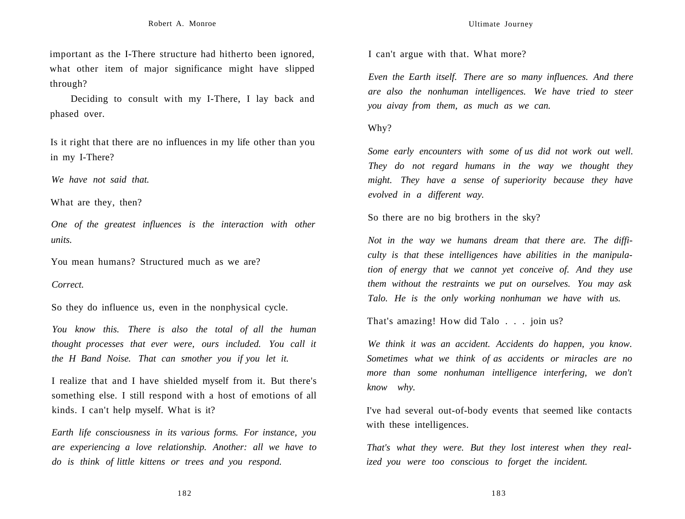important as the I-There structure had hitherto been ignored, what other item of major significance might have slipped through?

Deciding to consult with my I-There, I lay back and phased over.

Is it right that there are no influences in my life other than you in my I-There?

*We have not said that.* 

What are they, then?

*One of the greatest influences is the interaction with other units.* 

You mean humans? Structured much as we are?

*Correct.* 

So they do influence us, even in the nonphysical cycle.

*You know this. There is also the total of all the human thought processes that ever were, ours included. You call it the H Band Noise. That can smother you if you let it.* 

I realize that and I have shielded myself from it. But there's something else. I still respond with a host of emotions of all kinds. I can't help myself. What is it?

*Earth life consciousness in its various forms. For instance, you are experiencing a love relationship. Another: all we have to do is think of little kittens or trees and you respond.* 

I can't argue with that. What more?

*Even the Earth itself. There are so many influences. And there are also the nonhuman intelligences. We have tried to steer you aivay from them, as much as we can.* 

Why?

*Some early encounters with some of us did not work out well. They do not regard humans in the way we thought they might. They have a sense of superiority because they have evolved in a different way.* 

So there are no big brothers in the sky?

*Not in the way we humans dream that there are. The difficulty is that these intelligences have abilities in the manipulation of energy that we cannot yet conceive of. And they use them without the restraints we put on ourselves. You may ask Talo. He is the only working nonhuman we have with us.* 

That's amazing! How did Talo . . . join us?

*We think it was an accident. Accidents do happen, you know. Sometimes what we think of as accidents or miracles are no more than some nonhuman intelligence interfering, we don't know why.* 

I've had several out-of-body events that seemed like contacts with these intelligences.

*That's what they were. But they lost interest when they realized you were too conscious to forget the incident.*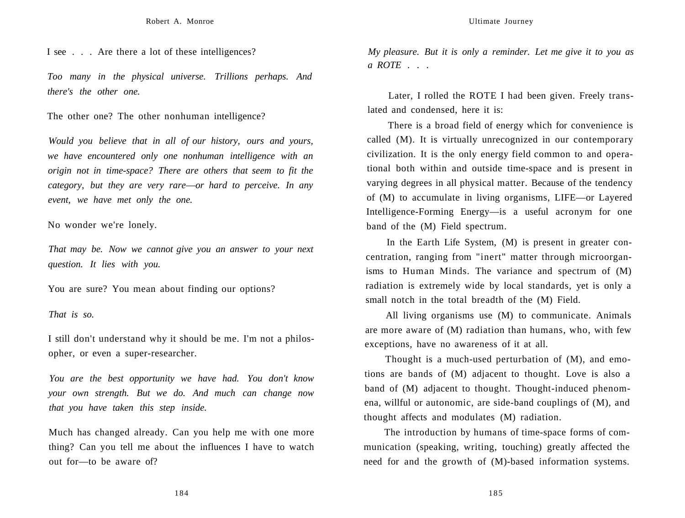I see . . . Are there a lot of these intelligences?

*Too many in the physical universe. Trillions perhaps. And there's the other one.* 

The other one? The other nonhuman intelligence?

*Would you believe that in all of our history, ours and yours, we have encountered only one nonhuman intelligence with an origin not in time-space? There are others that seem to fit the category, but they are very rare*—*or hard to perceive. In any event, we have met only the one.* 

No wonder we're lonely.

*That may be. Now we cannot give you an answer to your next question. It lies with you.* 

You are sure? You mean about finding our options?

*That is so.* 

I still don't understand why it should be me. I'm not a philosopher, or even a super-researcher.

*You are the best opportunity we have had. You don't know your own strength. But we do. And much can change now that you have taken this step inside.* 

Much has changed already. Can you help me with one more thing? Can you tell me about the influences I have to watch out for—to be aware of?

*My pleasure. But it is only a reminder. Let me give it to you as a ROTE . . .* 

Later, I rolled the ROTE I had been given. Freely translated and condensed, here it is:

There is a broad field of energy which for convenience is called (M). It is virtually unrecognized in our contemporary civilization. It is the only energy field common to and operational both within and outside time-space and is present in varying degrees in all physical matter. Because of the tendency of (M) to accumulate in living organisms, LIFE—or Layered Intelligence-Forming Energy—is a useful acronym for one band of the (M) Field spectrum.

In the Earth Life System, (M) is present in greater concentration, ranging from "inert" matter through microorganisms to Human Minds. The variance and spectrum of (M) radiation is extremely wide by local standards, yet is only a small notch in the total breadth of the (M) Field.

All living organisms use (M) to communicate. Animals are more aware of (M) radiation than humans, who, with few exceptions, have no awareness of it at all.

Thought is a much-used perturbation of (M), and emotions are bands of (M) adjacent to thought. Love is also a band of (M) adjacent to thought. Thought-induced phenomena, willful or autonomic, are side-band couplings of (M), and thought affects and modulates (M) radiation.

The introduction by humans of time-space forms of communication (speaking, writing, touching) greatly affected the need for and the growth of (M)-based information systems.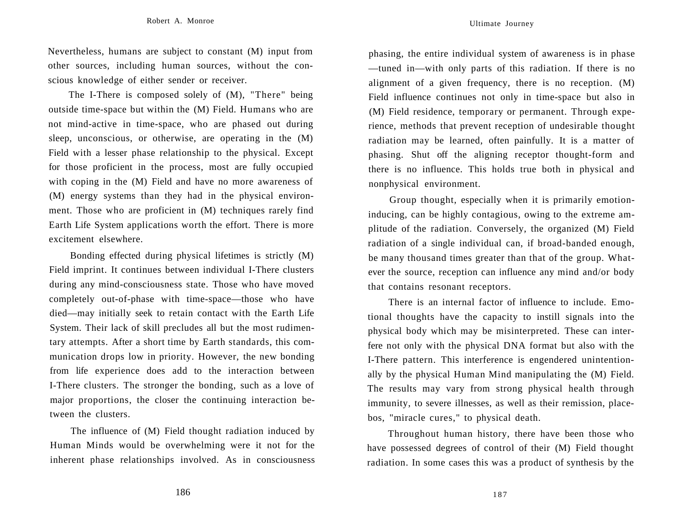Nevertheless, humans are subject to constant (M) input from other sources, including human sources, without the conscious knowledge of either sender or receiver.

The I-There is composed solely of (M), "There" being outside time-space but within the (M) Field. Humans who are not mind-active in time-space, who are phased out during sleep, unconscious, or otherwise, are operating in the (M) Field with a lesser phase relationship to the physical. Except for those proficient in the process, most are fully occupied with coping in the (M) Field and have no more awareness of (M) energy systems than they had in the physical environment. Those who are proficient in (M) techniques rarely find Earth Life System applications worth the effort. There is more excitement elsewhere.

Bonding effected during physical lifetimes is strictly (M) Field imprint. It continues between individual I-There clusters during any mind-consciousness state. Those who have moved completely out-of-phase with time-space—those who have died—may initially seek to retain contact with the Earth Life System. Their lack of skill precludes all but the most rudimentary attempts. After a short time by Earth standards, this communication drops low in priority. However, the new bonding from life experience does add to the interaction between I-There clusters. The stronger the bonding, such as a love of major proportions, the closer the continuing interaction between the clusters.

The influence of (M) Field thought radiation induced by Human Minds would be overwhelming were it not for the inherent phase relationships involved. As in consciousness phasing, the entire individual system of awareness is in phase —tuned in—with only parts of this radiation. If there is no alignment of a given frequency, there is no reception. (M) Field influence continues not only in time-space but also in (M) Field residence, temporary or permanent. Through experience, methods that prevent reception of undesirable thought radiation may be learned, often painfully. It is a matter of phasing. Shut off the aligning receptor thought-form and there is no influence. This holds true both in physical and nonphysical environment.

Group thought, especially when it is primarily emotioninducing, can be highly contagious, owing to the extreme amplitude of the radiation. Conversely, the organized (M) Field radiation of a single individual can, if broad-banded enough, be many thousand times greater than that of the group. Whatever the source, reception can influence any mind and/or body that contains resonant receptors.

There is an internal factor of influence to include. Emotional thoughts have the capacity to instill signals into the physical body which may be misinterpreted. These can interfere not only with the physical DNA format but also with the I-There pattern. This interference is engendered unintentionally by the physical Human Mind manipulating the (M) Field. The results may vary from strong physical health through immunity, to severe illnesses, as well as their remission, placebos, "miracle cures," to physical death.

Throughout human history, there have been those who have possessed degrees of control of their (M) Field thought radiation. In some cases this was a product of synthesis by the

186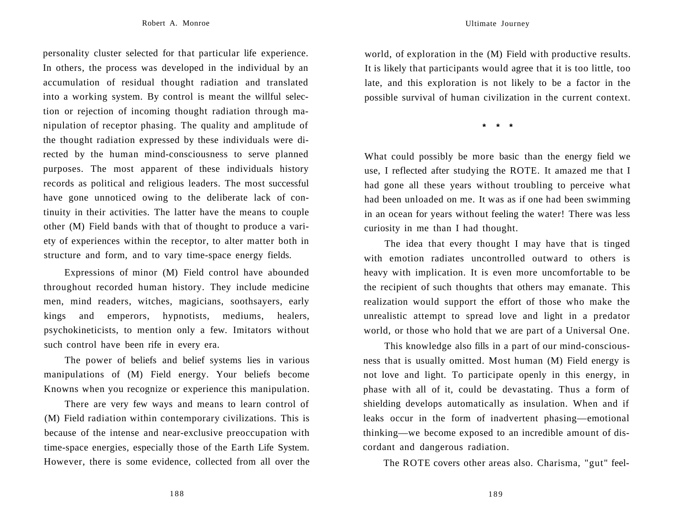personality cluster selected for that particular life experience. In others, the process was developed in the individual by an accumulation of residual thought radiation and translated into a working system. By control is meant the willful selection or rejection of incoming thought radiation through manipulation of receptor phasing. The quality and amplitude of the thought radiation expressed by these individuals were directed by the human mind-consciousness to serve planned purposes. The most apparent of these individuals history records as political and religious leaders. The most successful have gone unnoticed owing to the deliberate lack of continuity in their activities. The latter have the means to couple other (M) Field bands with that of thought to produce a variety of experiences within the receptor, to alter matter both in structure and form, and to vary time-space energy fields.

Expressions of minor (M) Field control have abounded throughout recorded human history. They include medicine men, mind readers, witches, magicians, soothsayers, early kings and emperors, hypnotists, mediums, healers, psychokineticists, to mention only a few. Imitators without such control have been rife in every era.

The power of beliefs and belief systems lies in various manipulations of (M) Field energy. Your beliefs become Knowns when you recognize or experience this manipulation.

There are very few ways and means to learn control of (M) Field radiation within contemporary civilizations. This is because of the intense and near-exclusive preoccupation with time-space energies, especially those of the Earth Life System. However, there is some evidence, collected from all over the world, of exploration in the (M) Field with productive results. It is likely that participants would agree that it is too little, too late, and this exploration is not likely to be a factor in the possible survival of human civilization in the current context.

**\* \* \*** 

What could possibly be more basic than the energy field we use, I reflected after studying the ROTE. It amazed me that I had gone all these years without troubling to perceive what had been unloaded on me. It was as if one had been swimming in an ocean for years without feeling the water! There was less curiosity in me than I had thought.

The idea that every thought I may have that is tinged with emotion radiates uncontrolled outward to others is heavy with implication. It is even more uncomfortable to be the recipient of such thoughts that others may emanate. This realization would support the effort of those who make the unrealistic attempt to spread love and light in a predator world, or those who hold that we are part of a Universal One.

This knowledge also fills in a part of our mind-consciousness that is usually omitted. Most human (M) Field energy is not love and light. To participate openly in this energy, in phase with all of it, could be devastating. Thus a form of shielding develops automatically as insulation. When and if leaks occur in the form of inadvertent phasing—emotional thinking—we become exposed to an incredible amount of discordant and dangerous radiation.

The ROTE covers other areas also. Charisma, "gut" feel-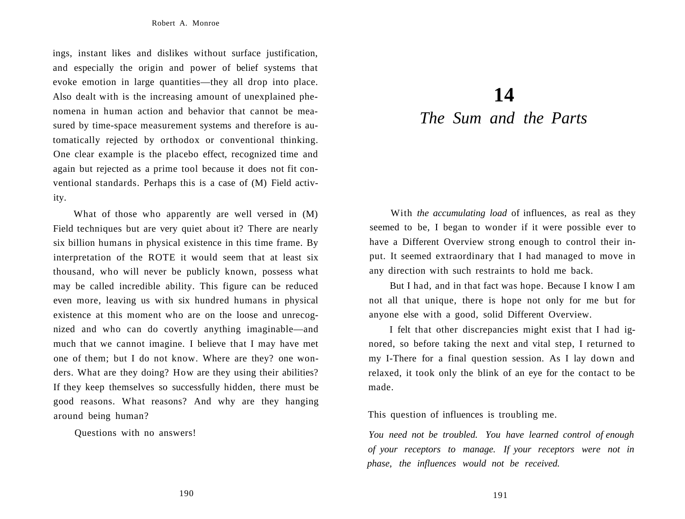ings, instant likes and dislikes without surface justification, and especially the origin and power of belief systems that evoke emotion in large quantities—they all drop into place. Also dealt with is the increasing amount of unexplained phenomena in human action and behavior that cannot be measured by time-space measurement systems and therefore is automatically rejected by orthodox or conventional thinking. One clear example is the placebo effect, recognized time and again but rejected as a prime tool because it does not fit conventional standards. Perhaps this is a case of (M) Field activity.

What of those who apparently are well versed in (M) Field techniques but are very quiet about it? There are nearly six billion humans in physical existence in this time frame. By interpretation of the ROTE it would seem that at least six thousand, who will never be publicly known, possess what may be called incredible ability. This figure can be reduced even more, leaving us with six hundred humans in physical existence at this moment who are on the loose and unrecognized and who can do covertly anything imaginable—and much that we cannot imagine. I believe that I may have met one of them; but I do not know. Where are they? one wonders. What are they doing? How are they using their abilities? If they keep themselves so successfully hidden, there must be good reasons. What reasons? And why are they hanging around being human?

Questions with no answers!

# **14**  *The Sum and the Parts*

With *the accumulating load* of influences, as real as they seemed to be, I began to wonder if it were possible ever to have a Different Overview strong enough to control their input. It seemed extraordinary that I had managed to move in any direction with such restraints to hold me back.

But I had, and in that fact was hope. Because I know I am not all that unique, there is hope not only for me but for anyone else with a good, solid Different Overview.

I felt that other discrepancies might exist that I had ignored, so before taking the next and vital step, I returned to my I-There for a final question session. As I lay down and relaxed, it took only the blink of an eye for the contact to be made.

This question of influences is troubling me.

*You need not be troubled. You have learned control of enough of your receptors to manage. If your receptors were not in phase, the influences would not be received.*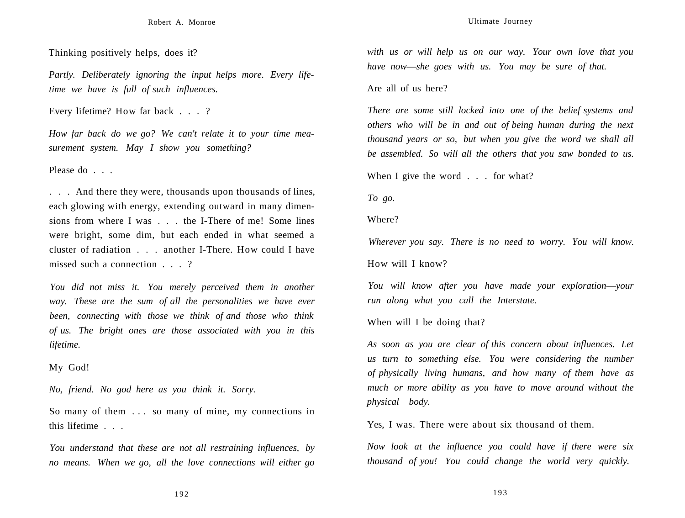Thinking positively helps, does it?

*Partly. Deliberately ignoring the input helps more. Every lifetime we have is full of such influences.* 

Every lifetime? How far back . . . ?

*How far back do we go? We can't relate it to your time measurement system. May I show you something?* 

Please do . . .

. . . And there they were, thousands upon thousands of lines, each glowing with energy, extending outward in many dimensions from where I was . . . the I-There of me! Some lines were bright, some dim, but each ended in what seemed a cluster of radiation . . . another I-There. How could I have missed such a connection . . . ?

*You did not miss it. You merely perceived them in another way. These are the sum of all the personalities we have ever been, connecting with those we think of and those who think of us. The bright ones are those associated with you in this lifetime.* 

My God!

*No, friend. No god here as you think it. Sorry.* 

So many of them ... so many of mine, my connections in this lifetime . . .

*You understand that these are not all restraining influences, by no means. When we go, all the love connections will either go* 

*with us or will help us on our way. Your own love that you have now*—*she goes with us. You may be sure of that.* 

Are all of us here?

*There are some still locked into one of the belief systems and others who will be in and out of being human during the next thousand years or so, but when you give the word we shall all be assembled. So will all the others that you saw bonded to us.* 

When I give the word . . . for what?

*To go.* 

Where?

*Wherever you say. There is no need to worry. You will know.* 

How will I know?

*You will know after you have made your exploration*—*your run along what you call the Interstate.* 

When will I be doing that?

*As soon as you are clear of this concern about influences. Let us turn to something else. You were considering the number of physically living humans, and how many of them have as much or more ability as you have to move around without the physical body.* 

Yes, I was. There were about six thousand of them.

*Now look at the influence you could have if there were six thousand of you! You could change the world very quickly.*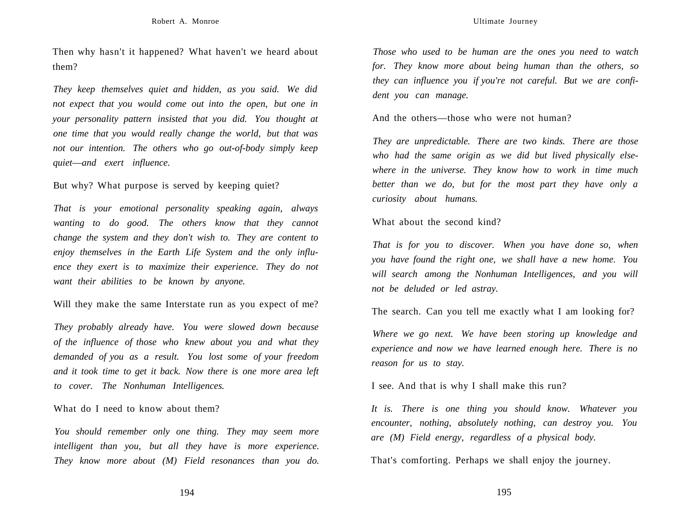Then why hasn't it happened? What haven't we heard about them?

*They keep themselves quiet and hidden, as you said. We did not expect that you would come out into the open, but one in your personality pattern insisted that you did. You thought at one time that you would really change the world, but that was not our intention. The others who go out-of-body simply keep quiet*—*and exert influence.* 

But why? What purpose is served by keeping quiet?

*That is your emotional personality speaking again, always wanting to do good. The others know that they cannot change the system and they don't wish to. They are content to enjoy themselves in the Earth Life System and the only influence they exert is to maximize their experience. They do not want their abilities to be known by anyone.* 

Will they make the same Interstate run as you expect of me?

*They probably already have. You were slowed down because of the influence of those who knew about you and what they demanded of you as a result. You lost some of your freedom and it took time to get it back. Now there is one more area left to cover. The Nonhuman Intelligences.* 

What do I need to know about them?

*You should remember only one thing. They may seem more intelligent than you, but all they have is more experience. They know more about (M) Field resonances than you do.* 

*Those who used to be human are the ones you need to watch for. They know more about being human than the others, so they can influence you if you're not careful. But we are confident you can manage.* 

And the others—those who were not human?

*They are unpredictable. There are two kinds. There are those who had the same origin as we did but lived physically elsewhere in the universe. They know how to work in time much better than we do, but for the most part they have only a curiosity about humans.* 

What about the second kind?

*That is for you to discover. When you have done so, when you have found the right one, we shall have a new home. You will search among the Nonhuman Intelligences, and you will not be deluded or led astray.* 

The search. Can you tell me exactly what I am looking for?

*Where we go next. We have been storing up knowledge and experience and now we have learned enough here. There is no reason for us to stay.* 

I see. And that is why I shall make this run?

*It is. There is one thing you should know. Whatever you encounter, nothing, absolutely nothing, can destroy you. You are (M) Field energy, regardless of a physical body.* 

That's comforting. Perhaps we shall enjoy the journey.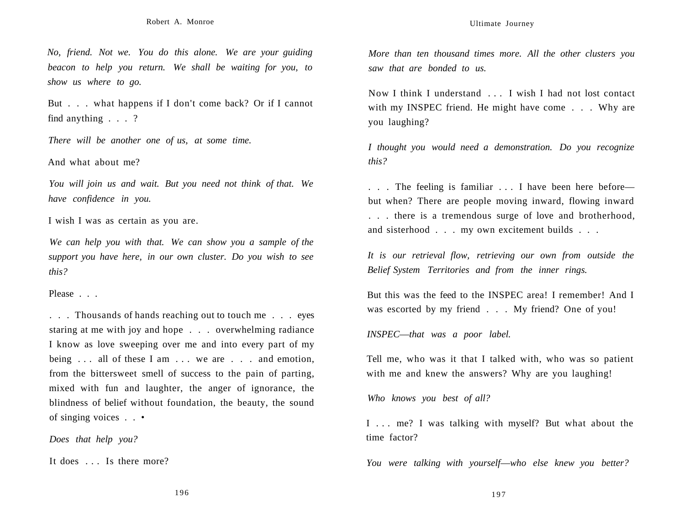*No, friend. Not we. You do this alone. We are your guiding beacon to help you return. We shall be waiting for you, to show us where to go.* 

But . . . what happens if I don't come back? Or if I cannot find anything . . . ?

*There will be another one of us, at some time.* 

And what about me?

*You will join us and wait. But you need not think of that. We have confidence in you.* 

I wish I was as certain as you are.

*We can help you with that. We can show you a sample of the support you have here, in our own cluster. Do you wish to see this?* 

Please . . . .

. . . Thousands of hands reaching out to touch me . . . eyes staring at me with joy and hope . . . overwhelming radiance I know as love sweeping over me and into every part of my being ... all of these I am ... we are ... and emotion, from the bittersweet smell of success to the pain of parting, mixed with fun and laughter, the anger of ignorance, the blindness of belief without foundation, the beauty, the sound of singing voices . . •

*Does that help you?* 

It does ... Is there more?

*More than ten thousand times more. All the other clusters you saw that are bonded to us.* 

Now I think I understand .. . I wish I had not lost contact with my INSPEC friend. He might have come . . . Why are you laughing?

*I thought you would need a demonstration. Do you recognize this?* 

*. . .* The feeling is familiar .. . I have been here before but when? There are people moving inward, flowing inward . . . there is a tremendous surge of love and brotherhood, and sisterhood . . . my own excitement builds . . .

*It is our retrieval flow, retrieving our own from outside the Belief System Territories and from the inner rings.* 

But this was the feed to the INSPEC area! I remember! And I was escorted by my friend . . . My friend? One of you!

*INSPEC*—*that was a poor label.* 

Tell me, who was it that I talked with, who was so patient with me and knew the answers? Why are you laughing!

*Who knows you best of all?* 

I .. . me? I was talking with myself? But what about the time factor?

*You were talking with yourself*—*who else knew you better?* 

1 9 6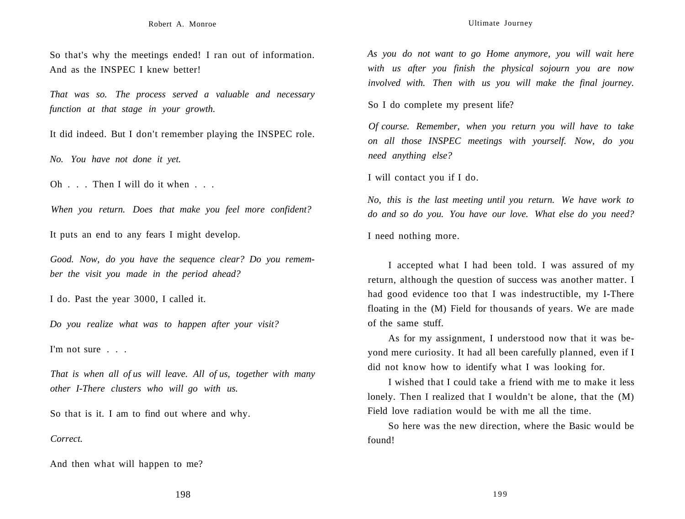So that's why the meetings ended! I ran out of information. And as the INSPEC I knew better!

*That was so. The process served a valuable and necessary function at that stage in your growth.* 

It did indeed. But I don't remember playing the INSPEC role.

*No. You have not done it yet.* 

Oh . . . Then I will do it when . . .

*When you return. Does that make you feel more confident?* 

It puts an end to any fears I might develop.

*Good. Now, do you have the sequence clear? Do you remember the visit you made in the period ahead?* 

I do. Past the year 3000, I called it.

*Do you realize what was to happen after your visit?* 

I'm not sure . . .

*That is when all of us will leave. All of us, together with many other I-There clusters who will go with us.* 

So that is it. I am to find out where and why.

*Correct.* 

And then what will happen to me?

*As you do not want to go Home anymore, you will wait here with us after you finish the physical sojourn you are now involved with. Then with us you will make the final journey.* 

So I do complete my present life?

*Of course. Remember, when you return you will have to take on all those INSPEC meetings with yourself. Now, do you need anything else?* 

I will contact you if I do.

*No, this is the last meeting until you return. We have work to do and so do you. You have our love. What else do you need?* 

I need nothing more.

I accepted what I had been told. I was assured of my return, although the question of success was another matter. I had good evidence too that I was indestructible, my I-There floating in the (M) Field for thousands of years. We are made of the same stuff.

As for my assignment, I understood now that it was beyond mere curiosity. It had all been carefully planned, even if I did not know how to identify what I was looking for.

I wished that I could take a friend with me to make it less lonely. Then I realized that I wouldn't be alone, that the  $(M)$ Field love radiation would be with me all the time.

So here was the new direction, where the Basic would be found!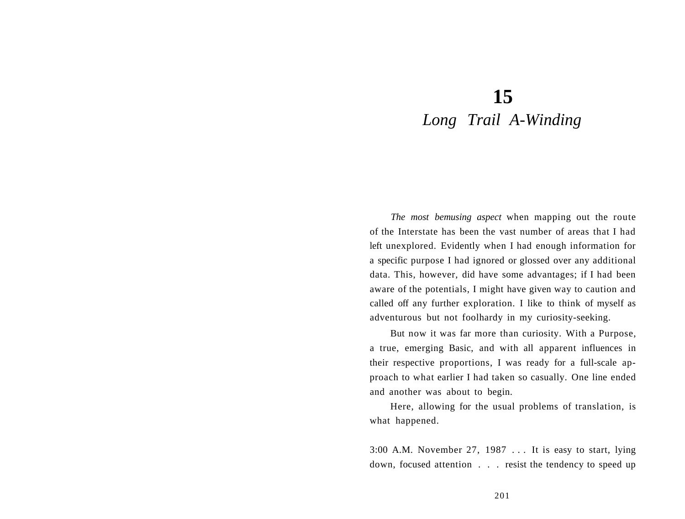# **15**  *Long Trail A-Winding*

*The most bemusing aspect* when mapping out the route of the Interstate has been the vast number of areas that I had left unexplored. Evidently when I had enough information for a specific purpose I had ignored or glossed over any additional data. This, however, did have some advantages; if I had been aware of the potentials, I might have given way to caution and called off any further exploration. I like to think of myself as adventurous but not foolhardy in my curiosity-seeking.

But now it was far more than curiosity. With a Purpose, a true, emerging Basic, and with all apparent influences in their respective proportions, I was ready for a full-scale approach to what earlier I had taken so casually. One line ended and another was about to begin.

Here, allowing for the usual problems of translation, is what happened.

3:00 A.M. November 27, 1987 .. . It is easy to start, lying down, focused attention . . . resist the tendency to speed up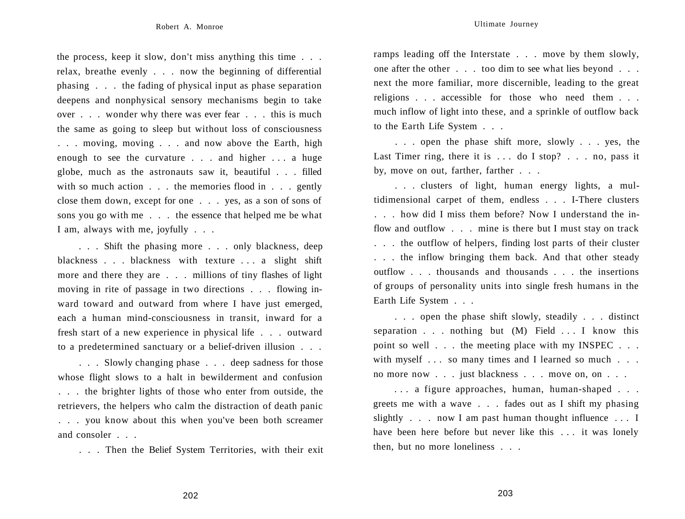the process, keep it slow, don't miss anything this time . . . relax, breathe evenly . . . now the beginning of differential phasing . . . the fading of physical input as phase separation deepens and nonphysical sensory mechanisms begin to take over . . . wonder why there was ever fear . . . this is much the same as going to sleep but without loss of consciousness . . . moving, moving . . . and now above the Earth, high enough to see the curvature . . . and higher . . . a huge globe, much as the astronauts saw it, beautiful . . . filled with so much action . . . the memories flood in . . . gently close them down, except for one . . . yes, as a son of sons of sons you go with me . . . the essence that helped me be what I am, always with me, joyfully . . .

. . . Shift the phasing more . . . only blackness, deep blackness . . . blackness with texture .. . a slight shift more and there they are . . . millions of tiny flashes of light moving in rite of passage in two directions . . . flowing inward toward and outward from where I have just emerged, each a human mind-consciousness in transit, inward for a fresh start of a new experience in physical life . . . outward to a predetermined sanctuary or a belief-driven illusion . . .

. . . Slowly changing phase . . . deep sadness for those whose flight slows to a halt in bewilderment and confusion . . . the brighter lights of those who enter from outside, the retrievers, the helpers who calm the distraction of death panic . . . you know about this when you've been both screamer and consoler . . .

. . . Then the Belief System Territories, with their exit

ramps leading off the Interstate . . . move by them slowly, one after the other . . . too dim to see what lies beyond . . . next the more familiar, more discernible, leading to the great religions . . . accessible for those who need them . . . much inflow of light into these, and a sprinkle of outflow back to the Earth Life System . . .

. . . open the phase shift more, slowly . . . yes, the Last Timer ring, there it is ... do I stop? ... no, pass it by, move on out, farther, farther . . .

. . . clusters of light, human energy lights, a multidimensional carpet of them, endless . . . I-There clusters . . . how did I miss them before? Now I understand the inflow and outflow . . . mine is there but I must stay on track . . . the outflow of helpers, finding lost parts of their cluster . . . the inflow bringing them back. And that other steady outflow . . . thousands and thousands . . . the insertions of groups of personality units into single fresh humans in the Earth Life System . . .

. . . open the phase shift slowly, steadily . . . distinct separation . . . nothing but (M) Field .. . I know this point so well . . . the meeting place with my INSPEC . . . with myself ... so many times and I learned so much . . . no more now . . . just blackness . . . move on, on . . .

. . . a figure approaches, human, human-shaped . . . greets me with a wave . . . fades out as I shift my phasing slightly . . . now I am past human thought influence . . . I have been here before but never like this ... it was lonely then, but no more loneliness . . .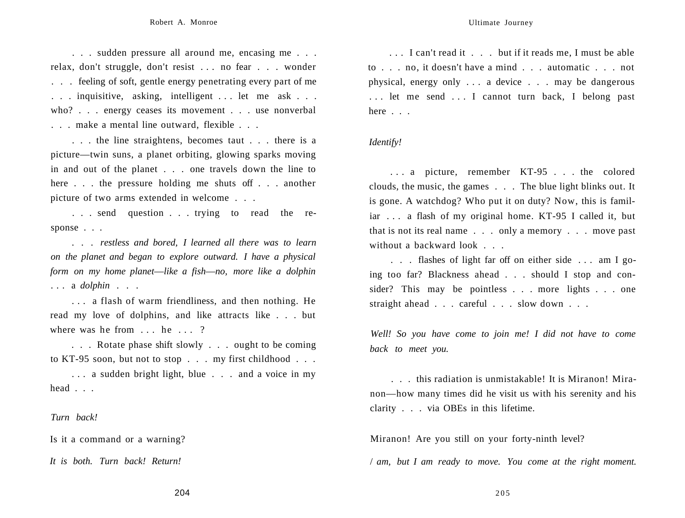. . . sudden pressure all around me, encasing me . . . relax, don't struggle, don't resist .. . no fear . . . wonder . . . feeling of soft, gentle energy penetrating every part of me ... inquisitive, asking, intelligent ... let me ask... who? . . . energy ceases its movement . . . use nonverbal . . . make a mental line outward, flexible . . .

. . . the line straightens, becomes taut . . . there is a picture—twin suns, a planet orbiting, glowing sparks moving in and out of the planet . . . one travels down the line to here . . . the pressure holding me shuts off . . . another picture of two arms extended in welcome . . .

. . . send question . . . trying to read the response . . .

. . . *restless and bored, I learned all there was to learn on the planet and began to explore outward. I have a physical form on my home planet*—*like a fish*—*no, more like a dolphin*  . . . a *dolphin . . .* 

. . . a flash of warm friendliness, and then nothing. He read my love of dolphins, and like attracts like . . . but where was he from ... he ... ?

. . . Rotate phase shift slowly . . . ought to be coming to KT-95 soon, but not to stop . . . my first childhood . . .

. . . a sudden bright light, blue . . . and a voice in my head . . .

### *Turn back!*

Is it a command or a warning?

*It is both. Turn back! Return!* 

. . . I can't read it . . . but if it reads me, I must be able to . . . no, it doesn't have a mind . . . automatic . . . not physical, energy only .. . a device . . . may be dangerous ... let me send ... I cannot turn back, I belong past here . . .

### *Identify!*

. . . a picture, remember KT-95 . . . the colored clouds, the music, the games . . . The blue light blinks out. It is gone. A watchdog? Who put it on duty? Now, this is familiar .. . a flash of my original home. KT-95 I called it, but that is not its real name . . . only a memory . . . move past without a backward look . . .

. . . flashes of light far off on either side .. . am I going too far? Blackness ahead . . . should I stop and consider? This may be pointless . . . more lights . . . one straight ahead . . . careful . . . slow down . . .

*Well! So you have come to join me! I did not have to come back to meet you.* 

*. . .* this radiation is unmistakable! It is Miranon! Miranon—how many times did he visit us with his serenity and his clarity . . . via OBEs in this lifetime.

Miranon! Are you still on your forty-ninth level?

/ *am, but I am ready to move. You come at the right moment.*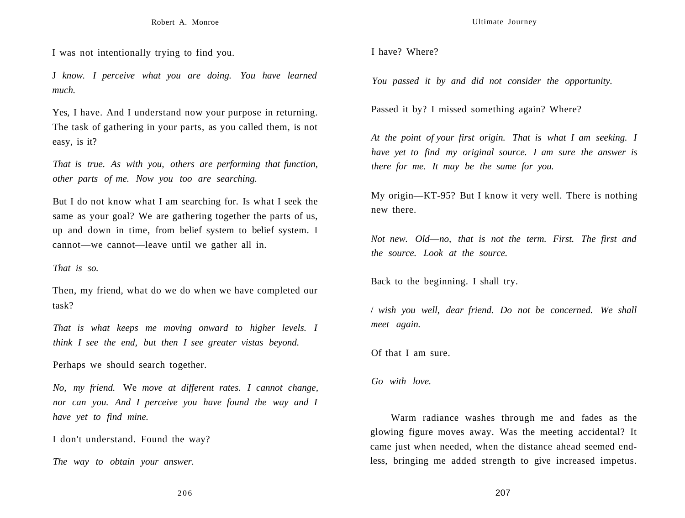Ultimate Journey

I was not intentionally trying to find you.

J *know. I perceive what you are doing. You have learned much.* 

Yes, I have. And I understand now your purpose in returning. The task of gathering in your parts, as you called them, is not easy, is it?

*That is true. As with you, others are performing that function, other parts of me. Now you too are searching.* 

But I do not know what I am searching for. Is what I seek the same as your goal? We are gathering together the parts of us, up and down in time, from belief system to belief system. I cannot—we cannot—leave until we gather all in.

### *That is so.*

Then, my friend, what do we do when we have completed our task?

*That is what keeps me moving onward to higher levels. I think I see the end, but then I see greater vistas beyond.* 

Perhaps we should search together.

*No, my friend.* We *move at different rates. I cannot change, nor can you. And I perceive you have found the way and I have yet to find mine.* 

I don't understand. Found the way?

*The way to obtain your answer.* 

I have? Where?

*You passed it by and did not consider the opportunity.* 

Passed it by? I missed something again? Where?

*At the point of your first origin. That is what I am seeking. I have yet to find my original source. I am sure the answer is there for me. It may be the same for you.* 

My origin—KT-95? But I know it very well. There is nothing new there.

*Not new. Old*—*no, that is not the term. First. The first and the source. Look at the source.* 

Back to the beginning. I shall try.

/ *wish you well, dear friend. Do not be concerned. We shall meet again.* 

Of that I am sure.

*Go with love.* 

Warm radiance washes through me and fades as the glowing figure moves away. Was the meeting accidental? It came just when needed, when the distance ahead seemed endless, bringing me added strength to give increased impetus.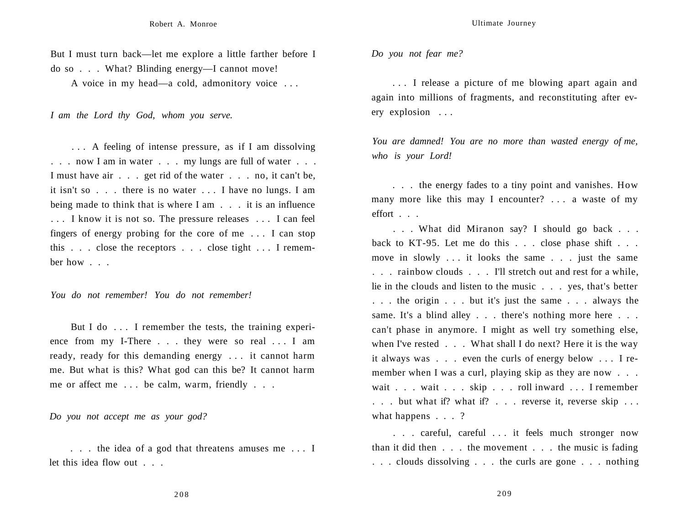But I must turn back—let me explore a little farther before I do so . . . What? Blinding energy—I cannot move!

A voice in my head—a cold, admonitory voice .. .

*I am the Lord thy God, whom you serve.* 

. . . A feeling of intense pressure, as if I am dissolving . . . now I am in water . . . my lungs are full of water . . . I must have air . . . get rid of the water . . . no, it can't be, it isn't so . . . there is no water .. . I have no lungs. I am being made to think that is where I am . . . it is an influence . . . I know it is not so. The pressure releases .. . I can feel fingers of energy probing for the core of me .. . I can stop this . . . close the receptors . . . close tight .. . I remember how . . .

*You do not remember! You do not remember!* 

But I do ... I remember the tests, the training experience from my I-There . . . they were so real .. . I am ready, ready for this demanding energy .. . it cannot harm me. But what is this? What god can this be? It cannot harm me or affect me .. . be calm, warm, friendly . . .

*Do you not accept me as your god?* 

*. . .* the idea of a god that threatens amuses me .. . I let this idea flow out . . .

*Do you not fear me?* 

. . . I release a picture of me blowing apart again and again into millions of fragments, and reconstituting after every explosion .. .

*You are damned! You are no more than wasted energy of me, who is your Lord!* 

*. . .* the energy fades to a tiny point and vanishes. How many more like this may I encounter? ... a waste of my effort . . .

. . . What did Miranon say? I should go back . . . back to KT-95. Let me do this . . . close phase shift . . . move in slowly .. . it looks the same . . . just the same . . . rainbow clouds . . . I'll stretch out and rest for a while, lie in the clouds and listen to the music . . . yes, that's better . . . the origin . . . but it's just the same . . . always the same. It's a blind alley . . . there's nothing more here . . . can't phase in anymore. I might as well try something else, when I've rested . . . What shall I do next? Here it is the way it always was . . . even the curls of energy below .. . I remember when I was a curl, playing skip as they are now . . . wait . . . wait . . . skip . . . roll inward . . . I remember . . . but what if? what if? . . . reverse it, reverse skip . . . what happens . . . ?

. . . careful, careful .. . it feels much stronger now than it did then . . . the movement . . . the music is fading . . . clouds dissolving . . . the curls are gone . . . nothing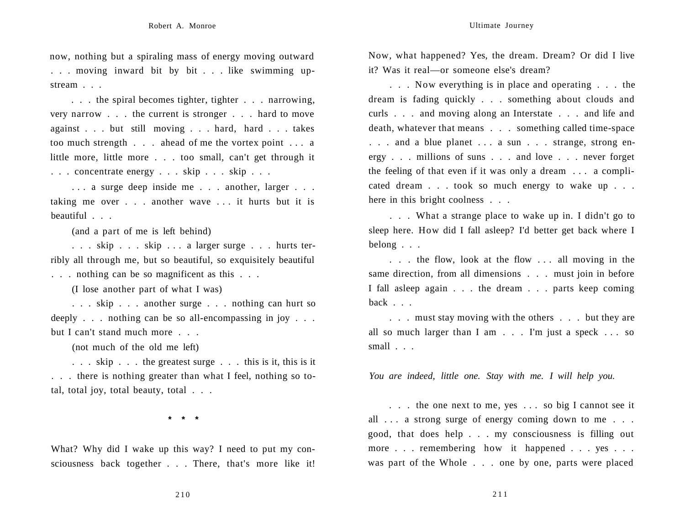now, nothing but a spiraling mass of energy moving outward . . . moving inward bit by bit . . . like swimming upstream . . .

. . . the spiral becomes tighter, tighter . . . narrowing, very narrow . . . the current is stronger . . . hard to move against . . . but still moving . . . hard, hard . . . takes too much strength . . . ahead of me the vortex point .. . a little more, little more . . . too small, can't get through it . . . concentrate energy . . . skip . . . skip . . .

. . . a surge deep inside me . . . another, larger . . . taking me over . . . another wave .. . it hurts but it is beautiful . . .

(and a part of me is left behind)

. . . skip . . . skip .. . a larger surge . . . hurts terribly all through me, but so beautiful, so exquisitely beautiful . . . nothing can be so magnificent as this . . .

(I lose another part of what I was)

. . . skip . . . another surge . . . nothing can hurt so deeply . . . nothing can be so all-encompassing in joy . . . but I can't stand much more . . .

(not much of the old me left)

. . . skip . . . the greatest surge . . . this is it, this is it . . . there is nothing greater than what I feel, nothing so total, total joy, total beauty, total . . .

**\* \* \*** 

What? Why did I wake up this way? I need to put my consciousness back together . . . There, that's more like it! Now, what happened? Yes, the dream. Dream? Or did I live it? Was it real—or someone else's dream?

. . . Now everything is in place and operating . . . the dream is fading quickly . . . something about clouds and curls . . . and moving along an Interstate . . . and life and death, whatever that means . . . something called time-space ... and a blue planet ... a sun ... strange, strong energy . . . millions of suns . . . and love . . . never forget the feeling of that even if it was only a dream .. . a complicated dream . . . took so much energy to wake up . . . here in this bright coolness . . .

. . . What a strange place to wake up in. I didn't go to sleep here. How did I fall asleep? I'd better get back where I belong . . .

. . . the flow, look at the flow .. . all moving in the same direction, from all dimensions . . . must join in before I fall asleep again . . . the dream . . . parts keep coming back . . .

. . . must stay moving with the others . . . but they are all so much larger than I am  $\ldots$  I'm just a speck  $\ldots$  so small . . .

*You are indeed, little one. Stay with me. I will help you.* 

*. . .* the one next to me, yes .. . so big I cannot see it all ... a strong surge of energy coming down to me ... good, that does help . . . my consciousness is filling out more . . . remembering how it happened . . . yes . . . was part of the Whole . . . one by one, parts were placed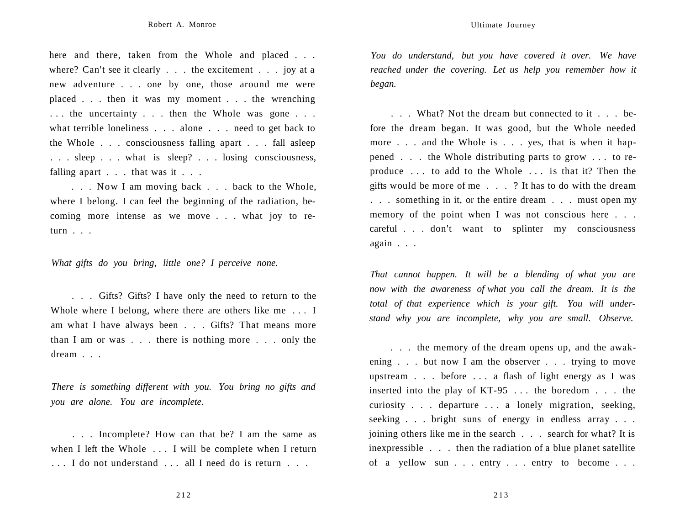here and there, taken from the Whole and placed . . . where? Can't see it clearly . . . the excitement . . . joy at a new adventure . . . one by one, those around me were placed . . . then it was my moment . . . the wrenching ... the uncertainty . . . then the Whole was gone . . . what terrible loneliness . . . alone . . . need to get back to the Whole . . . consciousness falling apart . . . fall asleep ... sleep... what is sleep? ... losing consciousness, falling apart . . . that was it . . .

. . . Now I am moving back . . . back to the Whole, where I belong. I can feel the beginning of the radiation, becoming more intense as we move . . . what joy to return . . .

*What gifts do you bring, little one? I perceive none.* 

*. . .* Gifts? Gifts? I have only the need to return to the Whole where I belong, where there are others like me .. . I am what I have always been . . . Gifts? That means more than I am or was . . . there is nothing more . . . only the dream . . .

*There is something different with you. You bring no gifts and you are alone. You are incomplete.* 

*. . .* Incomplete? How can that be? I am the same as when I left the Whole ... I will be complete when I return ... I do not understand ... all I need do is return ...

*You do understand, but you have covered it over. We have reached under the covering. Let us help you remember how it began.* 

*. . .* What? Not the dream but connected to it . . . before the dream began. It was good, but the Whole needed more . . . and the Whole is . . . yes, that is when it happened . . . the Whole distributing parts to grow .. . to reproduce .. . to add to the Whole .. . is that it? Then the gifts would be more of me . . . ? It has to do with the dream . . . something in it, or the entire dream . . . must open my memory of the point when I was not conscious here . . . careful . . . don't want to splinter my consciousness again . . .

*That cannot happen. It will be a blending of what you are now with the awareness of what you call the dream. It is the total of that experience which is your gift. You will understand why you are incomplete, why you are small. Observe.* 

*. . .* the memory of the dream opens up, and the awakening . . . but now I am the observer . . . trying to move upstream . . . before .. . a flash of light energy as I was inserted into the play of KT-95 .. . the boredom . . . the curiosity . . . departure .. . a lonely migration, seeking, seeking . . . bright suns of energy in endless array . . . joining others like me in the search . . . search for what? It is inexpressible . . . then the radiation of a blue planet satellite of a yellow sun . . . entry . . . entry to become . . .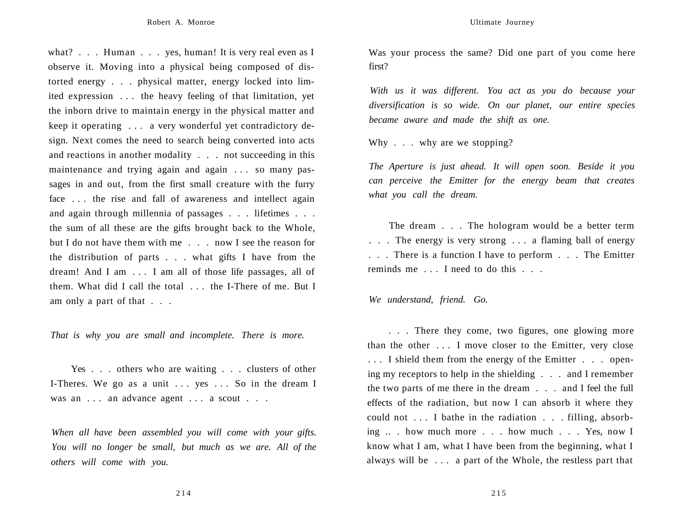what? . . . Human . . . yes, human! It is very real even as I observe it. Moving into a physical being composed of distorted energy . . . physical matter, energy locked into limited expression .. . the heavy feeling of that limitation, yet the inborn drive to maintain energy in the physical matter and keep it operating .. . a very wonderful yet contradictory design. Next comes the need to search being converted into acts and reactions in another modality . . . not succeeding in this maintenance and trying again and again .. . so many passages in and out, from the first small creature with the furry face .. . the rise and fall of awareness and intellect again and again through millennia of passages . . . lifetimes . . . the sum of all these are the gifts brought back to the Whole, but I do not have them with me . . . now I see the reason for the distribution of parts . . . what gifts I have from the dream! And I am .. . I am all of those life passages, all of them. What did I call the total .. . the I-There of me. But I am only a part of that . . .

*That is why you are small and incomplete. There is more.* 

Yes . . . others who are waiting . . . clusters of other I-Theres. We go as a unit .. . yes .. . So in the dream I was an ... an advance agent ... a scout ...

*When all have been assembled you will come with your gifts. You will no longer be small, but much as we are. All of the others will come with you.* 

Was your process the same? Did one part of you come here first?

*With us it was different. You act as you do because your diversification is so wide. On our planet, our entire species became aware and made the shift as one.* 

Why . . . why are we stopping?

*The Aperture is just ahead. It will open soon. Beside it you can perceive the Emitter for the energy beam that creates what you call the dream.* 

The dream . . . The hologram would be a better term . . . The energy is very strong .. . a flaming ball of energy . . . There is a function I have to perform . . . The Emitter reminds me .. . I need to do this . . .

*We understand, friend. Go.* 

*. . .* There they come, two figures, one glowing more than the other .. . I move closer to the Emitter, very close . . . I shield them from the energy of the Emitter . . . opening my receptors to help in the shielding . . . and I remember the two parts of me there in the dream . . . and I feel the full effects of the radiation, but now I can absorb it where they could not .. . I bathe in the radiation . . . filling, absorbing .. . how much more . . . how much . . . Yes, now I know what I am, what I have been from the beginning, what I always will be .. . a part of the Whole, the restless part that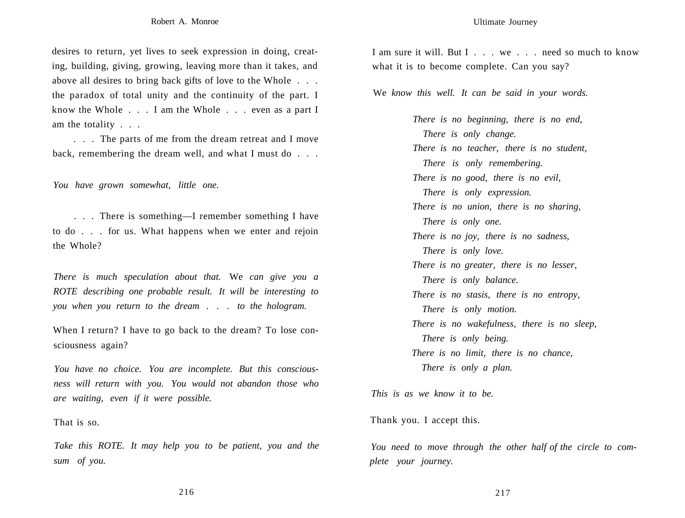desires to return, yet lives to seek expression in doing, creating, building, giving, growing, leaving more than it takes, and above all desires to bring back gifts of love to the Whole . . . the paradox of total unity and the continuity of the part. I know the Whole . . . I am the Whole . . . even as a part I am the totality . . .

. . . The parts of me from the dream retreat and I move back, remembering the dream well, and what I must do . . .

*You have grown somewhat, little one.* 

*. . .* There is something—I remember something I have to do . . . for us. What happens when we enter and rejoin the Whole?

*There is much speculation about that.* We *can give you a ROTE describing one probable result. It will be interesting to you when you return to the dream . . . to the hologram.* 

When I return? I have to go back to the dream? To lose consciousness again?

*You have no choice. You are incomplete. But this consciousness will return with you. You would not abandon those who are waiting, even if it were possible.* 

That is so.

*Take this ROTE. It may help you to be patient, you and the sum of you.* 

I am sure it will. But I . . . we . . . need so much to know what it is to become complete. Can you say?

We *know this well. It can be said in your words.* 

*There is no beginning, there is no end, There is only change. There is no teacher, there is no student, There is only remembering. There is no good, there is no evil, There is only expression. There is no union, there is no sharing, There is only one. There is no joy, there is no sadness, There is only love. There is no greater, there is no lesser, There is only balance. There is no stasis, there is no entropy, There is only motion. There is no wakefulness, there is no sleep, There is only being. There is no limit, there is no chance, There is only a plan.* 

*This is as we know it to be.* 

Thank you. I accept this.

*You need to move through the other half of the circle to complete your journey.* 

216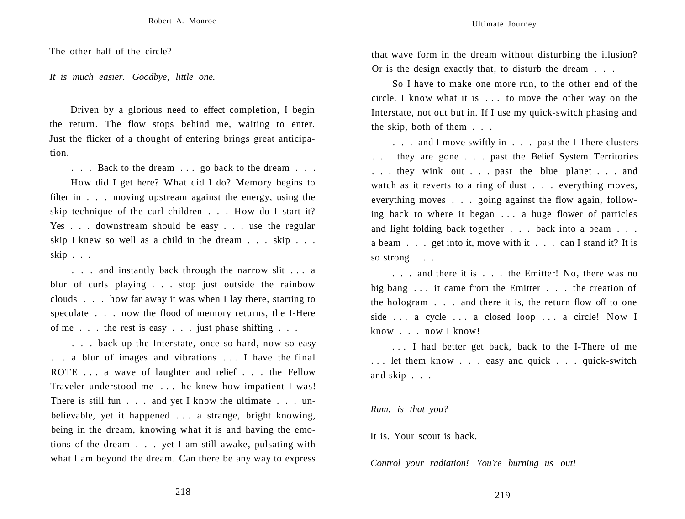The other half of the circle?

*It is much easier. Goodbye, little one.* 

Driven by a glorious need to effect completion, I begin the return. The flow stops behind me, waiting to enter. Just the flicker of a thought of entering brings great anticipation.

. . . Back to the dream .. . go back to the dream . . .

How did I get here? What did I do? Memory begins to filter in . . . moving upstream against the energy, using the skip technique of the curl children . . . How do I start it? Yes . . . downstream should be easy . . . use the regular skip I knew so well as a child in the dream . . . skip . . . skip . . .

. . . and instantly back through the narrow slit .. . a blur of curls playing . . . stop just outside the rainbow clouds . . . how far away it was when I lay there, starting to speculate . . . now the flood of memory returns, the I-Here of me . . . the rest is easy . . . just phase shifting . . .

. . . back up the Interstate, once so hard, now so easy . . . a blur of images and vibrations .. . I have the final ROTE . . . a wave of laughter and relief . . . the Fellow Traveler understood me .. . he knew how impatient I was! There is still fun . . . and yet I know the ultimate . . . unbelievable, yet it happened .. . a strange, bright knowing, being in the dream, knowing what it is and having the emotions of the dream . . . yet I am still awake, pulsating with what I am beyond the dream. Can there be any way to express that wave form in the dream without disturbing the illusion? Or is the design exactly that, to disturb the dream . . .

So I have to make one more run, to the other end of the circle. I know what it is .. . to move the other way on the Interstate, not out but in. If I use my quick-switch phasing and the skip, both of them . . .

. . . and I move swiftly in . . . past the I-There clusters . . . they are gone . . . past the Belief System Territories . . . they wink out . . . past the blue planet . . . and watch as it reverts to a ring of dust . . . everything moves, everything moves . . . going against the flow again, following back to where it began .. . a huge flower of particles and light folding back together . . . back into a beam . . . a beam . . . get into it, move with it . . . can I stand it? It is so strong . . .

. . . and there it is . . . the Emitter! No, there was no big bang .. . it came from the Emitter . . . the creation of the hologram . . . and there it is, the return flow off to one side ... a cycle ... a closed loop ... a circle! Now I know . . . now I know!

. . . I had better get back, back to the I-There of me ... let them know . . . easy and quick . . . quick-switch and skip . . .

### *Ram, is that you?*

It is. Your scout is back.

*Control your radiation! You're burning us out!*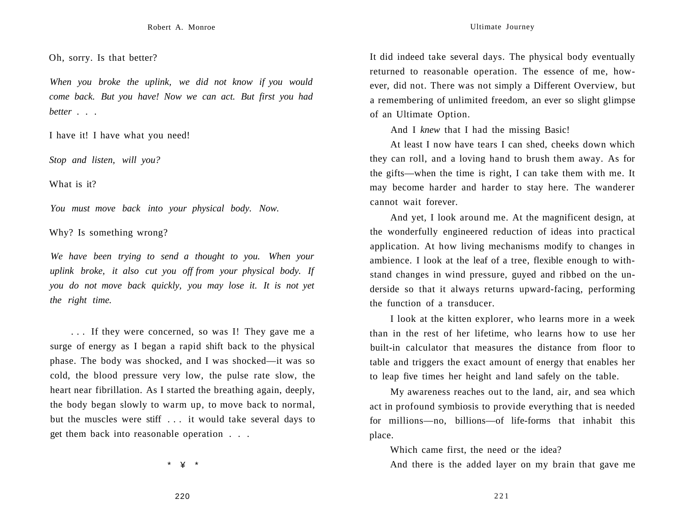Oh, sorry. Is that better?

*When you broke the uplink, we did not know if you would come back. But you have! Now we can act. But first you had better . . .* 

I have it! I have what you need!

*Stop and listen, will you?* 

What is it?

*You must move back into your physical body. Now.* 

Why? Is something wrong?

*We have been trying to send a thought to you. When your uplink broke, it also cut you off from your physical body. If you do not move back quickly, you may lose it. It is not yet the right time.* 

. . . If they were concerned, so was I! They gave me a surge of energy as I began a rapid shift back to the physical phase. The body was shocked, and I was shocked—it was so cold, the blood pressure very low, the pulse rate slow, the heart near fibrillation. As I started the breathing again, deeply, the body began slowly to warm up, to move back to normal, but the muscles were stiff .. . it would take several days to get them back into reasonable operation . . .

\* ¥ \*

It did indeed take several days. The physical body eventually returned to reasonable operation. The essence of me, however, did not. There was not simply a Different Overview, but a remembering of unlimited freedom, an ever so slight glimpse of an Ultimate Option.

And I *knew* that I had the missing Basic!

At least I now have tears I can shed, cheeks down which they can roll, and a loving hand to brush them away. As for the gifts—when the time is right, I can take them with me. It may become harder and harder to stay here. The wanderer cannot wait forever.

And yet, I look around me. At the magnificent design, at the wonderfully engineered reduction of ideas into practical application. At how living mechanisms modify to changes in ambience. I look at the leaf of a tree, flexible enough to withstand changes in wind pressure, guyed and ribbed on the underside so that it always returns upward-facing, performing the function of a transducer.

I look at the kitten explorer, who learns more in a week than in the rest of her lifetime, who learns how to use her built-in calculator that measures the distance from floor to table and triggers the exact amount of energy that enables her to leap five times her height and land safely on the table.

My awareness reaches out to the land, air, and sea which act in profound symbiosis to provide everything that is needed for millions—no, billions—of life-forms that inhabit this place.

Which came first, the need or the idea?

And there is the added layer on my brain that gave me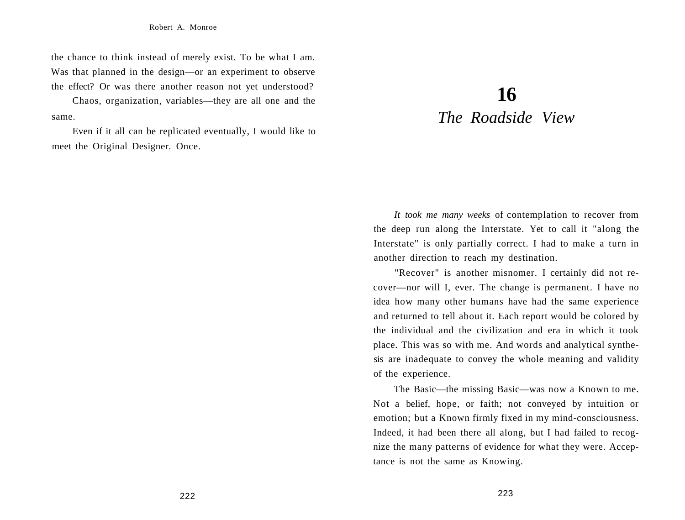the chance to think instead of merely exist. To be what I am. Was that planned in the design—or an experiment to observe the effect? Or was there another reason not yet understood?

Chaos, organization, variables—they are all one and the same.

Even if it all can be replicated eventually, I would like to meet the Original Designer. Once.

# **16**  *The Roadside View*

*It took me many weeks* of contemplation to recover from the deep run along the Interstate. Yet to call it "along the Interstate" is only partially correct. I had to make a turn in another direction to reach my destination.

"Recover" is another misnomer. I certainly did not recover—nor will I, ever. The change is permanent. I have no idea how many other humans have had the same experience and returned to tell about it. Each report would be colored by the individual and the civilization and era in which it took place. This was so with me. And words and analytical synthesis are inadequate to convey the whole meaning and validity of the experience.

The Basic—the missing Basic—was now a Known to me. Not a belief, hope, or faith; not conveyed by intuition or emotion; but a Known firmly fixed in my mind-consciousness. Indeed, it had been there all along, but I had failed to recognize the many patterns of evidence for what they were. Acceptance is not the same as Knowing.

223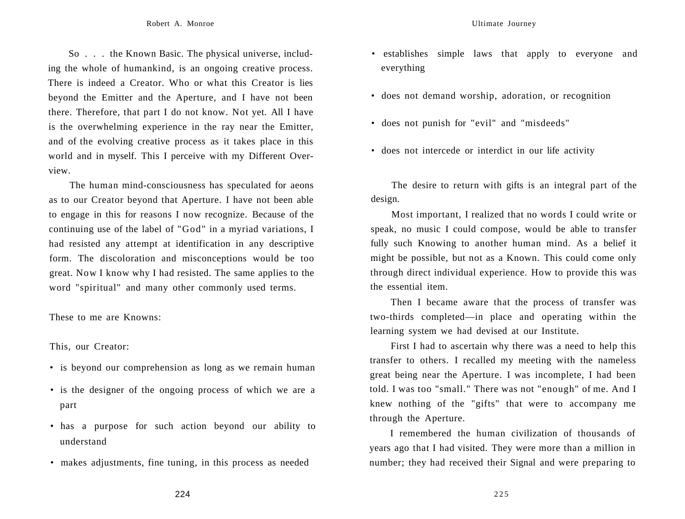So . . . the Known Basic. The physical universe, including the whole of humankind, is an ongoing creative process. There is indeed a Creator. Who or what this Creator is lies beyond the Emitter and the Aperture, and I have not been there. Therefore, that part I do not know. Not yet. All I have is the overwhelming experience in the ray near the Emitter, and of the evolving creative process as it takes place in this world and in myself. This I perceive with my Different Overview.

The human mind-consciousness has speculated for aeons as to our Creator beyond that Aperture. I have not been able to engage in this for reasons I now recognize. Because of the continuing use of the label of "God" in a myriad variations, I had resisted any attempt at identification in any descriptive form. The discoloration and misconceptions would be too great. Now I know why I had resisted. The same applies to the word "spiritual" and many other commonly used terms.

These to me are Knowns:

This, our Creator:

- is beyond our comprehension as long as we remain human
- is the designer of the ongoing process of which we are a part
- has a purpose for such action beyond our ability to understand
- makes adjustments, fine tuning, in this process as needed
- establishes simple laws that apply to everyone and everything
- does not demand worship, adoration, or recognition
- does not punish for "evil" and "misdeeds"
- does not intercede or interdict in our life activity

The desire to return with gifts is an integral part of the design.

Most important, I realized that no words I could write or speak, no music I could compose, would be able to transfer fully such Knowing to another human mind. As a belief it might be possible, but not as a Known. This could come only through direct individual experience. How to provide this was the essential item.

Then I became aware that the process of transfer was two-thirds completed—in place and operating within the learning system we had devised at our Institute.

First I had to ascertain why there was a need to help this transfer to others. I recalled my meeting with the nameless great being near the Aperture. I was incomplete, I had been told. I was too "small." There was not "enough" of me. And I knew nothing of the "gifts" that were to accompany me through the Aperture.

I remembered the human civilization of thousands of years ago that I had visited. They were more than a million in number; they had received their Signal and were preparing to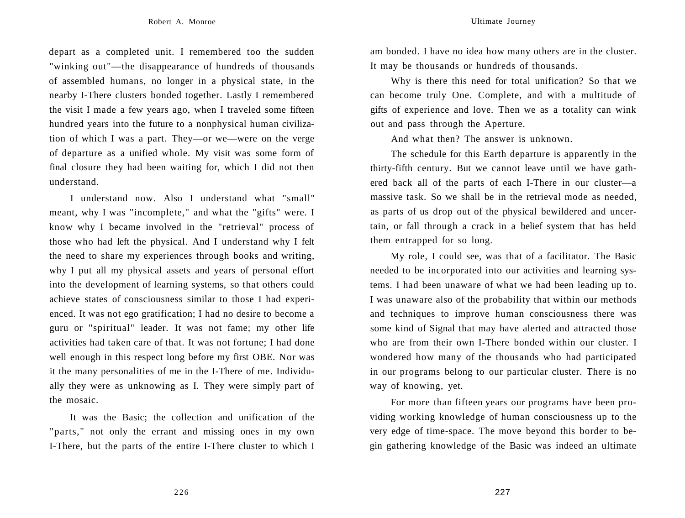depart as a completed unit. I remembered too the sudden "winking out"—the disappearance of hundreds of thousands of assembled humans, no longer in a physical state, in the nearby I-There clusters bonded together. Lastly I remembered the visit I made a few years ago, when I traveled some fifteen hundred years into the future to a nonphysical human civilization of which I was a part. They—or we—were on the verge of departure as a unified whole. My visit was some form of final closure they had been waiting for, which I did not then understand.

I understand now. Also I understand what "small" meant, why I was "incomplete," and what the "gifts" were. I know why I became involved in the "retrieval" process of those who had left the physical. And I understand why I felt the need to share my experiences through books and writing, why I put all my physical assets and years of personal effort into the development of learning systems, so that others could achieve states of consciousness similar to those I had experienced. It was not ego gratification; I had no desire to become a guru or "spiritual" leader. It was not fame; my other life activities had taken care of that. It was not fortune; I had done well enough in this respect long before my first OBE. Nor was it the many personalities of me in the I-There of me. Individually they were as unknowing as I. They were simply part of the mosaic.

It was the Basic; the collection and unification of the "parts," not only the errant and missing ones in my own I-There, but the parts of the entire I-There cluster to which I am bonded. I have no idea how many others are in the cluster. It may be thousands or hundreds of thousands.

Why is there this need for total unification? So that we can become truly One. Complete, and with a multitude of gifts of experience and love. Then we as a totality can wink out and pass through the Aperture.

And what then? The answer is unknown.

The schedule for this Earth departure is apparently in the thirty-fifth century. But we cannot leave until we have gathered back all of the parts of each I-There in our cluster—a massive task. So we shall be in the retrieval mode as needed, as parts of us drop out of the physical bewildered and uncertain, or fall through a crack in a belief system that has held them entrapped for so long.

My role, I could see, was that of a facilitator. The Basic needed to be incorporated into our activities and learning systems. I had been unaware of what we had been leading up to. I was unaware also of the probability that within our methods and techniques to improve human consciousness there was some kind of Signal that may have alerted and attracted those who are from their own I-There bonded within our cluster. I wondered how many of the thousands who had participated in our programs belong to our particular cluster. There is no way of knowing, yet.

For more than fifteen years our programs have been providing working knowledge of human consciousness up to the very edge of time-space. The move beyond this border to begin gathering knowledge of the Basic was indeed an ultimate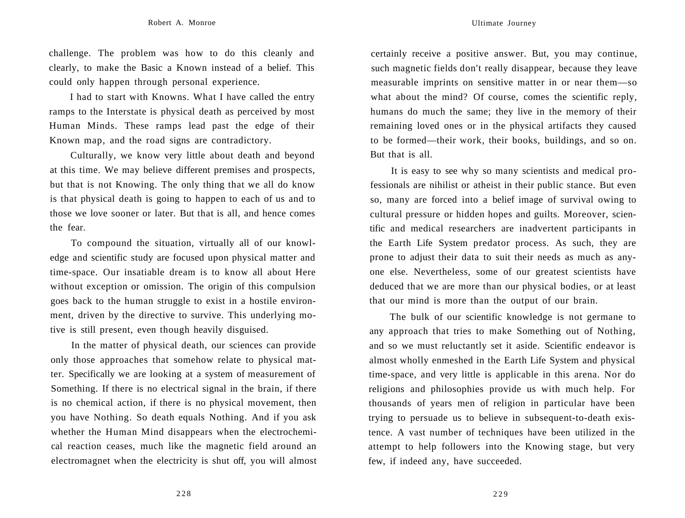challenge. The problem was how to do this cleanly and clearly, to make the Basic a Known instead of a belief. This could only happen through personal experience.

I had to start with Knowns. What I have called the entry ramps to the Interstate is physical death as perceived by most Human Minds. These ramps lead past the edge of their Known map, and the road signs are contradictory.

Culturally, we know very little about death and beyond at this time. We may believe different premises and prospects, but that is not Knowing. The only thing that we all do know is that physical death is going to happen to each of us and to those we love sooner or later. But that is all, and hence comes the fear.

To compound the situation, virtually all of our knowledge and scientific study are focused upon physical matter and time-space. Our insatiable dream is to know all about Here without exception or omission. The origin of this compulsion goes back to the human struggle to exist in a hostile environment, driven by the directive to survive. This underlying motive is still present, even though heavily disguised.

In the matter of physical death, our sciences can provide only those approaches that somehow relate to physical matter. Specifically we are looking at a system of measurement of Something. If there is no electrical signal in the brain, if there is no chemical action, if there is no physical movement, then you have Nothing. So death equals Nothing. And if you ask whether the Human Mind disappears when the electrochemical reaction ceases, much like the magnetic field around an electromagnet when the electricity is shut off, you will almost certainly receive a positive answer. But, you may continue, such magnetic fields don't really disappear, because they leave measurable imprints on sensitive matter in or near them—so what about the mind? Of course, comes the scientific reply, humans do much the same; they live in the memory of their remaining loved ones or in the physical artifacts they caused to be formed—their work, their books, buildings, and so on. But that is all.

It is easy to see why so many scientists and medical professionals are nihilist or atheist in their public stance. But even so, many are forced into a belief image of survival owing to cultural pressure or hidden hopes and guilts. Moreover, scientific and medical researchers are inadvertent participants in the Earth Life System predator process. As such, they are prone to adjust their data to suit their needs as much as anyone else. Nevertheless, some of our greatest scientists have deduced that we are more than our physical bodies, or at least that our mind is more than the output of our brain.

The bulk of our scientific knowledge is not germane to any approach that tries to make Something out of Nothing, and so we must reluctantly set it aside. Scientific endeavor is almost wholly enmeshed in the Earth Life System and physical time-space, and very little is applicable in this arena. Nor do religions and philosophies provide us with much help. For thousands of years men of religion in particular have been trying to persuade us to believe in subsequent-to-death existence. A vast number of techniques have been utilized in the attempt to help followers into the Knowing stage, but very few, if indeed any, have succeeded.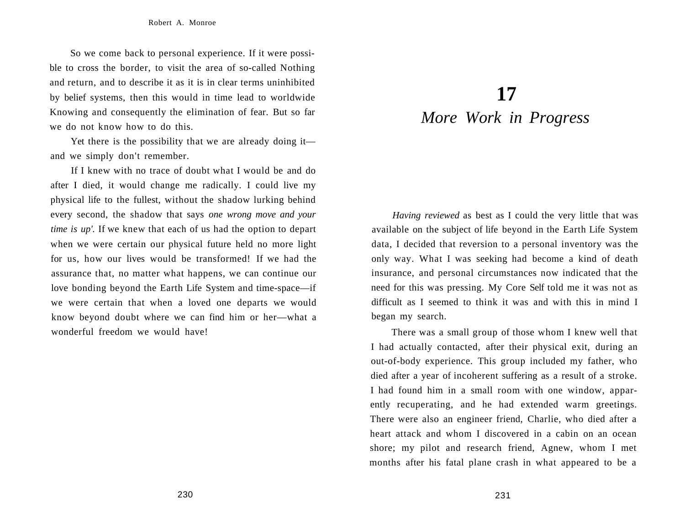So we come back to personal experience. If it were possible to cross the border, to visit the area of so-called Nothing and return, and to describe it as it is in clear terms uninhibited by belief systems, then this would in time lead to worldwide Knowing and consequently the elimination of fear. But so far we do not know how to do this.

Yet there is the possibility that we are already doing it and we simply don't remember.

If I knew with no trace of doubt what I would be and do after I died, it would change me radically. I could live my physical life to the fullest, without the shadow lurking behind every second, the shadow that says *one wrong move and your time is up'.* If we knew that each of us had the option to depart when we were certain our physical future held no more light for us, how our lives would be transformed! If we had the assurance that, no matter what happens, we can continue our love bonding beyond the Earth Life System and time-space—if we were certain that when a loved one departs we would know beyond doubt where we can find him or her—what a wonderful freedom we would have!

### **17**  *More Work in Progress*

*Having reviewed* as best as I could the very little that was available on the subject of life beyond in the Earth Life System data, I decided that reversion to a personal inventory was the only way. What I was seeking had become a kind of death insurance, and personal circumstances now indicated that the need for this was pressing. My Core Self told me it was not as difficult as I seemed to think it was and with this in mind I began my search.

There was a small group of those whom I knew well that I had actually contacted, after their physical exit, during an out-of-body experience. This group included my father, who died after a year of incoherent suffering as a result of a stroke. I had found him in a small room with one window, apparently recuperating, and he had extended warm greetings. There were also an engineer friend, Charlie, who died after a heart attack and whom I discovered in a cabin on an ocean shore; my pilot and research friend, Agnew, whom I met months after his fatal plane crash in what appeared to be a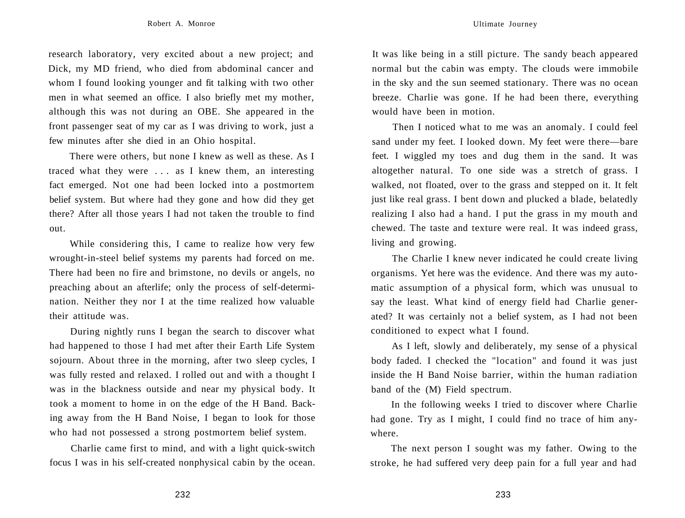research laboratory, very excited about a new project; and Dick, my MD friend, who died from abdominal cancer and whom I found looking younger and fit talking with two other men in what seemed an office. I also briefly met my mother, although this was not during an OBE. She appeared in the front passenger seat of my car as I was driving to work, just a few minutes after she died in an Ohio hospital.

There were others, but none I knew as well as these. As I traced what they were .. . as I knew them, an interesting fact emerged. Not one had been locked into a postmortem belief system. But where had they gone and how did they get there? After all those years I had not taken the trouble to find out.

While considering this, I came to realize how very few wrought-in-steel belief systems my parents had forced on me. There had been no fire and brimstone, no devils or angels, no preaching about an afterlife; only the process of self-determination. Neither they nor I at the time realized how valuable their attitude was.

During nightly runs I began the search to discover what had happened to those I had met after their Earth Life System sojourn. About three in the morning, after two sleep cycles, I was fully rested and relaxed. I rolled out and with a thought I was in the blackness outside and near my physical body. It took a moment to home in on the edge of the H Band. Backing away from the H Band Noise, I began to look for those who had not possessed a strong postmortem belief system.

Charlie came first to mind, and with a light quick-switch focus I was in his self-created nonphysical cabin by the ocean. It was like being in a still picture. The sandy beach appeared normal but the cabin was empty. The clouds were immobile in the sky and the sun seemed stationary. There was no ocean breeze. Charlie was gone. If he had been there, everything would have been in motion.

Then I noticed what to me was an anomaly. I could feel sand under my feet. I looked down. My feet were there—bare feet. I wiggled my toes and dug them in the sand. It was altogether natural. To one side was a stretch of grass. I walked, not floated, over to the grass and stepped on it. It felt just like real grass. I bent down and plucked a blade, belatedly realizing I also had a hand. I put the grass in my mouth and chewed. The taste and texture were real. It was indeed grass, living and growing.

The Charlie I knew never indicated he could create living organisms. Yet here was the evidence. And there was my automatic assumption of a physical form, which was unusual to say the least. What kind of energy field had Charlie generated? It was certainly not a belief system, as I had not been conditioned to expect what I found.

As I left, slowly and deliberately, my sense of a physical body faded. I checked the "location" and found it was just inside the H Band Noise barrier, within the human radiation band of the (M) Field spectrum.

In the following weeks I tried to discover where Charlie had gone. Try as I might, I could find no trace of him anywhere.

The next person I sought was my father. Owing to the stroke, he had suffered very deep pain for a full year and had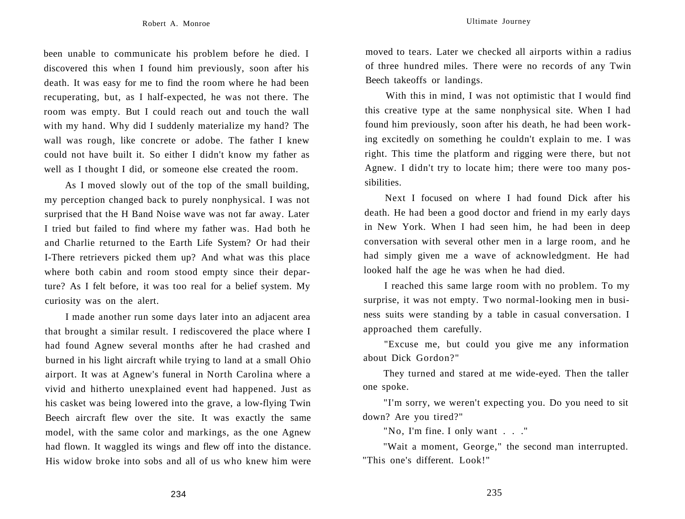been unable to communicate his problem before he died. I discovered this when I found him previously, soon after his death. It was easy for me to find the room where he had been recuperating, but, as I half-expected, he was not there. The room was empty. But I could reach out and touch the wall with my hand. Why did I suddenly materialize my hand? The wall was rough, like concrete or adobe. The father I knew could not have built it. So either I didn't know my father as well as I thought I did, or someone else created the room.

As I moved slowly out of the top of the small building, my perception changed back to purely nonphysical. I was not surprised that the H Band Noise wave was not far away. Later I tried but failed to find where my father was. Had both he and Charlie returned to the Earth Life System? Or had their I-There retrievers picked them up? And what was this place where both cabin and room stood empty since their departure? As I felt before, it was too real for a belief system. My curiosity was on the alert.

I made another run some days later into an adjacent area that brought a similar result. I rediscovered the place where I had found Agnew several months after he had crashed and burned in his light aircraft while trying to land at a small Ohio airport. It was at Agnew's funeral in North Carolina where a vivid and hitherto unexplained event had happened. Just as his casket was being lowered into the grave, a low-flying Twin Beech aircraft flew over the site. It was exactly the same model, with the same color and markings, as the one Agnew had flown. It waggled its wings and flew off into the distance. His widow broke into sobs and all of us who knew him were moved to tears. Later we checked all airports within a radius of three hundred miles. There were no records of any Twin Beech takeoffs or landings.

With this in mind, I was not optimistic that I would find this creative type at the same nonphysical site. When I had found him previously, soon after his death, he had been working excitedly on something he couldn't explain to me. I was right. This time the platform and rigging were there, but not Agnew. I didn't try to locate him; there were too many possibilities.

Next I focused on where I had found Dick after his death. He had been a good doctor and friend in my early days in New York. When I had seen him, he had been in deep conversation with several other men in a large room, and he had simply given me a wave of acknowledgment. He had looked half the age he was when he had died.

I reached this same large room with no problem. To my surprise, it was not empty. Two normal-looking men in business suits were standing by a table in casual conversation. I approached them carefully.

"Excuse me, but could you give me any information about Dick Gordon?"

They turned and stared at me wide-eyed. Then the taller one spoke.

"I'm sorry, we weren't expecting you. Do you need to sit down? Are you tired?"

"No, I'm fine. I only want . . ."

"Wait a moment, George," the second man interrupted. "This one's different. Look!"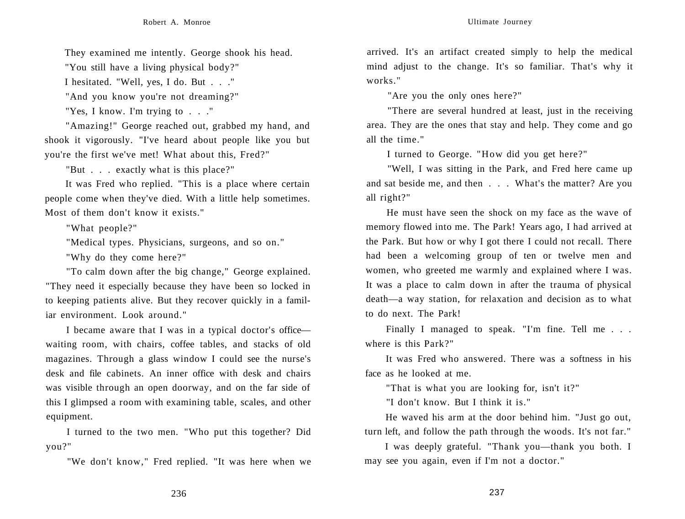They examined me intently. George shook his head.

"You still have a living physical body?"

I hesitated. "Well, yes, I do. But . . ."

"And you know you're not dreaming?"

"Yes, I know. I'm trying to . . ."

"Amazing!" George reached out, grabbed my hand, and shook it vigorously. "I've heard about people like you but you're the first we've met! What about this, Fred?"

"But . . . exactly what is this place?"

It was Fred who replied. "This is a place where certain people come when they've died. With a little help sometimes. Most of them don't know it exists."

"What people?"

"Medical types. Physicians, surgeons, and so on."

"Why do they come here?"

"To calm down after the big change," George explained. "They need it especially because they have been so locked in to keeping patients alive. But they recover quickly in a familiar environment. Look around."

I became aware that I was in a typical doctor's office waiting room, with chairs, coffee tables, and stacks of old magazines. Through a glass window I could see the nurse's desk and file cabinets. An inner office with desk and chairs was visible through an open doorway, and on the far side of this I glimpsed a room with examining table, scales, and other equipment.

I turned to the two men. "Who put this together? Did you?"

"We don't know," Fred replied. "It was here when we

arrived. It's an artifact created simply to help the medical mind adjust to the change. It's so familiar. That's why it works."

"Are you the only ones here?"

"There are several hundred at least, just in the receiving area. They are the ones that stay and help. They come and go all the time."

I turned to George. "How did you get here?"

"Well, I was sitting in the Park, and Fred here came up and sat beside me, and then . . . What's the matter? Are you all right?"

He must have seen the shock on my face as the wave of memory flowed into me. The Park! Years ago, I had arrived at the Park. But how or why I got there I could not recall. There had been a welcoming group of ten or twelve men and women, who greeted me warmly and explained where I was. It was a place to calm down in after the trauma of physical death—a way station, for relaxation and decision as to what to do next. The Park!

Finally I managed to speak. "I'm fine. Tell me . . . where is this Park?"

It was Fred who answered. There was a softness in his face as he looked at me.

"That is what you are looking for, isn't it?"

"I don't know. But I think it is."

He waved his arm at the door behind him. "Just go out, turn left, and follow the path through the woods. It's not far."

I was deeply grateful. "Thank you—thank you both. I may see you again, even if I'm not a doctor."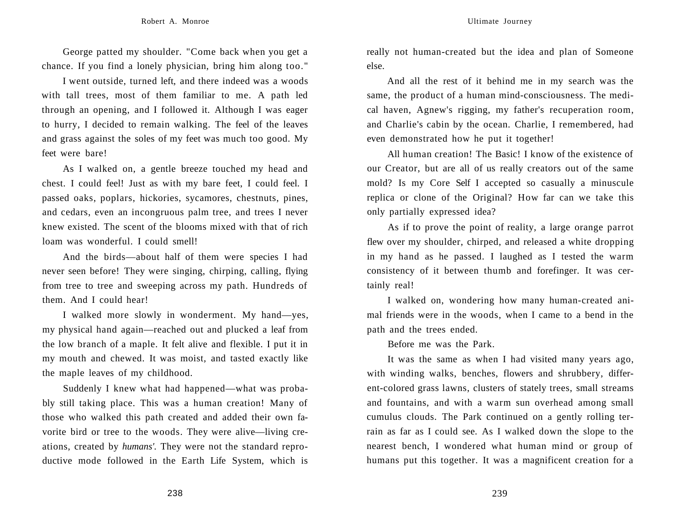George patted my shoulder. "Come back when you get a chance. If you find a lonely physician, bring him along too."

I went outside, turned left, and there indeed was a woods with tall trees, most of them familiar to me. A path led through an opening, and I followed it. Although I was eager to hurry, I decided to remain walking. The feel of the leaves and grass against the soles of my feet was much too good. My feet were bare!

As I walked on, a gentle breeze touched my head and chest. I could feel! Just as with my bare feet, I could feel. I passed oaks, poplars, hickories, sycamores, chestnuts, pines, and cedars, even an incongruous palm tree, and trees I never knew existed. The scent of the blooms mixed with that of rich loam was wonderful. I could smell!

And the birds—about half of them were species I had never seen before! They were singing, chirping, calling, flying from tree to tree and sweeping across my path. Hundreds of them. And I could hear!

I walked more slowly in wonderment. My hand—yes, my physical hand again—reached out and plucked a leaf from the low branch of a maple. It felt alive and flexible. I put it in my mouth and chewed. It was moist, and tasted exactly like the maple leaves of my childhood.

Suddenly I knew what had happened—what was probably still taking place. This was a human creation! Many of those who walked this path created and added their own favorite bird or tree to the woods. They were alive—living creations, created by *humans'.* They were not the standard reproductive mode followed in the Earth Life System, which is really not human-created but the idea and plan of Someone else.

And all the rest of it behind me in my search was the same, the product of a human mind-consciousness. The medical haven, Agnew's rigging, my father's recuperation room, and Charlie's cabin by the ocean. Charlie, I remembered, had even demonstrated how he put it together!

All human creation! The Basic! I know of the existence of our Creator, but are all of us really creators out of the same mold? Is my Core Self I accepted so casually a minuscule replica or clone of the Original? How far can we take this only partially expressed idea?

As if to prove the point of reality, a large orange parrot flew over my shoulder, chirped, and released a white dropping in my hand as he passed. I laughed as I tested the warm consistency of it between thumb and forefinger. It was certainly real!

I walked on, wondering how many human-created animal friends were in the woods, when I came to a bend in the path and the trees ended.

Before me was the Park.

It was the same as when I had visited many years ago, with winding walks, benches, flowers and shrubbery, different-colored grass lawns, clusters of stately trees, small streams and fountains, and with a warm sun overhead among small cumulus clouds. The Park continued on a gently rolling terrain as far as I could see. As I walked down the slope to the nearest bench, I wondered what human mind or group of humans put this together. It was a magnificent creation for a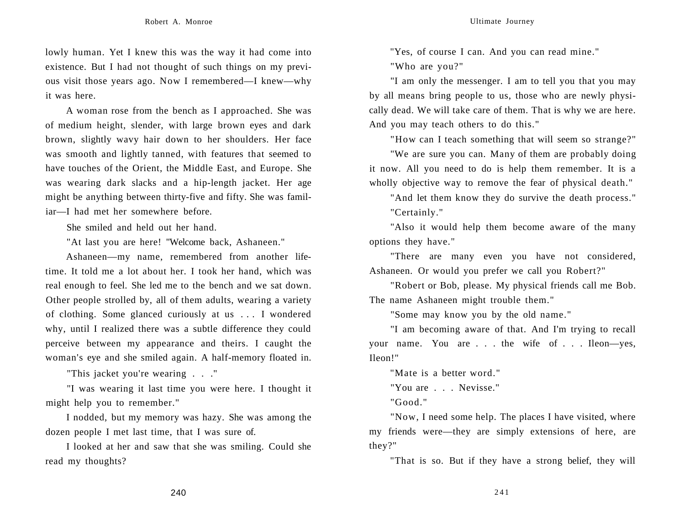lowly human. Yet I knew this was the way it had come into existence. But I had not thought of such things on my previous visit those years ago. Now I remembered—I knew—why it was here.

A woman rose from the bench as I approached. She was of medium height, slender, with large brown eyes and dark brown, slightly wavy hair down to her shoulders. Her face was smooth and lightly tanned, with features that seemed to have touches of the Orient, the Middle East, and Europe. She was wearing dark slacks and a hip-length jacket. Her age might be anything between thirty-five and fifty. She was familiar—I had met her somewhere before.

She smiled and held out her hand.

"At last you are here! "Welcome back, Ashaneen."

Ashaneen—my name, remembered from another lifetime. It told me a lot about her. I took her hand, which was real enough to feel. She led me to the bench and we sat down. Other people strolled by, all of them adults, wearing a variety of clothing. Some glanced curiously at us .. . I wondered why, until I realized there was a subtle difference they could perceive between my appearance and theirs. I caught the woman's eye and she smiled again. A half-memory floated in.

"This jacket you're wearing . . ."

"I was wearing it last time you were here. I thought it might help you to remember."

I nodded, but my memory was hazy. She was among the dozen people I met last time, that I was sure of.

I looked at her and saw that she was smiling. Could she read my thoughts?

"Yes, of course I can. And you can read mine."

"Who are you?"

"I am only the messenger. I am to tell you that you may by all means bring people to us, those who are newly physically dead. We will take care of them. That is why we are here. And you may teach others to do this."

"How can I teach something that will seem so strange?"

"We are sure you can. Many of them are probably doing it now. All you need to do is help them remember. It is a wholly objective way to remove the fear of physical death."

"And let them know they do survive the death process." "Certainly."

"Also it would help them become aware of the many options they have."

"There are many even you have not considered, Ashaneen. Or would you prefer we call you Robert?"

"Robert or Bob, please. My physical friends call me Bob. The name Ashaneen might trouble them."

"Some may know you by the old name."

"I am becoming aware of that. And I'm trying to recall your name. You are . . . the wife of . . . Ileon—yes, Ileon!"

"Mate is a better word."

"You are . . . Nevisse."

"Good."

"Now, I need some help. The places I have visited, where my friends were—they are simply extensions of here, are they?"

"That is so. But if they have a strong belief, they will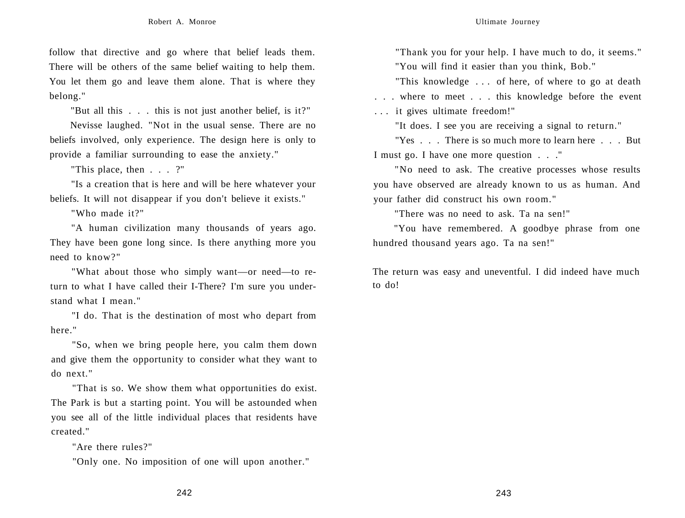follow that directive and go where that belief leads them. There will be others of the same belief waiting to help them. You let them go and leave them alone. That is where they belong."

"But all this . . . this is not just another belief, is it?"

Nevisse laughed. "Not in the usual sense. There are no beliefs involved, only experience. The design here is only to provide a familiar surrounding to ease the anxiety."

"This place, then . . . ?"

"Is a creation that is here and will be here whatever your beliefs. It will not disappear if you don't believe it exists."

"Who made it?"

"A human civilization many thousands of years ago. They have been gone long since. Is there anything more you need to know?"

"What about those who simply want—or need—to return to what I have called their I-There? I'm sure you understand what I mean."

"I do. That is the destination of most who depart from here."

"So, when we bring people here, you calm them down and give them the opportunity to consider what they want to do next."

"That is so. We show them what opportunities do exist. The Park is but a starting point. You will be astounded when you see all of the little individual places that residents have created."

"Are there rules?"

"Only one. No imposition of one will upon another."

"Thank you for your help. I have much to do, it seems." "You will find it easier than you think, Bob."

"This knowledge .. . of here, of where to go at death . . . where to meet . . . this knowledge before the event . . . it gives ultimate freedom!"

"It does. I see you are receiving a signal to return."

"Yes . . . There is so much more to learn here . . . But I must go. I have one more question . . ."

"No need to ask. The creative processes whose results you have observed are already known to us as human. And your father did construct his own room."

"There was no need to ask. Ta na sen!"

"You have remembered. A goodbye phrase from one hundred thousand years ago. Ta na sen!"

The return was easy and uneventful. I did indeed have much to do!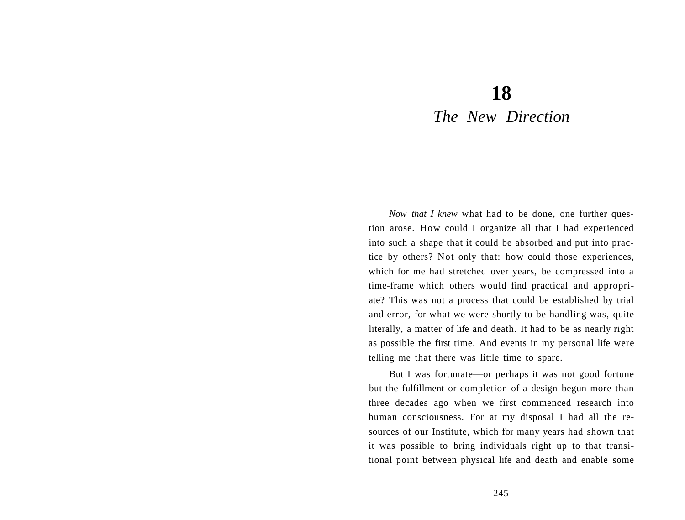# **18**  *The New Direction*

*Now that I knew* what had to be done, one further question arose. How could I organize all that I had experienced into such a shape that it could be absorbed and put into practice by others? Not only that: how could those experiences, which for me had stretched over years, be compressed into a time-frame which others would find practical and appropriate? This was not a process that could be established by trial and error, for what we were shortly to be handling was, quite literally, a matter of life and death. It had to be as nearly right as possible the first time. And events in my personal life were telling me that there was little time to spare.

But I was fortunate—or perhaps it was not good fortune but the fulfillment or completion of a design begun more than three decades ago when we first commenced research into human consciousness. For at my disposal I had all the resources of our Institute, which for many years had shown that it was possible to bring individuals right up to that transitional point between physical life and death and enable some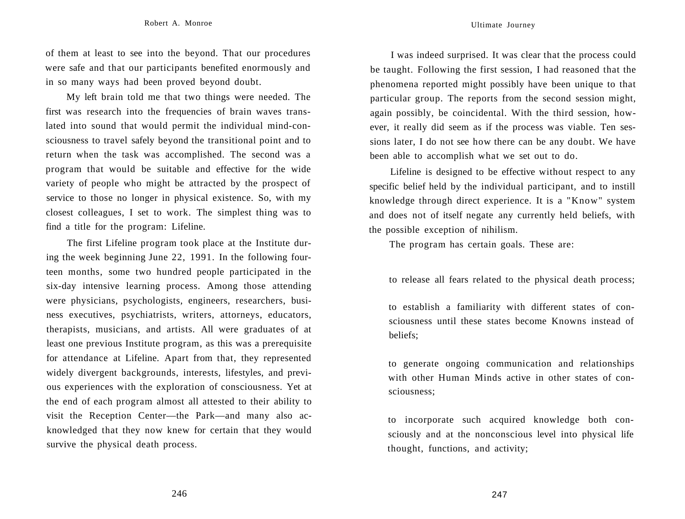of them at least to see into the beyond. That our procedures were safe and that our participants benefited enormously and in so many ways had been proved beyond doubt.

My left brain told me that two things were needed. The first was research into the frequencies of brain waves translated into sound that would permit the individual mind-consciousness to travel safely beyond the transitional point and to return when the task was accomplished. The second was a program that would be suitable and effective for the wide variety of people who might be attracted by the prospect of service to those no longer in physical existence. So, with my closest colleagues, I set to work. The simplest thing was to find a title for the program: Lifeline.

The first Lifeline program took place at the Institute during the week beginning June 22, 1991. In the following fourteen months, some two hundred people participated in the six-day intensive learning process. Among those attending were physicians, psychologists, engineers, researchers, business executives, psychiatrists, writers, attorneys, educators, therapists, musicians, and artists. All were graduates of at least one previous Institute program, as this was a prerequisite for attendance at Lifeline. Apart from that, they represented widely divergent backgrounds, interests, lifestyles, and previous experiences with the exploration of consciousness. Yet at the end of each program almost all attested to their ability to visit the Reception Center—the Park—and many also acknowledged that they now knew for certain that they would survive the physical death process.

I was indeed surprised. It was clear that the process could be taught. Following the first session, I had reasoned that the phenomena reported might possibly have been unique to that particular group. The reports from the second session might, again possibly, be coincidental. With the third session, however, it really did seem as if the process was viable. Ten sessions later, I do not see how there can be any doubt. We have been able to accomplish what we set out to do.

Lifeline is designed to be effective without respect to any specific belief held by the individual participant, and to instill knowledge through direct experience. It is a "Know" system and does not of itself negate any currently held beliefs, with the possible exception of nihilism.

The program has certain goals. These are:

to release all fears related to the physical death process;

to establish a familiarity with different states of consciousness until these states become Knowns instead of beliefs;

to generate ongoing communication and relationships with other Human Minds active in other states of consciousness;

to incorporate such acquired knowledge both consciously and at the nonconscious level into physical life thought, functions, and activity;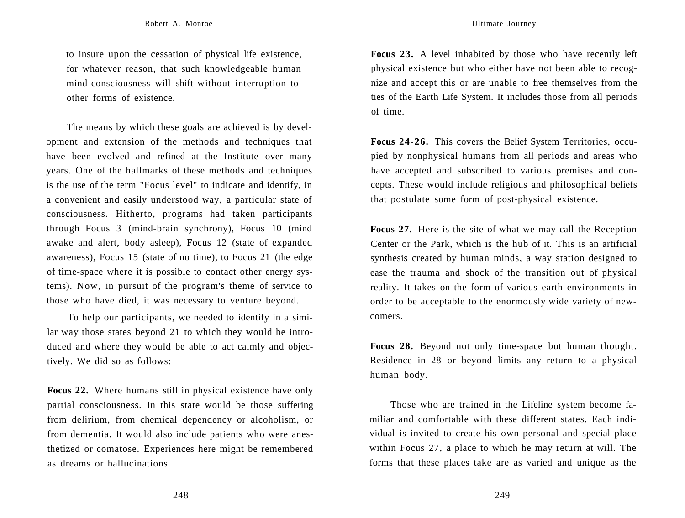to insure upon the cessation of physical life existence, for whatever reason, that such knowledgeable human mind-consciousness will shift without interruption to other forms of existence.

The means by which these goals are achieved is by development and extension of the methods and techniques that have been evolved and refined at the Institute over many years. One of the hallmarks of these methods and techniques is the use of the term "Focus level" to indicate and identify, in a convenient and easily understood way, a particular state of consciousness. Hitherto, programs had taken participants through Focus 3 (mind-brain synchrony), Focus 10 (mind awake and alert, body asleep), Focus 12 (state of expanded awareness), Focus 15 (state of no time), to Focus 21 (the edge of time-space where it is possible to contact other energy systems). Now, in pursuit of the program's theme of service to those who have died, it was necessary to venture beyond.

To help our participants, we needed to identify in a similar way those states beyond 21 to which they would be introduced and where they would be able to act calmly and objectively. We did so as follows:

**Focus 22.** Where humans still in physical existence have only partial consciousness. In this state would be those suffering from delirium, from chemical dependency or alcoholism, or from dementia. It would also include patients who were anesthetized or comatose. Experiences here might be remembered as dreams or hallucinations.

**Focus 23.** A level inhabited by those who have recently left physical existence but who either have not been able to recognize and accept this or are unable to free themselves from the ties of the Earth Life System. It includes those from all periods of time.

**Focus 24-26.** This covers the Belief System Territories, occupied by nonphysical humans from all periods and areas who have accepted and subscribed to various premises and concepts. These would include religious and philosophical beliefs that postulate some form of post-physical existence.

**Focus 27.** Here is the site of what we may call the Reception Center or the Park, which is the hub of it. This is an artificial synthesis created by human minds, a way station designed to ease the trauma and shock of the transition out of physical reality. It takes on the form of various earth environments in order to be acceptable to the enormously wide variety of newcomers.

**Focus 28.** Beyond not only time-space but human thought. Residence in 28 or beyond limits any return to a physical human body.

Those who are trained in the Lifeline system become familiar and comfortable with these different states. Each individual is invited to create his own personal and special place within Focus 27, a place to which he may return at will. The forms that these places take are as varied and unique as the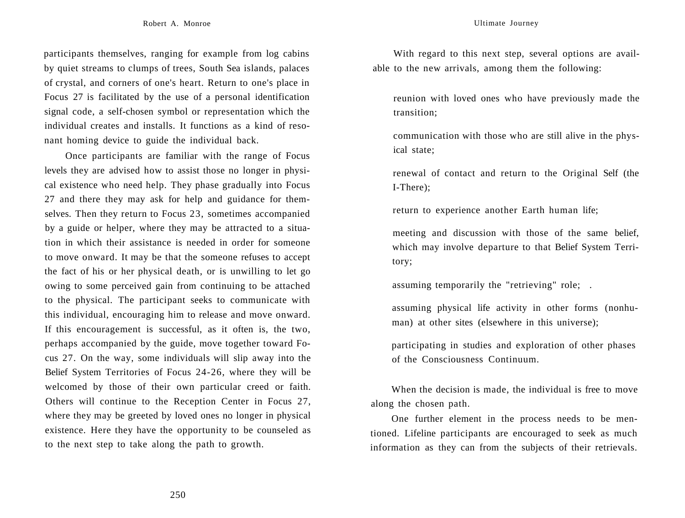participants themselves, ranging for example from log cabins by quiet streams to clumps of trees, South Sea islands, palaces of crystal, and corners of one's heart. Return to one's place in Focus 27 is facilitated by the use of a personal identification signal code, a self-chosen symbol or representation which the individual creates and installs. It functions as a kind of resonant homing device to guide the individual back.

Once participants are familiar with the range of Focus levels they are advised how to assist those no longer in physical existence who need help. They phase gradually into Focus 27 and there they may ask for help and guidance for themselves. Then they return to Focus 23, sometimes accompanied by a guide or helper, where they may be attracted to a situation in which their assistance is needed in order for someone to move onward. It may be that the someone refuses to accept the fact of his or her physical death, or is unwilling to let go owing to some perceived gain from continuing to be attached to the physical. The participant seeks to communicate with this individual, encouraging him to release and move onward. If this encouragement is successful, as it often is, the two, perhaps accompanied by the guide, move together toward Focus 27. On the way, some individuals will slip away into the Belief System Territories of Focus 24-26, where they will be welcomed by those of their own particular creed or faith. Others will continue to the Reception Center in Focus 27, where they may be greeted by loved ones no longer in physical existence. Here they have the opportunity to be counseled as to the next step to take along the path to growth.

With regard to this next step, several options are available to the new arrivals, among them the following:

reunion with loved ones who have previously made the transition;

communication with those who are still alive in the physical state;

renewal of contact and return to the Original Self (the I-There);

return to experience another Earth human life;

meeting and discussion with those of the same belief, which may involve departure to that Belief System Territory;

assuming temporarily the "retrieving" role; .

assuming physical life activity in other forms (nonhuman) at other sites (elsewhere in this universe);

participating in studies and exploration of other phases of the Consciousness Continuum.

When the decision is made, the individual is free to move along the chosen path.

One further element in the process needs to be mentioned. Lifeline participants are encouraged to seek as much information as they can from the subjects of their retrievals.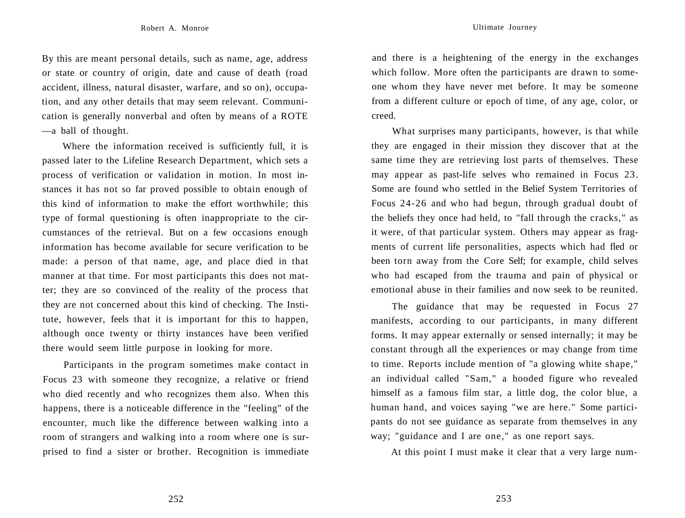By this are meant personal details, such as name, age, address or state or country of origin, date and cause of death (road accident, illness, natural disaster, warfare, and so on), occupation, and any other details that may seem relevant. Communication is generally nonverbal and often by means of a ROTE —a ball of thought.

Where the information received is sufficiently full, it is passed later to the Lifeline Research Department, which sets a process of verification or validation in motion. In most instances it has not so far proved possible to obtain enough of this kind of information to make the effort worthwhile; this type of formal questioning is often inappropriate to the circumstances of the retrieval. But on a few occasions enough information has become available for secure verification to be made: a person of that name, age, and place died in that manner at that time. For most participants this does not matter; they are so convinced of the reality of the process that they are not concerned about this kind of checking. The Institute, however, feels that it is important for this to happen, although once twenty or thirty instances have been verified there would seem little purpose in looking for more.

Participants in the program sometimes make contact in Focus 23 with someone they recognize, a relative or friend who died recently and who recognizes them also. When this happens, there is a noticeable difference in the "feeling" of the encounter, much like the difference between walking into a room of strangers and walking into a room where one is surprised to find a sister or brother. Recognition is immediate

and there is a heightening of the energy in the exchanges which follow. More often the participants are drawn to someone whom they have never met before. It may be someone from a different culture or epoch of time, of any age, color, or creed.

What surprises many participants, however, is that while they are engaged in their mission they discover that at the same time they are retrieving lost parts of themselves. These may appear as past-life selves who remained in Focus 23. Some are found who settled in the Belief System Territories of Focus 24-26 and who had begun, through gradual doubt of the beliefs they once had held, to "fall through the cracks," as it were, of that particular system. Others may appear as fragments of current life personalities, aspects which had fled or been torn away from the Core Self; for example, child selves who had escaped from the trauma and pain of physical or emotional abuse in their families and now seek to be reunited.

The guidance that may be requested in Focus 27 manifests, according to our participants, in many different forms. It may appear externally or sensed internally; it may be constant through all the experiences or may change from time to time. Reports include mention of "a glowing white shape," an individual called "Sam," a hooded figure who revealed himself as a famous film star, a little dog, the color blue, a human hand, and voices saying "we are here." Some participants do not see guidance as separate from themselves in any way; "guidance and I are one," as one report says.

At this point I must make it clear that a very large num-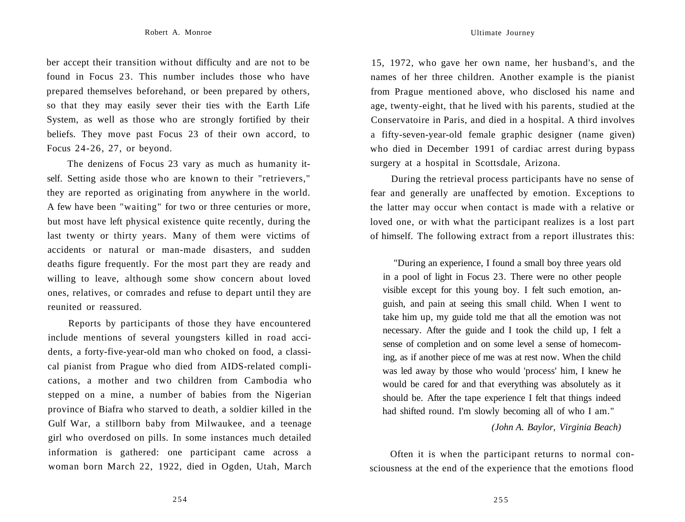ber accept their transition without difficulty and are not to be found in Focus 23. This number includes those who have prepared themselves beforehand, or been prepared by others, so that they may easily sever their ties with the Earth Life System, as well as those who are strongly fortified by their beliefs. They move past Focus 23 of their own accord, to Focus 24-26, 27, or beyond.

The denizens of Focus 23 vary as much as humanity itself. Setting aside those who are known to their "retrievers," they are reported as originating from anywhere in the world. A few have been "waiting" for two or three centuries or more, but most have left physical existence quite recently, during the last twenty or thirty years. Many of them were victims of accidents or natural or man-made disasters, and sudden deaths figure frequently. For the most part they are ready and willing to leave, although some show concern about loved ones, relatives, or comrades and refuse to depart until they are reunited or reassured.

Reports by participants of those they have encountered include mentions of several youngsters killed in road accidents, a forty-five-year-old man who choked on food, a classical pianist from Prague who died from AIDS-related complications, a mother and two children from Cambodia who stepped on a mine, a number of babies from the Nigerian province of Biafra who starved to death, a soldier killed in the Gulf War, a stillborn baby from Milwaukee, and a teenage girl who overdosed on pills. In some instances much detailed information is gathered: one participant came across a woman born March 22, 1922, died in Ogden, Utah, March

15, 1972, who gave her own name, her husband's, and the names of her three children. Another example is the pianist from Prague mentioned above, who disclosed his name and age, twenty-eight, that he lived with his parents, studied at the Conservatoire in Paris, and died in a hospital. A third involves a fifty-seven-year-old female graphic designer (name given) who died in December 1991 of cardiac arrest during bypass surgery at a hospital in Scottsdale, Arizona.

During the retrieval process participants have no sense of fear and generally are unaffected by emotion. Exceptions to the latter may occur when contact is made with a relative or loved one, or with what the participant realizes is a lost part of himself. The following extract from a report illustrates this:

"During an experience, I found a small boy three years old in a pool of light in Focus 23. There were no other people visible except for this young boy. I felt such emotion, anguish, and pain at seeing this small child. When I went to take him up, my guide told me that all the emotion was not necessary. After the guide and I took the child up, I felt a sense of completion and on some level a sense of homecoming, as if another piece of me was at rest now. When the child was led away by those who would 'process' him, I knew he would be cared for and that everything was absolutely as it should be. After the tape experience I felt that things indeed had shifted round. I'm slowly becoming all of who I am."

*(John A. Baylor, Virginia Beach)* 

Often it is when the participant returns to normal consciousness at the end of the experience that the emotions flood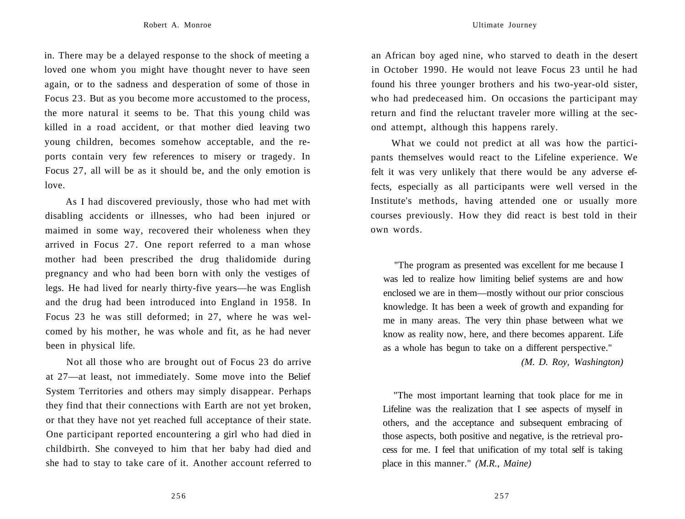in. There may be a delayed response to the shock of meeting a loved one whom you might have thought never to have seen again, or to the sadness and desperation of some of those in Focus 23. But as you become more accustomed to the process, the more natural it seems to be. That this young child was killed in a road accident, or that mother died leaving two young children, becomes somehow acceptable, and the reports contain very few references to misery or tragedy. In Focus 27, all will be as it should be, and the only emotion is love.

As I had discovered previously, those who had met with disabling accidents or illnesses, who had been injured or maimed in some way, recovered their wholeness when they arrived in Focus 27. One report referred to a man whose mother had been prescribed the drug thalidomide during pregnancy and who had been born with only the vestiges of legs. He had lived for nearly thirty-five years—he was English and the drug had been introduced into England in 1958. In Focus 23 he was still deformed; in 27, where he was welcomed by his mother, he was whole and fit, as he had never been in physical life.

Not all those who are brought out of Focus 23 do arrive at 27—at least, not immediately. Some move into the Belief System Territories and others may simply disappear. Perhaps they find that their connections with Earth are not yet broken, or that they have not yet reached full acceptance of their state. One participant reported encountering a girl who had died in childbirth. She conveyed to him that her baby had died and she had to stay to take care of it. Another account referred to

an African boy aged nine, who starved to death in the desert in October 1990. He would not leave Focus 23 until he had found his three younger brothers and his two-year-old sister, who had predeceased him. On occasions the participant may return and find the reluctant traveler more willing at the second attempt, although this happens rarely.

What we could not predict at all was how the participants themselves would react to the Lifeline experience. We felt it was very unlikely that there would be any adverse effects, especially as all participants were well versed in the Institute's methods, having attended one or usually more courses previously. How they did react is best told in their own words.

"The program as presented was excellent for me because I was led to realize how limiting belief systems are and how enclosed we are in them—mostly without our prior conscious knowledge. It has been a week of growth and expanding for me in many areas. The very thin phase between what we know as reality now, here, and there becomes apparent. Life as a whole has begun to take on a different perspective."

*(M. D. Roy, Washington)* 

"The most important learning that took place for me in Lifeline was the realization that I see aspects of myself in others, and the acceptance and subsequent embracing of those aspects, both positive and negative, is the retrieval process for me. I feel that unification of my total self is taking place in this manner." *(M.R., Maine)*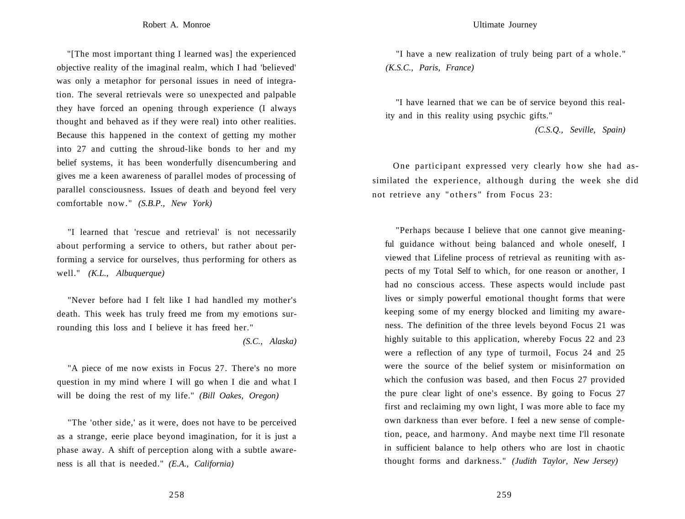"[The most important thing I learned was] the experienced objective reality of the imaginal realm, which I had 'believed' was only a metaphor for personal issues in need of integration. The several retrievals were so unexpected and palpable they have forced an opening through experience (I always thought and behaved as if they were real) into other realities. Because this happened in the context of getting my mother into 27 and cutting the shroud-like bonds to her and my belief systems, it has been wonderfully disencumbering and gives me a keen awareness of parallel modes of processing of parallel consciousness. Issues of death and beyond feel very comfortable now." *(S.B.P., New York)* 

"I learned that 'rescue and retrieval' is not necessarily about performing a service to others, but rather about performing a service for ourselves, thus performing for others as well." *(K.L., Albuquerque)* 

"Never before had I felt like I had handled my mother's death. This week has truly freed me from my emotions surrounding this loss and I believe it has freed her."

*(S.C., Alaska)* 

"A piece of me now exists in Focus 27. There's no more question in my mind where I will go when I die and what I will be doing the rest of my life." *(Bill Oakes, Oregon)* 

"The 'other side,' as it were, does not have to be perceived as a strange, eerie place beyond imagination, for it is just a phase away. A shift of perception along with a subtle awareness is all that is needed." *(E.A., California)* 

"I have a new realization of truly being part of a whole." *(K.S.C., Paris, France)* 

"I have learned that we can be of service beyond this reality and in this reality using psychic gifts."

*(C.S.Q., Seville, Spain)* 

One participant expressed very clearly how she had assimilated the experience, although during the week she did not retrieve any "others" from Focus 23:

"Perhaps because I believe that one cannot give meaningful guidance without being balanced and whole oneself, I viewed that Lifeline process of retrieval as reuniting with aspects of my Total Self to which, for one reason or another, I had no conscious access. These aspects would include past lives or simply powerful emotional thought forms that were keeping some of my energy blocked and limiting my awareness. The definition of the three levels beyond Focus 21 was highly suitable to this application, whereby Focus 22 and 23 were a reflection of any type of turmoil, Focus 24 and 25 were the source of the belief system or misinformation on which the confusion was based, and then Focus 27 provided the pure clear light of one's essence. By going to Focus 27 first and reclaiming my own light, I was more able to face my own darkness than ever before. I feel a new sense of completion, peace, and harmony. And maybe next time I'll resonate in sufficient balance to help others who are lost in chaotic thought forms and darkness." *(Judith Taylor, New Jersey)*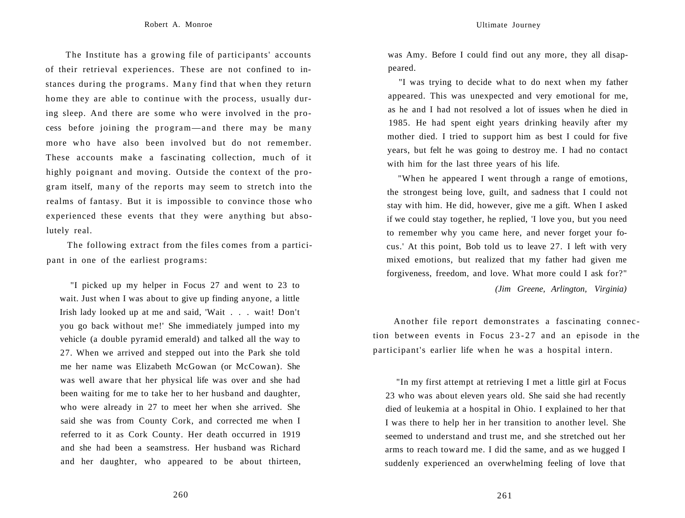The Institute has a growing file of participants' accounts of their retrieval experiences. These are not confined to instances during the programs. Many find that when they return home they are able to continue with the process, usually during sleep. And there are some who were involved in the process before joining the program—and there may be many more who have also been involved but do not remember. These accounts make a fascinating collection, much of it highly poignant and moving. Outside the context of the program itself, many of the reports may seem to stretch into the realms of fantasy. But it is impossible to convince those who experienced these events that they were anything but absolutely real.

The following extract from the files comes from a participant in one of the earliest programs:

"I picked up my helper in Focus 27 and went to 23 to wait. Just when I was about to give up finding anyone, a little Irish lady looked up at me and said, 'Wait . . . wait! Don't you go back without me!' She immediately jumped into my vehicle (a double pyramid emerald) and talked all the way to 27. When we arrived and stepped out into the Park she told me her name was Elizabeth McGowan (or McCowan). She was well aware that her physical life was over and she had been waiting for me to take her to her husband and daughter, who were already in 27 to meet her when she arrived. She said she was from County Cork, and corrected me when I referred to it as Cork County. Her death occurred in 1919 and she had been a seamstress. Her husband was Richard and her daughter, who appeared to be about thirteen, was Amy. Before I could find out any more, they all disappeared.

"I was trying to decide what to do next when my father appeared. This was unexpected and very emotional for me, as he and I had not resolved a lot of issues when he died in 1985. He had spent eight years drinking heavily after my mother died. I tried to support him as best I could for five years, but felt he was going to destroy me. I had no contact with him for the last three years of his life.

"When he appeared I went through a range of emotions, the strongest being love, guilt, and sadness that I could not stay with him. He did, however, give me a gift. When I asked if we could stay together, he replied, 'I love you, but you need to remember why you came here, and never forget your focus.' At this point, Bob told us to leave 27. I left with very mixed emotions, but realized that my father had given me forgiveness, freedom, and love. What more could I ask for?" *(Jim Greene, Arlington, Virginia)* 

Another file report demonstrates a fascinating connection between events in Focus 23-27 and an episode in the participant's earlier life when he was a hospital intern.

"In my first attempt at retrieving I met a little girl at Focus 23 who was about eleven years old. She said she had recently died of leukemia at a hospital in Ohio. I explained to her that I was there to help her in her transition to another level. She seemed to understand and trust me, and she stretched out her arms to reach toward me. I did the same, and as we hugged I suddenly experienced an overwhelming feeling of love that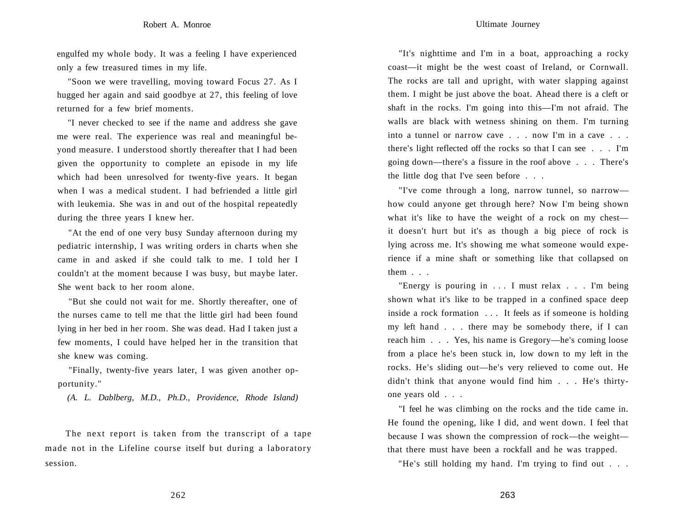engulfed my whole body. It was a feeling I have experienced only a few treasured times in my life.

"Soon we were travelling, moving toward Focus 27. As I hugged her again and said goodbye at 27, this feeling of love returned for a few brief moments.

"I never checked to see if the name and address she gave me were real. The experience was real and meaningful beyond measure. I understood shortly thereafter that I had been given the opportunity to complete an episode in my life which had been unresolved for twenty-five years. It began when I was a medical student. I had befriended a little girl with leukemia. She was in and out of the hospital repeatedly during the three years I knew her.

"At the end of one very busy Sunday afternoon during my pediatric internship, I was writing orders in charts when she came in and asked if she could talk to me. I told her I couldn't at the moment because I was busy, but maybe later. She went back to her room alone.

"But she could not wait for me. Shortly thereafter, one of the nurses came to tell me that the little girl had been found lying in her bed in her room. She was dead. Had I taken just a few moments, I could have helped her in the transition that she knew was coming.

"Finally, twenty-five years later, I was given another opportunity."

*(A. L. Dablberg, M.D., Ph.D., Providence, Rhode Island)* 

The next report is taken from the transcript of a tape made not in the Lifeline course itself but during a laboratory session.

"It's nighttime and I'm in a boat, approaching a rocky coast—it might be the west coast of Ireland, or Cornwall. The rocks are tall and upright, with water slapping against them. I might be just above the boat. Ahead there is a cleft or shaft in the rocks. I'm going into this—I'm not afraid. The walls are black with wetness shining on them. I'm turning into a tunnel or narrow cave . . . now I'm in a cave . . . there's light reflected off the rocks so that I can see . . . I'm going down—there's a fissure in the roof above . . . There's the little dog that I've seen before . . .

"I've come through a long, narrow tunnel, so narrow how could anyone get through here? Now I'm being shown what it's like to have the weight of a rock on my chest it doesn't hurt but it's as though a big piece of rock is lying across me. It's showing me what someone would experience if a mine shaft or something like that collapsed on them . . .

"Energy is pouring in .. . I must relax . . . I'm being shown what it's like to be trapped in a confined space deep inside a rock formation .. . It feels as if someone is holding my left hand . . . there may be somebody there, if I can reach him . . . Yes, his name is Gregory—he's coming loose from a place he's been stuck in, low down to my left in the rocks. He's sliding out—he's very relieved to come out. He didn't think that anyone would find him . . . He's thirtyone years old . . .

"I feel he was climbing on the rocks and the tide came in. He found the opening, like I did, and went down. I feel that because I was shown the compression of rock—the weight that there must have been a rockfall and he was trapped.

"He's still holding my hand. I'm trying to find out . . .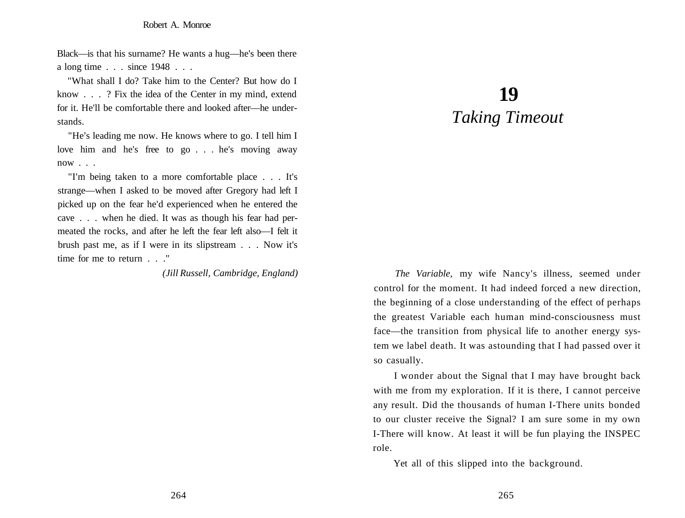Robert A. Monroe

Black—is that his surname? He wants a hug—he's been there a long time . . . since 1948 . . .

"What shall I do? Take him to the Center? But how do I know . . . ? Fix the idea of the Center in my mind, extend for it. He'll be comfortable there and looked after—he understands.

"He's leading me now. He knows where to go. I tell him I love him and he's free to go . . . he's moving away now . . .

"I'm being taken to a more comfortable place . . . It's strange—when I asked to be moved after Gregory had left I picked up on the fear he'd experienced when he entered the cave . . . when he died. It was as though his fear had permeated the rocks, and after he left the fear left also—I felt it brush past me, as if I were in its slipstream . . . Now it's time for me to return . . ."

*(Jill Russell, Cambridge, England)* 

## **19**  *Taking Timeout*

*The Variable,* my wife Nancy's illness, seemed under control for the moment. It had indeed forced a new direction, the beginning of a close understanding of the effect of perhaps the greatest Variable each human mind-consciousness must face—the transition from physical life to another energy system we label death. It was astounding that I had passed over it so casually.

I wonder about the Signal that I may have brought back with me from my exploration. If it is there, I cannot perceive any result. Did the thousands of human I-There units bonded to our cluster receive the Signal? I am sure some in my own I-There will know. At least it will be fun playing the INSPEC role.

Yet all of this slipped into the background.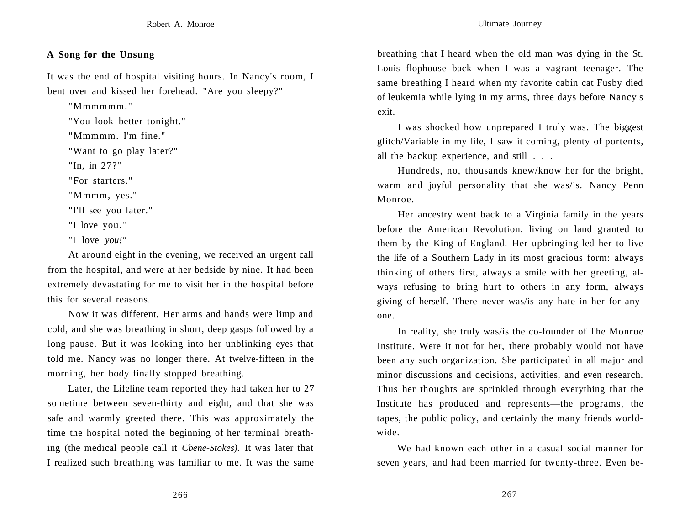### **A Song for the Unsung**

It was the end of hospital visiting hours. In Nancy's room, I bent over and kissed her forehead. "Are you sleepy?"

"Mmmmmm."

"You look better tonight."

"Mmmmm. I'm fine."

"Want to go play later?"

"In, in 27?"

"For starters."

"Mmmm, yes."

"I'll see you later."

"I love you."

"I love *you!"* 

At around eight in the evening, we received an urgent call from the hospital, and were at her bedside by nine. It had been extremely devastating for me to visit her in the hospital before this for several reasons.

Now it was different. Her arms and hands were limp and cold, and she was breathing in short, deep gasps followed by a long pause. But it was looking into her unblinking eyes that told me. Nancy was no longer there. At twelve-fifteen in the morning, her body finally stopped breathing.

Later, the Lifeline team reported they had taken her to 27 sometime between seven-thirty and eight, and that she was safe and warmly greeted there. This was approximately the time the hospital noted the beginning of her terminal breathing (the medical people call it *Cbene-Stokes).* It was later that I realized such breathing was familiar to me. It was the same breathing that I heard when the old man was dying in the St. Louis flophouse back when I was a vagrant teenager. The same breathing I heard when my favorite cabin cat Fusby died of leukemia while lying in my arms, three days before Nancy's exit.

I was shocked how unprepared I truly was. The biggest glitch/Variable in my life, I saw it coming, plenty of portents, all the backup experience, and still . . .

Hundreds, no, thousands knew/know her for the bright, warm and joyful personality that she was/is. Nancy Penn Monroe.

Her ancestry went back to a Virginia family in the years before the American Revolution, living on land granted to them by the King of England. Her upbringing led her to live the life of a Southern Lady in its most gracious form: always thinking of others first, always a smile with her greeting, always refusing to bring hurt to others in any form, always giving of herself. There never was/is any hate in her for anyone.

In reality, she truly was/is the co-founder of The Monroe Institute. Were it not for her, there probably would not have been any such organization. She participated in all major and minor discussions and decisions, activities, and even research. Thus her thoughts are sprinkled through everything that the Institute has produced and represents—the programs, the tapes, the public policy, and certainly the many friends worldwide.

We had known each other in a casual social manner for seven years, and had been married for twenty-three. Even be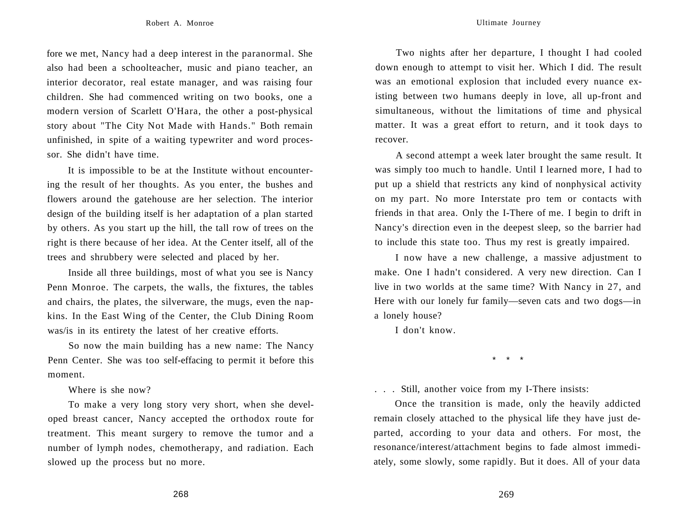fore we met, Nancy had a deep interest in the paranormal. She also had been a schoolteacher, music and piano teacher, an interior decorator, real estate manager, and was raising four children. She had commenced writing on two books, one a modern version of Scarlett O'Hara, the other a post-physical story about "The City Not Made with Hands." Both remain unfinished, in spite of a waiting typewriter and word processor. She didn't have time.

It is impossible to be at the Institute without encountering the result of her thoughts. As you enter, the bushes and flowers around the gatehouse are her selection. The interior design of the building itself is her adaptation of a plan started by others. As you start up the hill, the tall row of trees on the right is there because of her idea. At the Center itself, all of the trees and shrubbery were selected and placed by her.

Inside all three buildings, most of what you see is Nancy Penn Monroe. The carpets, the walls, the fixtures, the tables and chairs, the plates, the silverware, the mugs, even the napkins. In the East Wing of the Center, the Club Dining Room was/is in its entirety the latest of her creative efforts.

So now the main building has a new name: The Nancy Penn Center. She was too self-effacing to permit it before this moment.

Where is she now?

To make a very long story very short, when she developed breast cancer, Nancy accepted the orthodox route for treatment. This meant surgery to remove the tumor and a number of lymph nodes, chemotherapy, and radiation. Each slowed up the process but no more.

Two nights after her departure, I thought I had cooled down enough to attempt to visit her. Which I did. The result was an emotional explosion that included every nuance existing between two humans deeply in love, all up-front and simultaneous, without the limitations of time and physical matter. It was a great effort to return, and it took days to recover.

A second attempt a week later brought the same result. It was simply too much to handle. Until I learned more, I had to put up a shield that restricts any kind of nonphysical activity on my part. No more Interstate pro tem or contacts with friends in that area. Only the I-There of me. I begin to drift in Nancy's direction even in the deepest sleep, so the barrier had to include this state too. Thus my rest is greatly impaired.

I now have a new challenge, a massive adjustment to make. One I hadn't considered. A very new direction. Can I live in two worlds at the same time? With Nancy in 27, and Here with our lonely fur family—seven cats and two dogs—in a lonely house?

I don't know.

\* \* \*

. . . Still, another voice from my I-There insists:

Once the transition is made, only the heavily addicted remain closely attached to the physical life they have just departed, according to your data and others. For most, the resonance/interest/attachment begins to fade almost immediately, some slowly, some rapidly. But it does. All of your data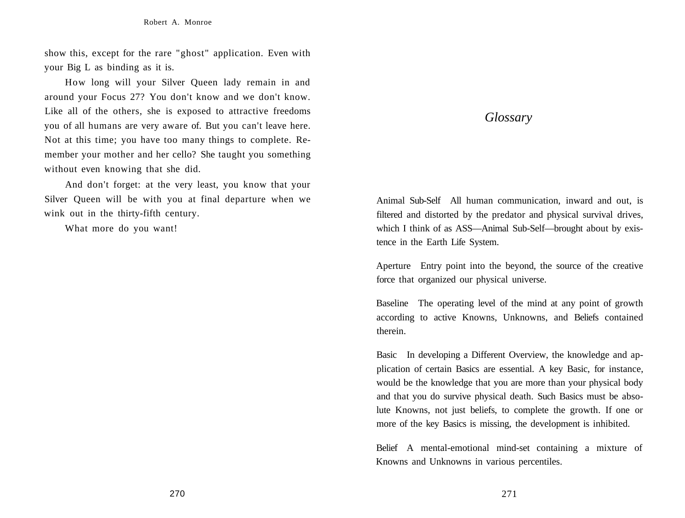Robert A. Monroe

show this, except for the rare "ghost" application. Even with your Big L as binding as it is.

How long will your Silver Queen lady remain in and around your Focus 27? You don't know and we don't know. Like all of the others, she is exposed to attractive freedoms you of all humans are very aware of. But you can't leave here. Not at this time; you have too many things to complete. Remember your mother and her cello? She taught you something without even knowing that she did.

And don't forget: at the very least, you know that your Silver Queen will be with you at final departure when we wink out in the thirty-fifth century.

What more do you want!

### *Glossary*

Animal Sub-Self All human communication, inward and out, is filtered and distorted by the predator and physical survival drives, which I think of as ASS—Animal Sub-Self—brought about by existence in the Earth Life System.

Aperture Entry point into the beyond, the source of the creative force that organized our physical universe.

Baseline The operating level of the mind at any point of growth according to active Knowns, Unknowns, and Beliefs contained therein.

Basic In developing a Different Overview, the knowledge and application of certain Basics are essential. A key Basic, for instance, would be the knowledge that you are more than your physical body and that you do survive physical death. Such Basics must be absolute Knowns, not just beliefs, to complete the growth. If one or more of the key Basics is missing, the development is inhibited.

Belief A mental-emotional mind-set containing a mixture of Knowns and Unknowns in various percentiles.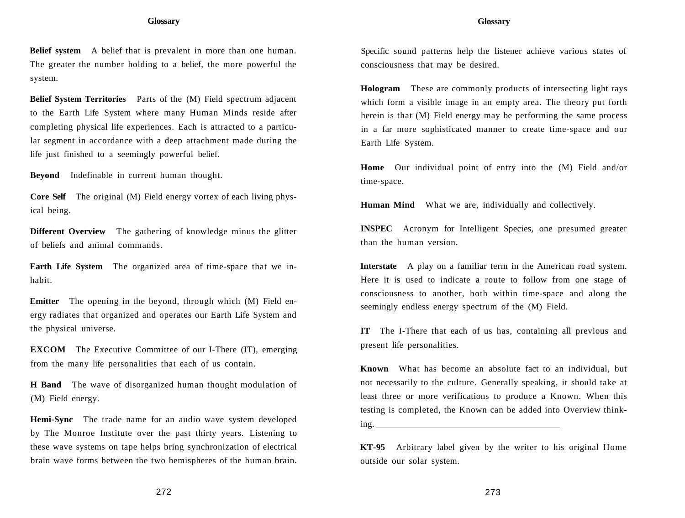#### **Glossary**

#### **Glossary**

**Belief system** A belief that is prevalent in more than one human. The greater the number holding to a belief, the more powerful the system.

**Belief System Territories** Parts of the (M) Field spectrum adjacent to the Earth Life System where many Human Minds reside after completing physical life experiences. Each is attracted to a particular segment in accordance with a deep attachment made during the life just finished to a seemingly powerful belief.

**Beyond** Indefinable in current human thought.

**Core Self** The original (M) Field energy vortex of each living physical being.

**Different Overview** The gathering of knowledge minus the glitter of beliefs and animal commands.

**Earth Life System** The organized area of time-space that we inhabit.

**Emitter** The opening in the beyond, through which (M) Field energy radiates that organized and operates our Earth Life System and the physical universe.

**EXCOM** The Executive Committee of our I-There (IT), emerging from the many life personalities that each of us contain.

**H Band** The wave of disorganized human thought modulation of (M) Field energy.

**Hemi-Sync** The trade name for an audio wave system developed by The Monroe Institute over the past thirty years. Listening to these wave systems on tape helps bring synchronization of electrical brain wave forms between the two hemispheres of the human brain.

Specific sound patterns help the listener achieve various states of consciousness that may be desired.

**Hologram** These are commonly products of intersecting light rays which form a visible image in an empty area. The theory put forth herein is that (M) Field energy may be performing the same process in a far more sophisticated manner to create time-space and our Earth Life System.

**Home** Our individual point of entry into the (M) Field and/or time-space.

**Human Mind** What we are, individually and collectively.

**INSPEC** Acronym for Intelligent Species, one presumed greater than the human version.

**Interstate** A play on a familiar term in the American road system. Here it is used to indicate a route to follow from one stage of consciousness to another, both within time-space and along the seemingly endless energy spectrum of the (M) Field.

**IT** The I-There that each of us has, containing all previous and present life personalities.

**Known** What has become an absolute fact to an individual, but not necessarily to the culture. Generally speaking, it should take at least three or more verifications to produce a Known. When this testing is completed, the Known can be added into Overview thinking.

**KT-95** Arbitrary label given by the writer to his original Home outside our solar system.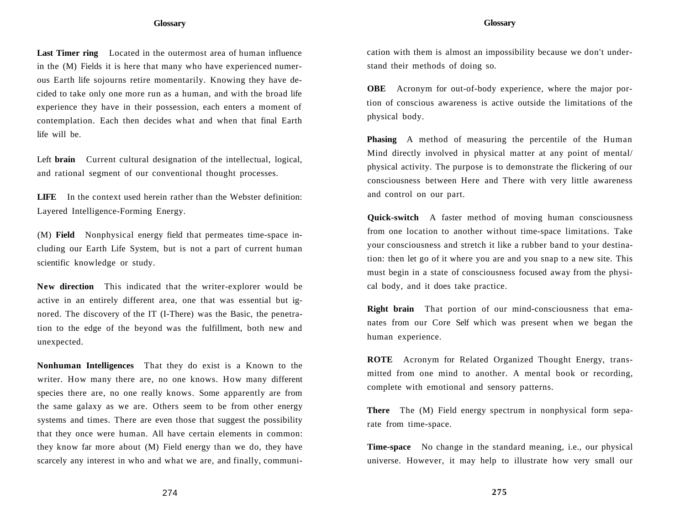#### **Glossary**

#### **Glossary**

**Last Timer ring** Located in the outermost area of human influence in the (M) Fields it is here that many who have experienced numerous Earth life sojourns retire momentarily. Knowing they have decided to take only one more run as a human, and with the broad life experience they have in their possession, each enters a moment of contemplation. Each then decides what and when that final Earth life will be.

Left **brain** Current cultural designation of the intellectual, logical, and rational segment of our conventional thought processes.

**LIFE** In the context used herein rather than the Webster definition: Layered Intelligence-Forming Energy.

(M) **Field** Nonphysical energy field that permeates time-space including our Earth Life System, but is not a part of current human scientific knowledge or study.

**New direction** This indicated that the writer-explorer would be active in an entirely different area, one that was essential but ignored. The discovery of the IT (I-There) was the Basic, the penetration to the edge of the beyond was the fulfillment, both new and unexpected.

**Nonhuman Intelligences** That they do exist is a Known to the writer. How many there are, no one knows. How many different species there are, no one really knows. Some apparently are from the same galaxy as we are. Others seem to be from other energy systems and times. There are even those that suggest the possibility that they once were human. All have certain elements in common: they know far more about (M) Field energy than we do, they have scarcely any interest in who and what we are, and finally, communication with them is almost an impossibility because we don't understand their methods of doing so.

**OBE** Acronym for out-of-body experience, where the major portion of conscious awareness is active outside the limitations of the physical body.

**Phasing** A method of measuring the percentile of the Human Mind directly involved in physical matter at any point of mental/ physical activity. The purpose is to demonstrate the flickering of our consciousness between Here and There with very little awareness and control on our part.

**Quick-switch** A faster method of moving human consciousness from one location to another without time-space limitations. Take your consciousness and stretch it like a rubber band to your destination: then let go of it where you are and you snap to a new site. This must begin in a state of consciousness focused away from the physical body, and it does take practice.

**Right brain** That portion of our mind-consciousness that emanates from our Core Self which was present when we began the human experience.

**ROTE** Acronym for Related Organized Thought Energy, transmitted from one mind to another. A mental book or recording, complete with emotional and sensory patterns.

**There** The (M) Field energy spectrum in nonphysical form separate from time-space.

**Time-space** No change in the standard meaning, i.e., our physical universe. However, it may help to illustrate how very small our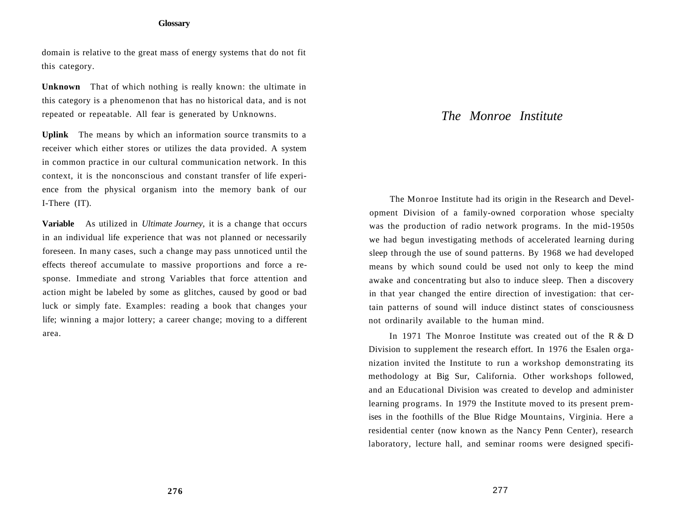### **Glossary**

domain is relative to the great mass of energy systems that do not fit this category.

**Unknown** That of which nothing is really known: the ultimate in this category is a phenomenon that has no historical data, and is not repeated or repeatable. All fear is generated by Unknowns.

**Uplink** The means by which an information source transmits to a receiver which either stores or utilizes the data provided. A system in common practice in our cultural communication network. In this context, it is the nonconscious and constant transfer of life experience from the physical organism into the memory bank of our I-There (IT).

**Variable** As utilized in *Ultimate Journey,* it is a change that occurs in an individual life experience that was not planned or necessarily foreseen. In many cases, such a change may pass unnoticed until the effects thereof accumulate to massive proportions and force a response. Immediate and strong Variables that force attention and action might be labeled by some as glitches, caused by good or bad luck or simply fate. Examples: reading a book that changes your life; winning a major lottery; a career change; moving to a different area.

# *The Monroe Institute*

The Monroe Institute had its origin in the Research and Development Division of a family-owned corporation whose specialty was the production of radio network programs. In the mid-1950s we had begun investigating methods of accelerated learning during sleep through the use of sound patterns. By 1968 we had developed means by which sound could be used not only to keep the mind awake and concentrating but also to induce sleep. Then a discovery in that year changed the entire direction of investigation: that certain patterns of sound will induce distinct states of consciousness not ordinarily available to the human mind.

In 1971 The Monroe Institute was created out of the R& D Division to supplement the research effort. In 1976 the Esalen organization invited the Institute to run a workshop demonstrating its methodology at Big Sur, California. Other workshops followed, and an Educational Division was created to develop and administer learning programs. In 1979 the Institute moved to its present premises in the foothills of the Blue Ridge Mountains, Virginia. Here a residential center (now known as the Nancy Penn Center), research laboratory, lecture hall, and seminar rooms were designed specifi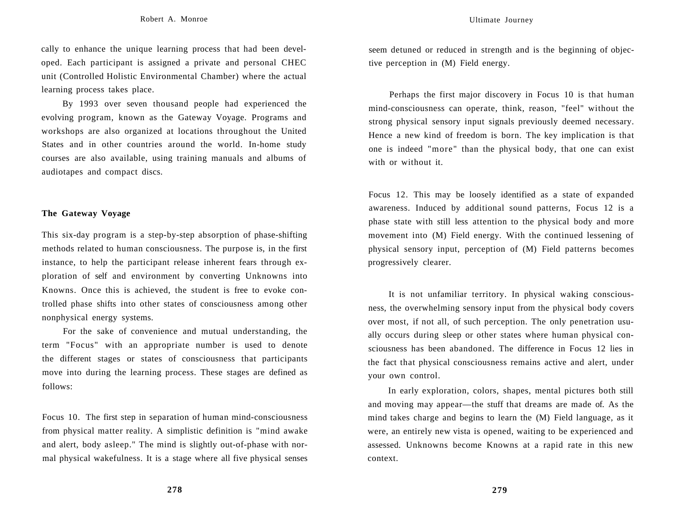cally to enhance the unique learning process that had been developed. Each participant is assigned a private and personal CHEC unit (Controlled Holistic Environmental Chamber) where the actual learning process takes place.

By 1993 over seven thousand people had experienced the evolving program, known as the Gateway Voyage. Programs and workshops are also organized at locations throughout the United States and in other countries around the world. In-home study courses are also available, using training manuals and albums of audiotapes and compact discs.

### **The Gateway Voyage**

This six-day program is a step-by-step absorption of phase-shifting methods related to human consciousness. The purpose is, in the first instance, to help the participant release inherent fears through exploration of self and environment by converting Unknowns into Knowns. Once this is achieved, the student is free to evoke controlled phase shifts into other states of consciousness among other nonphysical energy systems.

For the sake of convenience and mutual understanding, the term "Focus" with an appropriate number is used to denote the different stages or states of consciousness that participants move into during the learning process. These stages are defined as follows:

Focus 10. The first step in separation of human mind-consciousness from physical matter reality. A simplistic definition is "mind awake and alert, body asleep." The mind is slightly out-of-phase with normal physical wakefulness. It is a stage where all five physical senses seem detuned or reduced in strength and is the beginning of objective perception in (M) Field energy.

Perhaps the first major discovery in Focus 10 is that human mind-consciousness can operate, think, reason, "feel" without the strong physical sensory input signals previously deemed necessary. Hence a new kind of freedom is born. The key implication is that one is indeed "more" than the physical body, that one can exist with or without it.

Focus 12. This may be loosely identified as a state of expanded awareness. Induced by additional sound patterns, Focus 12 is a phase state with still less attention to the physical body and more movement into (M) Field energy. With the continued lessening of physical sensory input, perception of (M) Field patterns becomes progressively clearer.

It is not unfamiliar territory. In physical waking consciousness, the overwhelming sensory input from the physical body covers over most, if not all, of such perception. The only penetration usually occurs during sleep or other states where human physical consciousness has been abandoned. The difference in Focus 12 lies in the fact that physical consciousness remains active and alert, under your own control.

In early exploration, colors, shapes, mental pictures both still and moving may appear—the stuff that dreams are made of. As the mind takes charge and begins to learn the (M) Field language, as it were, an entirely new vista is opened, waiting to be experienced and assessed. Unknowns become Knowns at a rapid rate in this new context.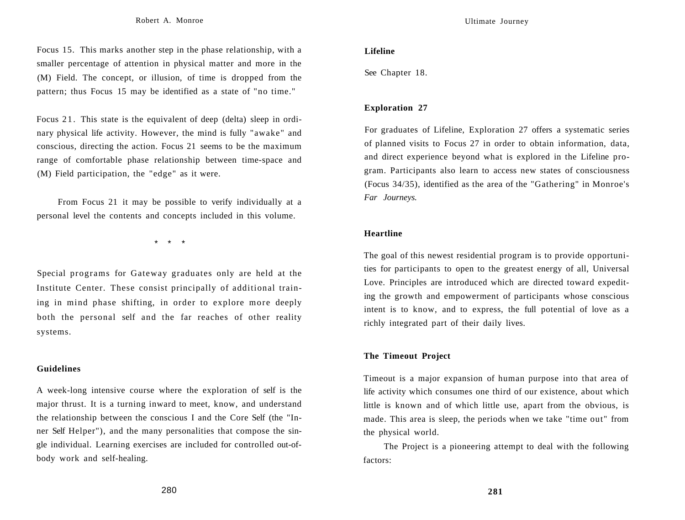Focus 15. This marks another step in the phase relationship, with a smaller percentage of attention in physical matter and more in the (M) Field. The concept, or illusion, of time is dropped from the pattern; thus Focus 15 may be identified as a state of "no time."

Focus 21. This state is the equivalent of deep (delta) sleep in ordinary physical life activity. However, the mind is fully "awake" and conscious, directing the action. Focus 21 seems to be the maximum range of comfortable phase relationship between time-space and (M) Field participation, the "edge" as it were.

From Focus 21 it may be possible to verify individually at a personal level the contents and concepts included in this volume.

\* \* \*

Special programs for Gateway graduates only are held at the Institute Center. These consist principally of additional training in mind phase shifting, in order to explore more deeply both the personal self and the far reaches of other reality systems.

### **Guidelines**

A week-long intensive course where the exploration of self is the major thrust. It is a turning inward to meet, know, and understand the relationship between the conscious I and the Core Self (the "Inner Self Helper"), and the many personalities that compose the single individual. Learning exercises are included for controlled out-ofbody work and self-healing.

### **Lifeline**

See Chapter 18.

### **Exploration 27**

For graduates of Lifeline, Exploration 27 offers a systematic series of planned visits to Focus 27 in order to obtain information, data, and direct experience beyond what is explored in the Lifeline program. Participants also learn to access new states of consciousness (Focus 34/35), identified as the area of the "Gathering" in Monroe's *Far Journeys.* 

### **Heartline**

The goal of this newest residential program is to provide opportunities for participants to open to the greatest energy of all, Universal Love. Principles are introduced which are directed toward expediting the growth and empowerment of participants whose conscious intent is to know, and to express, the full potential of love as a richly integrated part of their daily lives.

### **The Timeout Project**

Timeout is a major expansion of human purpose into that area of life activity which consumes one third of our existence, about which little is known and of which little use, apart from the obvious, is made. This area is sleep, the periods when we take "time out" from the physical world.

The Project is a pioneering attempt to deal with the following factors: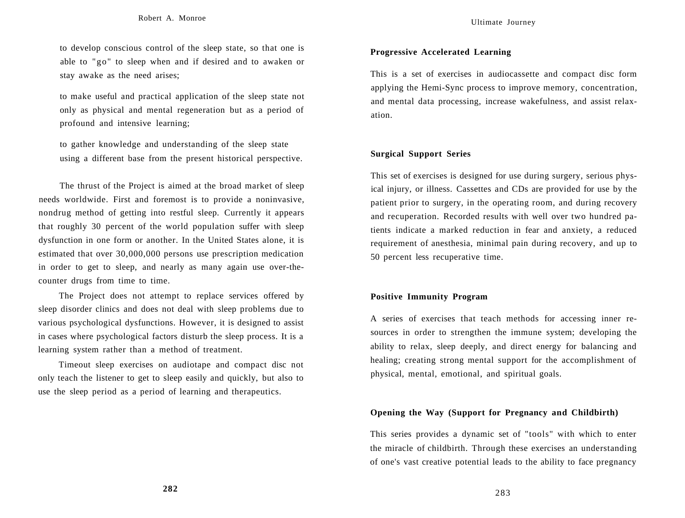Ultimate Journey

to develop conscious control of the sleep state, so that one is able to "go" to sleep when and if desired and to awaken or stay awake as the need arises;

to make useful and practical application of the sleep state not only as physical and mental regeneration but as a period of profound and intensive learning;

to gather knowledge and understanding of the sleep state using a different base from the present historical perspective.

The thrust of the Project is aimed at the broad market of sleep needs worldwide. First and foremost is to provide a noninvasive, nondrug method of getting into restful sleep. Currently it appears that roughly 30 percent of the world population suffer with sleep dysfunction in one form or another. In the United States alone, it is estimated that over 30,000,000 persons use prescription medication in order to get to sleep, and nearly as many again use over-thecounter drugs from time to time.

The Project does not attempt to replace services offered by sleep disorder clinics and does not deal with sleep problems due to various psychological dysfunctions. However, it is designed to assist in cases where psychological factors disturb the sleep process. It is a learning system rather than a method of treatment.

Timeout sleep exercises on audiotape and compact disc not only teach the listener to get to sleep easily and quickly, but also to use the sleep period as a period of learning and therapeutics.

### **Progressive Accelerated Learning**

This is a set of exercises in audiocassette and compact disc form applying the Hemi-Sync process to improve memory, concentration, and mental data processing, increase wakefulness, and assist relaxation.

### **Surgical Support Series**

This set of exercises is designed for use during surgery, serious physical injury, or illness. Cassettes and CDs are provided for use by the patient prior to surgery, in the operating room, and during recovery and recuperation. Recorded results with well over two hundred patients indicate a marked reduction in fear and anxiety, a reduced requirement of anesthesia, minimal pain during recovery, and up to 50 percent less recuperative time.

### **Positive Immunity Program**

A series of exercises that teach methods for accessing inner resources in order to strengthen the immune system; developing the ability to relax, sleep deeply, and direct energy for balancing and healing; creating strong mental support for the accomplishment of physical, mental, emotional, and spiritual goals.

### **Opening the Way (Support for Pregnancy and Childbirth)**

This series provides a dynamic set of "tools" with which to enter the miracle of childbirth. Through these exercises an understanding of one's vast creative potential leads to the ability to face pregnancy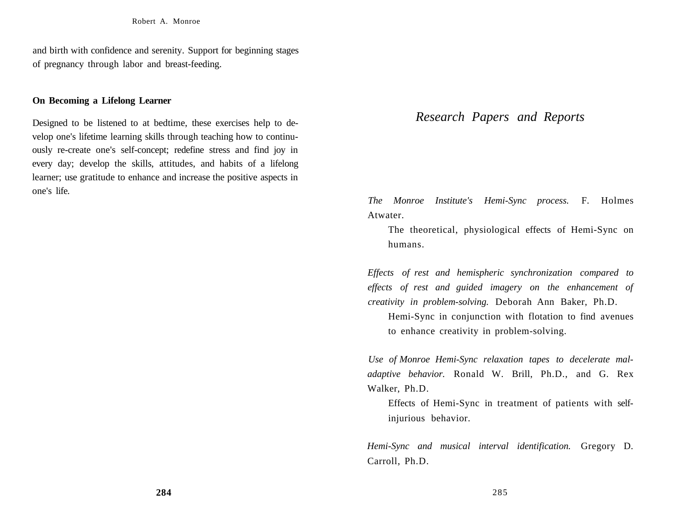and birth with confidence and serenity. Support for beginning stages of pregnancy through labor and breast-feeding.

### **On Becoming a Lifelong Learner**

Designed to be listened to at bedtime, these exercises help to develop one's lifetime learning skills through teaching how to continuously re-create one's self-concept; redefine stress and find joy in every day; develop the skills, attitudes, and habits of a lifelong learner; use gratitude to enhance and increase the positive aspects in one's life.

# *Research Papers and Reports*

*The Monroe Institute's Hemi-Sync process.* F. Holmes Atwater.

The theoretical, physiological effects of Hemi-Sync on humans.

*Effects of rest and hemispheric synchronization compared to effects of rest and guided imagery on the enhancement of creativity in problem-solving.* Deborah Ann Baker, Ph.D.

Hemi-Sync in conjunction with flotation to find avenues to enhance creativity in problem-solving.

*Use of Monroe Hemi-Sync relaxation tapes to decelerate maladaptive behavior.* Ronald W. Brill, Ph.D., and G. Rex Walker, Ph.D.

Effects of Hemi-Sync in treatment of patients with selfinjurious behavior.

*Hemi-Sync and musical interval identification.* Gregory D. Carroll, Ph.D.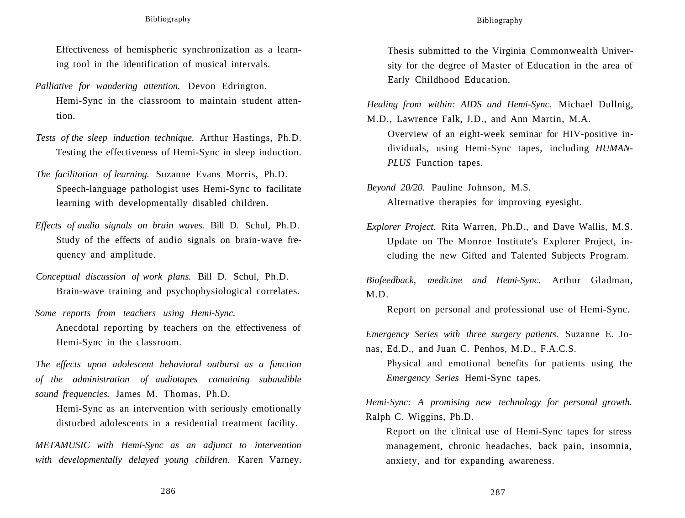### Bibliography

Effectiveness of hemispheric synchronization as a learning tool in the identification of musical intervals.

- *Palliative for wandering attention.* Devon Edrington. Hemi-Sync in the classroom to maintain student attention.
- *Tests of the sleep induction technique.* Arthur Hastings, Ph.D. Testing the effectiveness of Hemi-Sync in sleep induction.
- *The facilitation of learning.* Suzanne Evans Morris, Ph.D. Speech-language pathologist uses Hemi-Sync to facilitate learning with developmentally disabled children.
- *Effects of audio signals on brain waves.* Bill D. Schul, Ph.D. Study of the effects of audio signals on brain-wave frequency and amplitude.
- *Conceptual discussion of work plans.* Bill D. Schul, Ph.D. Brain-wave training and psychophysiological correlates.
- *Some reports from teachers using Hemi-Sync.*  Anecdotal reporting by teachers on the effectiveness of Hemi-Sync in the classroom.

*The effects upon adolescent behavioral outburst as a function of the administration of audiotapes containing subaudible sound frequencies.* James M. Thomas, Ph.D.

Hemi-Sync as an intervention with seriously emotionally disturbed adolescents in a residential treatment facility.

*METAMUSIC with Hemi-Sync as an adjunct to intervention with developmentally delayed young children.* Karen Varney. Thesis submitted to the Virginia Commonwealth University for the degree of Master of Education in the area of Early Childhood Education.

*Healing from within: AIDS and Hemi-Sync.* Michael Dullnig, M.D., Lawrence Falk, J.D., and Ann Martin, M.A.

Overview of an eight-week seminar for HIV-positive individuals, using Hemi-Sync tapes, including *HUMAN-PLUS* Function tapes.

*Beyond 20/20.* Pauline Johnson, M.S. Alternative therapies for improving eyesight.

*Explorer Project.* Rita Warren, Ph.D., and Dave Wallis, M.S. Update on The Monroe Institute's Explorer Project, including the new Gifted and Talented Subjects Program.

*Biofeedback, medicine and Hemi-Sync.* Arthur Gladman, M.D.

Report on personal and professional use of Hemi-Sync.

*Emergency Series with three surgery patients.* Suzanne E. Jonas, Ed.D., and Juan C. Penhos, M.D., F.A.C.S.

Physical and emotional benefits for patients using the *Emergency Series* Hemi-Sync tapes.

*Hemi-Sync: A promising new technology for personal growth.*  Ralph C. Wiggins, Ph.D.

Report on the clinical use of Hemi-Sync tapes for stress management, chronic headaches, back pain, insomnia, anxiety, and for expanding awareness.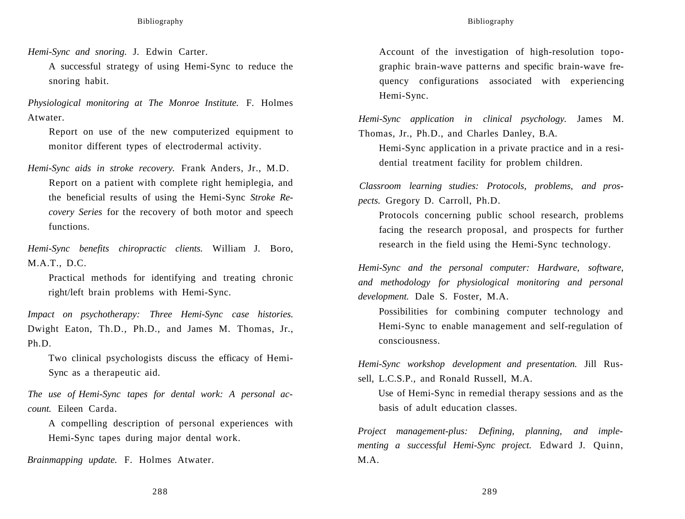*Hemi-Sync and snoring.* J. Edwin Carter.

A successful strategy of using Hemi-Sync to reduce the snoring habit.

*Physiological monitoring at The Monroe Institute.* F. Holmes Atwater.

Report on use of the new computerized equipment to monitor different types of electrodermal activity.

*Hemi-Sync aids in stroke recovery.* Frank Anders, Jr., M.D. Report on a patient with complete right hemiplegia, and the beneficial results of using the Hemi-Sync *Stroke Recovery Series* for the recovery of both motor and speech functions.

*Hemi-Sync benefits chiropractic clients.* William J. Boro, M.A.T., D.C.

Practical methods for identifying and treating chronic right/left brain problems with Hemi-Sync.

*Impact on psychotherapy: Three Hemi-Sync case histories.*  Dwight Eaton, Th.D., Ph.D., and James M. Thomas, Jr., Ph.D.

Two clinical psychologists discuss the efficacy of Hemi-Sync as a therapeutic aid.

*The use of Hemi-Sync tapes for dental work: A personal account.* Eileen Carda.

A compelling description of personal experiences with Hemi-Sync tapes during major dental work.

*Brainmapping update.* F. Holmes Atwater.

Account of the investigation of high-resolution topographic brain-wave patterns and specific brain-wave frequency configurations associated with experiencing Hemi-Sync.

*Hemi-Sync application in clinical psychology.* James M. Thomas, Jr., Ph.D., and Charles Danley, B.A.

Hemi-Sync application in a private practice and in a residential treatment facility for problem children.

*Classroom learning studies: Protocols, problems, and prospects.* Gregory D. Carroll, Ph.D.

Protocols concerning public school research, problems facing the research proposal, and prospects for further research in the field using the Hemi-Sync technology.

*Hemi-Sync and the personal computer: Hardware, software, and methodology for physiological monitoring and personal development.* Dale S. Foster, M.A.

Possibilities for combining computer technology and Hemi-Sync to enable management and self-regulation of consciousness.

*Hemi-Sync workshop development and presentation.* Jill Russell, L.C.S.P., and Ronald Russell, M.A.

Use of Hemi-Sync in remedial therapy sessions and as the basis of adult education classes.

*Project management-plus: Defining, planning, and implementing a successful Hemi-Sync project.* Edward J. Quinn, M A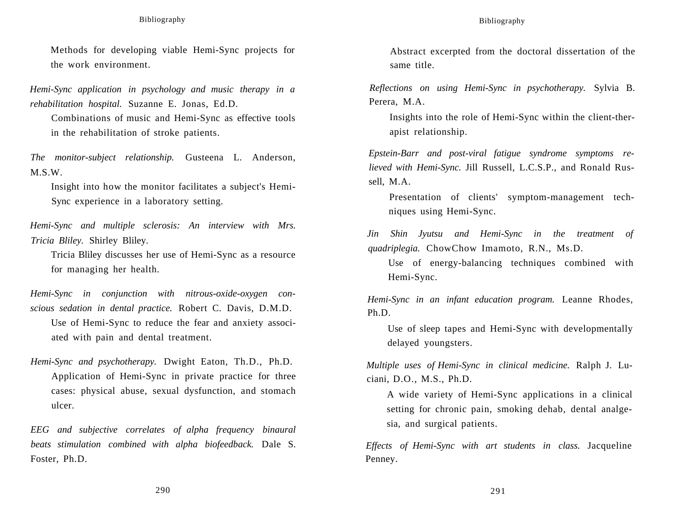### Bibliography

Methods for developing viable Hemi-Sync projects for the work environment.

*Hemi-Sync application in psychology and music therapy in a rehabilitation hospital.* Suzanne E. Jonas, Ed.D.

Combinations of music and Hemi-Sync as effective tools in the rehabilitation of stroke patients.

*The monitor-subject relationship.* Gusteena L. Anderson, M.S.W.

Insight into how the monitor facilitates a subject's Hemi-Sync experience in a laboratory setting.

*Hemi-Sync and multiple sclerosis: An interview with Mrs. Tricia Bliley.* Shirley Bliley.

Tricia Bliley discusses her use of Hemi-Sync as a resource for managing her health.

*Hemi-Sync in conjunction with nitrous-oxide-oxygen conscious sedation in dental practice.* Robert C. Davis, D.M.D. Use of Hemi-Sync to reduce the fear and anxiety associated with pain and dental treatment.

*Hemi-Sync and psychotherapy.* Dwight Eaton, Th.D., Ph.D. Application of Hemi-Sync in private practice for three cases: physical abuse, sexual dysfunction, and stomach ulcer.

*EEG and subjective correlates of alpha frequency binaural beats stimulation combined with alpha biofeedback.* Dale S. Foster, Ph.D.

Abstract excerpted from the doctoral dissertation of the same title.

*Reflections on using Hemi-Sync in psychotherapy.* Sylvia B. Perera, M.A.

Insights into the role of Hemi-Sync within the client-therapist relationship.

*Epstein-Barr and post-viral fatigue syndrome symptoms relieved with Hemi-Sync.* Jill Russell, L.C.S.P., and Ronald Russell, M.A.

Presentation of clients' symptom-management techniques using Hemi-Sync.

*Jin Shin Jyutsu and Hemi-Sync in the treatment of quadriplegia.* ChowChow Imamoto, R.N., Ms.D.

Use of energy-balancing techniques combined with Hemi-Sync.

*Hemi-Sync in an infant education program.* Leanne Rhodes, Ph.D.

Use of sleep tapes and Hemi-Sync with developmentally delayed youngsters.

*Multiple uses of Hemi-Sync in clinical medicine.* Ralph J. Luciani, D.O., M.S., Ph.D.

A wide variety of Hemi-Sync applications in a clinical setting for chronic pain, smoking dehab, dental analgesia, and surgical patients.

*Effects of Hemi-Sync with art students in class.* Jacqueline Penney.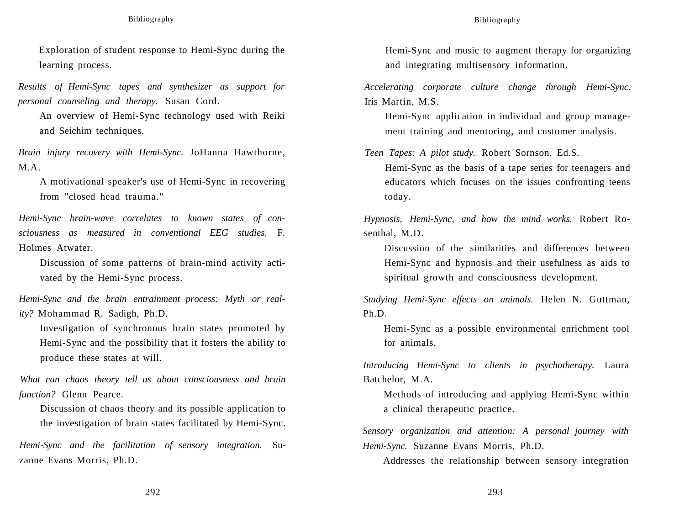### Bibliography

Bibliography

Exploration of student response to Hemi-Sync during the learning process.

*Results of Hemi-Sync tapes and synthesizer as support for personal counseling and therapy.* Susan Cord.

An overview of Hemi-Sync technology used with Reiki and Seichim techniques.

*Brain injury recovery with Hemi-Sync.* JoHanna Hawthorne, M.A.

A motivational speaker's use of Hemi-Sync in recovering from "closed head trauma."

*Hemi-Sync brain-wave correlates to known states of consciousness as measured in conventional EEG studies.* F. Holmes Atwater.

Discussion of some patterns of brain-mind activity activated by the Hemi-Sync process.

*Hemi-Sync and the brain entrainment process: Myth or reality?* Mohammad R. Sadigh, Ph.D.

Investigation of synchronous brain states promoted by Hemi-Sync and the possibility that it fosters the ability to produce these states at will.

*What can chaos theory tell us about consciousness and brain function?* Glenn Pearce.

Discussion of chaos theory and its possible application to the investigation of brain states facilitated by Hemi-Sync.

*Hemi-Sync and the facilitation of sensory integration.* Suzanne Evans Morris, Ph.D.

Hemi-Sync and music to augment therapy for organizing and integrating multisensory information.

*Accelerating corporate culture change through Hemi-Sync.*  Iris Martin, M.S.

Hemi-Sync application in individual and group management training and mentoring, and customer analysis.

*Teen Tapes: A pilot study.* Robert Sornson, Ed.S. Hemi-Sync as the basis of a tape series for teenagers and educators which focuses on the issues confronting teens today.

*Hypnosis, Hemi-Sync, and how the mind works.* Robert Rosenthal, M.D.

Discussion of the similarities and differences between Hemi-Sync and hypnosis and their usefulness as aids to spiritual growth and consciousness development.

*Studying Hemi-Sync effects on animals.* Helen N. Guttman, Ph.D.

Hemi-Sync as a possible environmental enrichment tool for animals.

*Introducing Hemi-Sync to clients in psychotherapy.* Laura Batchelor, M.A.

Methods of introducing and applying Hemi-Sync within a clinical therapeutic practice.

*Sensory organization and attention: A personal journey with Hemi-Sync.* Suzanne Evans Morris, Ph.D.

Addresses the relationship between sensory integration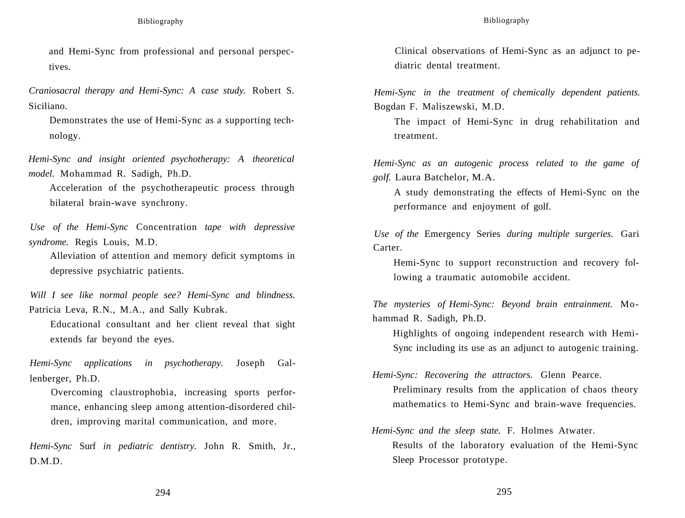and Hemi-Sync from professional and personal perspectives.

*Craniosacral therapy and Hemi-Sync: A case study.* Robert S. Siciliano.

Demonstrates the use of Hemi-Sync as a supporting technology.

*Hemi-Sync and insight oriented psychotherapy: A theoretical model.* Mohammad R. Sadigh, Ph.D.

Acceleration of the psychotherapeutic process through bilateral brain-wave synchrony.

*Use of the Hemi-Sync* Concentration *tape with depressive syndrome.* Regis Louis, M.D.

Alleviation of attention and memory deficit symptoms in depressive psychiatric patients.

*Will I see like normal people see? Hemi-Sync and blindness.*  Patricia Leva, R.N., M.A., and Sally Kubrak.

Educational consultant and her client reveal that sight extends far beyond the eyes.

*Hemi-Sync applications in psychotherapy.* Joseph Gallenberger, Ph.D.

Overcoming claustrophobia, increasing sports performance, enhancing sleep among attention-disordered children, improving marital communication, and more.

*Hemi-Sync* Surf *in pediatric dentistry.* John R. Smith, Jr., D.M.D.

Clinical observations of Hemi-Sync as an adjunct to pediatric dental treatment.

*Hemi-Sync in the treatment of chemically dependent patients.*  Bogdan F. Maliszewski, M.D.

The impact of Hemi-Sync in drug rehabilitation and treatment.

*Hemi-Sync as an autogenic process related to the game of golf.* Laura Batchelor, M.A.

A study demonstrating the effects of Hemi-Sync on the performance and enjoyment of golf.

*Use of the* Emergency Series *during multiple surgeries.* Gari Carter.

Hemi-Sync to support reconstruction and recovery following a traumatic automobile accident.

*The mysteries of Hemi-Sync: Beyond brain entrainment.* Mohammad R. Sadigh, Ph.D.

Highlights of ongoing independent research with Hemi-Sync including its use as an adjunct to autogenic training.

*Hemi-Sync: Recovering the attractors.* Glenn Pearce. Preliminary results from the application of chaos theory mathematics to Hemi-Sync and brain-wave frequencies.

*Hemi-Sync and the sleep state.* F. Holmes Atwater. Results of the laboratory evaluation of the Hemi-Sync Sleep Processor prototype.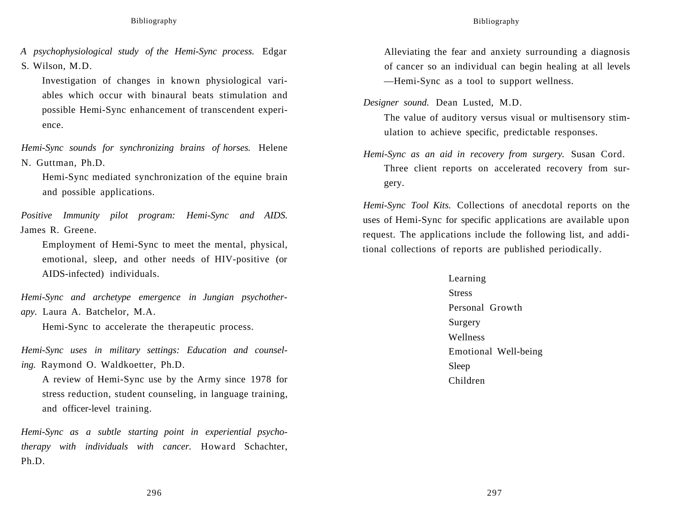*A psychophysiological study of the Hemi-Sync process.* Edgar S. Wilson, M.D.

Investigation of changes in known physiological variables which occur with binaural beats stimulation and possible Hemi-Sync enhancement of transcendent experience.

*Hemi-Sync sounds for synchronizing brains of horses.* Helene N. Guttman, Ph.D.

Hemi-Sync mediated synchronization of the equine brain and possible applications.

*Positive Immunity pilot program: Hemi-Sync and AIDS.*  James R. Greene.

Employment of Hemi-Sync to meet the mental, physical, emotional, sleep, and other needs of HIV-positive (or AIDS-infected) individuals.

*Hemi-Sync and archetype emergence in Jungian psychotherapy.* Laura A. Batchelor, M.A.

Hemi-Sync to accelerate the therapeutic process.

*Hemi-Sync uses in military settings: Education and counseling.* Raymond O. Waldkoetter, Ph.D.

A review of Hemi-Sync use by the Army since 1978 for stress reduction, student counseling, in language training, and officer-level training.

*Hemi-Sync as a subtle starting point in experiential psychotherapy with individuals with cancer.* Howard Schachter, Ph.D.

Alleviating the fear and anxiety surrounding a diagnosis of cancer so an individual can begin healing at all levels —Hemi-Sync as a tool to support wellness.

*Designer sound.* Dean Lusted, M.D.

The value of auditory versus visual or multisensory stimulation to achieve specific, predictable responses.

*Hemi-Sync as an aid in recovery from surgery.* Susan Cord. Three client reports on accelerated recovery from surgery.

*Hemi-Sync Tool Kits.* Collections of anecdotal reports on the uses of Hemi-Sync for specific applications are available upon request. The applications include the following list, and additional collections of reports are published periodically.

> Learning **Stress** Personal Growth Surgery Wellness Emotional Well-being Sleep Children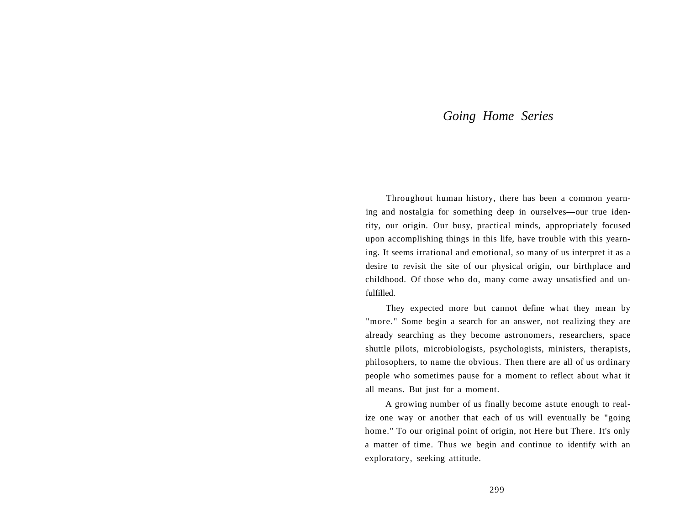# *Going Home Series*

Throughout human history, there has been a common yearning and nostalgia for something deep in ourselves—our true identity, our origin. Our busy, practical minds, appropriately focused upon accomplishing things in this life, have trouble with this yearning. It seems irrational and emotional, so many of us interpret it as a desire to revisit the site of our physical origin, our birthplace and childhood. Of those who do, many come away unsatisfied and unfulfilled.

They expected more but cannot define what they mean by "more." Some begin a search for an answer, not realizing they are already searching as they become astronomers, researchers, space shuttle pilots, microbiologists, psychologists, ministers, therapists, philosophers, to name the obvious. Then there are all of us ordinary people who sometimes pause for a moment to reflect about what it all means. But just for a moment.

A growing number of us finally become astute enough to realize one way or another that each of us will eventually be "going home." To our original point of origin, not Here but There. It's only a matter of time. Thus we begin and continue to identify with an exploratory, seeking attitude.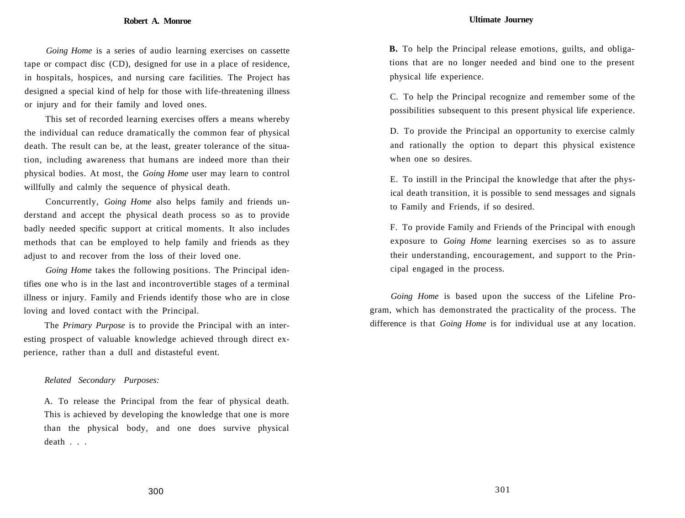### **Ultimate Journey**

### **Robert A. Monroe**

*Going Home* is a series of audio learning exercises on cassette tape or compact disc (CD), designed for use in a place of residence, in hospitals, hospices, and nursing care facilities. The Project has designed a special kind of help for those with life-threatening illness or injury and for their family and loved ones.

This set of recorded learning exercises offers a means whereby the individual can reduce dramatically the common fear of physical death. The result can be, at the least, greater tolerance of the situation, including awareness that humans are indeed more than their physical bodies. At most, the *Going Home* user may learn to control willfully and calmly the sequence of physical death.

Concurrently, *Going Home* also helps family and friends understand and accept the physical death process so as to provide badly needed specific support at critical moments. It also includes methods that can be employed to help family and friends as they adjust to and recover from the loss of their loved one.

*Going Home* takes the following positions. The Principal identifies one who is in the last and incontrovertible stages of a terminal illness or injury. Family and Friends identify those who are in close loving and loved contact with the Principal.

The *Primary Purpose* is to provide the Principal with an interesting prospect of valuable knowledge achieved through direct experience, rather than a dull and distasteful event.

### *Related Secondary Purposes:*

A. To release the Principal from the fear of physical death. This is achieved by developing the knowledge that one is more than the physical body, and one does survive physical death . . .

**B.** To help the Principal release emotions, guilts, and obligations that are no longer needed and bind one to the present physical life experience.

C. To help the Principal recognize and remember some of the possibilities subsequent to this present physical life experience.

D. To provide the Principal an opportunity to exercise calmly and rationally the option to depart this physical existence when one so desires.

E. To instill in the Principal the knowledge that after the physical death transition, it is possible to send messages and signals to Family and Friends, if so desired.

F. To provide Family and Friends of the Principal with enough exposure to *Going Home* learning exercises so as to assure their understanding, encouragement, and support to the Principal engaged in the process.

*Going Home* is based upon the success of the Lifeline Program, which has demonstrated the practicality of the process. The difference is that *Going Home* is for individual use at any location.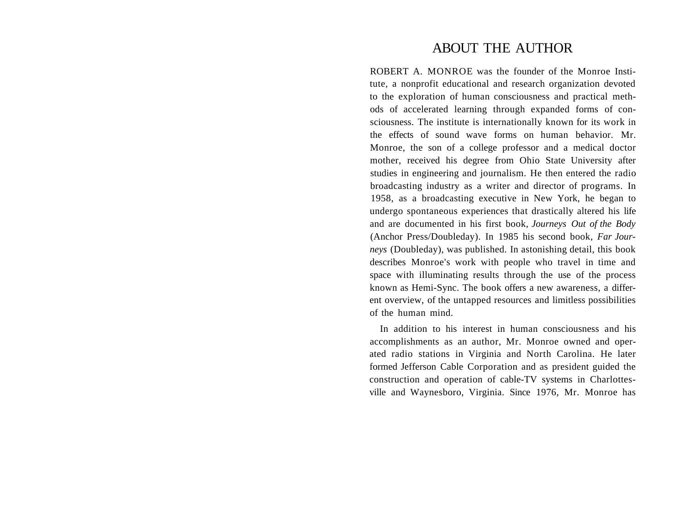# ABOUT THE AUTHOR

ROBERT A. MONROE was the founder of the Monroe Institute, a nonprofit educational and research organization devoted to the exploration of human consciousness and practical methods of accelerated learning through expanded forms of consciousness. The institute is internationally known for its work in the effects of sound wave forms on human behavior. Mr. Monroe, the son of a college professor and a medical doctor mother, received his degree from Ohio State University after studies in engineering and journalism. He then entered the radio broadcasting industry as a writer and director of programs. In 1958, as a broadcasting executive in New York, he began to undergo spontaneous experiences that drastically altered his life and are documented in his first book, *Journeys Out of the Body*  (Anchor Press/Doubleday). In 1985 his second book, *Far Journeys* (Doubleday), was published. In astonishing detail, this book describes Monroe's work with people who travel in time and space with illuminating results through the use of the process known as Hemi-Sync. The book offers a new awareness, a different overview, of the untapped resources and limitless possibilities of the human mind.

In addition to his interest in human consciousness and his accomplishments as an author, Mr. Monroe owned and operated radio stations in Virginia and North Carolina. He later formed Jefferson Cable Corporation and as president guided the construction and operation of cable-TV systems in Charlottesville and Waynesboro, Virginia. Since 1976, Mr. Monroe has